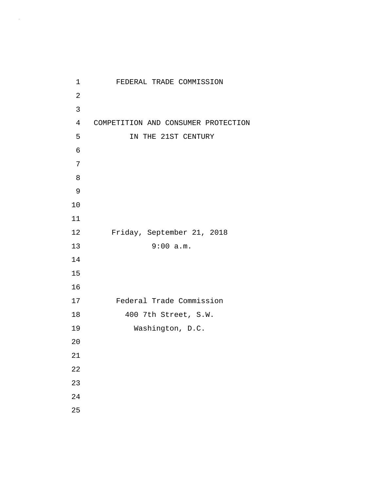| 1              | FEDERAL TRADE COMMISSION            |
|----------------|-------------------------------------|
| $\sqrt{2}$     |                                     |
| 3              |                                     |
| $\overline{4}$ | COMPETITION AND CONSUMER PROTECTION |
| 5              | IN THE 21ST CENTURY                 |
| 6              |                                     |
| 7              |                                     |
| 8              |                                     |
| 9              |                                     |
| 10             |                                     |
| 11             |                                     |
| 12             | Friday, September 21, 2018          |
| 13             | 9:00 a.m.                           |
| 14             |                                     |
| 15             |                                     |
| 16             |                                     |
| 17             | Federal Trade Commission            |
| 18             | 400 7th Street, S.W.                |
| 19             | Washington, D.C.                    |
| 20             |                                     |
| 21             |                                     |
| 22             |                                     |
| 23             |                                     |
| 24             |                                     |
| 25             |                                     |

 $\mathcal{A}^{\mathcal{A}}$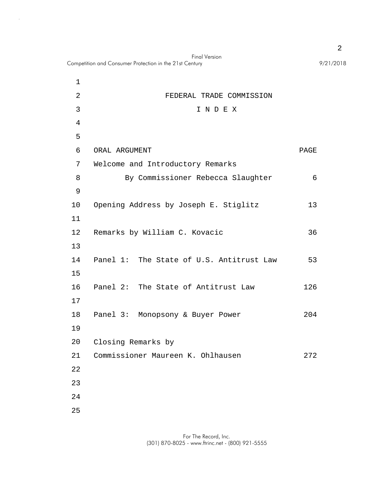|             | <b>Final Version</b><br>Competition and Consumer Protection in the 21st Century | 9/21/2018 |
|-------------|---------------------------------------------------------------------------------|-----------|
| $\mathbf 1$ |                                                                                 |           |
| 2           | FEDERAL TRADE COMMISSION                                                        |           |
| 3           | INDEX                                                                           |           |
| 4           |                                                                                 |           |
| 5           |                                                                                 |           |
| 6           | ORAL ARGUMENT                                                                   | PAGE      |
| 7           | Welcome and Introductory Remarks                                                |           |
| 8           | By Commissioner Rebecca Slaughter                                               | 6         |
| 9           |                                                                                 |           |
| 10          | Opening Address by Joseph E. Stiglitz                                           | 13        |
| 11          |                                                                                 |           |
| 12          | Remarks by William C. Kovacic                                                   | 36        |
| 13          |                                                                                 |           |
| 14          | Panel 1: The State of U.S. Antitrust Law                                        | 53        |
| 15          |                                                                                 |           |
| 16          | Panel 2: The State of Antitrust Law                                             | 126       |
| 17          |                                                                                 |           |
| 18          | Panel 3:<br>Monopsony & Buyer Power                                             | 204       |
| 19          |                                                                                 |           |
| 20          | Closing Remarks by                                                              |           |
| 21          | Commissioner Maureen K. Ohlhausen                                               | 272       |
| 22          |                                                                                 |           |
| 23          |                                                                                 |           |
| 24          |                                                                                 |           |
| 25          |                                                                                 |           |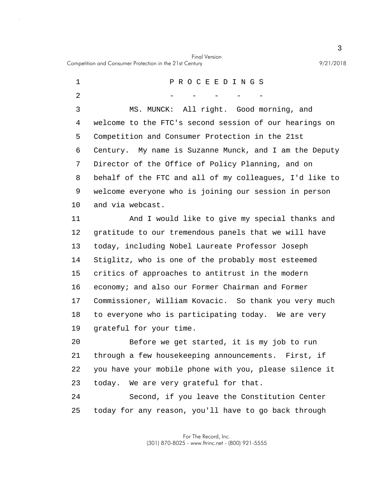Final Version Competition and Consumer Protection in the 21st Century 9/21/2018

5 10 15 1 P R O C E E D I N G S 2 - - - - - - -3 MS. MUNCK: All right. Good morning, and 4 welcome to the FTC's second session of our hearings on Competition and Consumer Protection in the 21st 6 Century. My name is Suzanne Munck, and I am the Deputy 7 Director of the Office of Policy Planning, and on 8 behalf of the FTC and all of my colleagues, I'd like to 9 welcome everyone who is joining our session in person and via webcast. 11 And I would like to give my special thanks and 12 gratitude to our tremendous panels that we will have 13 today, including Nobel Laureate Professor Joseph 14 Stiglitz, who is one of the probably most esteemed critics of approaches to antitrust in the modern 16 economy; and also our Former Chairman and Former 17 Commissioner, William Kovacic. So thank you very much 18 to everyone who is participating today. We are very

19 grateful for your time.

20 Before we get started, it is my job to run 21 through a few housekeeping announcements. First, if 22 you have your mobile phone with you, please silence it 23 today. We are very grateful for that.

25 24 Second, if you leave the Constitution Center today for any reason, you'll have to go back through

> For The Record, Inc. (301) 870-8025 - www.ftrinc.net - (800) 921-5555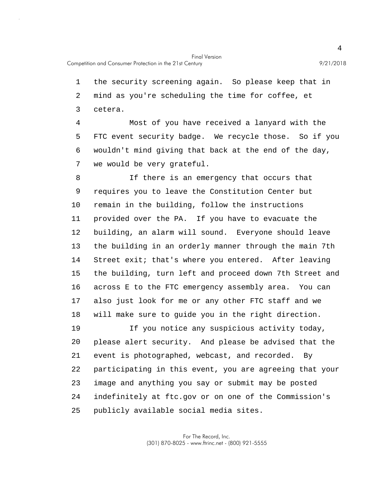1 the security screening again. So please keep that in 2 mind as you're scheduling the time for coffee, et 3 cetera. 4 Most of you have received a lanyard with the

5 FTC event security badge. We recycle those. So if you 6 wouldn't mind giving that back at the end of the day, 7 we would be very grateful.

10 15 8 If there is an emergency that occurs that 9 requires you to leave the Constitution Center but remain in the building, follow the instructions 11 provided over the PA. If you have to evacuate the 12 building, an alarm will sound. Everyone should leave 13 the building in an orderly manner through the main 7th 14 Street exit; that's where you entered. After leaving the building, turn left and proceed down 7th Street and 16 across E to the FTC emergency assembly area. You can 17 also just look for me or any other FTC staff and we 18 will make sure to guide you in the right direction.

20 25 19 If you notice any suspicious activity today, please alert security. And please be advised that the 21 event is photographed, webcast, and recorded. By 22 participating in this event, you are agreeing that your 23 image and anything you say or submit may be posted 24 indefinitely at ftc.gov or on one of the Commission's publicly available social media sites.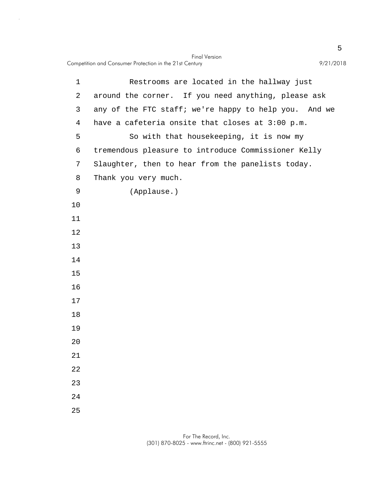|             | <b>Final Version</b><br>Competition and Consumer Protection in the 21st Century<br>9/21/2018 |
|-------------|----------------------------------------------------------------------------------------------|
| $\mathbf 1$ | Restrooms are located in the hallway just                                                    |
| 2           | around the corner. If you need anything, please ask                                          |
| 3           | any of the FTC staff; we're happy to help you. And we                                        |
| 4           | have a cafeteria onsite that closes at 3:00 p.m.                                             |
| 5           | So with that housekeeping, it is now my                                                      |
| 6           | tremendous pleasure to introduce Commissioner Kelly                                          |
| 7           | Slaughter, then to hear from the panelists today.                                            |
| 8           | Thank you very much.                                                                         |
| 9           | (Applause.)                                                                                  |
| 10          |                                                                                              |
| 11          |                                                                                              |
| 12          |                                                                                              |
| 13          |                                                                                              |
| 14          |                                                                                              |
| 15          |                                                                                              |
| 16          |                                                                                              |
| 17          |                                                                                              |
| 18          |                                                                                              |
| 19          |                                                                                              |
| 20          |                                                                                              |
| 21          |                                                                                              |
| 22          |                                                                                              |
| 23          |                                                                                              |
| 24<br>25    |                                                                                              |
|             |                                                                                              |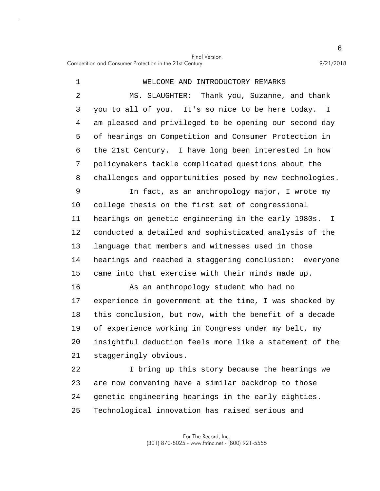| $\mathbf 1$    | WELCOME AND INTRODUCTORY REMARKS                                    |
|----------------|---------------------------------------------------------------------|
| $\overline{2}$ | MS. SLAUGHTER: Thank you, Suzanne, and thank                        |
| 3              | you to all of you. It's so nice to be here today.<br>$\mathbf{I}$   |
| 4              | am pleased and privileged to be opening our second day              |
| 5              | of hearings on Competition and Consumer Protection in               |
| 6              | the 21st Century. I have long been interested in how                |
| 7              | policymakers tackle complicated questions about the                 |
| 8              | challenges and opportunities posed by new technologies.             |
| 9              | In fact, as an anthropology major, I wrote my                       |
| 10             | college thesis on the first set of congressional                    |
| 11             | hearings on genetic engineering in the early 1980s.<br>$\mathbf{I}$ |
| 12             | conducted a detailed and sophisticated analysis of the              |
| 13             | language that members and witnesses used in those                   |
| 14             | hearings and reached a staggering conclusion: everyone              |
| 15             | came into that exercise with their minds made up.                   |
| 16             | As an anthropology student who had no                               |
| 17             | experience in government at the time, I was shocked by              |
| 18             | this conclusion, but now, with the benefit of a decade              |
| 19             | of experience working in Congress under my belt, my                 |
| 20             | insightful deduction feels more like a statement of the             |
| 21             | staggeringly obvious.                                               |
| 22             | I bring up this story because the hearings we                       |
| 23             | are now convening have a similar backdrop to those                  |
| 24             | genetic engineering hearings in the early eighties.                 |

25 Technological innovation has raised serious and

> For The Record, Inc. (301) 870-8025 - www.ftrinc.net - (800) 921-5555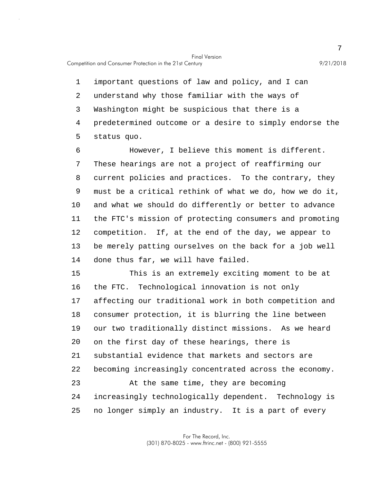5 1 important questions of law and policy, and I can 2 understand why those familiar with the ways of 3 Washington might be suspicious that there is a 4 predetermined outcome or a desire to simply endorse the status quo.

10 6 However, I believe this moment is different. 7 These hearings are not a project of reaffirming our 8 current policies and practices. To the contrary, they 9 must be a critical rethink of what we do, how we do it, and what we should do differently or better to advance 11 the FTC's mission of protecting consumers and promoting 12 competition. If, at the end of the day, we appear to 13 be merely patting ourselves on the back for a job well 14 done thus far, we will have failed.

15 20 25 This is an extremely exciting moment to be at 16 the FTC. Technological innovation is not only 17 affecting our traditional work in both competition and 18 consumer protection, it is blurring the line between 19 our two traditionally distinct missions. As we heard on the first day of these hearings, there is 21 substantial evidence that markets and sectors are 22 becoming increasingly concentrated across the economy. 23 At the same time, they are becoming 24 increasingly technologically dependent. Technology is no longer simply an industry. It is a part of every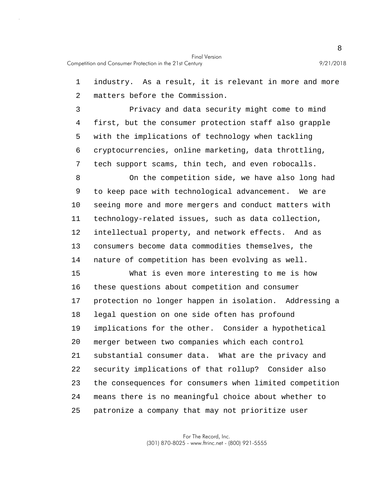1 industry. As a result, it is relevant in more and more 2 matters before the Commission.

5 3 Privacy and data security might come to mind 4 first, but the consumer protection staff also grapple with the implications of technology when tackling 6 cryptocurrencies, online marketing, data throttling, 7 tech support scams, thin tech, and even robocalls.

10 8 On the competition side, we have also long had 9 to keep pace with technological advancement. We are seeing more and more mergers and conduct matters with 11 technology-related issues, such as data collection, 12 intellectual property, and network effects. And as 13 consumers become data commodities themselves, the 14 nature of competition has been evolving as well.

15 20 25 What is even more interesting to me is how 16 these questions about competition and consumer 17 protection no longer happen in isolation. Addressing a 18 legal question on one side often has profound 19 implications for the other. Consider a hypothetical merger between two companies which each control 21 substantial consumer data. What are the privacy and 22 security implications of that rollup? Consider also 23 the consequences for consumers when limited competition 24 means there is no meaningful choice about whether to patronize a company that may not prioritize user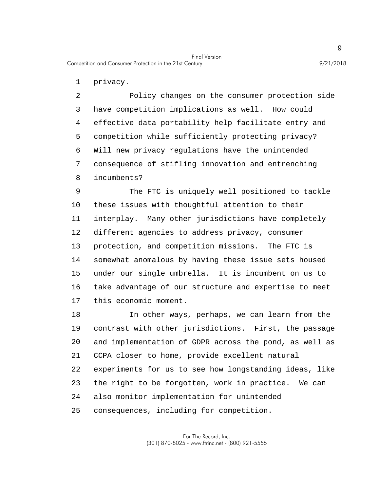1 privacy.

5 2 Policy changes on the consumer protection side 3 have competition implications as well. How could 4 effective data portability help facilitate entry and competition while sufficiently protecting privacy? 6 Will new privacy regulations have the unintended 7 consequence of stifling innovation and entrenching 8 incumbents?

10 15 9 The FTC is uniquely well positioned to tackle these issues with thoughtful attention to their 11 interplay. Many other jurisdictions have completely 12 different agencies to address privacy, consumer 13 protection, and competition missions. The FTC is 14 somewhat anomalous by having these issue sets housed under our single umbrella. It is incumbent on us to 16 take advantage of our structure and expertise to meet 17 this economic moment.

20 25 18 In other ways, perhaps, we can learn from the 19 contrast with other jurisdictions. First, the passage and implementation of GDPR across the pond, as well as 21 CCPA closer to home, provide excellent natural 22 experiments for us to see how longstanding ideas, like 23 the right to be forgotten, work in practice. We can 24 also monitor implementation for unintended consequences, including for competition.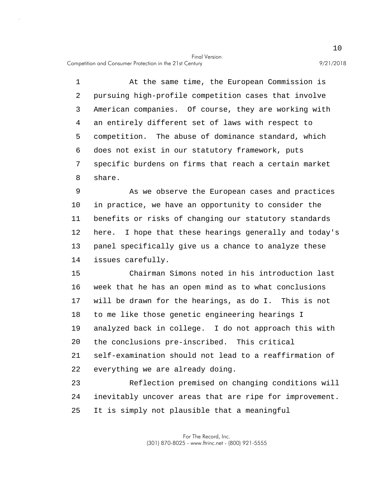Competition and Consumer Protection in the 21st Century 9/21/2018

5 1 At the same time, the European Commission is 2 pursuing high-profile competition cases that involve 3 American companies. Of course, they are working with 4 an entirely different set of laws with respect to competition. The abuse of dominance standard, which 6 does not exist in our statutory framework, puts 7 specific burdens on firms that reach a certain market 8 share.

10 9 As we observe the European cases and practices in practice, we have an opportunity to consider the 11 benefits or risks of changing our statutory standards 12 here. I hope that these hearings generally and today's 13 panel specifically give us a chance to analyze these 14 issues carefully.

15 20 Chairman Simons noted in his introduction last 16 week that he has an open mind as to what conclusions 17 will be drawn for the hearings, as do I. This is not 18 to me like those genetic engineering hearings I 19 analyzed back in college. I do not approach this with the conclusions pre-inscribed. This critical 21 self-examination should not lead to a reaffirmation of 22 everything we are already doing.

25 23 Reflection premised on changing conditions will 24 inevitably uncover areas that are ripe for improvement. It is simply not plausible that a meaningful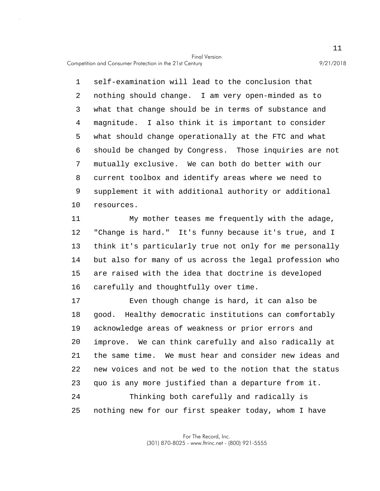Competition and Consumer Protection in the 21st Century 9/21/2018

5 10 1 self-examination will lead to the conclusion that 2 nothing should change. I am very open-minded as to 3 what that change should be in terms of substance and 4 magnitude. I also think it is important to consider what should change operationally at the FTC and what 6 should be changed by Congress. Those inquiries are not 7 mutually exclusive. We can both do better with our 8 current toolbox and identify areas where we need to 9 supplement it with additional authority or additional resources.

15 11 My mother teases me frequently with the adage, 12 "Change is hard." It's funny because it's true, and I 13 think it's particularly true not only for me personally 14 but also for many of us across the legal profession who are raised with the idea that doctrine is developed 16 carefully and thoughtfully over time.

20 25 17 Even though change is hard, it can also be 18 good. Healthy democratic institutions can comfortably 19 acknowledge areas of weakness or prior errors and improve. We can think carefully and also radically at 21 the same time. We must hear and consider new ideas and 22 new voices and not be wed to the notion that the status 23 quo is any more justified than a departure from it. 24 Thinking both carefully and radically is nothing new for our first speaker today, whom I have

> For The Record, Inc. (301) 870-8025 - www.ftrinc.net - (800) 921-5555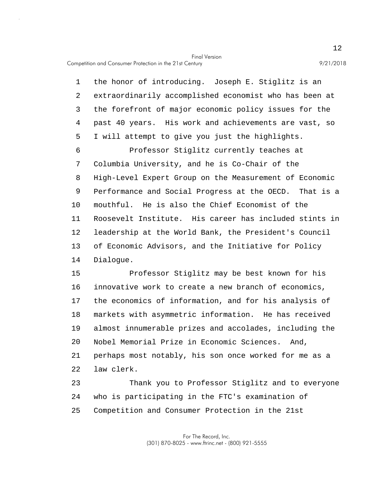Competition and Consumer Protection in the 21st Century 9/21/2018

5 10 1 the honor of introducing. Joseph E. Stiglitz is an 2 extraordinarily accomplished economist who has been at 3 the forefront of major economic policy issues for the 4 past 40 years. His work and achievements are vast, so I will attempt to give you just the highlights. 6 Professor Stiglitz currently teaches at 7 Columbia University, and he is Co-Chair of the 8 High-Level Expert Group on the Measurement of Economic 9 Performance and Social Progress at the OECD. That is a mouthful. He is also the Chief Economist of the 11 Roosevelt Institute. His career has included stints in 12 leadership at the World Bank, the President's Council 13 of Economic Advisors, and the Initiative for Policy 14 Dialogue.

15 20 Professor Stiglitz may be best known for his 16 innovative work to create a new branch of economics, 17 the economics of information, and for his analysis of 18 markets with asymmetric information. He has received 19 almost innumerable prizes and accolades, including the Nobel Memorial Prize in Economic Sciences. And, 21 perhaps most notably, his son once worked for me as a 22 law clerk.

25 23 Thank you to Professor Stiglitz and to everyone 24 who is participating in the FTC's examination of Competition and Consumer Protection in the 21st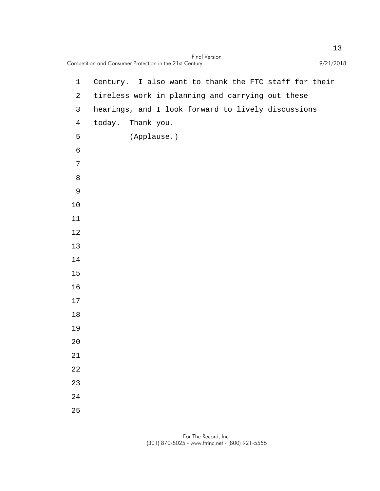|                | <b>Final Version</b><br>Competition and Consumer Protection in the 21st Century | 9/21/2018 |
|----------------|---------------------------------------------------------------------------------|-----------|
| $\mathbf{1}$   | Century. I also want to thank the FTC staff for their                           |           |
| $\overline{a}$ | tireless work in planning and carrying out these                                |           |
| 3              | hearings, and I look forward to lively discussions                              |           |
| $\overline{4}$ | today. Thank you.                                                               |           |
| 5              | (Applause.)                                                                     |           |
| 6              |                                                                                 |           |
| 7              |                                                                                 |           |
| 8              |                                                                                 |           |
| $\mathsf 9$    |                                                                                 |           |
| 10             |                                                                                 |           |
| 11             |                                                                                 |           |
| $12$           |                                                                                 |           |
| 13             |                                                                                 |           |
| 14             |                                                                                 |           |
| 15             |                                                                                 |           |
| 16             |                                                                                 |           |
| 17             |                                                                                 |           |
| 18             |                                                                                 |           |
| 19             |                                                                                 |           |
| $2\,0$         |                                                                                 |           |
| $21\,$         |                                                                                 |           |
| 22             |                                                                                 |           |
| 23             |                                                                                 |           |
| 24             |                                                                                 |           |
| 25             |                                                                                 |           |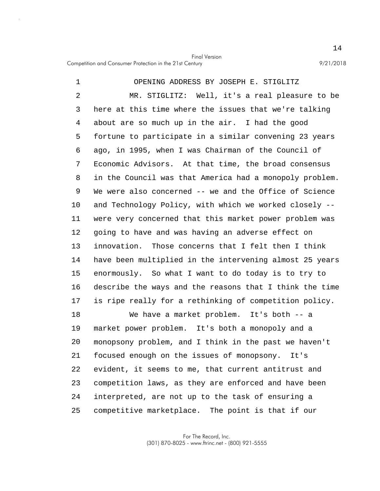5 10 15 1 OPENING ADDRESS BY JOSEPH E. STIGLITZ 2 MR. STIGLITZ: Well, it's a real pleasure to be 3 here at this time where the issues that we're talking 4 about are so much up in the air. I had the good fortune to participate in a similar convening 23 years 6 ago, in 1995, when I was Chairman of the Council of 7 Economic Advisors. At that time, the broad consensus 8 in the Council was that America had a monopoly problem. 9 We were also concerned -- we and the Office of Science and Technology Policy, with which we worked closely -- 11 were very concerned that this market power problem was 12 going to have and was having an adverse effect on 13 innovation. Those concerns that I felt then I think 14 have been multiplied in the intervening almost 25 years enormously. So what I want to do today is to try to 16 describe the ways and the reasons that I think the time 17 is ripe really for a rethinking of competition policy.

20 25 18 We have a market problem. It's both -- a 19 market power problem. It's both a monopoly and a monopsony problem, and I think in the past we haven't 21 focused enough on the issues of monopsony. It's 22 evident, it seems to me, that current antitrust and 23 competition laws, as they are enforced and have been 24 interpreted, are not up to the task of ensuring a competitive marketplace. The point is that if our

> For The Record, Inc. (301) 870-8025 - www.ftrinc.net - (800) 921-5555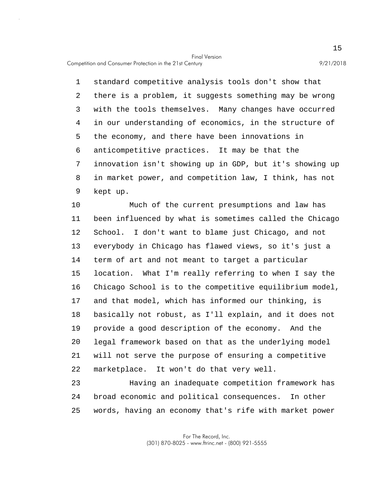Competition and Consumer Protection in the 21st Century 9/21/2018

5 1 standard competitive analysis tools don't show that 2 there is a problem, it suggests something may be wrong 3 with the tools themselves. Many changes have occurred 4 in our understanding of economics, in the structure of the economy, and there have been innovations in 6 anticompetitive practices. It may be that the 7 innovation isn't showing up in GDP, but it's showing up 8 in market power, and competition law, I think, has not 9 kept up.

10 15 20 Much of the current presumptions and law has 11 been influenced by what is sometimes called the Chicago 12 School. I don't want to blame just Chicago, and not 13 everybody in Chicago has flawed views, so it's just a 14 term of art and not meant to target a particular location. What I'm really referring to when I say the 16 Chicago School is to the competitive equilibrium model, 17 and that model, which has informed our thinking, is 18 basically not robust, as I'll explain, and it does not 19 provide a good description of the economy. And the legal framework based on that as the underlying model 21 will not serve the purpose of ensuring a competitive 22 marketplace. It won't do that very well.

25 23 Having an inadequate competition framework has 24 broad economic and political consequences. In other words, having an economy that's rife with market power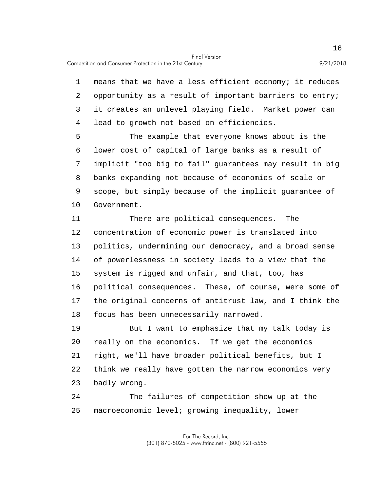1 means that we have a less efficient economy; it reduces 2 opportunity as a result of important barriers to entry; 3 it creates an unlevel playing field. Market power can 4 lead to growth not based on efficiencies.

5 10 The example that everyone knows about is the 6 lower cost of capital of large banks as a result of 7 implicit "too big to fail" guarantees may result in big 8 banks expanding not because of economies of scale or 9 scope, but simply because of the implicit guarantee of Government.

15 11 There are political consequences. The 12 concentration of economic power is translated into 13 politics, undermining our democracy, and a broad sense 14 of powerlessness in society leads to a view that the system is rigged and unfair, and that, too, has 16 political consequences. These, of course, were some of 17 the original concerns of antitrust law, and I think the 18 focus has been unnecessarily narrowed.

20 19 But I want to emphasize that my talk today is really on the economics. If we get the economics 21 right, we'll have broader political benefits, but I 22 think we really have gotten the narrow economics very 23 badly wrong.

25 24 The failures of competition show up at the macroeconomic level; growing inequality, lower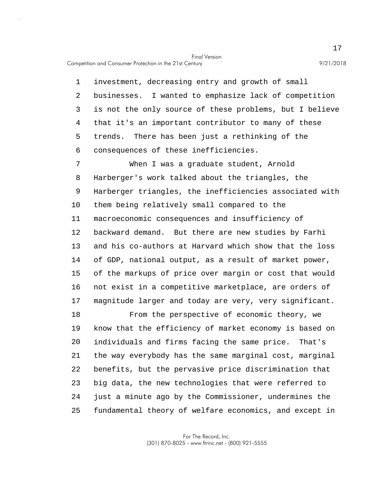Competition and Consumer Protection in the 21st Century 9/21/2018

5 1 investment, decreasing entry and growth of small 2 businesses. I wanted to emphasize lack of competition 3 is not the only source of these problems, but I believe 4 that it's an important contributor to many of these trends. There has been just a rethinking of the 6 consequences of these inefficiencies.

10 15 7 When I was a graduate student, Arnold 8 Harberger's work talked about the triangles, the 9 Harberger triangles, the inefficiencies associated with them being relatively small compared to the 11 macroeconomic consequences and insufficiency of 12 backward demand. But there are new studies by Farhi 13 and his co-authors at Harvard which show that the loss 14 of GDP, national output, as a result of market power, of the markups of price over margin or cost that would 16 not exist in a competitive marketplace, are orders of 17 magnitude larger and today are very, very significant.

20 25 18 From the perspective of economic theory, we 19 know that the efficiency of market economy is based on individuals and firms facing the same price. That's 21 the way everybody has the same marginal cost, marginal 22 benefits, but the pervasive price discrimination that 23 big data, the new technologies that were referred to 24 just a minute ago by the Commissioner, undermines the fundamental theory of welfare economics, and except in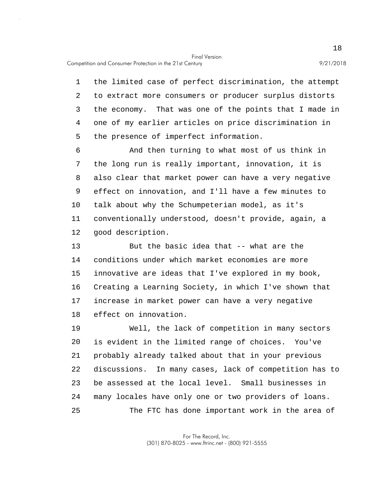Competition and Consumer Protection in the 21st Century 9/21/2018

5 1 the limited case of perfect discrimination, the attempt 2 to extract more consumers or producer surplus distorts 3 the economy. That was one of the points that I made in 4 one of my earlier articles on price discrimination in the presence of imperfect information.

10 6 And then turning to what most of us think in 7 the long run is really important, innovation, it is 8 also clear that market power can have a very negative 9 effect on innovation, and I'll have a few minutes to talk about why the Schumpeterian model, as it's 11 conventionally understood, doesn't provide, again, a 12 good description.

15 13 But the basic idea that -- what are the 14 conditions under which market economies are more innovative are ideas that I've explored in my book, 16 Creating a Learning Society, in which I've shown that 17 increase in market power can have a very negative 18 effect on innovation.

20 25 19 Well, the lack of competition in many sectors is evident in the limited range of choices. You've 21 probably already talked about that in your previous 22 discussions. In many cases, lack of competition has to 23 be assessed at the local level. Small businesses in 24 many locales have only one or two providers of loans. The FTC has done important work in the area of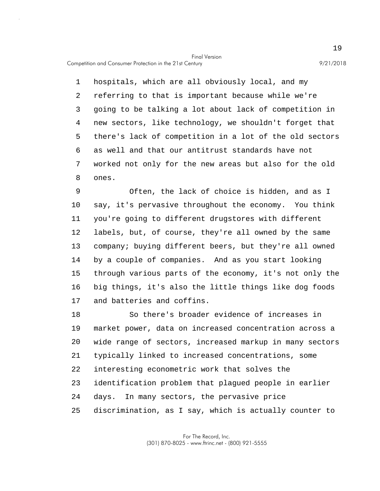Competition and Consumer Protection in the 21st Century 9/21/2018

5 1 hospitals, which are all obviously local, and my 2 referring to that is important because while we're 3 going to be talking a lot about lack of competition in 4 new sectors, like technology, we shouldn't forget that there's lack of competition in a lot of the old sectors 6 as well and that our antitrust standards have not 7 worked not only for the new areas but also for the old 8 ones.

10 15 9 Often, the lack of choice is hidden, and as I say, it's pervasive throughout the economy. You think 11 you're going to different drugstores with different 12 labels, but, of course, they're all owned by the same 13 company; buying different beers, but they're all owned 14 by a couple of companies. And as you start looking through various parts of the economy, it's not only the 16 big things, it's also the little things like dog foods 17 and batteries and coffins.

20 25 18 So there's broader evidence of increases in 19 market power, data on increased concentration across a wide range of sectors, increased markup in many sectors 21 typically linked to increased concentrations, some 22 interesting econometric work that solves the 23 identification problem that plagued people in earlier 24 days. In many sectors, the pervasive price discrimination, as I say, which is actually counter to

> For The Record, Inc. (301) 870-8025 - www.ftrinc.net - (800) 921-5555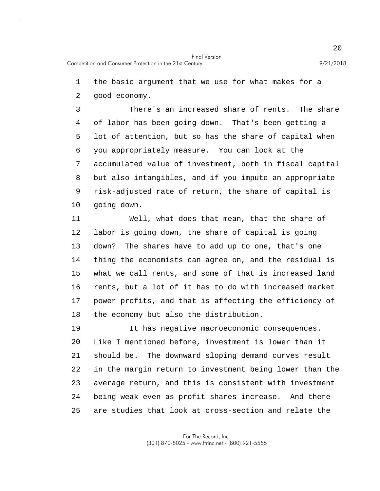1 the basic argument that we use for what makes for a

2 good economy.

5 10 3 There's an increased share of rents. The share 4 of labor has been going down. That's been getting a lot of attention, but so has the share of capital when 6 you appropriately measure. You can look at the 7 accumulated value of investment, both in fiscal capital 8 but also intangibles, and if you impute an appropriate 9 risk-adjusted rate of return, the share of capital is going down.

15 11 Well, what does that mean, that the share of 12 labor is going down, the share of capital is going 13 down? The shares have to add up to one, that's one 14 thing the economists can agree on, and the residual is what we call rents, and some of that is increased land 16 rents, but a lot of it has to do with increased market 17 power profits, and that is affecting the efficiency of 18 the economy but also the distribution.

20 25 19 It has negative macroeconomic consequences. Like I mentioned before, investment is lower than it 21 should be. The downward sloping demand curves result 22 in the margin return to investment being lower than the 23 average return, and this is consistent with investment 24 being weak even as profit shares increase. And there are studies that look at cross-section and relate the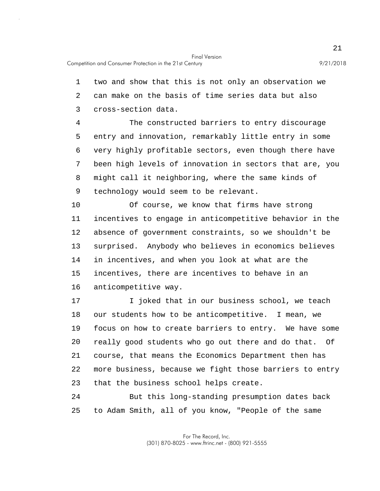1 two and show that this is not only an observation we 2 can make on the basis of time series data but also 3 cross-section data.

5 4 The constructed barriers to entry discourage entry and innovation, remarkably little entry in some 6 very highly profitable sectors, even though there have 7 been high levels of innovation in sectors that are, you 8 might call it neighboring, where the same kinds of 9 technology would seem to be relevant.

10 15 Of course, we know that firms have strong 11 incentives to engage in anticompetitive behavior in the 12 absence of government constraints, so we shouldn't be 13 surprised. Anybody who believes in economics believes 14 in incentives, and when you look at what are the incentives, there are incentives to behave in an 16 anticompetitive way.

20 17 I joked that in our business school, we teach 18 our students how to be anticompetitive. I mean, we 19 focus on how to create barriers to entry. We have some really good students who go out there and do that. Of 21 course, that means the Economics Department then has 22 more business, because we fight those barriers to entry 23 that the business school helps create.

25 24 But this long-standing presumption dates back to Adam Smith, all of you know, "People of the same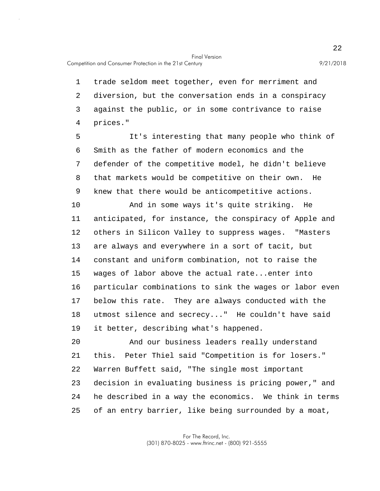1 trade seldom meet together, even for merriment and 2 diversion, but the conversation ends in a conspiracy 3 against the public, or in some contrivance to raise 4 prices."

5 It's interesting that many people who think of 6 Smith as the father of modern economics and the 7 defender of the competitive model, he didn't believe 8 that markets would be competitive on their own. He 9 knew that there would be anticompetitive actions.

10 15 And in some ways it's quite striking. He 11 anticipated, for instance, the conspiracy of Apple and 12 others in Silicon Valley to suppress wages. "Masters 13 are always and everywhere in a sort of tacit, but 14 constant and uniform combination, not to raise the wages of labor above the actual rate...enter into 16 particular combinations to sink the wages or labor even 17 below this rate. They are always conducted with the 18 utmost silence and secrecy..." He couldn't have said 19 it better, describing what's happened.

20 25 And our business leaders really understand 21 this. Peter Thiel said "Competition is for losers." 22 Warren Buffett said, "The single most important 23 decision in evaluating business is pricing power," and 24 he described in a way the economics. We think in terms of an entry barrier, like being surrounded by a moat,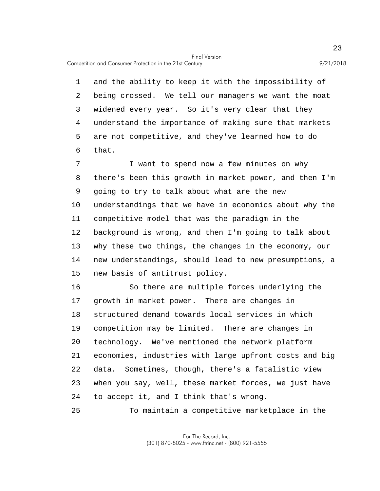5 1 and the ability to keep it with the impossibility of 2 being crossed. We tell our managers we want the moat 3 widened every year. So it's very clear that they 4 understand the importance of making sure that markets are not competitive, and they've learned how to do 6 that.

10 15 7 I want to spend now a few minutes on why 8 there's been this growth in market power, and then I'm 9 going to try to talk about what are the new understandings that we have in economics about why the 11 competitive model that was the paradigm in the 12 background is wrong, and then I'm going to talk about 13 why these two things, the changes in the economy, our 14 new understandings, should lead to new presumptions, a new basis of antitrust policy.

20 16 So there are multiple forces underlying the 17 growth in market power. There are changes in 18 structured demand towards local services in which 19 competition may be limited. There are changes in technology. We've mentioned the network platform 21 economies, industries with large upfront costs and big 22 data. Sometimes, though, there's a fatalistic view 23 when you say, well, these market forces, we just have 24 to accept it, and I think that's wrong.

25 To maintain a competitive marketplace in the

> For The Record, Inc. (301) 870-8025 - www.ftrinc.net - (800) 921-5555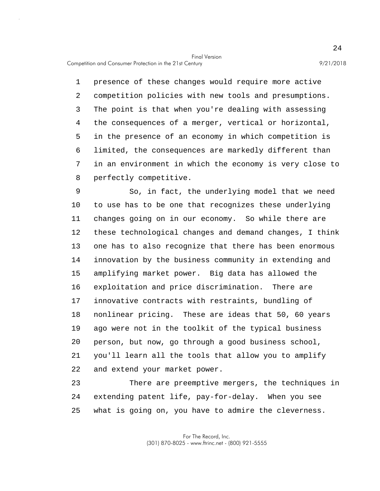Competition and Consumer Protection in the 21st Century 9/21/2018

5 1 presence of these changes would require more active 2 competition policies with new tools and presumptions. 3 The point is that when you're dealing with assessing 4 the consequences of a merger, vertical or horizontal, in the presence of an economy in which competition is 6 limited, the consequences are markedly different than 7 in an environment in which the economy is very close to 8 perfectly competitive.

10 15 20 9 So, in fact, the underlying model that we need to use has to be one that recognizes these underlying 11 changes going on in our economy. So while there are 12 these technological changes and demand changes, I think 13 one has to also recognize that there has been enormous 14 innovation by the business community in extending and amplifying market power. Big data has allowed the 16 exploitation and price discrimination. There are 17 innovative contracts with restraints, bundling of 18 nonlinear pricing. These are ideas that 50, 60 years 19 ago were not in the toolkit of the typical business person, but now, go through a good business school, 21 you'll learn all the tools that allow you to amplify 22 and extend your market power.

25 23 There are preemptive mergers, the techniques in 24 extending patent life, pay-for-delay. When you see what is going on, you have to admire the cleverness.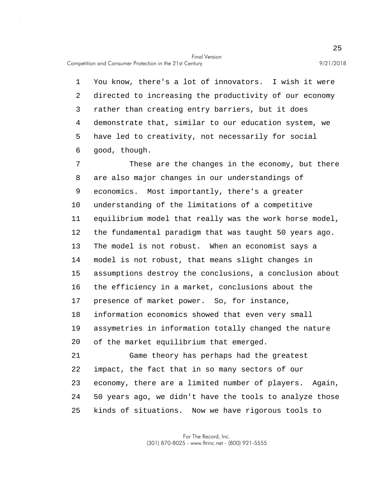5 1 You know, there's a lot of innovators. I wish it were 2 directed to increasing the productivity of our economy 3 rather than creating entry barriers, but it does 4 demonstrate that, similar to our education system, we have led to creativity, not necessarily for social 6 good, though.

10 15 20 7 These are the changes in the economy, but there 8 are also major changes in our understandings of 9 economics. Most importantly, there's a greater understanding of the limitations of a competitive 11 equilibrium model that really was the work horse model, 12 the fundamental paradigm that was taught 50 years ago. 13 The model is not robust. When an economist says a 14 model is not robust, that means slight changes in assumptions destroy the conclusions, a conclusion about 16 the efficiency in a market, conclusions about the 17 presence of market power. So, for instance, 18 information economics showed that even very small 19 assymetries in information totally changed the nature of the market equilibrium that emerged. 21 Game theory has perhaps had the greatest 22 impact, the fact that in so many sectors of our 23 economy, there are a limited number of players. Again,

25 kinds of situations. Now we have rigorous tools to

24 50 years ago, we didn't have the tools to analyze those

For The Record, Inc. (301) 870-8025 - www.ftrinc.net - (800) 921-5555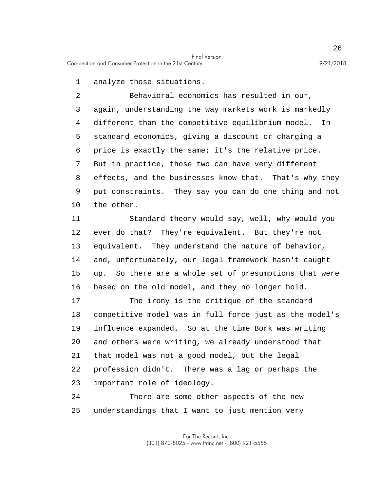1 analyze those situations.

5 10 2 Behavioral economics has resulted in our, 3 again, understanding the way markets work is markedly 4 different than the competitive equilibrium model. In standard economics, giving a discount or charging a 6 price is exactly the same; it's the relative price. 7 But in practice, those two can have very different 8 effects, and the businesses know that. That's why they 9 put constraints. They say you can do one thing and not the other.

15 11 Standard theory would say, well, why would you 12 ever do that? They're equivalent. But they're not 13 equivalent. They understand the nature of behavior, 14 and, unfortunately, our legal framework hasn't caught up. So there are a whole set of presumptions that were 16 based on the old model, and they no longer hold.

20 17 The irony is the critique of the standard 18 competitive model was in full force just as the model's 19 influence expanded. So at the time Bork was writing and others were writing, we already understood that 21 that model was not a good model, but the legal 22 profession didn't. There was a lag or perhaps the 23 important role of ideology.

25 24 There are some other aspects of the new understandings that I want to just mention very

> For The Record, Inc. (301) 870-8025 - www.ftrinc.net - (800) 921-5555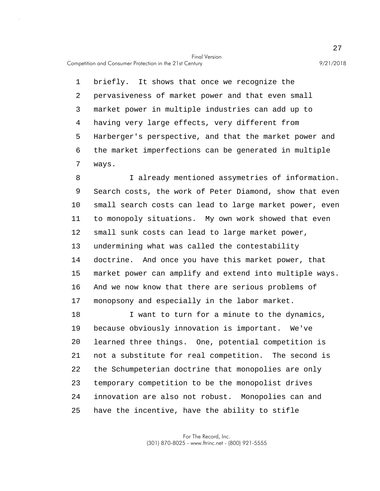Competition and Consumer Protection in the 21st Century 9/21/2018

5 1 briefly. It shows that once we recognize the 2 pervasiveness of market power and that even small 3 market power in multiple industries can add up to 4 having very large effects, very different from Harberger's perspective, and that the market power and 6 the market imperfections can be generated in multiple 7 ways.

10 15 8 I already mentioned assymetries of information. 9 Search costs, the work of Peter Diamond, show that even small search costs can lead to large market power, even 11 to monopoly situations. My own work showed that even 12 small sunk costs can lead to large market power, 13 undermining what was called the contestability 14 doctrine. And once you have this market power, that market power can amplify and extend into multiple ways. 16 And we now know that there are serious problems of 17 monopsony and especially in the labor market.

20 25 18 I want to turn for a minute to the dynamics, 19 because obviously innovation is important. We've learned three things. One, potential competition is 21 not a substitute for real competition. The second is 22 the Schumpeterian doctrine that monopolies are only 23 temporary competition to be the monopolist drives 24 innovation are also not robust. Monopolies can and have the incentive, have the ability to stifle

> For The Record, Inc. (301) 870-8025 - www.ftrinc.net - (800) 921-5555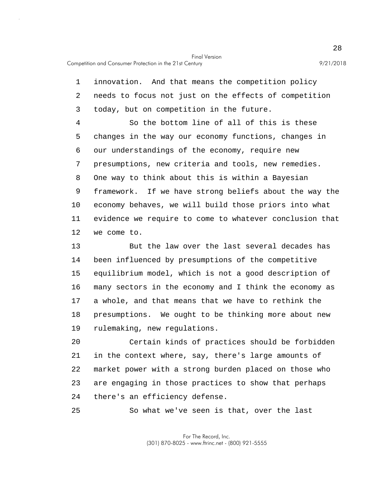5 10 1 innovation. And that means the competition policy 2 needs to focus not just on the effects of competition 3 today, but on competition in the future. 4 So the bottom line of all of this is these changes in the way our economy functions, changes in 6 our understandings of the economy, require new 7 presumptions, new criteria and tools, new remedies. 8 One way to think about this is within a Bayesian 9 framework. If we have strong beliefs about the way the economy behaves, we will build those priors into what 11 evidence we require to come to whatever conclusion that 12 we come to.

15 13 But the law over the last several decades has 14 been influenced by presumptions of the competitive equilibrium model, which is not a good description of 16 many sectors in the economy and I think the economy as 17 a whole, and that means that we have to rethink the 18 presumptions. We ought to be thinking more about new 19 rulemaking, new regulations.

20 Certain kinds of practices should be forbidden 21 in the context where, say, there's large amounts of 22 market power with a strong burden placed on those who 23 are engaging in those practices to show that perhaps 24 there's an efficiency defense.

25 So what we've seen is that, over the last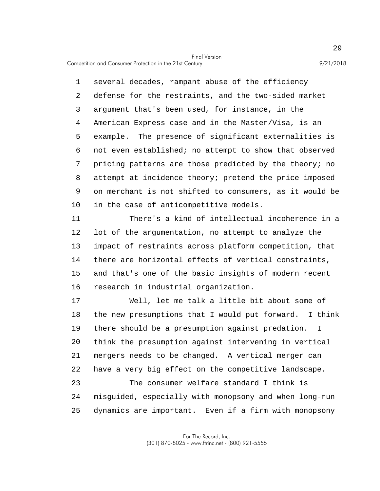5 10 1 several decades, rampant abuse of the efficiency 2 defense for the restraints, and the two-sided market 3 argument that's been used, for instance, in the 4 American Express case and in the Master/Visa, is an example. The presence of significant externalities is 6 not even established; no attempt to show that observed 7 pricing patterns are those predicted by the theory; no 8 attempt at incidence theory; pretend the price imposed 9 on merchant is not shifted to consumers, as it would be in the case of anticompetitive models.

15 11 There's a kind of intellectual incoherence in a 12 lot of the argumentation, no attempt to analyze the 13 impact of restraints across platform competition, that 14 there are horizontal effects of vertical constraints, and that's one of the basic insights of modern recent 16 research in industrial organization.

20 25 17 Well, let me talk a little bit about some of 18 the new presumptions that I would put forward. I think 19 there should be a presumption against predation. I think the presumption against intervening in vertical 21 mergers needs to be changed. A vertical merger can 22 have a very big effect on the competitive landscape. 23 The consumer welfare standard I think is 24 misguided, especially with monopsony and when long-run dynamics are important. Even if a firm with monopsony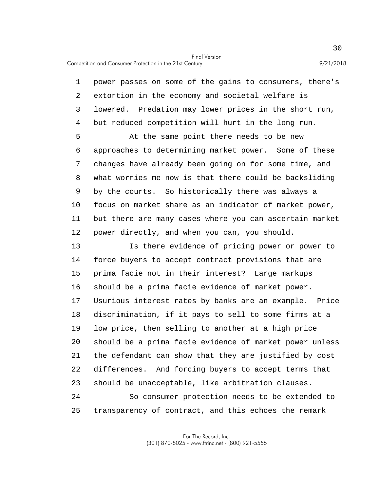1 power passes on some of the gains to consumers, there's 2 extortion in the economy and societal welfare is 3 lowered. Predation may lower prices in the short run, 4 but reduced competition will hurt in the long run.

5 10 At the same point there needs to be new 6 approaches to determining market power. Some of these 7 changes have already been going on for some time, and 8 what worries me now is that there could be backsliding 9 by the courts. So historically there was always a focus on market share as an indicator of market power, 11 but there are many cases where you can ascertain market 12 power directly, and when you can, you should.

15 20 25 13 Is there evidence of pricing power or power to 14 force buyers to accept contract provisions that are prima facie not in their interest? Large markups 16 should be a prima facie evidence of market power. 17 Usurious interest rates by banks are an example. Price 18 discrimination, if it pays to sell to some firms at a 19 low price, then selling to another at a high price should be a prima facie evidence of market power unless 21 the defendant can show that they are justified by cost 22 differences. And forcing buyers to accept terms that 23 should be unacceptable, like arbitration clauses. 24 So consumer protection needs to be extended to transparency of contract, and this echoes the remark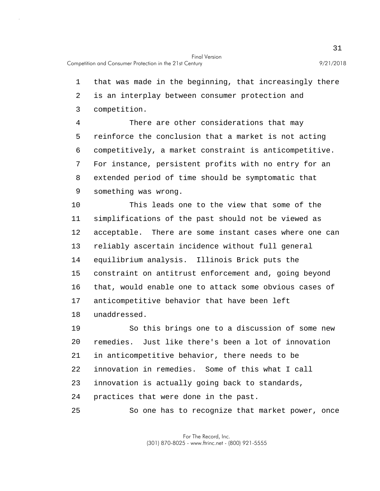1 that was made in the beginning, that increasingly there

2 is an interplay between consumer protection and

3 competition.

5 4 There are other considerations that may reinforce the conclusion that a market is not acting 6 competitively, a market constraint is anticompetitive. 7 For instance, persistent profits with no entry for an 8 extended period of time should be symptomatic that 9 something was wrong.

10 15 This leads one to the view that some of the 11 simplifications of the past should not be viewed as 12 acceptable. There are some instant cases where one can 13 reliably ascertain incidence without full general 14 equilibrium analysis. Illinois Brick puts the constraint on antitrust enforcement and, going beyond 16 that, would enable one to attack some obvious cases of 17 anticompetitive behavior that have been left 18 unaddressed.

20 25 19 So this brings one to a discussion of some new remedies. Just like there's been a lot of innovation 21 in anticompetitive behavior, there needs to be 22 innovation in remedies. Some of this what I call 23 innovation is actually going back to standards, 24 practices that were done in the past.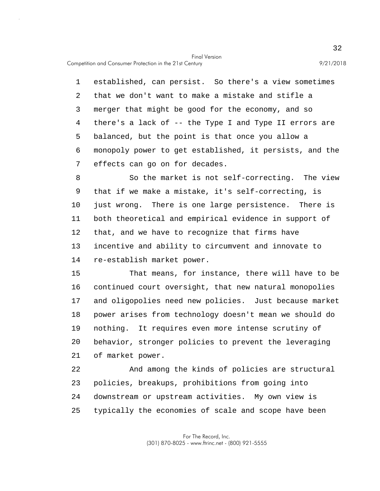5 1 established, can persist. So there's a view sometimes 2 that we don't want to make a mistake and stifle a 3 merger that might be good for the economy, and so 4 there's a lack of -- the Type I and Type II errors are balanced, but the point is that once you allow a 6 monopoly power to get established, it persists, and the 7 effects can go on for decades.

10 8 So the market is not self-correcting. The view 9 that if we make a mistake, it's self-correcting, is just wrong. There is one large persistence. There is 11 both theoretical and empirical evidence in support of 12 that, and we have to recognize that firms have 13 incentive and ability to circumvent and innovate to 14 re-establish market power.

15 20 That means, for instance, there will have to be 16 continued court oversight, that new natural monopolies 17 and oligopolies need new policies. Just because market 18 power arises from technology doesn't mean we should do 19 nothing. It requires even more intense scrutiny of behavior, stronger policies to prevent the leveraging 21 of market power.

25 22 And among the kinds of policies are structural 23 policies, breakups, prohibitions from going into 24 downstream or upstream activities. My own view is typically the economies of scale and scope have been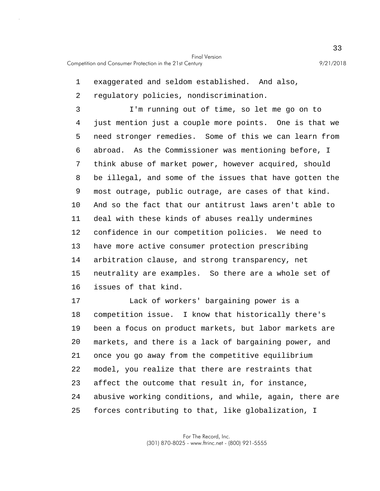1 exaggerated and seldom established. And also,

2 regulatory policies, nondiscrimination.

5 10 15 3 I'm running out of time, so let me go on to 4 just mention just a couple more points. One is that we need stronger remedies. Some of this we can learn from 6 abroad. As the Commissioner was mentioning before, I 7 think abuse of market power, however acquired, should 8 be illegal, and some of the issues that have gotten the 9 most outrage, public outrage, are cases of that kind. And so the fact that our antitrust laws aren't able to 11 deal with these kinds of abuses really undermines 12 confidence in our competition policies. We need to 13 have more active consumer protection prescribing 14 arbitration clause, and strong transparency, net neutrality are examples. So there are a whole set of 16 issues of that kind.

20 25 17 Lack of workers' bargaining power is a 18 competition issue. I know that historically there's 19 been a focus on product markets, but labor markets are markets, and there is a lack of bargaining power, and 21 once you go away from the competitive equilibrium 22 model, you realize that there are restraints that 23 affect the outcome that result in, for instance, 24 abusive working conditions, and while, again, there are forces contributing to that, like globalization, I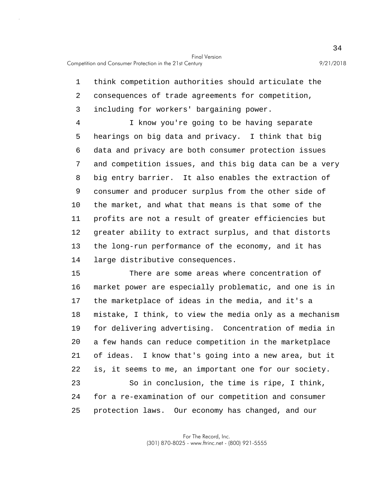1 think competition authorities should articulate the

2 consequences of trade agreements for competition, 3 including for workers' bargaining power.

5 10 4 I know you're going to be having separate hearings on big data and privacy. I think that big 6 data and privacy are both consumer protection issues 7 and competition issues, and this big data can be a very 8 big entry barrier. It also enables the extraction of 9 consumer and producer surplus from the other side of the market, and what that means is that some of the 11 profits are not a result of greater efficiencies but 12 greater ability to extract surplus, and that distorts 13 the long-run performance of the economy, and it has 14 large distributive consequences.

15 20 25 There are some areas where concentration of 16 market power are especially problematic, and one is in 17 the marketplace of ideas in the media, and it's a 18 mistake, I think, to view the media only as a mechanism 19 for delivering advertising. Concentration of media in a few hands can reduce competition in the marketplace 21 of ideas. I know that's going into a new area, but it 22 is, it seems to me, an important one for our society. 23 So in conclusion, the time is ripe, I think, 24 for a re-examination of our competition and consumer protection laws. Our economy has changed, and our

> For The Record, Inc. (301) 870-8025 - www.ftrinc.net - (800) 921-5555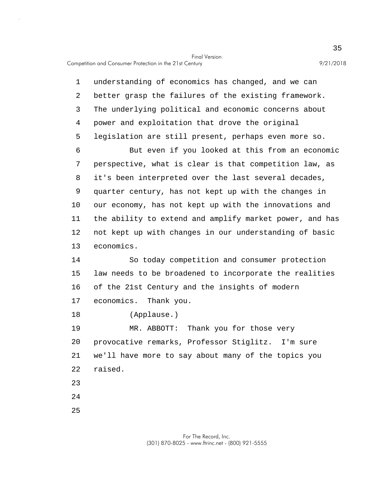Competition and Consumer Protection in the 21st Century 9/21/2018

5 10 15 20 1 understanding of economics has changed, and we can 2 better grasp the failures of the existing framework. 3 The underlying political and economic concerns about 4 power and exploitation that drove the original legislation are still present, perhaps even more so. 6 But even if you looked at this from an economic 7 perspective, what is clear is that competition law, as 8 it's been interpreted over the last several decades, 9 quarter century, has not kept up with the changes in our economy, has not kept up with the innovations and 11 the ability to extend and amplify market power, and has 12 not kept up with changes in our understanding of basic 13 economics. 14 So today competition and consumer protection law needs to be broadened to incorporate the realities 16 of the 21st Century and the insights of modern 17 economics. Thank you. 18 (Applause.) 19 MR. ABBOTT: Thank you for those very provocative remarks, Professor Stiglitz. I'm sure 21 we'll have more to say about many of the topics you 22 raised. 23 24

25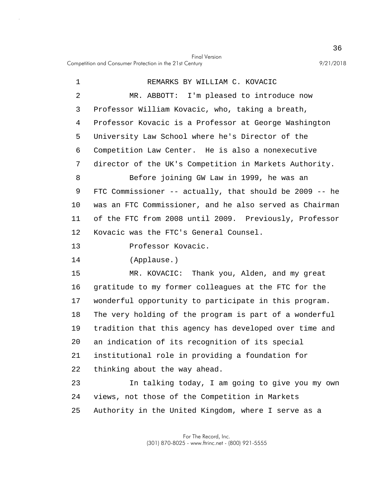| 1  | REMARKS BY WILLIAM C. KOVACIC                               |
|----|-------------------------------------------------------------|
| 2  | MR. ABBOTT: I'm pleased to introduce now                    |
| 3  | Professor William Kovacic, who, taking a breath,            |
| 4  | Professor Kovacic is a Professor at George Washington       |
| 5  | University Law School where he's Director of the            |
| 6  | Competition Law Center. He is also a nonexecutive           |
| 7  | director of the UK's Competition in Markets Authority.      |
| 8  | Before joining GW Law in 1999, he was an                    |
| 9  | FTC Commissioner $--$ actually, that should be 2009 $--$ he |
| 10 | was an FTC Commissioner, and he also served as Chairman     |
| 11 | of the FTC from 2008 until 2009. Previously, Professor      |
| 12 | Kovacic was the FTC's General Counsel.                      |
| 13 | Professor Kovacic.                                          |
| 14 | (Applause.)                                                 |
| 15 | MR. KOVACIC: Thank you, Alden, and my great                 |
| 16 | gratitude to my former colleagues at the FTC for the        |
| 17 | wonderful opportunity to participate in this program.       |
| 18 | The very holding of the program is part of a wonderful      |
| 19 | tradition that this agency has developed over time and      |
| 20 | an indication of its recognition of its special             |
| 21 | institutional role in providing a foundation for            |
| 22 | thinking about the way ahead.                               |
| 23 | In talking today, I am going to give you my own             |
| 24 | views, not those of the Competition in Markets              |
| 25 | Authority in the United Kingdom, where I serve as a         |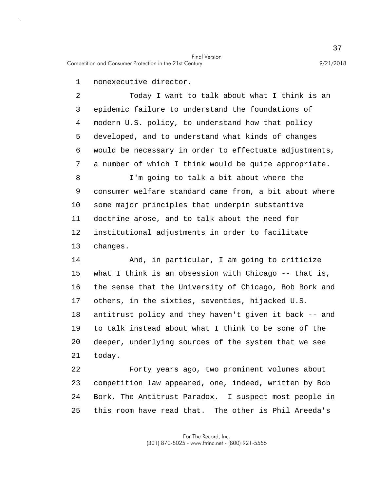1 nonexecutive director.

5 10 2 Today I want to talk about what I think is an 3 epidemic failure to understand the foundations of 4 modern U.S. policy, to understand how that policy developed, and to understand what kinds of changes 6 would be necessary in order to effectuate adjustments, 7 a number of which I think would be quite appropriate. 8 I'm going to talk a bit about where the 9 consumer welfare standard came from, a bit about where some major principles that underpin substantive 11 doctrine arose, and to talk about the need for 12 institutional adjustments in order to facilitate 13 changes.

15 20 14 And, in particular, I am going to criticize what I think is an obsession with Chicago  $-$ - that is, 16 the sense that the University of Chicago, Bob Bork and 17 others, in the sixties, seventies, hijacked U.S. 18 antitrust policy and they haven't given it back -- and 19 to talk instead about what I think to be some of the deeper, underlying sources of the system that we see 21 today.

25 22 Forty years ago, two prominent volumes about 23 competition law appeared, one, indeed, written by Bob 24 Bork, The Antitrust Paradox. I suspect most people in this room have read that. The other is Phil Areeda's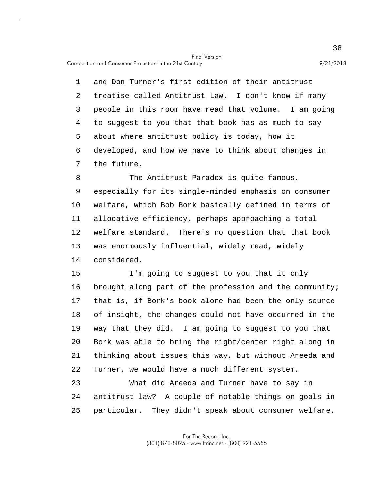Competition and Consumer Protection in the 21st Century 9/21/2018

5 1 and Don Turner's first edition of their antitrust 2 treatise called Antitrust Law. I don't know if many 3 people in this room have read that volume. I am going 4 to suggest to you that that book has as much to say about where antitrust policy is today, how it 6 developed, and how we have to think about changes in 7 the future.

10 8 The Antitrust Paradox is quite famous, 9 especially for its single-minded emphasis on consumer welfare, which Bob Bork basically defined in terms of 11 allocative efficiency, perhaps approaching a total 12 welfare standard. There's no question that that book 13 was enormously influential, widely read, widely 14 considered.

15 20 I'm going to suggest to you that it only 16 brought along part of the profession and the community; 17 that is, if Bork's book alone had been the only source 18 of insight, the changes could not have occurred in the 19 way that they did. I am going to suggest to you that Bork was able to bring the right/center right along in 21 thinking about issues this way, but without Areeda and 22 Turner, we would have a much different system.

25 23 What did Areeda and Turner have to say in 24 antitrust law? A couple of notable things on goals in particular. They didn't speak about consumer welfare.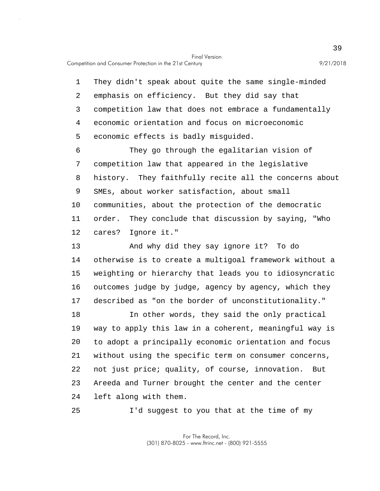Competition and Consumer Protection in the 21st Century 9/21/2018

5 10 1 They didn't speak about quite the same single-minded 2 emphasis on efficiency. But they did say that 3 competition law that does not embrace a fundamentally 4 economic orientation and focus on microeconomic economic effects is badly misguided. 6 They go through the egalitarian vision of 7 competition law that appeared in the legislative 8 history. They faithfully recite all the concerns about 9 SMEs, about worker satisfaction, about small communities, about the protection of the democratic

11 order. They conclude that discussion by saying, "Who 12 cares? Ignore it."

15 13 And why did they say ignore it? To do 14 otherwise is to create a multigoal framework without a weighting or hierarchy that leads you to idiosyncratic 16 outcomes judge by judge, agency by agency, which they 17 described as "on the border of unconstitutionality."

20 18 In other words, they said the only practical 19 way to apply this law in a coherent, meaningful way is to adopt a principally economic orientation and focus 21 without using the specific term on consumer concerns, 22 not just price; quality, of course, innovation. But 23 Areeda and Turner brought the center and the center 24 left along with them.

25 I'd suggest to you that at the time of my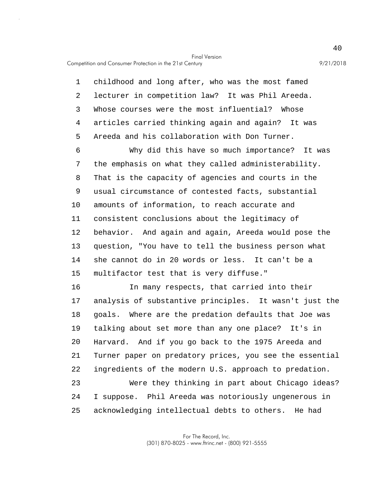Competition and Consumer Protection in the 21st Century 9/21/2018

5 1 childhood and long after, who was the most famed 2 lecturer in competition law? It was Phil Areeda. 3 Whose courses were the most influential? Whose 4 articles carried thinking again and again? It was Areeda and his collaboration with Don Turner.

10 15 6 Why did this have so much importance? It was 7 the emphasis on what they called administerability. 8 That is the capacity of agencies and courts in the 9 usual circumstance of contested facts, substantial amounts of information, to reach accurate and 11 consistent conclusions about the legitimacy of 12 behavior. And again and again, Areeda would pose the 13 question, "You have to tell the business person what 14 she cannot do in 20 words or less. It can't be a multifactor test that is very diffuse."

20 25 16 In many respects, that carried into their 17 analysis of substantive principles. It wasn't just the 18 goals. Where are the predation defaults that Joe was 19 talking about set more than any one place? It's in Harvard. And if you go back to the 1975 Areeda and 21 Turner paper on predatory prices, you see the essential 22 ingredients of the modern U.S. approach to predation. 23 Were they thinking in part about Chicago ideas? 24 I suppose. Phil Areeda was notoriously ungenerous in acknowledging intellectual debts to others. He had

> For The Record, Inc. (301) 870-8025 - www.ftrinc.net - (800) 921-5555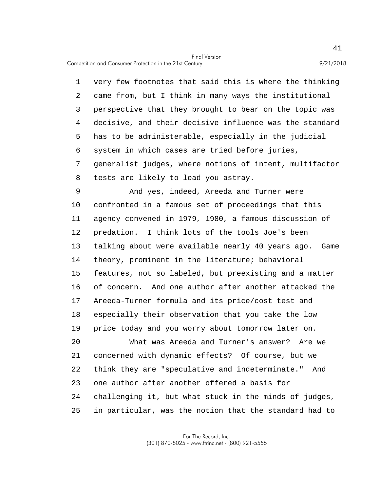Competition and Consumer Protection in the 21st Century 9/21/2018

5 1 very few footnotes that said this is where the thinking 2 came from, but I think in many ways the institutional 3 perspective that they brought to bear on the topic was 4 decisive, and their decisive influence was the standard has to be administerable, especially in the judicial 6 system in which cases are tried before juries, 7 generalist judges, where notions of intent, multifactor 8 tests are likely to lead you astray.

10 15 9 And yes, indeed, Areeda and Turner were confronted in a famous set of proceedings that this 11 agency convened in 1979, 1980, a famous discussion of 12 predation. I think lots of the tools Joe's been 13 talking about were available nearly 40 years ago. Game 14 theory, prominent in the literature; behavioral features, not so labeled, but preexisting and a matter 16 of concern. And one author after another attacked the 17 Areeda-Turner formula and its price/cost test and 18 especially their observation that you take the low 19 price today and you worry about tomorrow later on.

20 25 What was Areeda and Turner's answer? Are we 21 concerned with dynamic effects? Of course, but we 22 think they are "speculative and indeterminate." And 23 one author after another offered a basis for 24 challenging it, but what stuck in the minds of judges, in particular, was the notion that the standard had to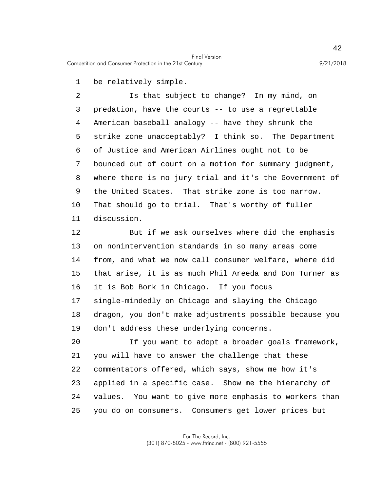Competition and Consumer Protection in the 21st Century 9/21/2018

1 be relatively simple.

5 10 2 Is that subject to change? In my mind, on 3 predation, have the courts -- to use a regrettable 4 American baseball analogy -- have they shrunk the strike zone unacceptably? I think so. The Department 6 of Justice and American Airlines ought not to be 7 bounced out of court on a motion for summary judgment, 8 where there is no jury trial and it's the Government of 9 the United States. That strike zone is too narrow. That should go to trial. That's worthy of fuller 11 discussion.

15 12 But if we ask ourselves where did the emphasis 13 on nonintervention standards in so many areas come 14 from, and what we now call consumer welfare, where did that arise, it is as much Phil Areeda and Don Turner as 16 it is Bob Bork in Chicago. If you focus 17 single-mindedly on Chicago and slaying the Chicago 18 dragon, you don't make adjustments possible because you 19 don't address these underlying concerns.

20 25 If you want to adopt a broader goals framework, 21 you will have to answer the challenge that these 22 commentators offered, which says, show me how it's 23 applied in a specific case. Show me the hierarchy of 24 values. You want to give more emphasis to workers than you do on consumers. Consumers get lower prices but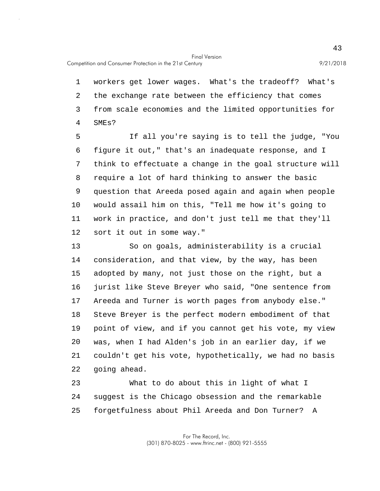1 workers get lower wages. What's the tradeoff? What's 2 the exchange rate between the efficiency that comes 3 from scale economies and the limited opportunities for 4 SMEs?

5 10 If all you're saying is to tell the judge, "You 6 figure it out," that's an inadequate response, and I 7 think to effectuate a change in the goal structure will 8 require a lot of hard thinking to answer the basic 9 question that Areeda posed again and again when people would assail him on this, "Tell me how it's going to 11 work in practice, and don't just tell me that they'll 12 sort it out in some way."

15 20 13 So on goals, administerability is a crucial 14 consideration, and that view, by the way, has been adopted by many, not just those on the right, but a 16 jurist like Steve Breyer who said, "One sentence from 17 Areeda and Turner is worth pages from anybody else." 18 Steve Breyer is the perfect modern embodiment of that 19 point of view, and if you cannot get his vote, my view was, when I had Alden's job in an earlier day, if we 21 couldn't get his vote, hypothetically, we had no basis 22 going ahead.

25 23 What to do about this in light of what I 24 suggest is the Chicago obsession and the remarkable forgetfulness about Phil Areeda and Don Turner? A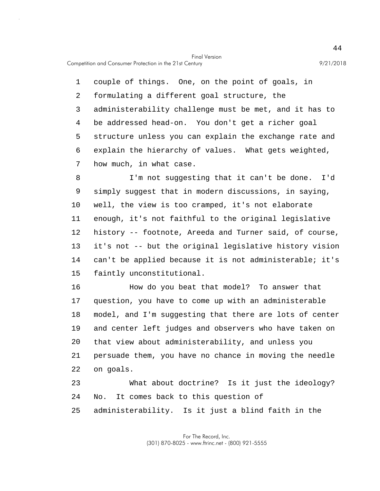Competition and Consumer Protection in the 21st Century 9/21/2018

5 1 couple of things. One, on the point of goals, in 2 formulating a different goal structure, the 3 administerability challenge must be met, and it has to 4 be addressed head-on. You don't get a richer goal structure unless you can explain the exchange rate and 6 explain the hierarchy of values. What gets weighted, 7 how much, in what case.

10 15 8 I'm not suggesting that it can't be done. I'd 9 simply suggest that in modern discussions, in saying, well, the view is too cramped, it's not elaborate 11 enough, it's not faithful to the original legislative 12 history -- footnote, Areeda and Turner said, of course, 13 it's not -- but the original legislative history vision 14 can't be applied because it is not administerable; it's faintly unconstitutional.

20 16 How do you beat that model? To answer that 17 question, you have to come up with an administerable 18 model, and I'm suggesting that there are lots of center 19 and center left judges and observers who have taken on that view about administerability, and unless you 21 persuade them, you have no chance in moving the needle 22 on goals. 23 What about doctrine? Is it just the ideology?

- 24 No. It comes back to this question of
- 25 administerability. Is it just a blind faith in the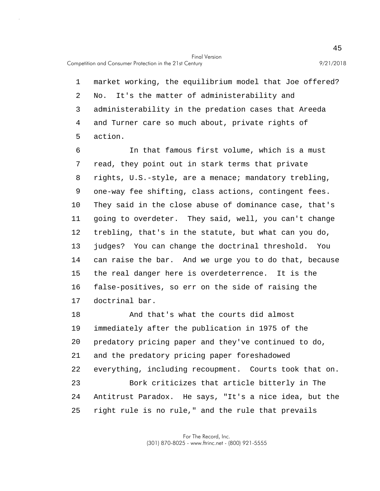5 1 market working, the equilibrium model that Joe offered? 2 No. It's the matter of administerability and 3 administerability in the predation cases that Areeda 4 and Turner care so much about, private rights of action.

10 15 6 In that famous first volume, which is a must 7 read, they point out in stark terms that private 8 rights, U.S.-style, are a menace; mandatory trebling, 9 one-way fee shifting, class actions, contingent fees. They said in the close abuse of dominance case, that's 11 going to overdeter. They said, well, you can't change 12 trebling, that's in the statute, but what can you do, 13 judges? You can change the doctrinal threshold. You 14 can raise the bar. And we urge you to do that, because the real danger here is overdeterrence. It is the 16 false-positives, so err on the side of raising the 17 doctrinal bar.

20 25 18 And that's what the courts did almost 19 immediately after the publication in 1975 of the predatory pricing paper and they've continued to do, 21 and the predatory pricing paper foreshadowed 22 everything, including recoupment. Courts took that on. 23 Bork criticizes that article bitterly in The 24 Antitrust Paradox. He says, "It's a nice idea, but the right rule is no rule," and the rule that prevails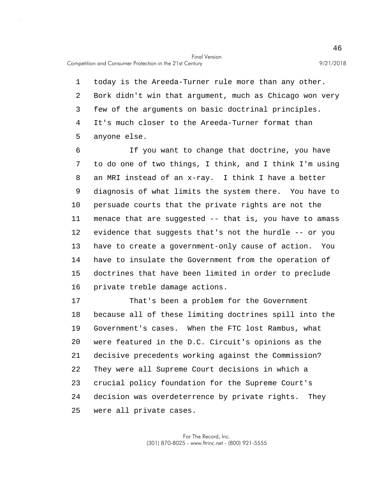5 1 today is the Areeda-Turner rule more than any other. 2 Bork didn't win that argument, much as Chicago won very 3 few of the arguments on basic doctrinal principles. 4 It's much closer to the Areeda-Turner format than anyone else.

10 15 6 If you want to change that doctrine, you have 7 to do one of two things, I think, and I think I'm using 8 an MRI instead of an x-ray. I think I have a better 9 diagnosis of what limits the system there. You have to persuade courts that the private rights are not the 11 menace that are suggested -- that is, you have to amass 12 evidence that suggests that's not the hurdle -- or you 13 have to create a government-only cause of action. You 14 have to insulate the Government from the operation of doctrines that have been limited in order to preclude 16 private treble damage actions.

20 25 17 That's been a problem for the Government 18 because all of these limiting doctrines spill into the 19 Government's cases. When the FTC lost Rambus, what were featured in the D.C. Circuit's opinions as the 21 decisive precedents working against the Commission? 22 They were all Supreme Court decisions in which a 23 crucial policy foundation for the Supreme Court's 24 decision was overdeterrence by private rights. They were all private cases.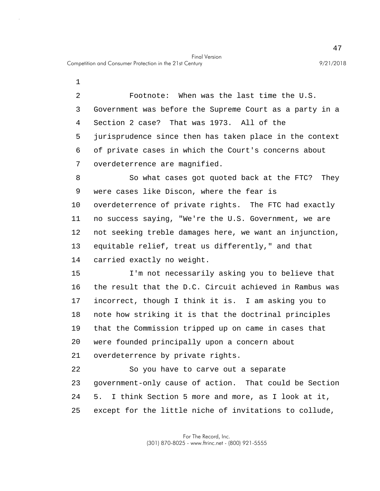1

5 2 Footnote: When was the last time the U.S. 3 Government was before the Supreme Court as a party in a 4 Section 2 case? That was 1973. All of the jurisprudence since then has taken place in the context 6 of private cases in which the Court's concerns about 7 overdeterrence are magnified.

10 8 So what cases got quoted back at the FTC? They 9 were cases like Discon, where the fear is overdeterrence of private rights. The FTC had exactly 11 no success saying, "We're the U.S. Government, we are 12 not seeking treble damages here, we want an injunction, 13 equitable relief, treat us differently," and that 14 carried exactly no weight.

15 20 I'm not necessarily asking you to believe that 16 the result that the D.C. Circuit achieved in Rambus was 17 incorrect, though I think it is. I am asking you to 18 note how striking it is that the doctrinal principles 19 that the Commission tripped up on came in cases that were founded principally upon a concern about 21 overdeterrence by private rights.

25 22 So you have to carve out a separate 23 government-only cause of action. That could be Section 24 5. I think Section 5 more and more, as I look at it, except for the little niche of invitations to collude,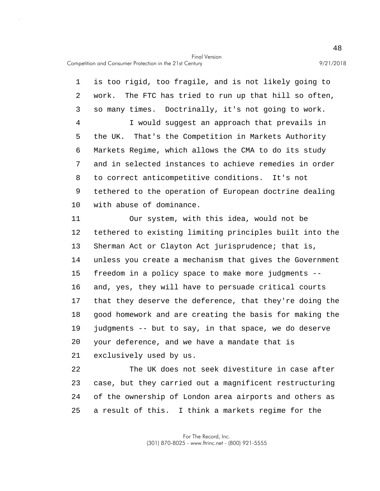Competition and Consumer Protection in the 21st Century 9/21/2018

5 10 1 is too rigid, too fragile, and is not likely going to 2 work. The FTC has tried to run up that hill so often, 3 so many times. Doctrinally, it's not going to work. 4 I would suggest an approach that prevails in the UK. That's the Competition in Markets Authority 6 Markets Regime, which allows the CMA to do its study 7 and in selected instances to achieve remedies in order 8 to correct anticompetitive conditions. It's not 9 tethered to the operation of European doctrine dealing with abuse of dominance. 11 Our system, with this idea, would not be

15 20 12 tethered to existing limiting principles built into the 13 Sherman Act or Clayton Act jurisprudence; that is, 14 unless you create a mechanism that gives the Government freedom in a policy space to make more judgments -- 16 and, yes, they will have to persuade critical courts 17 that they deserve the deference, that they're doing the 18 good homework and are creating the basis for making the 19 judgments -- but to say, in that space, we do deserve your deference, and we have a mandate that is 21 exclusively used by us.

25 22 The UK does not seek divestiture in case after 23 case, but they carried out a magnificent restructuring 24 of the ownership of London area airports and others as a result of this. I think a markets regime for the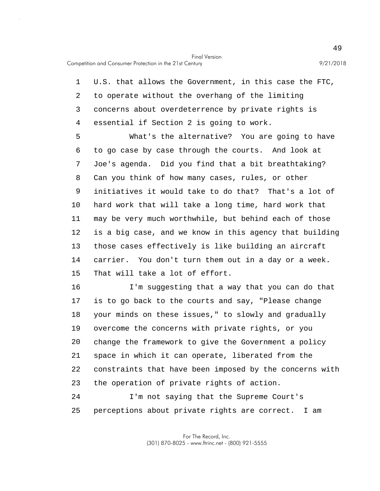5 10 15 1 U.S. that allows the Government, in this case the FTC, 2 to operate without the overhang of the limiting 3 concerns about overdeterrence by private rights is 4 essential if Section 2 is going to work. What's the alternative? You are going to have 6 to go case by case through the courts. And look at 7 Joe's agenda. Did you find that a bit breathtaking? 8 Can you think of how many cases, rules, or other 9 initiatives it would take to do that? That's a lot of hard work that will take a long time, hard work that 11 may be very much worthwhile, but behind each of those 12 is a big case, and we know in this agency that building 13 those cases effectively is like building an aircraft 14 carrier. You don't turn them out in a day or a week. That will take a lot of effort.

20 16 I'm suggesting that a way that you can do that 17 is to go back to the courts and say, "Please change 18 your minds on these issues," to slowly and gradually 19 overcome the concerns with private rights, or you change the framework to give the Government a policy 21 space in which it can operate, liberated from the 22 constraints that have been imposed by the concerns with 23 the operation of private rights of action.

25 24 I'm not saying that the Supreme Court's perceptions about private rights are correct. I am

> For The Record, Inc. (301) 870-8025 - www.ftrinc.net - (800) 921-5555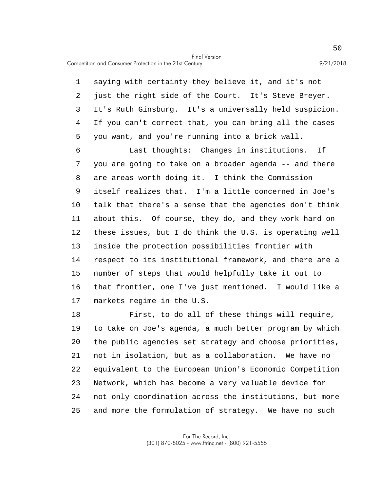Competition and Consumer Protection in the 21st Century 9/21/2018

5 1 saying with certainty they believe it, and it's not 2 just the right side of the Court. It's Steve Breyer. 3 It's Ruth Ginsburg. It's a universally held suspicion. 4 If you can't correct that, you can bring all the cases you want, and you're running into a brick wall.

10 15 6 Last thoughts: Changes in institutions. If 7 you are going to take on a broader agenda -- and there 8 are areas worth doing it. I think the Commission 9 itself realizes that. I'm a little concerned in Joe's talk that there's a sense that the agencies don't think 11 about this. Of course, they do, and they work hard on 12 these issues, but I do think the U.S. is operating well 13 inside the protection possibilities frontier with 14 respect to its institutional framework, and there are a number of steps that would helpfully take it out to 16 that frontier, one I've just mentioned. I would like a 17 markets regime in the U.S.

20 25 18 First, to do all of these things will require, 19 to take on Joe's agenda, a much better program by which the public agencies set strategy and choose priorities, 21 not in isolation, but as a collaboration. We have no 22 equivalent to the European Union's Economic Competition 23 Network, which has become a very valuable device for 24 not only coordination across the institutions, but more and more the formulation of strategy. We have no such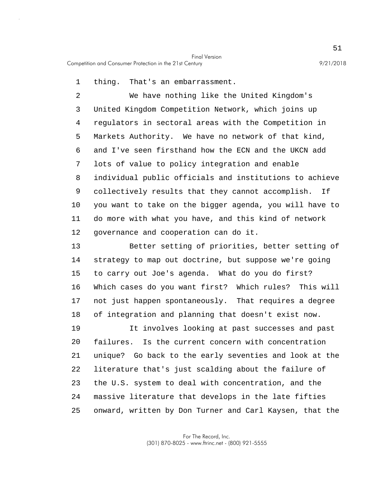Competition and Consumer Protection in the 21st Century 9/21/2018

1 thing. That's an embarrassment.

5 10 2 We have nothing like the United Kingdom's 3 United Kingdom Competition Network, which joins up 4 regulators in sectoral areas with the Competition in Markets Authority. We have no network of that kind, 6 and I've seen firsthand how the ECN and the UKCN add 7 lots of value to policy integration and enable 8 individual public officials and institutions to achieve 9 collectively results that they cannot accomplish. If you want to take on the bigger agenda, you will have to 11 do more with what you have, and this kind of network 12 governance and cooperation can do it.

15 13 Better setting of priorities, better setting of 14 strategy to map out doctrine, but suppose we're going to carry out Joe's agenda. What do you do first? 16 Which cases do you want first? Which rules? This will 17 not just happen spontaneously. That requires a degree 18 of integration and planning that doesn't exist now.

20 25 19 It involves looking at past successes and past failures. Is the current concern with concentration 21 unique? Go back to the early seventies and look at the 22 literature that's just scalding about the failure of 23 the U.S. system to deal with concentration, and the 24 massive literature that develops in the late fifties onward, written by Don Turner and Carl Kaysen, that the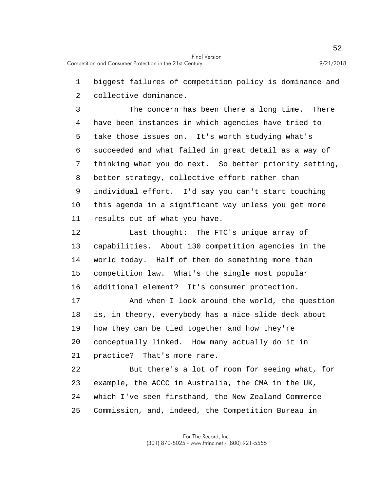1 biggest failures of competition policy is dominance and

2 collective dominance.

5 10 3 The concern has been there a long time. There 4 have been instances in which agencies have tried to take those issues on. It's worth studying what's 6 succeeded and what failed in great detail as a way of 7 thinking what you do next. So better priority setting, 8 better strategy, collective effort rather than 9 individual effort. I'd say you can't start touching this agenda in a significant way unless you get more 11 results out of what you have.

15 12 Last thought: The FTC's unique array of 13 capabilities. About 130 competition agencies in the 14 world today. Half of them do something more than competition law. What's the single most popular 16 additional element? It's consumer protection.

20 17 And when I look around the world, the question 18 is, in theory, everybody has a nice slide deck about 19 how they can be tied together and how they're conceptually linked. How many actually do it in 21 practice? That's more rare.

25 22 But there's a lot of room for seeing what, for 23 example, the ACCC in Australia, the CMA in the UK, 24 which I've seen firsthand, the New Zealand Commerce Commission, and, indeed, the Competition Bureau in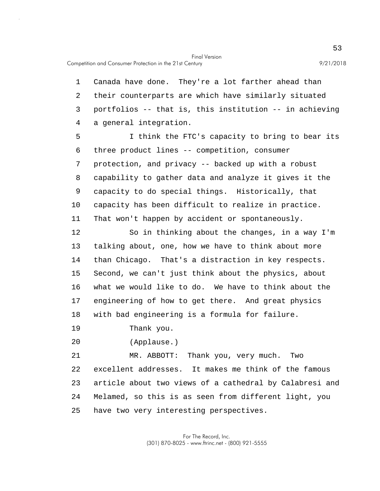Competition and Consumer Protection in the 21st Century 9/21/2018

1 Canada have done. They're a lot farther ahead than 2 their counterparts are which have similarly situated 3 portfolios -- that is, this institution -- in achieving 4 a general integration.

5 10 I think the FTC's capacity to bring to bear its 6 three product lines -- competition, consumer 7 protection, and privacy -- backed up with a robust 8 capability to gather data and analyze it gives it the 9 capacity to do special things. Historically, that capacity has been difficult to realize in practice. 11 That won't happen by accident or spontaneously.

15 12 So in thinking about the changes, in a way I'm 13 talking about, one, how we have to think about more 14 than Chicago. That's a distraction in key respects. Second, we can't just think about the physics, about 16 what we would like to do. We have to think about the 17 engineering of how to get there. And great physics 18 with bad engineering is a formula for failure.

- 19 Thank you.
- 20 (Applause.)

25 21 MR. ABBOTT: Thank you, very much. Two 22 excellent addresses. It makes me think of the famous 23 article about two views of a cathedral by Calabresi and 24 Melamed, so this is as seen from different light, you have two very interesting perspectives.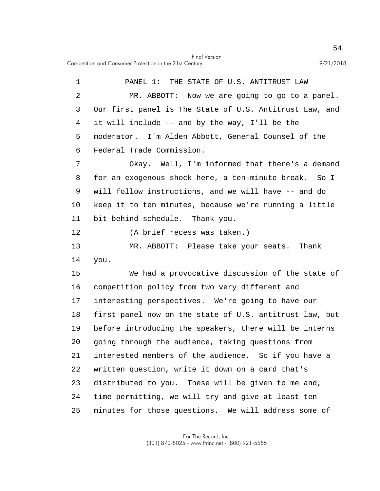Competition and Consumer Protection in the 21st Century 9/21/2018

5 10 15 20 25 1 PANEL 1: THE STATE OF U.S. ANTITRUST LAW 2 MR. ABBOTT: Now we are going to go to a panel. 3 Our first panel is The State of U.S. Antitrust Law, and 4 it will include -- and by the way, I'll be the moderator. I'm Alden Abbott, General Counsel of the 6 Federal Trade Commission. 7 Okay. Well, I'm informed that there's a demand 8 for an exogenous shock here, a ten-minute break. So I 9 will follow instructions, and we will have -- and do keep it to ten minutes, because we're running a little 11 bit behind schedule. Thank you. 12 (A brief recess was taken.) 13 MR. ABBOTT: Please take your seats. Thank 14 you. We had a provocative discussion of the state of 16 competition policy from two very different and 17 interesting perspectives. We're going to have our 18 first panel now on the state of U.S. antitrust law, but 19 before introducing the speakers, there will be interns going through the audience, taking questions from 21 interested members of the audience. So if you have a 22 written question, write it down on a card that's 23 distributed to you. These will be given to me and, 24 time permitting, we will try and give at least ten minutes for those questions. We will address some of

Final Version

For The Record, Inc. (301) 870-8025 - www.ftrinc.net - (800) 921-5555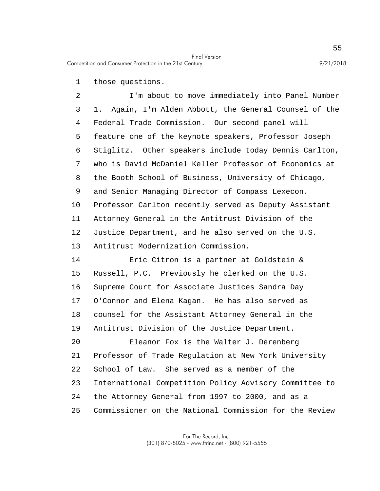1 those questions.

5 10 2 I'm about to move immediately into Panel Number 3 1. Again, I'm Alden Abbott, the General Counsel of the 4 Federal Trade Commission. Our second panel will feature one of the keynote speakers, Professor Joseph 6 Stiglitz. Other speakers include today Dennis Carlton, 7 who is David McDaniel Keller Professor of Economics at 8 the Booth School of Business, University of Chicago, 9 and Senior Managing Director of Compass Lexecon. Professor Carlton recently served as Deputy Assistant 11 Attorney General in the Antitrust Division of the 12 Justice Department, and he also served on the U.S. 13 Antitrust Modernization Commission.

15 14 Eric Citron is a partner at Goldstein & Russell, P.C. Previously he clerked on the U.S. 16 Supreme Court for Associate Justices Sandra Day 17 O'Connor and Elena Kagan. He has also served as 18 counsel for the Assistant Attorney General in the 19 Antitrust Division of the Justice Department.

20 25 Eleanor Fox is the Walter J. Derenberg 21 Professor of Trade Regulation at New York University 22 School of Law. She served as a member of the 23 International Competition Policy Advisory Committee to 24 the Attorney General from 1997 to 2000, and as a Commissioner on the National Commission for the Review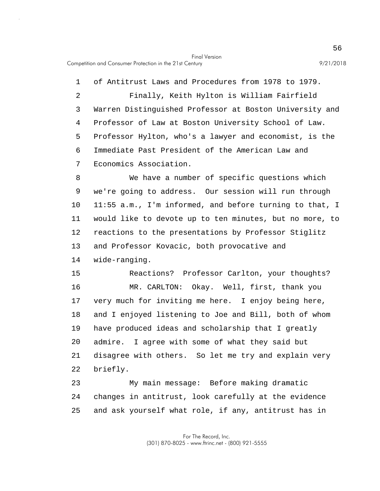5 1 of Antitrust Laws and Procedures from 1978 to 1979. 2 Finally, Keith Hylton is William Fairfield 3 Warren Distinguished Professor at Boston University and 4 Professor of Law at Boston University School of Law. Professor Hylton, who's a lawyer and economist, is the 6 Immediate Past President of the American Law and 7 Economics Association.

10 8 We have a number of specific questions which 9 we're going to address. Our session will run through 11:55 a.m., I'm informed, and before turning to that, I 11 would like to devote up to ten minutes, but no more, to 12 reactions to the presentations by Professor Stiglitz 13 and Professor Kovacic, both provocative and 14 wide-ranging.

15 20 Reactions? Professor Carlton, your thoughts? 16 MR. CARLTON: Okay. Well, first, thank you 17 very much for inviting me here. I enjoy being here, 18 and I enjoyed listening to Joe and Bill, both of whom 19 have produced ideas and scholarship that I greatly admire. I agree with some of what they said but 21 disagree with others. So let me try and explain very 22 briefly.

25 23 My main message: Before making dramatic 24 changes in antitrust, look carefully at the evidence and ask yourself what role, if any, antitrust has in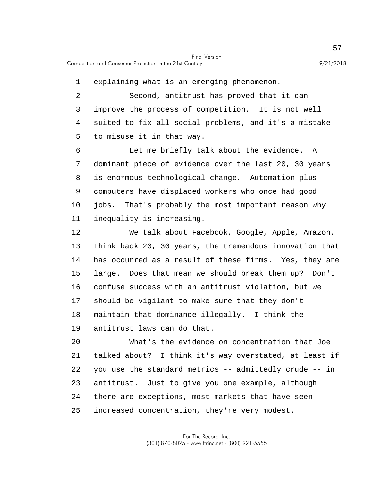1 explaining what is an emerging phenomenon.

5 2 Second, antitrust has proved that it can 3 improve the process of competition. It is not well 4 suited to fix all social problems, and it's a mistake to misuse it in that way.

10 6 Let me briefly talk about the evidence. A 7 dominant piece of evidence over the last 20, 30 years 8 is enormous technological change. Automation plus 9 computers have displaced workers who once had good jobs. That's probably the most important reason why 11 inequality is increasing.

15 12 We talk about Facebook, Google, Apple, Amazon. 13 Think back 20, 30 years, the tremendous innovation that 14 has occurred as a result of these firms. Yes, they are large. Does that mean we should break them up? Don't 16 confuse success with an antitrust violation, but we 17 should be vigilant to make sure that they don't 18 maintain that dominance illegally. I think the 19 antitrust laws can do that.

20 25 What's the evidence on concentration that Joe 21 talked about? I think it's way overstated, at least if 22 you use the standard metrics -- admittedly crude -- in 23 antitrust. Just to give you one example, although 24 there are exceptions, most markets that have seen increased concentration, they're very modest.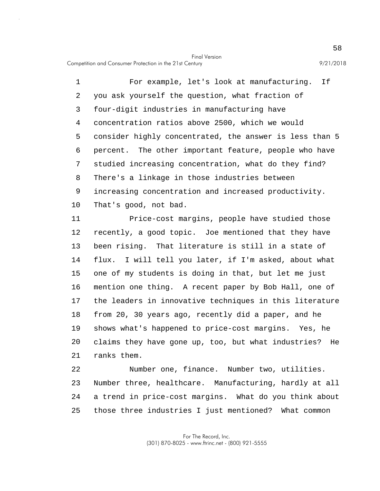5 10 1 For example, let's look at manufacturing. If 2 you ask yourself the question, what fraction of 3 four-digit industries in manufacturing have 4 concentration ratios above 2500, which we would consider highly concentrated, the answer is less than 5 6 percent. The other important feature, people who have 7 studied increasing concentration, what do they find? 8 There's a linkage in those industries between 9 increasing concentration and increased productivity. That's good, not bad.

15 20 11 Price-cost margins, people have studied those 12 recently, a good topic. Joe mentioned that they have 13 been rising. That literature is still in a state of 14 flux. I will tell you later, if I'm asked, about what one of my students is doing in that, but let me just 16 mention one thing. A recent paper by Bob Hall, one of 17 the leaders in innovative techniques in this literature 18 from 20, 30 years ago, recently did a paper, and he 19 shows what's happened to price-cost margins. Yes, he claims they have gone up, too, but what industries? He 21 ranks them.

25 22 Number one, finance. Number two, utilities. 23 Number three, healthcare. Manufacturing, hardly at all 24 a trend in price-cost margins. What do you think about those three industries I just mentioned? What common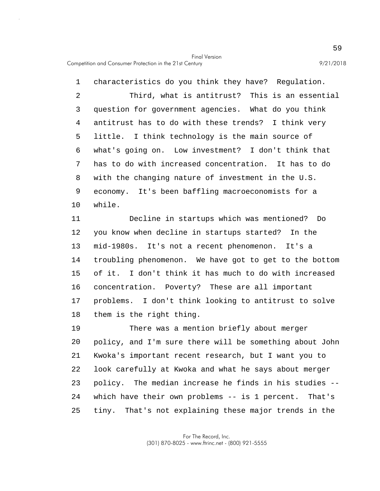5 10 1 characteristics do you think they have? Regulation. 2 Third, what is antitrust? This is an essential 3 question for government agencies. What do you think 4 antitrust has to do with these trends? I think very little. I think technology is the main source of 6 what's going on. Low investment? I don't think that 7 has to do with increased concentration. It has to do 8 with the changing nature of investment in the U.S. 9 economy. It's been baffling macroeconomists for a while.

15 11 Decline in startups which was mentioned? Do 12 you know when decline in startups started? In the 13 mid-1980s. It's not a recent phenomenon. It's a 14 troubling phenomenon. We have got to get to the bottom of it. I don't think it has much to do with increased 16 concentration. Poverty? These are all important 17 problems. I don't think looking to antitrust to solve 18 them is the right thing.

20 25 19 There was a mention briefly about merger policy, and I'm sure there will be something about John 21 Kwoka's important recent research, but I want you to 22 look carefully at Kwoka and what he says about merger 23 policy. The median increase he finds in his studies -- 24 which have their own problems -- is 1 percent. That's tiny. That's not explaining these major trends in the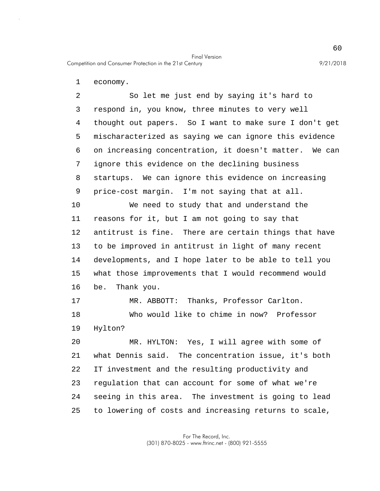1 economy.

5 10 2 So let me just end by saying it's hard to 3 respond in, you know, three minutes to very well 4 thought out papers. So I want to make sure I don't get mischaracterized as saying we can ignore this evidence 6 on increasing concentration, it doesn't matter. We can 7 ignore this evidence on the declining business 8 startups. We can ignore this evidence on increasing 9 price-cost margin. I'm not saying that at all. We need to study that and understand the

15 11 reasons for it, but I am not going to say that 12 antitrust is fine. There are certain things that have 13 to be improved in antitrust in light of many recent 14 developments, and I hope later to be able to tell you what those improvements that I would recommend would 16 be. Thank you.

17 MR. ABBOTT: Thanks, Professor Carlton. 18 Who would like to chime in now? Professor 19 Hylton?

20 25 MR. HYLTON: Yes, I will agree with some of 21 what Dennis said. The concentration issue, it's both 22 IT investment and the resulting productivity and 23 regulation that can account for some of what we're 24 seeing in this area. The investment is going to lead to lowering of costs and increasing returns to scale,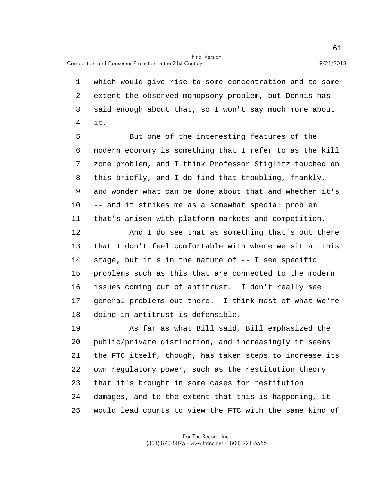1 which would give rise to some concentration and to some 2 extent the observed monopsony problem, but Dennis has 3 said enough about that, so I won't say much more about 4 it.

5 10 But one of the interesting features of the 6 modern economy is something that I refer to as the kill 7 zone problem, and I think Professor Stiglitz touched on 8 this briefly, and I do find that troubling, frankly, 9 and wonder what can be done about that and whether it's -- and it strikes me as a somewhat special problem 11 that's arisen with platform markets and competition.

15 12 And I do see that as something that's out there 13 that I don't feel comfortable with where we sit at this 14 stage, but it's in the nature of -- I see specific problems such as this that are connected to the modern 16 issues coming out of antitrust. I don't really see 17 general problems out there. I think most of what we're 18 doing in antitrust is defensible.

20 25 19 As far as what Bill said, Bill emphasized the public/private distinction, and increasingly it seems 21 the FTC itself, though, has taken steps to increase its 22 own regulatory power, such as the restitution theory 23 that it's brought in some cases for restitution 24 damages, and to the extent that this is happening, it would lead courts to view the FTC with the same kind of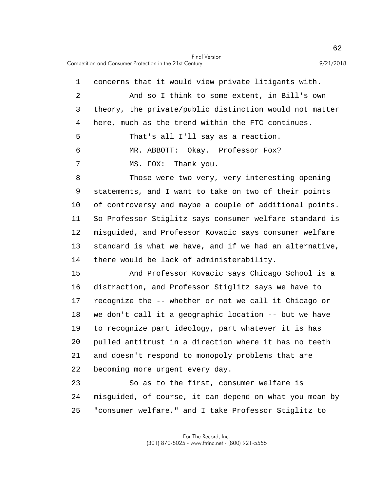5 10 15 20 25 1 concerns that it would view private litigants with. 2 And so I think to some extent, in Bill's own 3 theory, the private/public distinction would not matter 4 here, much as the trend within the FTC continues. That's all I'll say as a reaction. 6 MR. ABBOTT: Okay. Professor Fox? 7 MS. FOX: Thank you. 8 Those were two very, very interesting opening 9 statements, and I want to take on two of their points of controversy and maybe a couple of additional points. 11 So Professor Stiglitz says consumer welfare standard is 12 misguided, and Professor Kovacic says consumer welfare 13 standard is what we have, and if we had an alternative, 14 there would be lack of administerability. And Professor Kovacic says Chicago School is a 16 distraction, and Professor Stiglitz says we have to 17 recognize the -- whether or not we call it Chicago or 18 we don't call it a geographic location -- but we have 19 to recognize part ideology, part whatever it is has pulled antitrust in a direction where it has no teeth 21 and doesn't respond to monopoly problems that are 22 becoming more urgent every day. 23 So as to the first, consumer welfare is 24 misguided, of course, it can depend on what you mean by "consumer welfare," and I take Professor Stiglitz to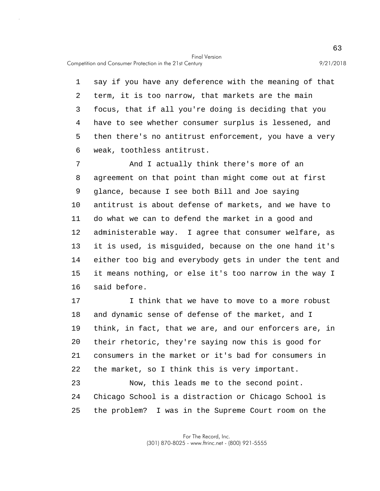Competition and Consumer Protection in the 21st Century 9/21/2018

5 1 say if you have any deference with the meaning of that 2 term, it is too narrow, that markets are the main 3 focus, that if all you're doing is deciding that you 4 have to see whether consumer surplus is lessened, and then there's no antitrust enforcement, you have a very 6 weak, toothless antitrust.

10 15 7 And I actually think there's more of an 8 agreement on that point than might come out at first 9 glance, because I see both Bill and Joe saying antitrust is about defense of markets, and we have to 11 do what we can to defend the market in a good and 12 administerable way. I agree that consumer welfare, as 13 it is used, is misguided, because on the one hand it's 14 either too big and everybody gets in under the tent and it means nothing, or else it's too narrow in the way I 16 said before.

20 17 I think that we have to move to a more robust 18 and dynamic sense of defense of the market, and I 19 think, in fact, that we are, and our enforcers are, in their rhetoric, they're saying now this is good for 21 consumers in the market or it's bad for consumers in 22 the market, so I think this is very important. 23 Now, this leads me to the second point.

25 24 Chicago School is a distraction or Chicago School is the problem? I was in the Supreme Court room on the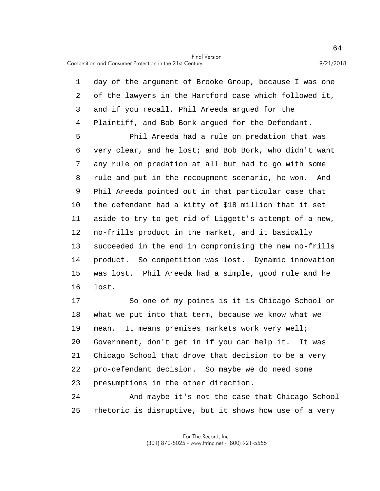5 10 15 1 day of the argument of Brooke Group, because I was one 2 of the lawyers in the Hartford case which followed it, 3 and if you recall, Phil Areeda argued for the 4 Plaintiff, and Bob Bork argued for the Defendant. Phil Areeda had a rule on predation that was 6 very clear, and he lost; and Bob Bork, who didn't want 7 any rule on predation at all but had to go with some 8 rule and put in the recoupment scenario, he won. And 9 Phil Areeda pointed out in that particular case that the defendant had a kitty of \$18 million that it set 11 aside to try to get rid of Liggett's attempt of a new, 12 no-frills product in the market, and it basically 13 succeeded in the end in compromising the new no-frills 14 product. So competition was lost. Dynamic innovation was lost. Phil Areeda had a simple, good rule and he 16 lost.

20 17 So one of my points is it is Chicago School or 18 what we put into that term, because we know what we 19 mean. It means premises markets work very well; Government, don't get in if you can help it. It was 21 Chicago School that drove that decision to be a very 22 pro-defendant decision. So maybe we do need some 23 presumptions in the other direction.

25 24 And maybe it's not the case that Chicago School rhetoric is disruptive, but it shows how use of a very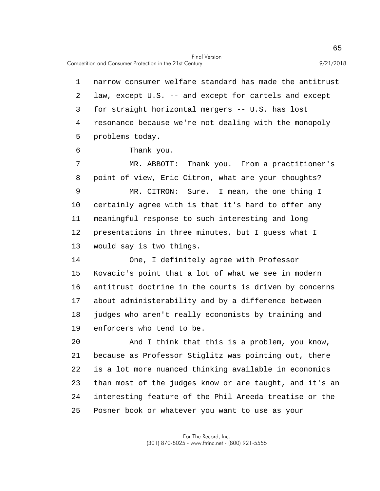5 10 15 1 narrow consumer welfare standard has made the antitrust 2 law, except U.S. -- and except for cartels and except 3 for straight horizontal mergers -- U.S. has lost 4 resonance because we're not dealing with the monopoly problems today. 6 Thank you. 7 MR. ABBOTT: Thank you. From a practitioner's 8 point of view, Eric Citron, what are your thoughts? 9 MR. CITRON: Sure. I mean, the one thing I certainly agree with is that it's hard to offer any 11 meaningful response to such interesting and long 12 presentations in three minutes, but I guess what I 13 would say is two things. 14 One, I definitely agree with Professor Kovacic's point that a lot of what we see in modern 16 antitrust doctrine in the courts is driven by concerns 17 about administerability and by a difference between 18 judges who aren't really economists by training and 19 enforcers who tend to be.

20 25 And I think that this is a problem, you know, 21 because as Professor Stiglitz was pointing out, there 22 is a lot more nuanced thinking available in economics 23 than most of the judges know or are taught, and it's an 24 interesting feature of the Phil Areeda treatise or the Posner book or whatever you want to use as your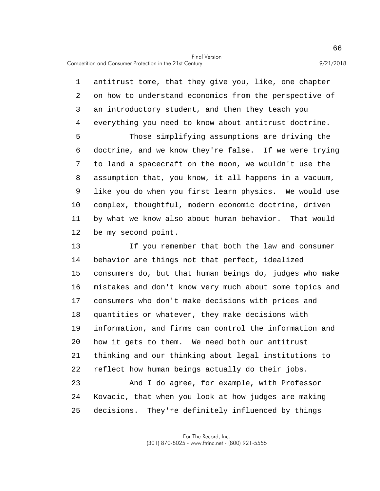Competition and Consumer Protection in the 21st Century 9/21/2018

5 10 1 antitrust tome, that they give you, like, one chapter 2 on how to understand economics from the perspective of 3 an introductory student, and then they teach you 4 everything you need to know about antitrust doctrine. Those simplifying assumptions are driving the 6 doctrine, and we know they're false. If we were trying 7 to land a spacecraft on the moon, we wouldn't use the 8 assumption that, you know, it all happens in a vacuum, 9 like you do when you first learn physics. We would use complex, thoughtful, modern economic doctrine, driven 11 by what we know also about human behavior. That would 12 be my second point.

15 20 13 If you remember that both the law and consumer 14 behavior are things not that perfect, idealized consumers do, but that human beings do, judges who make 16 mistakes and don't know very much about some topics and 17 consumers who don't make decisions with prices and 18 quantities or whatever, they make decisions with 19 information, and firms can control the information and how it gets to them. We need both our antitrust 21 thinking and our thinking about legal institutions to 22 reflect how human beings actually do their jobs. 23 And I do agree, for example, with Professor

25 24 Kovacic, that when you look at how judges are making decisions. They're definitely influenced by things

> For The Record, Inc. (301) 870-8025 - www.ftrinc.net - (800) 921-5555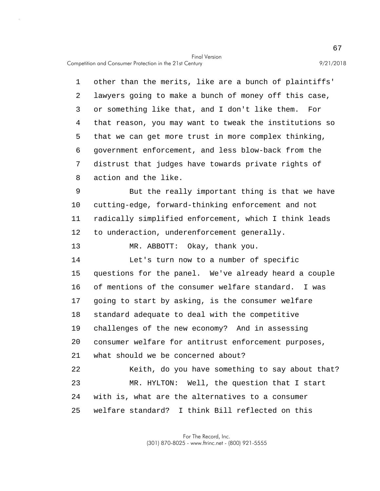Competition and Consumer Protection in the 21st Century 9/21/2018

5 1 other than the merits, like are a bunch of plaintiffs' 2 lawyers going to make a bunch of money off this case, 3 or something like that, and I don't like them. For 4 that reason, you may want to tweak the institutions so that we can get more trust in more complex thinking, 6 government enforcement, and less blow-back from the 7 distrust that judges have towards private rights of 8 action and the like.

10 9 But the really important thing is that we have cutting-edge, forward-thinking enforcement and not 11 radically simplified enforcement, which I think leads 12 to underaction, underenforcement generally.

13 MR. ABBOTT: Okay, thank you.

15 20 14 Let's turn now to a number of specific questions for the panel. We've already heard a couple 16 of mentions of the consumer welfare standard. I was 17 going to start by asking, is the consumer welfare 18 standard adequate to deal with the competitive 19 challenges of the new economy? And in assessing consumer welfare for antitrust enforcement purposes, 21 what should we be concerned about? 22 Keith, do you have something to say about that? 23 MR. HYLTON: Well, the question that I start

25 24 with is, what are the alternatives to a consumer welfare standard? I think Bill reflected on this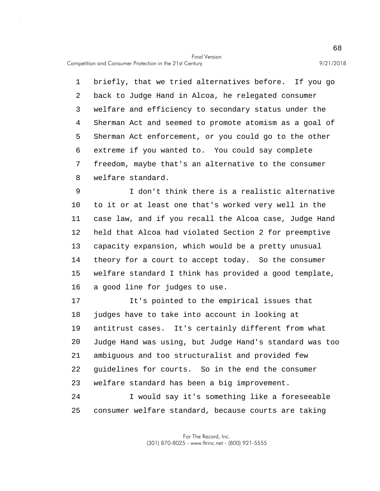Competition and Consumer Protection in the 21st Century 9/21/2018

5 1 briefly, that we tried alternatives before. If you go 2 back to Judge Hand in Alcoa, he relegated consumer 3 welfare and efficiency to secondary status under the 4 Sherman Act and seemed to promote atomism as a goal of Sherman Act enforcement, or you could go to the other 6 extreme if you wanted to. You could say complete 7 freedom, maybe that's an alternative to the consumer 8 welfare standard.

10 15 9 I don't think there is a realistic alternative to it or at least one that's worked very well in the 11 case law, and if you recall the Alcoa case, Judge Hand 12 held that Alcoa had violated Section 2 for preemptive 13 capacity expansion, which would be a pretty unusual 14 theory for a court to accept today. So the consumer welfare standard I think has provided a good template, 16 a good line for judges to use.

20 17 It's pointed to the empirical issues that 18 judges have to take into account in looking at 19 antitrust cases. It's certainly different from what Judge Hand was using, but Judge Hand's standard was too 21 ambiguous and too structuralist and provided few 22 guidelines for courts. So in the end the consumer 23 welfare standard has been a big improvement. 24 I would say it's something like a foreseeable

25 consumer welfare standard, because courts are taking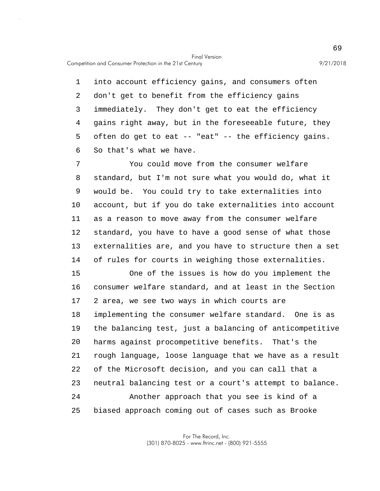Competition and Consumer Protection in the 21st Century 9/21/2018

5 1 into account efficiency gains, and consumers often 2 don't get to benefit from the efficiency gains 3 immediately. They don't get to eat the efficiency 4 gains right away, but in the foreseeable future, they often do get to eat -- "eat" -- the efficiency gains. 6 So that's what we have.

10 7 You could move from the consumer welfare 8 standard, but I'm not sure what you would do, what it 9 would be. You could try to take externalities into account, but if you do take externalities into account 11 as a reason to move away from the consumer welfare 12 standard, you have to have a good sense of what those 13 externalities are, and you have to structure then a set 14 of rules for courts in weighing those externalities.

15 20 25 One of the issues is how do you implement the 16 consumer welfare standard, and at least in the Section 17 2 area, we see two ways in which courts are 18 implementing the consumer welfare standard. One is as 19 the balancing test, just a balancing of anticompetitive harms against procompetitive benefits. That's the 21 rough language, loose language that we have as a result 22 of the Microsoft decision, and you can call that a 23 neutral balancing test or a court's attempt to balance. 24 Another approach that you see is kind of a biased approach coming out of cases such as Brooke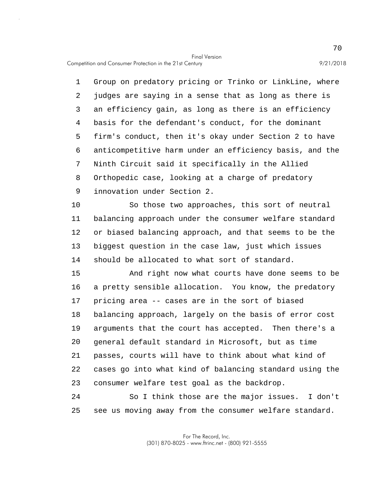Competition and Consumer Protection in the 21st Century 9/21/2018

5 1 Group on predatory pricing or Trinko or LinkLine, where 2 judges are saying in a sense that as long as there is 3 an efficiency gain, as long as there is an efficiency 4 basis for the defendant's conduct, for the dominant firm's conduct, then it's okay under Section 2 to have 6 anticompetitive harm under an efficiency basis, and the 7 Ninth Circuit said it specifically in the Allied 8 Orthopedic case, looking at a charge of predatory 9 innovation under Section 2.

10 So those two approaches, this sort of neutral 11 balancing approach under the consumer welfare standard 12 or biased balancing approach, and that seems to be the 13 biggest question in the case law, just which issues 14 should be allocated to what sort of standard.

15 20 And right now what courts have done seems to be 16 a pretty sensible allocation. You know, the predatory 17 pricing area -- cases are in the sort of biased 18 balancing approach, largely on the basis of error cost 19 arguments that the court has accepted. Then there's a general default standard in Microsoft, but as time 21 passes, courts will have to think about what kind of 22 cases go into what kind of balancing standard using the 23 consumer welfare test goal as the backdrop.

25 24 So I think those are the major issues. I don't see us moving away from the consumer welfare standard.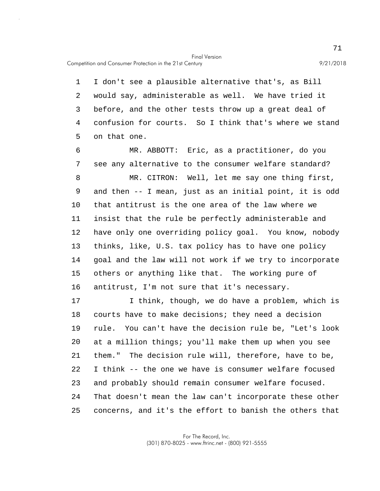Competition and Consumer Protection in the 21st Century 9/21/2018

5 1 I don't see a plausible alternative that's, as Bill 2 would say, administerable as well. We have tried it 3 before, and the other tests throw up a great deal of 4 confusion for courts. So I think that's where we stand on that one.

10 15 6 MR. ABBOTT: Eric, as a practitioner, do you 7 see any alternative to the consumer welfare standard? 8 MR. CITRON: Well, let me say one thing first, 9 and then -- I mean, just as an initial point, it is odd that antitrust is the one area of the law where we 11 insist that the rule be perfectly administerable and 12 have only one overriding policy goal. You know, nobody 13 thinks, like, U.S. tax policy has to have one policy 14 goal and the law will not work if we try to incorporate others or anything like that. The working pure of 16 antitrust, I'm not sure that it's necessary.

20 25 17 I think, though, we do have a problem, which is 18 courts have to make decisions; they need a decision 19 rule. You can't have the decision rule be, "Let's look at a million things; you'll make them up when you see 21 them." The decision rule will, therefore, have to be, 22 I think -- the one we have is consumer welfare focused 23 and probably should remain consumer welfare focused. 24 That doesn't mean the law can't incorporate these other concerns, and it's the effort to banish the others that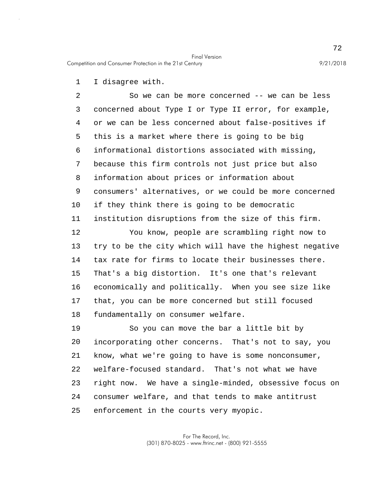Competition and Consumer Protection in the 21st Century 9/21/2018

1 I disagree with.

5 10 15 2 So we can be more concerned -- we can be less 3 concerned about Type I or Type II error, for example, 4 or we can be less concerned about false-positives if this is a market where there is going to be big 6 informational distortions associated with missing, 7 because this firm controls not just price but also 8 information about prices or information about 9 consumers' alternatives, or we could be more concerned if they think there is going to be democratic 11 institution disruptions from the size of this firm. 12 You know, people are scrambling right now to 13 try to be the city which will have the highest negative 14 tax rate for firms to locate their businesses there. That's a big distortion. It's one that's relevant 16 economically and politically. When you see size like 17 that, you can be more concerned but still focused

18 fundamentally on consumer welfare.

20 25 19 So you can move the bar a little bit by incorporating other concerns. That's not to say, you 21 know, what we're going to have is some nonconsumer, 22 welfare-focused standard. That's not what we have 23 right now. We have a single-minded, obsessive focus on 24 consumer welfare, and that tends to make antitrust enforcement in the courts very myopic.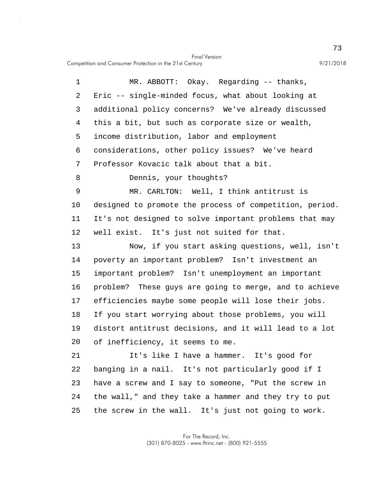Competition and Consumer Protection in the 21st Century 9/21/2018

5 10 15 20 25 1 MR. ABBOTT: Okay. Regarding -- thanks, 2 Eric -- single-minded focus, what about looking at 3 additional policy concerns? We've already discussed 4 this a bit, but such as corporate size or wealth, income distribution, labor and employment 6 considerations, other policy issues? We've heard 7 Professor Kovacic talk about that a bit. 8 Dennis, your thoughts? 9 MR. CARLTON: Well, I think antitrust is designed to promote the process of competition, period. 11 It's not designed to solve important problems that may 12 well exist. It's just not suited for that. 13 Now, if you start asking questions, well, isn't 14 poverty an important problem? Isn't investment an important problem? Isn't unemployment an important 16 problem? These guys are going to merge, and to achieve 17 efficiencies maybe some people will lose their jobs. 18 If you start worrying about those problems, you will 19 distort antitrust decisions, and it will lead to a lot of inefficiency, it seems to me. 21 It's like I have a hammer. It's good for 22 banging in a nail. It's not particularly good if I 23 have a screw and I say to someone, "Put the screw in 24 the wall," and they take a hammer and they try to put the screw in the wall. It's just not going to work.

> For The Record, Inc. (301) 870-8025 - www.ftrinc.net - (800) 921-5555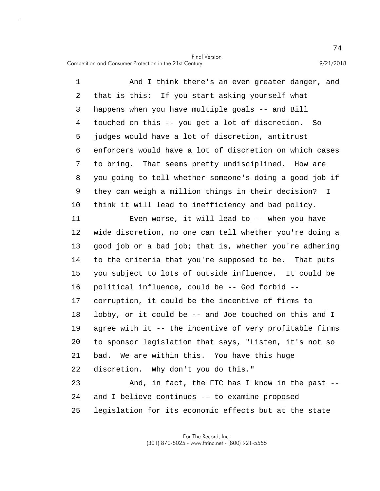Final Version Competition and Consumer Protection in the 21st Century 9/21/2018

5 10 1 And I think there's an even greater danger, and 2 that is this: If you start asking yourself what 3 happens when you have multiple goals -- and Bill 4 touched on this -- you get a lot of discretion. So judges would have a lot of discretion, antitrust 6 enforcers would have a lot of discretion on which cases 7 to bring. That seems pretty undisciplined. How are 8 you going to tell whether someone's doing a good job if 9 they can weigh a million things in their decision? I think it will lead to inefficiency and bad policy.

15 20 25 11 Even worse, it will lead to -- when you have 12 wide discretion, no one can tell whether you're doing a 13 good job or a bad job; that is, whether you're adhering 14 to the criteria that you're supposed to be. That puts you subject to lots of outside influence. It could be 16 political influence, could be -- God forbid -- 17 corruption, it could be the incentive of firms to 18 lobby, or it could be -- and Joe touched on this and I 19 agree with it -- the incentive of very profitable firms to sponsor legislation that says, "Listen, it's not so 21 bad. We are within this. You have this huge 22 discretion. Why don't you do this." 23 And, in fact, the FTC has I know in the past -- 24 and I believe continues -- to examine proposed legislation for its economic effects but at the state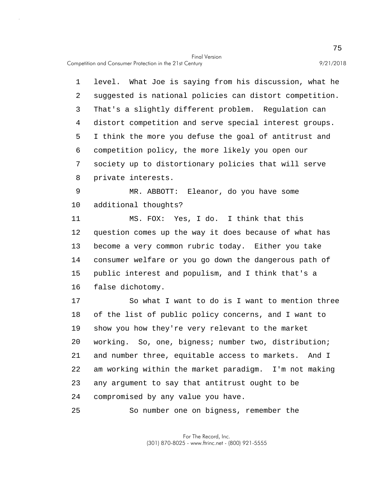5 10 1 level. What Joe is saying from his discussion, what he 2 suggested is national policies can distort competition. 3 That's a slightly different problem. Regulation can 4 distort competition and serve special interest groups. I think the more you defuse the goal of antitrust and 6 competition policy, the more likely you open our 7 society up to distortionary policies that will serve 8 private interests. 9 MR. ABBOTT: Eleanor, do you have some additional thoughts?

15 11 MS. FOX: Yes, I do. I think that this 12 question comes up the way it does because of what has 13 become a very common rubric today. Either you take 14 consumer welfare or you go down the dangerous path of public interest and populism, and I think that's a 16 false dichotomy.

20 17 So what I want to do is I want to mention three 18 of the list of public policy concerns, and I want to 19 show you how they're very relevant to the market working. So, one, bigness; number two, distribution; 21 and number three, equitable access to markets. And I 22 am working within the market paradigm. I'm not making 23 any argument to say that antitrust ought to be 24 compromised by any value you have.

25 So number one on bigness, remember the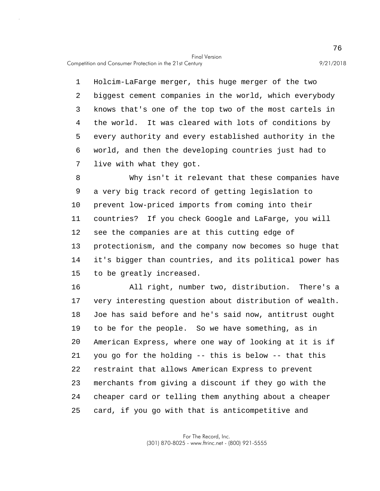5 1 Holcim-LaFarge merger, this huge merger of the two 2 biggest cement companies in the world, which everybody 3 knows that's one of the top two of the most cartels in 4 the world. It was cleared with lots of conditions by every authority and every established authority in the 6 world, and then the developing countries just had to 7 live with what they got.

10 15 8 Why isn't it relevant that these companies have 9 a very big track record of getting legislation to prevent low-priced imports from coming into their 11 countries? If you check Google and LaFarge, you will 12 see the companies are at this cutting edge of 13 protectionism, and the company now becomes so huge that 14 it's bigger than countries, and its political power has to be greatly increased.

20 25 16 All right, number two, distribution. There's a 17 very interesting question about distribution of wealth. 18 Joe has said before and he's said now, antitrust ought 19 to be for the people. So we have something, as in American Express, where one way of looking at it is if 21 you go for the holding -- this is below -- that this 22 restraint that allows American Express to prevent 23 merchants from giving a discount if they go with the 24 cheaper card or telling them anything about a cheaper card, if you go with that is anticompetitive and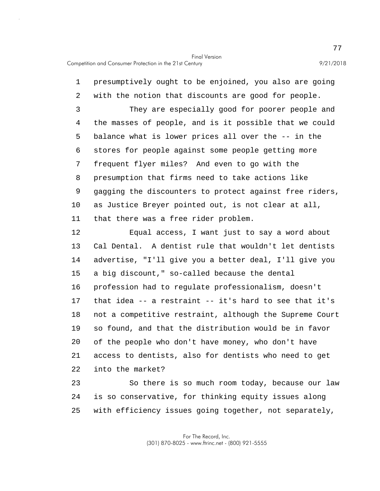5 10 1 presumptively ought to be enjoined, you also are going 2 with the notion that discounts are good for people. 3 They are especially good for poorer people and 4 the masses of people, and is it possible that we could balance what is lower prices all over the -- in the 6 stores for people against some people getting more 7 frequent flyer miles? And even to go with the 8 presumption that firms need to take actions like 9 gagging the discounters to protect against free riders, as Justice Breyer pointed out, is not clear at all, 11 that there was a free rider problem.

15 20 12 Equal access, I want just to say a word about 13 Cal Dental. A dentist rule that wouldn't let dentists 14 advertise, "I'll give you a better deal, I'll give you a big discount," so-called because the dental 16 profession had to regulate professionalism, doesn't 17 that idea -- a restraint -- it's hard to see that it's 18 not a competitive restraint, although the Supreme Court 19 so found, and that the distribution would be in favor of the people who don't have money, who don't have 21 access to dentists, also for dentists who need to get 22 into the market?

25 23 So there is so much room today, because our law 24 is so conservative, for thinking equity issues along with efficiency issues going together, not separately,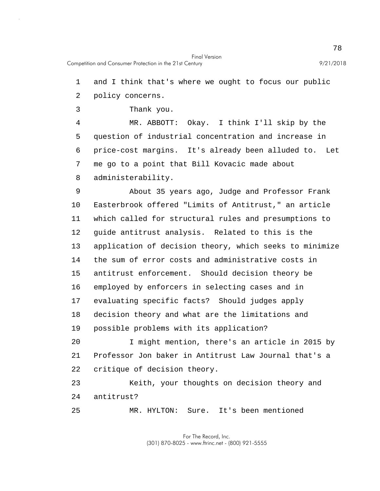1 and I think that's where we ought to focus our public

2 policy concerns.

3 Thank you.

5 4 MR. ABBOTT: Okay. I think I'll skip by the question of industrial concentration and increase in 6 price-cost margins. It's already been alluded to. Let 7 me go to a point that Bill Kovacic made about 8 administerability.

10 15 9 About 35 years ago, Judge and Professor Frank Easterbrook offered "Limits of Antitrust," an article 11 which called for structural rules and presumptions to 12 guide antitrust analysis. Related to this is the 13 application of decision theory, which seeks to minimize 14 the sum of error costs and administrative costs in antitrust enforcement. Should decision theory be 16 employed by enforcers in selecting cases and in 17 evaluating specific facts? Should judges apply 18 decision theory and what are the limitations and 19 possible problems with its application?

20 I might mention, there's an article in 2015 by 21 Professor Jon baker in Antitrust Law Journal that's a 22 critique of decision theory.

23 Keith, your thoughts on decision theory and 24 antitrust?

25 MR. HYLTON: Sure. It's been mentioned

> For The Record, Inc. (301) 870-8025 - www.ftrinc.net - (800) 921-5555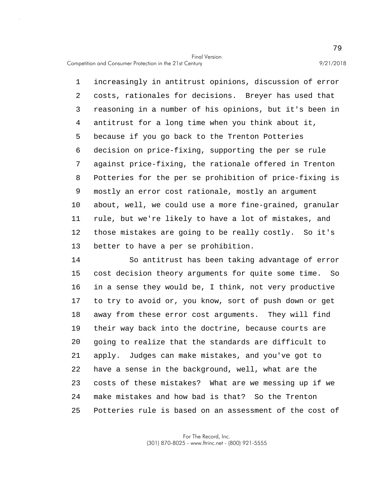5 10 1 increasingly in antitrust opinions, discussion of error 2 costs, rationales for decisions. Breyer has used that 3 reasoning in a number of his opinions, but it's been in 4 antitrust for a long time when you think about it, because if you go back to the Trenton Potteries 6 decision on price-fixing, supporting the per se rule 7 against price-fixing, the rationale offered in Trenton 8 Potteries for the per se prohibition of price-fixing is 9 mostly an error cost rationale, mostly an argument about, well, we could use a more fine-grained, granular 11 rule, but we're likely to have a lot of mistakes, and 12 those mistakes are going to be really costly. So it's 13 better to have a per se prohibition.

15 20 25 14 So antitrust has been taking advantage of error cost decision theory arguments for quite some time. So 16 in a sense they would be, I think, not very productive 17 to try to avoid or, you know, sort of push down or get 18 away from these error cost arguments. They will find 19 their way back into the doctrine, because courts are going to realize that the standards are difficult to 21 apply. Judges can make mistakes, and you've got to 22 have a sense in the background, well, what are the 23 costs of these mistakes? What are we messing up if we 24 make mistakes and how bad is that? So the Trenton Potteries rule is based on an assessment of the cost of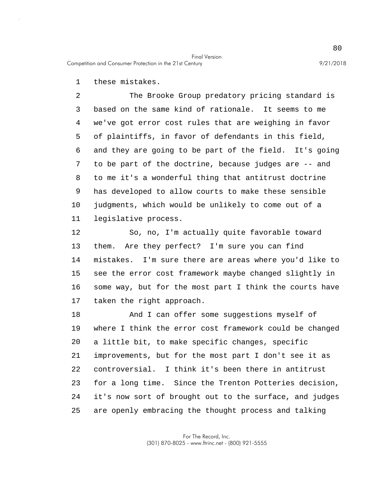1 these mistakes.

5 10 2 The Brooke Group predatory pricing standard is 3 based on the same kind of rationale. It seems to me 4 we've got error cost rules that are weighing in favor of plaintiffs, in favor of defendants in this field, 6 and they are going to be part of the field. It's going 7 to be part of the doctrine, because judges are -- and 8 to me it's a wonderful thing that antitrust doctrine 9 has developed to allow courts to make these sensible judgments, which would be unlikely to come out of a 11 legislative process.

15 12 So, no, I'm actually quite favorable toward 13 them. Are they perfect? I'm sure you can find 14 mistakes. I'm sure there are areas where you'd like to see the error cost framework maybe changed slightly in 16 some way, but for the most part I think the courts have 17 taken the right approach.

20 25 18 And I can offer some suggestions myself of 19 where I think the error cost framework could be changed a little bit, to make specific changes, specific 21 improvements, but for the most part I don't see it as 22 controversial. I think it's been there in antitrust 23 for a long time. Since the Trenton Potteries decision, 24 it's now sort of brought out to the surface, and judges are openly embracing the thought process and talking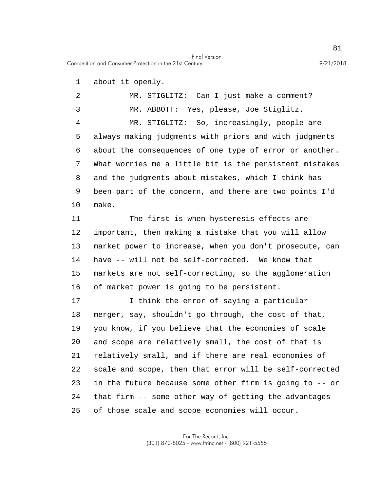Competition and Consumer Protection in the 21st Century 9/21/2018

1 about it openly.

5 10 2 MR. STIGLITZ: Can I just make a comment? 3 MR. ABBOTT: Yes, please, Joe Stiglitz. 4 MR. STIGLITZ: So, increasingly, people are always making judgments with priors and with judgments 6 about the consequences of one type of error or another. 7 What worries me a little bit is the persistent mistakes 8 and the judgments about mistakes, which I think has 9 been part of the concern, and there are two points I'd make.

Final Version

15 11 The first is when hysteresis effects are 12 important, then making a mistake that you will allow 13 market power to increase, when you don't prosecute, can 14 have -- will not be self-corrected. We know that markets are not self-correcting, so the agglomeration 16 of market power is going to be persistent.

20 25 17 I think the error of saying a particular 18 merger, say, shouldn't go through, the cost of that, 19 you know, if you believe that the economies of scale and scope are relatively small, the cost of that is 21 relatively small, and if there are real economies of 22 scale and scope, then that error will be self-corrected 23 in the future because some other firm is going to -- or 24 that firm -- some other way of getting the advantages of those scale and scope economies will occur.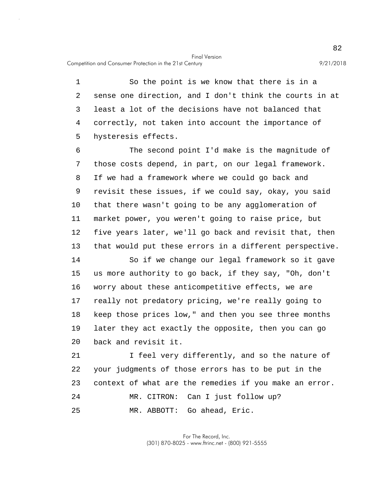Competition and Consumer Protection in the 21st Century 9/21/2018

5 1 So the point is we know that there is in a 2 sense one direction, and I don't think the courts in at 3 least a lot of the decisions have not balanced that 4 correctly, not taken into account the importance of hysteresis effects.

10 6 The second point I'd make is the magnitude of 7 those costs depend, in part, on our legal framework. 8 If we had a framework where we could go back and 9 revisit these issues, if we could say, okay, you said that there wasn't going to be any agglomeration of 11 market power, you weren't going to raise price, but 12 five years later, we'll go back and revisit that, then 13 that would put these errors in a different perspective.

15 20 14 So if we change our legal framework so it gave us more authority to go back, if they say, "Oh, don't 16 worry about these anticompetitive effects, we are 17 really not predatory pricing, we're really going to 18 keep those prices low," and then you see three months 19 later they act exactly the opposite, then you can go back and revisit it.

25 21 I feel very differently, and so the nature of 22 your judgments of those errors has to be put in the 23 context of what are the remedies if you make an error. 24 MR. CITRON: Can I just follow up? MR. ABBOTT: Go ahead, Eric.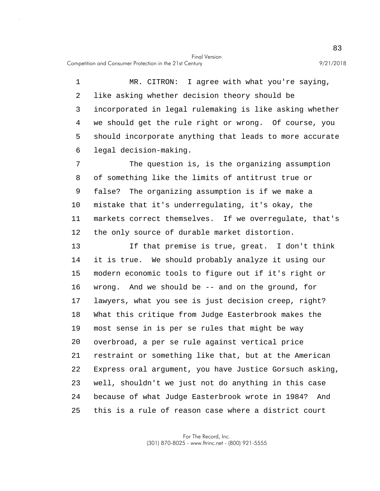Competition and Consumer Protection in the 21st Century 9/21/2018

5 1 MR. CITRON: I agree with what you're saying, 2 like asking whether decision theory should be 3 incorporated in legal rulemaking is like asking whether 4 we should get the rule right or wrong. Of course, you should incorporate anything that leads to more accurate 6 legal decision-making.

10 7 The question is, is the organizing assumption 8 of something like the limits of antitrust true or 9 false? The organizing assumption is if we make a mistake that it's underregulating, it's okay, the 11 markets correct themselves. If we overregulate, that's 12 the only source of durable market distortion.

15 20 25 13 If that premise is true, great. I don't think 14 it is true. We should probably analyze it using our modern economic tools to figure out if it's right or 16 wrong. And we should be -- and on the ground, for 17 lawyers, what you see is just decision creep, right? 18 What this critique from Judge Easterbrook makes the 19 most sense in is per se rules that might be way overbroad, a per se rule against vertical price 21 restraint or something like that, but at the American 22 Express oral argument, you have Justice Gorsuch asking, 23 well, shouldn't we just not do anything in this case 24 because of what Judge Easterbrook wrote in 1984? And this is a rule of reason case where a district court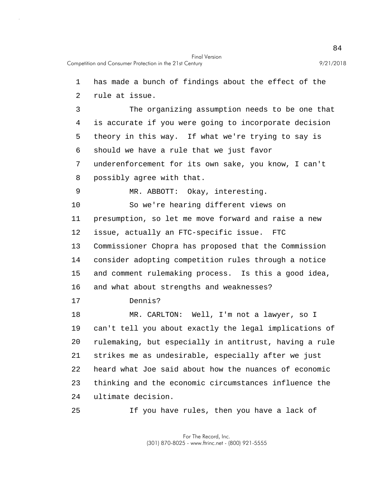5 10 15 20 1 has made a bunch of findings about the effect of the 2 rule at issue. 3 The organizing assumption needs to be one that 4 is accurate if you were going to incorporate decision theory in this way. If what we're trying to say is 6 should we have a rule that we just favor 7 underenforcement for its own sake, you know, I can't 8 possibly agree with that. 9 MR. ABBOTT: Okay, interesting. So we're hearing different views on 11 presumption, so let me move forward and raise a new 12 issue, actually an FTC-specific issue. FTC 13 Commissioner Chopra has proposed that the Commission 14 consider adopting competition rules through a notice and comment rulemaking process. Is this a good idea, 16 and what about strengths and weaknesses? 17 Dennis? 18 MR. CARLTON: Well, I'm not a lawyer, so I 19 can't tell you about exactly the legal implications of rulemaking, but especially in antitrust, having a rule 21 strikes me as undesirable, especially after we just 22 heard what Joe said about how the nuances of economic 23 thinking and the economic circumstances influence the 24 ultimate decision.

25 If you have rules, then you have a lack of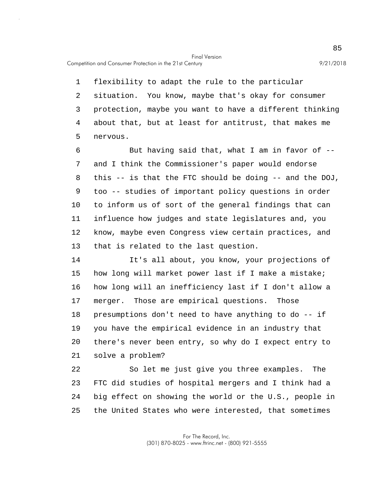Competition and Consumer Protection in the 21st Century 9/21/2018

5 1 flexibility to adapt the rule to the particular 2 situation. You know, maybe that's okay for consumer 3 protection, maybe you want to have a different thinking 4 about that, but at least for antitrust, that makes me nervous.

10 6 But having said that, what I am in favor of -- 7 and I think the Commissioner's paper would endorse 8 this -- is that the FTC should be doing -- and the DOJ, 9 too -- studies of important policy questions in order to inform us of sort of the general findings that can 11 influence how judges and state legislatures and, you 12 know, maybe even Congress view certain practices, and 13 that is related to the last question.

15 20 14 It's all about, you know, your projections of how long will market power last if I make a mistake; 16 how long will an inefficiency last if I don't allow a 17 merger. Those are empirical questions. Those 18 presumptions don't need to have anything to do -- if 19 you have the empirical evidence in an industry that there's never been entry, so why do I expect entry to 21 solve a problem?

25 22 So let me just give you three examples. The 23 FTC did studies of hospital mergers and I think had a 24 big effect on showing the world or the U.S., people in the United States who were interested, that sometimes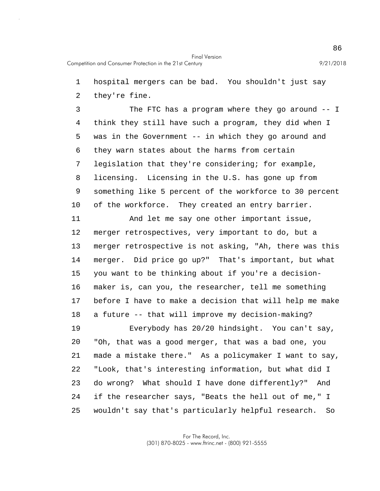1 hospital mergers can be bad. You shouldn't just say

2 they're fine.

5 10 3 The FTC has a program where they go around -- I 4 think they still have such a program, they did when I was in the Government -- in which they go around and 6 they warn states about the harms from certain 7 legislation that they're considering; for example, 8 licensing. Licensing in the U.S. has gone up from 9 something like 5 percent of the workforce to 30 percent of the workforce. They created an entry barrier.

15 11 And let me say one other important issue, 12 merger retrospectives, very important to do, but a 13 merger retrospective is not asking, "Ah, there was this 14 merger. Did price go up?" That's important, but what you want to be thinking about if you're a decision-16 maker is, can you, the researcher, tell me something 17 before I have to make a decision that will help me make 18 a future -- that will improve my decision-making?

20 25 19 Everybody has 20/20 hindsight. You can't say, "Oh, that was a good merger, that was a bad one, you 21 made a mistake there." As a policymaker I want to say, 22 "Look, that's interesting information, but what did I 23 do wrong? What should I have done differently?" And 24 if the researcher says, "Beats the hell out of me," I wouldn't say that's particularly helpful research. So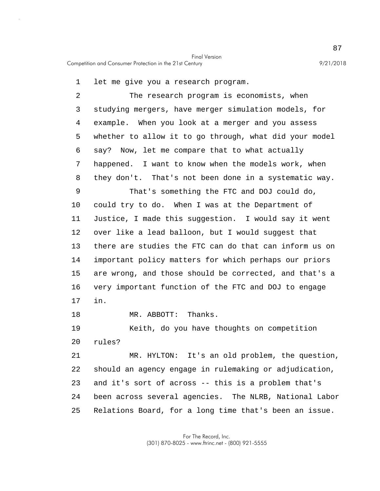1 let me give you a research program.

5 10 15 20 2 The research program is economists, when 3 studying mergers, have merger simulation models, for 4 example. When you look at a merger and you assess whether to allow it to go through, what did your model 6 say? Now, let me compare that to what actually 7 happened. I want to know when the models work, when 8 they don't. That's not been done in a systematic way. 9 That's something the FTC and DOJ could do, could try to do. When I was at the Department of 11 Justice, I made this suggestion. I would say it went 12 over like a lead balloon, but I would suggest that 13 there are studies the FTC can do that can inform us on 14 important policy matters for which perhaps our priors are wrong, and those should be corrected, and that's a 16 very important function of the FTC and DOJ to engage 17 in. 18 MR. ABBOTT: Thanks. 19 Keith, do you have thoughts on competition rules?

25 21 MR. HYLTON: It's an old problem, the question, 22 should an agency engage in rulemaking or adjudication, 23 and it's sort of across -- this is a problem that's 24 been across several agencies. The NLRB, National Labor Relations Board, for a long time that's been an issue.

> For The Record, Inc. (301) 870-8025 - www.ftrinc.net - (800) 921-5555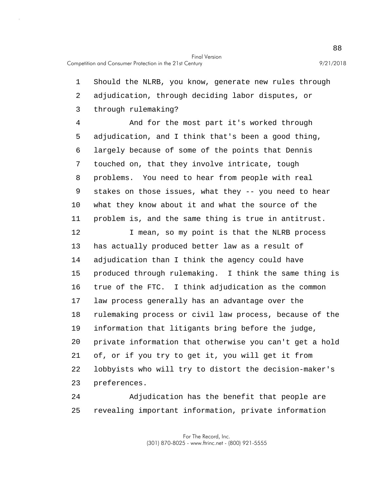5 10 15 20 1 Should the NLRB, you know, generate new rules through 2 adjudication, through deciding labor disputes, or 3 through rulemaking? 4 And for the most part it's worked through adjudication, and I think that's been a good thing, 6 largely because of some of the points that Dennis 7 touched on, that they involve intricate, tough 8 problems. You need to hear from people with real 9 stakes on those issues, what they -- you need to hear what they know about it and what the source of the 11 problem is, and the same thing is true in antitrust. 12 I mean, so my point is that the NLRB process 13 has actually produced better law as a result of 14 adjudication than I think the agency could have produced through rulemaking. I think the same thing is 16 true of the FTC. I think adjudication as the common 17 law process generally has an advantage over the 18 rulemaking process or civil law process, because of the 19 information that litigants bring before the judge, private information that otherwise you can't get a hold 21 of, or if you try to get it, you will get it from 22 lobbyists who will try to distort the decision-maker's 23 preferences.

25 24 Adjudication has the benefit that people are revealing important information, private information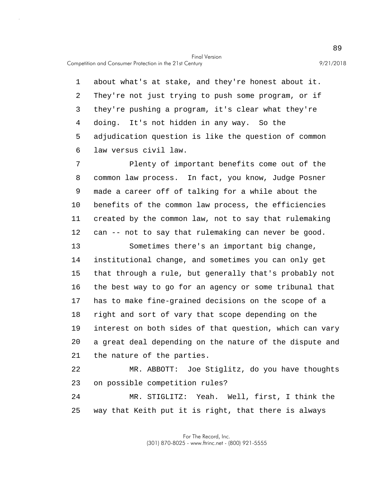Competition and Consumer Protection in the 21st Century 9/21/2018

5 1 about what's at stake, and they're honest about it. 2 They're not just trying to push some program, or if 3 they're pushing a program, it's clear what they're 4 doing. It's not hidden in any way. So the adjudication question is like the question of common 6 law versus civil law.

10 7 Plenty of important benefits come out of the 8 common law process. In fact, you know, Judge Posner 9 made a career off of talking for a while about the benefits of the common law process, the efficiencies 11 created by the common law, not to say that rulemaking 12 can -- not to say that rulemaking can never be good.

15 20 13 Sometimes there's an important big change, 14 institutional change, and sometimes you can only get that through a rule, but generally that's probably not 16 the best way to go for an agency or some tribunal that 17 has to make fine-grained decisions on the scope of a 18 right and sort of vary that scope depending on the 19 interest on both sides of that question, which can vary a great deal depending on the nature of the dispute and 21 the nature of the parties.

22 MR. ABBOTT: Joe Stiglitz, do you have thoughts 23 on possible competition rules?

25 24 MR. STIGLITZ: Yeah. Well, first, I think the way that Keith put it is right, that there is always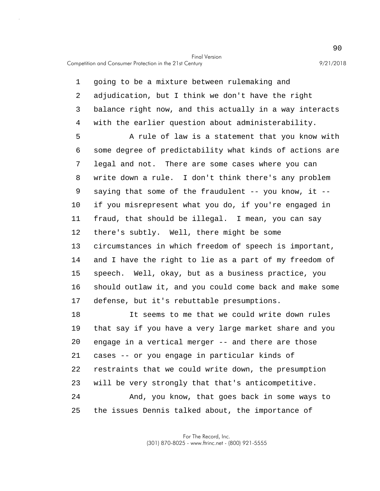Competition and Consumer Protection in the 21st Century 9/21/2018

5 10 15 1 going to be a mixture between rulemaking and 2 adjudication, but I think we don't have the right 3 balance right now, and this actually in a way interacts 4 with the earlier question about administerability. A rule of law is a statement that you know with 6 some degree of predictability what kinds of actions are 7 legal and not. There are some cases where you can 8 write down a rule. I don't think there's any problem 9 saying that some of the fraudulent -- you know, it - if you misrepresent what you do, if you're engaged in 11 fraud, that should be illegal. I mean, you can say 12 there's subtly. Well, there might be some 13 circumstances in which freedom of speech is important, 14 and I have the right to lie as a part of my freedom of speech. Well, okay, but as a business practice, you 16 should outlaw it, and you could come back and make some 17 defense, but it's rebuttable presumptions. 18 It seems to me that we could write down rules

20 25 19 that say if you have a very large market share and you engage in a vertical merger -- and there are those 21 cases -- or you engage in particular kinds of 22 restraints that we could write down, the presumption 23 will be very strongly that that's anticompetitive. 24 And, you know, that goes back in some ways to the issues Dennis talked about, the importance of

> For The Record, Inc. (301) 870-8025 - www.ftrinc.net - (800) 921-5555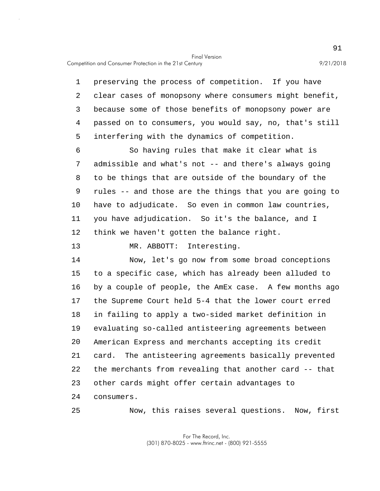Competition and Consumer Protection in the 21st Century 9/21/2018

5 1 preserving the process of competition. If you have 2 clear cases of monopsony where consumers might benefit, 3 because some of those benefits of monopsony power are 4 passed on to consumers, you would say, no, that's still interfering with the dynamics of competition. 6 So having rules that make it clear what is

10 7 admissible and what's not -- and there's always going 8 to be things that are outside of the boundary of the 9 rules -- and those are the things that you are going to have to adjudicate. So even in common law countries, 11 you have adjudication. So it's the balance, and I 12 think we haven't gotten the balance right.

13 MR. ABBOTT: Interesting.

25

15 20 14 Now, let's go now from some broad conceptions to a specific case, which has already been alluded to 16 by a couple of people, the AmEx case. A few months ago 17 the Supreme Court held 5-4 that the lower court erred 18 in failing to apply a two-sided market definition in 19 evaluating so-called antisteering agreements between American Express and merchants accepting its credit 21 card. The antisteering agreements basically prevented 22 the merchants from revealing that another card -- that 23 other cards might offer certain advantages to 24 consumers.

Now, this raises several questions. Now, first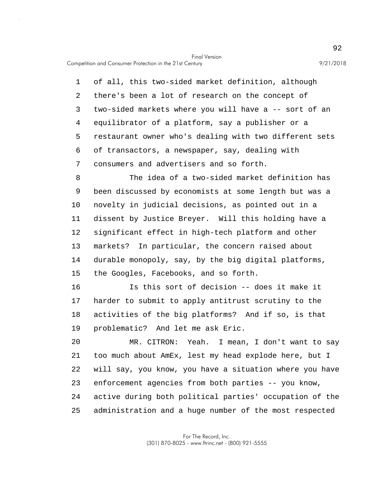Competition and Consumer Protection in the 21st Century 9/21/2018

5 1 of all, this two-sided market definition, although 2 there's been a lot of research on the concept of 3 two-sided markets where you will have a -- sort of an 4 equilibrator of a platform, say a publisher or a restaurant owner who's dealing with two different sets 6 of transactors, a newspaper, say, dealing with 7 consumers and advertisers and so forth.

10 15 8 The idea of a two-sided market definition has 9 been discussed by economists at some length but was a novelty in judicial decisions, as pointed out in a 11 dissent by Justice Breyer. Will this holding have a 12 significant effect in high-tech platform and other 13 markets? In particular, the concern raised about 14 durable monopoly, say, by the big digital platforms, the Googles, Facebooks, and so forth.

16 Is this sort of decision -- does it make it 17 harder to submit to apply antitrust scrutiny to the 18 activities of the big platforms? And if so, is that 19 problematic? And let me ask Eric.

20 25 MR. CITRON: Yeah. I mean, I don't want to say 21 too much about AmEx, lest my head explode here, but I 22 will say, you know, you have a situation where you have 23 enforcement agencies from both parties -- you know, 24 active during both political parties' occupation of the administration and a huge number of the most respected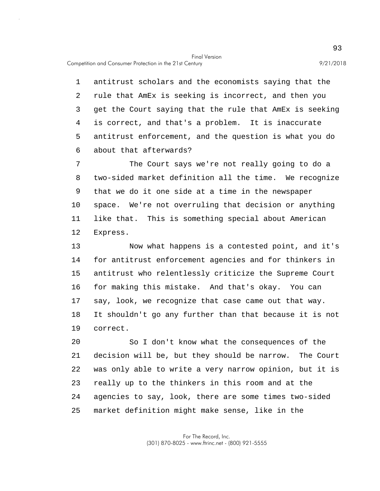Competition and Consumer Protection in the 21st Century 9/21/2018

5 1 antitrust scholars and the economists saying that the 2 rule that AmEx is seeking is incorrect, and then you 3 get the Court saying that the rule that AmEx is seeking 4 is correct, and that's a problem. It is inaccurate antitrust enforcement, and the question is what you do 6 about that afterwards?

10 7 The Court says we're not really going to do a 8 two-sided market definition all the time. We recognize 9 that we do it one side at a time in the newspaper space. We're not overruling that decision or anything 11 like that. This is something special about American 12 Express.

15 13 Now what happens is a contested point, and it's 14 for antitrust enforcement agencies and for thinkers in antitrust who relentlessly criticize the Supreme Court 16 for making this mistake. And that's okay. You can 17 say, look, we recognize that case came out that way. 18 It shouldn't go any further than that because it is not 19 correct.

20 25 So I don't know what the consequences of the 21 decision will be, but they should be narrow. The Court 22 was only able to write a very narrow opinion, but it is 23 really up to the thinkers in this room and at the 24 agencies to say, look, there are some times two-sided market definition might make sense, like in the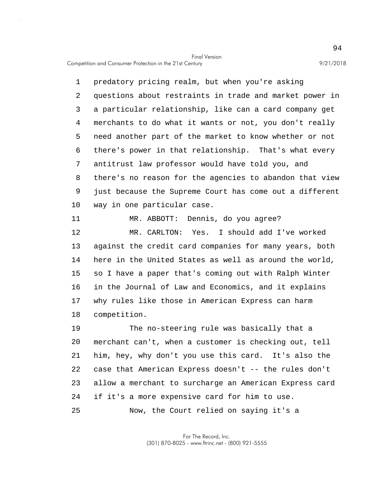Competition and Consumer Protection in the 21st Century 9/21/2018

5 10 1 predatory pricing realm, but when you're asking 2 questions about restraints in trade and market power in 3 a particular relationship, like can a card company get 4 merchants to do what it wants or not, you don't really need another part of the market to know whether or not 6 there's power in that relationship. That's what every 7 antitrust law professor would have told you, and 8 there's no reason for the agencies to abandon that view 9 just because the Supreme Court has come out a different way in one particular case.

11 MR. ABBOTT: Dennis, do you agree?

15 12 MR. CARLTON: Yes. I should add I've worked 13 against the credit card companies for many years, both 14 here in the United States as well as around the world, so I have a paper that's coming out with Ralph Winter 16 in the Journal of Law and Economics, and it explains 17 why rules like those in American Express can harm 18 competition.

20 25 19 The no-steering rule was basically that a merchant can't, when a customer is checking out, tell 21 him, hey, why don't you use this card. It's also the 22 case that American Express doesn't -- the rules don't 23 allow a merchant to surcharge an American Express card 24 if it's a more expensive card for him to use. Now, the Court relied on saying it's a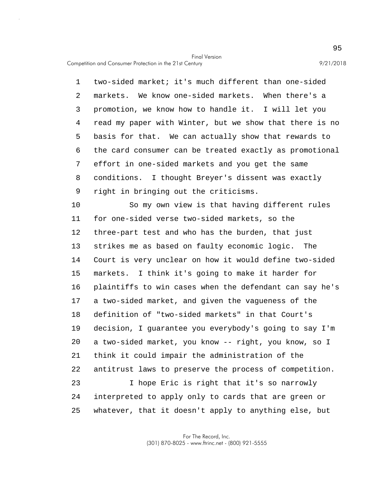5 1 two-sided market; it's much different than one-sided 2 markets. We know one-sided markets. When there's a 3 promotion, we know how to handle it. I will let you 4 read my paper with Winter, but we show that there is no basis for that. We can actually show that rewards to 6 the card consumer can be treated exactly as promotional 7 effort in one-sided markets and you get the same 8 conditions. I thought Breyer's dissent was exactly 9 right in bringing out the criticisms.

10 15 20 25 So my own view is that having different rules 11 for one-sided verse two-sided markets, so the 12 three-part test and who has the burden, that just 13 strikes me as based on faulty economic logic. The 14 Court is very unclear on how it would define two-sided markets. I think it's going to make it harder for 16 plaintiffs to win cases when the defendant can say he's 17 a two-sided market, and given the vagueness of the 18 definition of "two-sided markets" in that Court's 19 decision, I guarantee you everybody's going to say I'm a two-sided market, you know -- right, you know, so I 21 think it could impair the administration of the 22 antitrust laws to preserve the process of competition. 23 I hope Eric is right that it's so narrowly 24 interpreted to apply only to cards that are green or whatever, that it doesn't apply to anything else, but

> For The Record, Inc. (301) 870-8025 - www.ftrinc.net - (800) 921-5555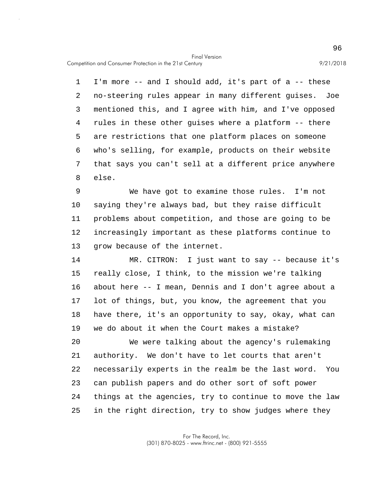Competition and Consumer Protection in the 21st Century 9/21/2018

5 1 I'm more -- and I should add, it's part of a -- these 2 no-steering rules appear in many different guises. Joe 3 mentioned this, and I agree with him, and I've opposed 4 rules in these other guises where a platform -- there are restrictions that one platform places on someone 6 who's selling, for example, products on their website 7 that says you can't sell at a different price anywhere 8 else.

10 9 We have got to examine those rules. I'm not saying they're always bad, but they raise difficult 11 problems about competition, and those are going to be 12 increasingly important as these platforms continue to 13 grow because of the internet.

15 14 MR. CITRON: I just want to say -- because it's really close, I think, to the mission we're talking 16 about here -- I mean, Dennis and I don't agree about a 17 lot of things, but, you know, the agreement that you 18 have there, it's an opportunity to say, okay, what can 19 we do about it when the Court makes a mistake?

20 25 We were talking about the agency's rulemaking 21 authority. We don't have to let courts that aren't 22 necessarily experts in the realm be the last word. You 23 can publish papers and do other sort of soft power 24 things at the agencies, try to continue to move the law in the right direction, try to show judges where they

> For The Record, Inc. (301) 870-8025 - www.ftrinc.net - (800) 921-5555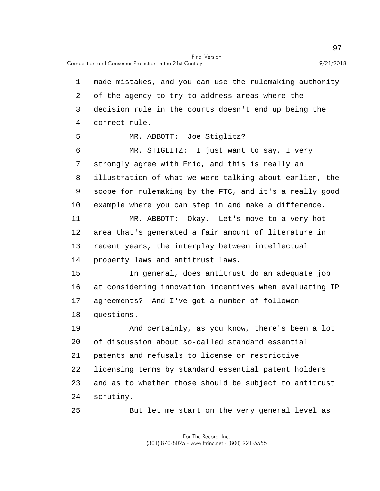Competition and Consumer Protection in the 21st Century 9/21/2018

5 10 15 20 25 1 made mistakes, and you can use the rulemaking authority 2 of the agency to try to address areas where the 3 decision rule in the courts doesn't end up being the 4 correct rule. MR. ABBOTT: Joe Stiglitz? 6 MR. STIGLITZ: I just want to say, I very 7 strongly agree with Eric, and this is really an 8 illustration of what we were talking about earlier, the 9 scope for rulemaking by the FTC, and it's a really good example where you can step in and make a difference. 11 MR. ABBOTT: Okay. Let's move to a very hot 12 area that's generated a fair amount of literature in 13 recent years, the interplay between intellectual 14 property laws and antitrust laws. In general, does antitrust do an adequate job 16 at considering innovation incentives when evaluating IP 17 agreements? And I've got a number of followon 18 questions. 19 And certainly, as you know, there's been a lot of discussion about so-called standard essential 21 patents and refusals to license or restrictive 22 licensing terms by standard essential patent holders 23 and as to whether those should be subject to antitrust 24 scrutiny. But let me start on the very general level as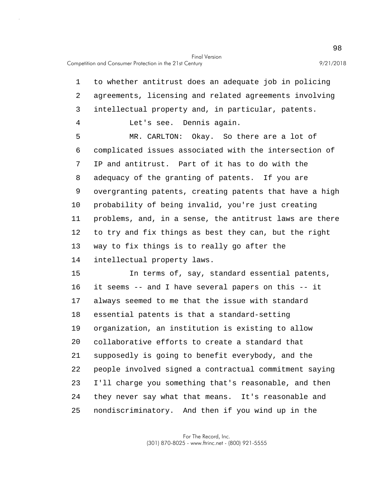5 10 15 20 1 to whether antitrust does an adequate job in policing 2 agreements, licensing and related agreements involving 3 intellectual property and, in particular, patents. 4 Let's see. Dennis again. MR. CARLTON: Okay. So there are a lot of 6 complicated issues associated with the intersection of 7 IP and antitrust. Part of it has to do with the 8 adequacy of the granting of patents. If you are 9 overgranting patents, creating patents that have a high probability of being invalid, you're just creating 11 problems, and, in a sense, the antitrust laws are there 12 to try and fix things as best they can, but the right 13 way to fix things is to really go after the 14 intellectual property laws. In terms of, say, standard essential patents, 16 it seems -- and I have several papers on this -- it 17 always seemed to me that the issue with standard 18 essential patents is that a standard-setting 19 organization, an institution is existing to allow collaborative efforts to create a standard that 21 supposedly is going to benefit everybody, and the 22 people involved signed a contractual commitment saying 23 I'll charge you something that's reasonable, and then 24 they never say what that means. It's reasonable and

25 nondiscriminatory. And then if you wind up in the

> For The Record, Inc. (301) 870-8025 - www.ftrinc.net - (800) 921-5555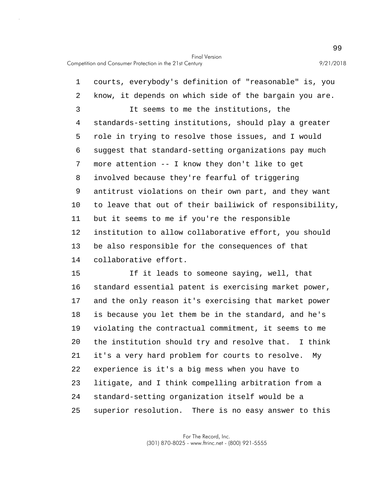5 10 1 courts, everybody's definition of "reasonable" is, you 2 know, it depends on which side of the bargain you are. 3 It seems to me the institutions, the 4 standards-setting institutions, should play a greater role in trying to resolve those issues, and I would 6 suggest that standard-setting organizations pay much 7 more attention -- I know they don't like to get 8 involved because they're fearful of triggering 9 antitrust violations on their own part, and they want to leave that out of their bailiwick of responsibility, 11 but it seems to me if you're the responsible 12 institution to allow collaborative effort, you should 13 be also responsible for the consequences of that 14 collaborative effort.

15 20 25 If it leads to someone saying, well, that 16 standard essential patent is exercising market power, 17 and the only reason it's exercising that market power 18 is because you let them be in the standard, and he's 19 violating the contractual commitment, it seems to me the institution should try and resolve that. I think 21 it's a very hard problem for courts to resolve. My 22 experience is it's a big mess when you have to 23 litigate, and I think compelling arbitration from a 24 standard-setting organization itself would be a superior resolution. There is no easy answer to this

> For The Record, Inc. (301) 870-8025 - www.ftrinc.net - (800) 921-5555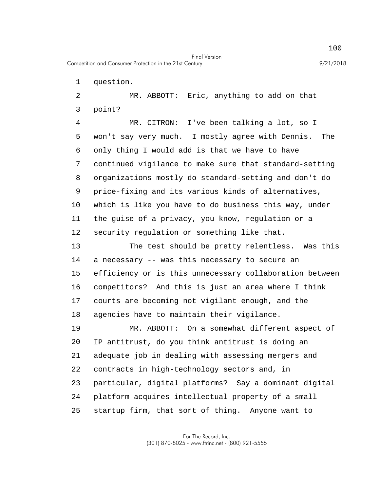1 question.

2 MR. ABBOTT: Eric, anything to add on that 3 point?

5 10 4 MR. CITRON: I've been talking a lot, so I won't say very much. I mostly agree with Dennis. The 6 only thing I would add is that we have to have 7 continued vigilance to make sure that standard-setting 8 organizations mostly do standard-setting and don't do 9 price-fixing and its various kinds of alternatives, which is like you have to do business this way, under 11 the guise of a privacy, you know, regulation or a 12 security regulation or something like that.

15 13 The test should be pretty relentless. Was this 14 a necessary -- was this necessary to secure an efficiency or is this unnecessary collaboration between 16 competitors? And this is just an area where I think 17 courts are becoming not vigilant enough, and the 18 agencies have to maintain their vigilance.

20 25 19 MR. ABBOTT: On a somewhat different aspect of IP antitrust, do you think antitrust is doing an 21 adequate job in dealing with assessing mergers and 22 contracts in high-technology sectors and, in 23 particular, digital platforms? Say a dominant digital 24 platform acquires intellectual property of a small startup firm, that sort of thing. Anyone want to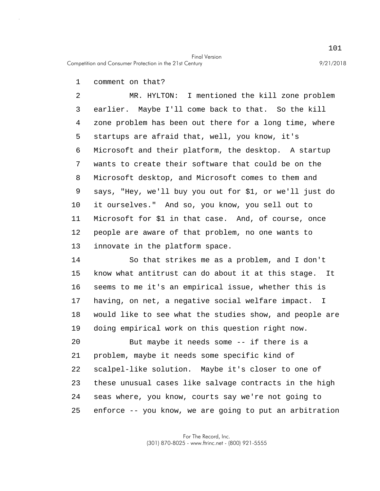Competition and Consumer Protection in the 21st Century 9/21/2018

1 comment on that?

5 10 2 MR. HYLTON: I mentioned the kill zone problem 3 earlier. Maybe I'll come back to that. So the kill 4 zone problem has been out there for a long time, where startups are afraid that, well, you know, it's 6 Microsoft and their platform, the desktop. A startup 7 wants to create their software that could be on the 8 Microsoft desktop, and Microsoft comes to them and 9 says, "Hey, we'll buy you out for \$1, or we'll just do it ourselves." And so, you know, you sell out to 11 Microsoft for \$1 in that case. And, of course, once 12 people are aware of that problem, no one wants to 13 innovate in the platform space.

15 14 So that strikes me as a problem, and I don't know what antitrust can do about it at this stage. It 16 seems to me it's an empirical issue, whether this is 17 having, on net, a negative social welfare impact. I 18 would like to see what the studies show, and people are 19 doing empirical work on this question right now.

20 25 But maybe it needs some -- if there is a 21 problem, maybe it needs some specific kind of 22 scalpel-like solution. Maybe it's closer to one of 23 these unusual cases like salvage contracts in the high 24 seas where, you know, courts say we're not going to enforce -- you know, we are going to put an arbitration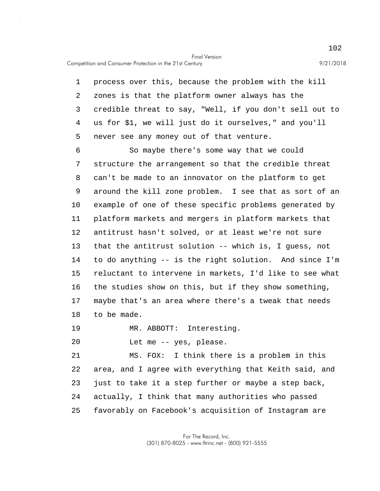Competition and Consumer Protection in the 21st Century 9/21/2018

5 1 process over this, because the problem with the kill 2 zones is that the platform owner always has the 3 credible threat to say, "Well, if you don't sell out to 4 us for \$1, we will just do it ourselves," and you'll never see any money out of that venture.

10 15 6 So maybe there's some way that we could 7 structure the arrangement so that the credible threat 8 can't be made to an innovator on the platform to get 9 around the kill zone problem. I see that as sort of an example of one of these specific problems generated by 11 platform markets and mergers in platform markets that 12 antitrust hasn't solved, or at least we're not sure 13 that the antitrust solution -- which is, I guess, not 14 to do anything -- is the right solution. And since I'm reluctant to intervene in markets, I'd like to see what 16 the studies show on this, but if they show something, 17 maybe that's an area where there's a tweak that needs 18 to be made.

19 MR. ABBOTT: Interesting.

20 Let me -- yes, please.

25 21 MS. FOX: I think there is a problem in this 22 area, and I agree with everything that Keith said, and 23 just to take it a step further or maybe a step back, 24 actually, I think that many authorities who passed favorably on Facebook's acquisition of Instagram are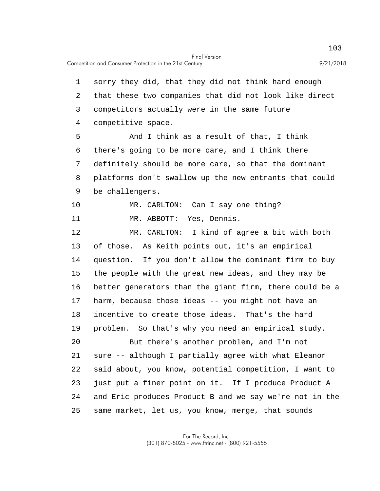5 10 15 20 25 1 sorry they did, that they did not think hard enough 2 that these two companies that did not look like direct 3 competitors actually were in the same future 4 competitive space. And I think as a result of that, I think 6 there's going to be more care, and I think there 7 definitely should be more care, so that the dominant 8 platforms don't swallow up the new entrants that could 9 be challengers. MR. CARLTON: Can I say one thing? 11 MR. ABBOTT: Yes, Dennis. 12 MR. CARLTON: I kind of agree a bit with both 13 of those. As Keith points out, it's an empirical 14 question. If you don't allow the dominant firm to buy the people with the great new ideas, and they may be 16 better generators than the giant firm, there could be a 17 harm, because those ideas -- you might not have an 18 incentive to create those ideas. That's the hard 19 problem. So that's why you need an empirical study. But there's another problem, and I'm not 21 sure -- although I partially agree with what Eleanor 22 said about, you know, potential competition, I want to 23 just put a finer point on it. If I produce Product A 24 and Eric produces Product B and we say we're not in the same market, let us, you know, merge, that sounds

> For The Record, Inc. (301) 870-8025 - www.ftrinc.net - (800) 921-5555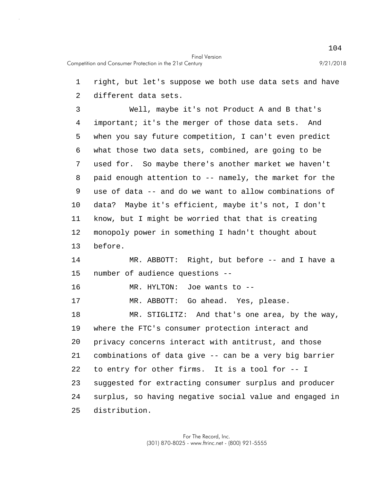1 right, but let's suppose we both use data sets and have

2 different data sets.

5 10 3 Well, maybe it's not Product A and B that's 4 important; it's the merger of those data sets. And when you say future competition, I can't even predict 6 what those two data sets, combined, are going to be 7 used for. So maybe there's another market we haven't 8 paid enough attention to -- namely, the market for the 9 use of data -- and do we want to allow combinations of data? Maybe it's efficient, maybe it's not, I don't 11 know, but I might be worried that that is creating 12 monopoly power in something I hadn't thought about 13 before.

15 14 MR. ABBOTT: Right, but before -- and I have a number of audience questions --

16 MR. HYLTON: Joe wants to --

17 MR. ABBOTT: Go ahead. Yes, please.

20 25 18 MR. STIGLITZ: And that's one area, by the way, 19 where the FTC's consumer protection interact and privacy concerns interact with antitrust, and those 21 combinations of data give -- can be a very big barrier 22 to entry for other firms. It is a tool for -- I 23 suggested for extracting consumer surplus and producer 24 surplus, so having negative social value and engaged in distribution.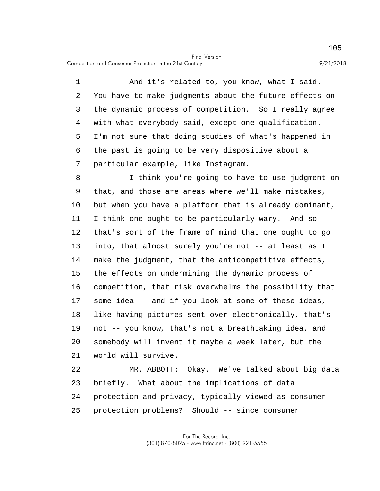Competition and Consumer Protection in the 21st Century 9/21/2018

5 1 And it's related to, you know, what I said. 2 You have to make judgments about the future effects on 3 the dynamic process of competition. So I really agree 4 with what everybody said, except one qualification. I'm not sure that doing studies of what's happened in 6 the past is going to be very dispositive about a 7 particular example, like Instagram.

10 15 20 8 I think you're going to have to use judgment on 9 that, and those are areas where we'll make mistakes, but when you have a platform that is already dominant, 11 I think one ought to be particularly wary. And so 12 that's sort of the frame of mind that one ought to go 13 into, that almost surely you're not -- at least as I 14 make the judgment, that the anticompetitive effects, the effects on undermining the dynamic process of 16 competition, that risk overwhelms the possibility that 17 some idea -- and if you look at some of these ideas, 18 like having pictures sent over electronically, that's 19 not -- you know, that's not a breathtaking idea, and somebody will invent it maybe a week later, but the 21 world will survive.

25 22 MR. ABBOTT: Okay. We've talked about big data 23 briefly. What about the implications of data 24 protection and privacy, typically viewed as consumer protection problems? Should -- since consumer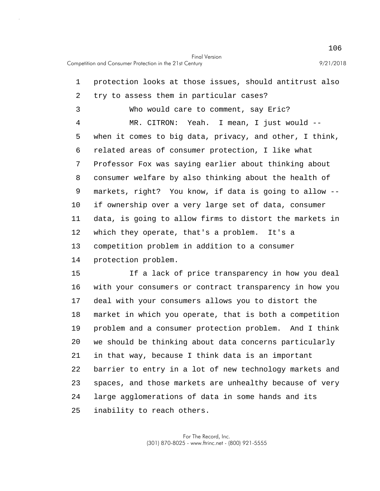5 10 1 protection looks at those issues, should antitrust also 2 try to assess them in particular cases? 3 Who would care to comment, say Eric? 4 MR. CITRON: Yeah. I mean, I just would - when it comes to big data, privacy, and other, I think, 6 related areas of consumer protection, I like what 7 Professor Fox was saying earlier about thinking about 8 consumer welfare by also thinking about the health of 9 markets, right? You know, if data is going to allow - if ownership over a very large set of data, consumer 11 data, is going to allow firms to distort the markets in 12 which they operate, that's a problem. It's a 13 competition problem in addition to a consumer 14 protection problem.

15 20 25 If a lack of price transparency in how you deal 16 with your consumers or contract transparency in how you 17 deal with your consumers allows you to distort the 18 market in which you operate, that is both a competition 19 problem and a consumer protection problem. And I think we should be thinking about data concerns particularly 21 in that way, because I think data is an important 22 barrier to entry in a lot of new technology markets and 23 spaces, and those markets are unhealthy because of very 24 large agglomerations of data in some hands and its inability to reach others.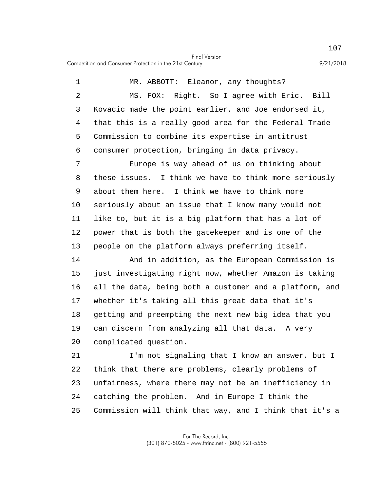Competition and Consumer Protection in the 21st Century 9/21/2018

5 10 15 20 1 MR. ABBOTT: Eleanor, any thoughts? 2 MS. FOX: Right. So I agree with Eric. Bill 3 Kovacic made the point earlier, and Joe endorsed it, 4 that this is a really good area for the Federal Trade Commission to combine its expertise in antitrust 6 consumer protection, bringing in data privacy. 7 Europe is way ahead of us on thinking about 8 these issues. I think we have to think more seriously 9 about them here. I think we have to think more seriously about an issue that I know many would not 11 like to, but it is a big platform that has a lot of 12 power that is both the gatekeeper and is one of the 13 people on the platform always preferring itself. 14 And in addition, as the European Commission is just investigating right now, whether Amazon is taking 16 all the data, being both a customer and a platform, and 17 whether it's taking all this great data that it's 18 getting and preempting the next new big idea that you 19 can discern from analyzing all that data. A very complicated question. 21 I'm not signaling that I know an answer, but I 22 think that there are problems, clearly problems of 23 unfairness, where there may not be an inefficiency in 24 catching the problem. And in Europe I think the

25 Commission will think that way, and I think that it's a

> For The Record, Inc. (301) 870-8025 - www.ftrinc.net - (800) 921-5555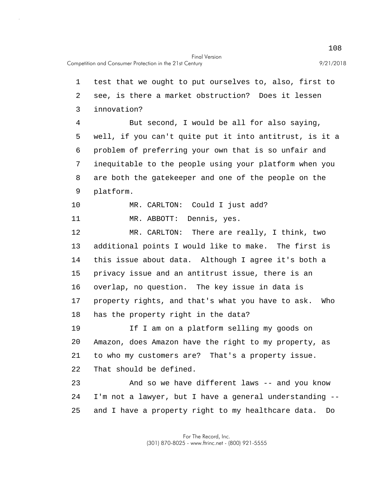5 10 15 20 25 1 test that we ought to put ourselves to, also, first to 2 see, is there a market obstruction? Does it lessen 3 innovation? 4 But second, I would be all for also saying, well, if you can't quite put it into antitrust, is it a 6 problem of preferring your own that is so unfair and 7 inequitable to the people using your platform when you 8 are both the gatekeeper and one of the people on the 9 platform. MR. CARLTON: Could I just add? 11 MR. ABBOTT: Dennis, yes. 12 MR. CARLTON: There are really, I think, two 13 additional points I would like to make. The first is 14 this issue about data. Although I agree it's both a privacy issue and an antitrust issue, there is an 16 overlap, no question. The key issue in data is 17 property rights, and that's what you have to ask. Who 18 has the property right in the data? 19 If I am on a platform selling my goods on Amazon, does Amazon have the right to my property, as 21 to who my customers are? That's a property issue. 22 That should be defined. 23 And so we have different laws -- and you know 24 I'm not a lawyer, but I have a general understanding - and I have a property right to my healthcare data. Do

> For The Record, Inc. (301) 870-8025 - www.ftrinc.net - (800) 921-5555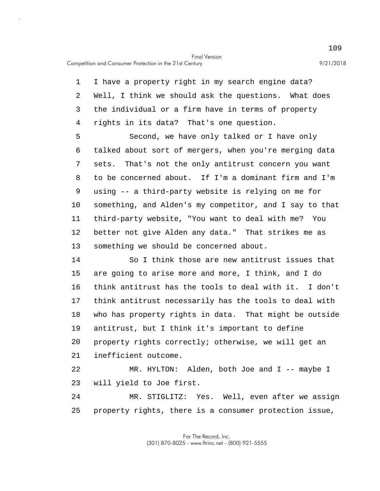Competition and Consumer Protection in the 21st Century 9/21/2018

5 1 I have a property right in my search engine data? 2 Well, I think we should ask the questions. What does 3 the individual or a firm have in terms of property 4 rights in its data? That's one question. Second, we have only talked or I have only 6 talked about sort of mergers, when you're merging data 7 sets. That's not the only antitrust concern you want

10 8 to be concerned about. If I'm a dominant firm and I'm 9 using -- a third-party website is relying on me for something, and Alden's my competitor, and I say to that 11 third-party website, "You want to deal with me? You 12 better not give Alden any data." That strikes me as 13 something we should be concerned about.

15 20 14 So I think those are new antitrust issues that are going to arise more and more, I think, and I do 16 think antitrust has the tools to deal with it. I don't 17 think antitrust necessarily has the tools to deal with 18 who has property rights in data. That might be outside 19 antitrust, but I think it's important to define property rights correctly; otherwise, we will get an 21 inefficient outcome.

22 MR. HYLTON: Alden, both Joe and I -- maybe I 23 will yield to Joe first.

25 24 MR. STIGLITZ: Yes. Well, even after we assign property rights, there is a consumer protection issue,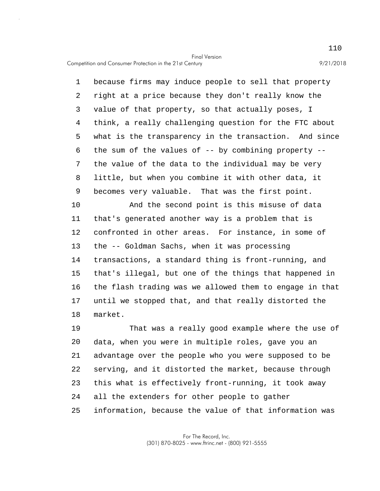Competition and Consumer Protection in the 21st Century 9/21/2018

5 1 because firms may induce people to sell that property 2 right at a price because they don't really know the 3 value of that property, so that actually poses, I 4 think, a really challenging question for the FTC about what is the transparency in the transaction. And since 6 the sum of the values of -- by combining property -- 7 the value of the data to the individual may be very 8 little, but when you combine it with other data, it 9 becomes very valuable. That was the first point.

10 15 And the second point is this misuse of data 11 that's generated another way is a problem that is 12 confronted in other areas. For instance, in some of 13 the -- Goldman Sachs, when it was processing 14 transactions, a standard thing is front-running, and that's illegal, but one of the things that happened in 16 the flash trading was we allowed them to engage in that 17 until we stopped that, and that really distorted the 18 market.

20 25 19 That was a really good example where the use of data, when you were in multiple roles, gave you an 21 advantage over the people who you were supposed to be 22 serving, and it distorted the market, because through 23 this what is effectively front-running, it took away 24 all the extenders for other people to gather information, because the value of that information was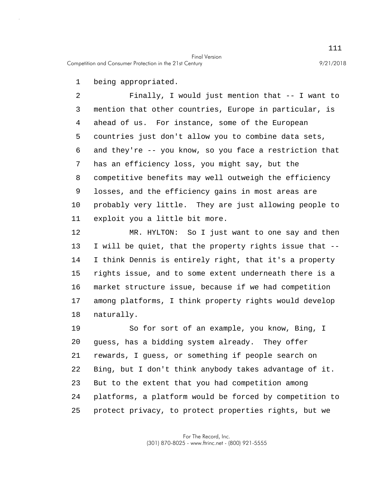1 being appropriated.

5 10 2 Finally, I would just mention that -- I want to 3 mention that other countries, Europe in particular, is 4 ahead of us. For instance, some of the European countries just don't allow you to combine data sets, 6 and they're -- you know, so you face a restriction that 7 has an efficiency loss, you might say, but the 8 competitive benefits may well outweigh the efficiency 9 losses, and the efficiency gains in most areas are probably very little. They are just allowing people to 11 exploit you a little bit more.

15 12 MR. HYLTON: So I just want to one say and then 13 I will be quiet, that the property rights issue that -- 14 I think Dennis is entirely right, that it's a property rights issue, and to some extent underneath there is a 16 market structure issue, because if we had competition 17 among platforms, I think property rights would develop 18 naturally.

20 25 19 So for sort of an example, you know, Bing, I guess, has a bidding system already. They offer 21 rewards, I guess, or something if people search on 22 Bing, but I don't think anybody takes advantage of it. 23 But to the extent that you had competition among 24 platforms, a platform would be forced by competition to protect privacy, to protect properties rights, but we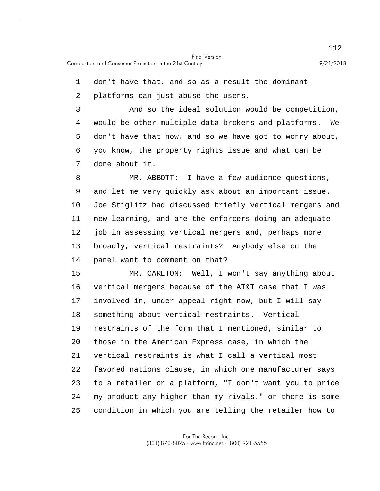1 don't have that, and so as a result the dominant

2 platforms can just abuse the users.

5 3 And so the ideal solution would be competition, 4 would be other multiple data brokers and platforms. We don't have that now, and so we have got to worry about, 6 you know, the property rights issue and what can be 7 done about it.

10 8 MR. ABBOTT: I have a few audience questions, 9 and let me very quickly ask about an important issue. Joe Stiglitz had discussed briefly vertical mergers and 11 new learning, and are the enforcers doing an adequate 12 job in assessing vertical mergers and, perhaps more 13 broadly, vertical restraints? Anybody else on the 14 panel want to comment on that?

15 20 25 MR. CARLTON: Well, I won't say anything about 16 vertical mergers because of the AT&T case that I was 17 involved in, under appeal right now, but I will say 18 something about vertical restraints. Vertical 19 restraints of the form that I mentioned, similar to those in the American Express case, in which the 21 vertical restraints is what I call a vertical most 22 favored nations clause, in which one manufacturer says 23 to a retailer or a platform, "I don't want you to price 24 my product any higher than my rivals," or there is some condition in which you are telling the retailer how to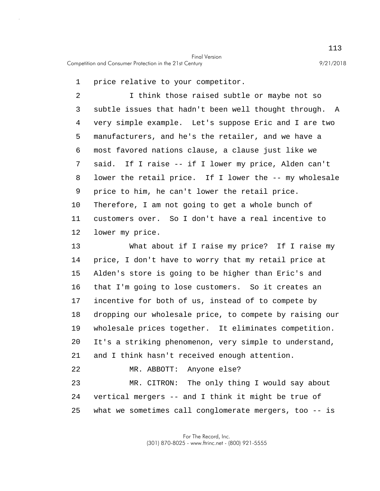25

1 price relative to your competitor.

5 10 2 I think those raised subtle or maybe not so 3 subtle issues that hadn't been well thought through. A 4 very simple example. Let's suppose Eric and I are two manufacturers, and he's the retailer, and we have a 6 most favored nations clause, a clause just like we 7 said. If I raise -- if I lower my price, Alden can't 8 lower the retail price. If I lower the -- my wholesale 9 price to him, he can't lower the retail price. Therefore, I am not going to get a whole bunch of 11 customers over. So I don't have a real incentive to 12 lower my price.

15 20 13 What about if I raise my price? If I raise my 14 price, I don't have to worry that my retail price at Alden's store is going to be higher than Eric's and 16 that I'm going to lose customers. So it creates an 17 incentive for both of us, instead of to compete by 18 dropping our wholesale price, to compete by raising our 19 wholesale prices together. It eliminates competition. It's a striking phenomenon, very simple to understand, 21 and I think hasn't received enough attention. 22 MR. ABBOTT: Anyone else? 23 MR. CITRON: The only thing I would say about 24 vertical mergers -- and I think it might be true of

what we sometimes call conglomerate mergers, too -- is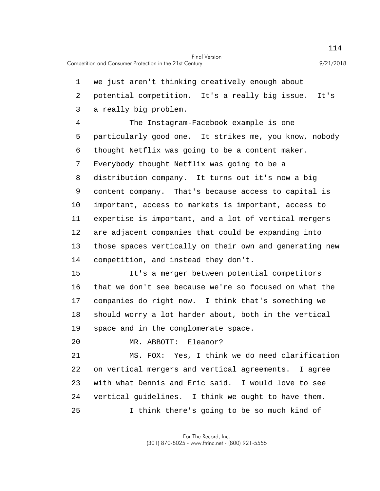5 10 15 1 we just aren't thinking creatively enough about 2 potential competition. It's a really big issue. It's 3 a really big problem. 4 The Instagram-Facebook example is one particularly good one. It strikes me, you know, nobody 6 thought Netflix was going to be a content maker. 7 Everybody thought Netflix was going to be a 8 distribution company. It turns out it's now a big 9 content company. That's because access to capital is important, access to markets is important, access to 11 expertise is important, and a lot of vertical mergers 12 are adjacent companies that could be expanding into 13 those spaces vertically on their own and generating new 14 competition, and instead they don't. It's a merger between potential competitors

16 that we don't see because we're so focused on what the 17 companies do right now. I think that's something we 18 should worry a lot harder about, both in the vertical 19 space and in the conglomerate space.

20 MR. ABBOTT: Eleanor?

25 21 MS. FOX: Yes, I think we do need clarification 22 on vertical mergers and vertical agreements. I agree 23 with what Dennis and Eric said. I would love to see 24 vertical guidelines. I think we ought to have them. I think there's going to be so much kind of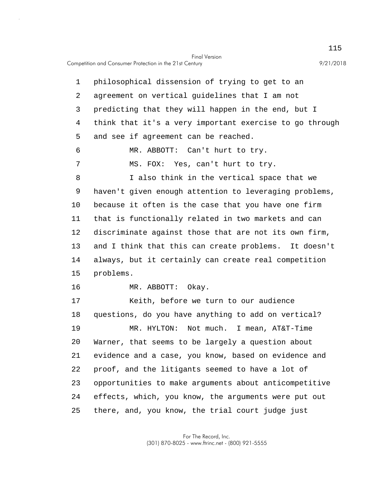5 10 15 20 25 1 philosophical dissension of trying to get to an 2 agreement on vertical guidelines that I am not 3 predicting that they will happen in the end, but I 4 think that it's a very important exercise to go through and see if agreement can be reached. 6 MR. ABBOTT: Can't hurt to try. 7 MS. FOX: Yes, can't hurt to try. 8 I also think in the vertical space that we 9 haven't given enough attention to leveraging problems, because it often is the case that you have one firm 11 that is functionally related in two markets and can 12 discriminate against those that are not its own firm, 13 and I think that this can create problems. It doesn't 14 always, but it certainly can create real competition problems. 16 MR. ABBOTT: Okay. 17 Keith, before we turn to our audience 18 questions, do you have anything to add on vertical? 19 MR. HYLTON: Not much. I mean, AT&T-Time Warner, that seems to be largely a question about 21 evidence and a case, you know, based on evidence and 22 proof, and the litigants seemed to have a lot of 23 opportunities to make arguments about anticompetitive 24 effects, which, you know, the arguments were put out there, and, you know, the trial court judge just

> For The Record, Inc. (301) 870-8025 - www.ftrinc.net - (800) 921-5555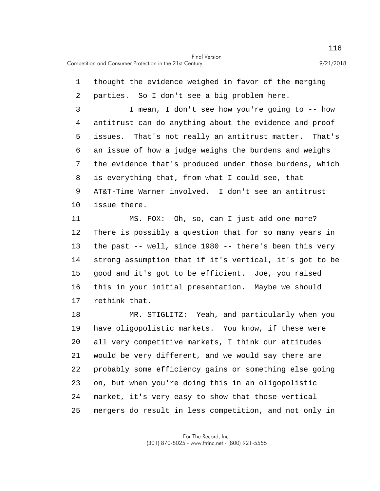5 10 15 20 1 thought the evidence weighed in favor of the merging 2 parties. So I don't see a big problem here. 3 I mean, I don't see how you're going to -- how 4 antitrust can do anything about the evidence and proof issues. That's not really an antitrust matter. That's 6 an issue of how a judge weighs the burdens and weighs 7 the evidence that's produced under those burdens, which 8 is everything that, from what I could see, that 9 AT&T-Time Warner involved. I don't see an antitrust issue there. 11 MS. FOX: Oh, so, can I just add one more? 12 There is possibly a question that for so many years in 13 the past -- well, since 1980 -- there's been this very 14 strong assumption that if it's vertical, it's got to be good and it's got to be efficient. Joe, you raised 16 this in your initial presentation. Maybe we should 17 rethink that. 18 MR. STIGLITZ: Yeah, and particularly when you 19 have oligopolistic markets. You know, if these were all very competitive markets, I think our attitudes 21 would be very different, and we would say there are 22 probably some efficiency gains or something else going

25 mergers do result in less competition, and not only in

23 on, but when you're doing this in an oligopolistic

24 market, it's very easy to show that those vertical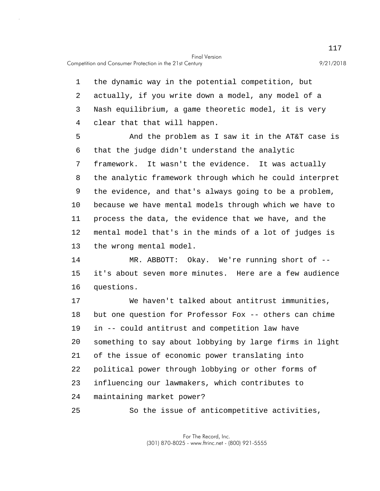Competition and Consumer Protection in the 21st Century 9/21/2018

1 the dynamic way in the potential competition, but 2 actually, if you write down a model, any model of a 3 Nash equilibrium, a game theoretic model, it is very 4 clear that that will happen.

5 10 And the problem as I saw it in the AT&T case is 6 that the judge didn't understand the analytic 7 framework. It wasn't the evidence. It was actually 8 the analytic framework through which he could interpret 9 the evidence, and that's always going to be a problem, because we have mental models through which we have to 11 process the data, the evidence that we have, and the 12 mental model that's in the minds of a lot of judges is 13 the wrong mental model.

15 14 MR. ABBOTT: Okay. We're running short of - it's about seven more minutes. Here are a few audience 16 questions.

20 17 We haven't talked about antitrust immunities, 18 but one question for Professor Fox -- others can chime 19 in -- could antitrust and competition law have something to say about lobbying by large firms in light 21 of the issue of economic power translating into 22 political power through lobbying or other forms of 23 influencing our lawmakers, which contributes to 24 maintaining market power?

25 So the issue of anticompetitive activities,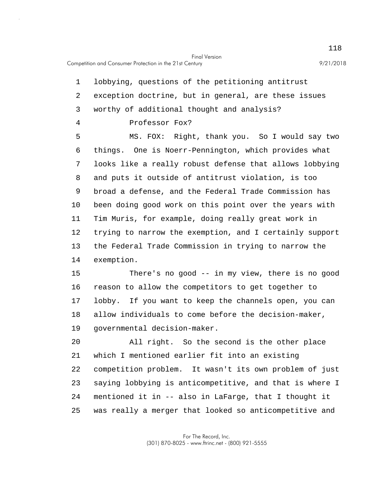5 10 15 1 lobbying, questions of the petitioning antitrust 2 exception doctrine, but in general, are these issues 3 worthy of additional thought and analysis? 4 Professor Fox? MS. FOX: Right, thank you. So I would say two 6 things. One is Noerr-Pennington, which provides what 7 looks like a really robust defense that allows lobbying 8 and puts it outside of antitrust violation, is too 9 broad a defense, and the Federal Trade Commission has been doing good work on this point over the years with 11 Tim Muris, for example, doing really great work in 12 trying to narrow the exemption, and I certainly support 13 the Federal Trade Commission in trying to narrow the 14 exemption. There's no good -- in my view, there is no good

16 reason to allow the competitors to get together to 17 lobby. If you want to keep the channels open, you can 18 allow individuals to come before the decision-maker, 19 governmental decision-maker.

20 25 All right. So the second is the other place 21 which I mentioned earlier fit into an existing 22 competition problem. It wasn't its own problem of just 23 saying lobbying is anticompetitive, and that is where I 24 mentioned it in -- also in LaFarge, that I thought it was really a merger that looked so anticompetitive and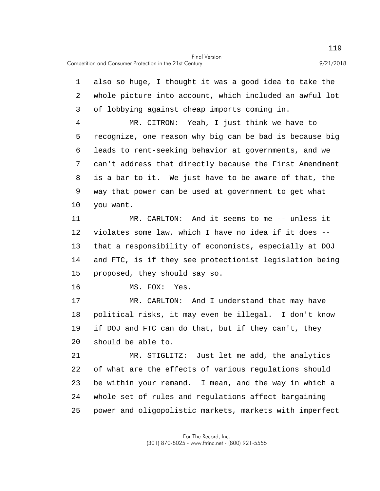5 10 15 20 1 also so huge, I thought it was a good idea to take the 2 whole picture into account, which included an awful lot 3 of lobbying against cheap imports coming in. 4 MR. CITRON: Yeah, I just think we have to recognize, one reason why big can be bad is because big 6 leads to rent-seeking behavior at governments, and we 7 can't address that directly because the First Amendment 8 is a bar to it. We just have to be aware of that, the 9 way that power can be used at government to get what you want. 11 MR. CARLTON: And it seems to me -- unless it 12 violates some law, which I have no idea if it does -- 13 that a responsibility of economists, especially at DOJ 14 and FTC, is if they see protectionist legislation being proposed, they should say so. 16 MS. FOX: Yes. 17 MR. CARLTON: And I understand that may have 18 political risks, it may even be illegal. I don't know 19 if DOJ and FTC can do that, but if they can't, they should be able to. 21 MR. STIGLITZ: Just let me add, the analytics 22 of what are the effects of various regulations should 23 be within your remand. I mean, and the way in which a

25 power and oligopolistic markets, markets with imperfect

24 whole set of rules and regulations affect bargaining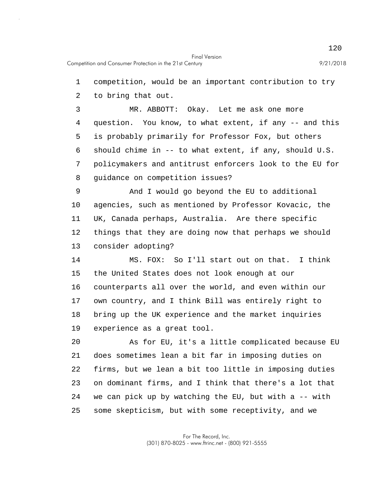1 competition, would be an important contribution to try

2 to bring that out.

5 3 MR. ABBOTT: Okay. Let me ask one more 4 question. You know, to what extent, if any -- and this is probably primarily for Professor Fox, but others 6 should chime in -- to what extent, if any, should U.S. 7 policymakers and antitrust enforcers look to the EU for 8 guidance on competition issues?

10 9 And I would go beyond the EU to additional agencies, such as mentioned by Professor Kovacic, the 11 UK, Canada perhaps, Australia. Are there specific 12 things that they are doing now that perhaps we should 13 consider adopting?

15 14 MS. FOX: So I'll start out on that. I think the United States does not look enough at our 16 counterparts all over the world, and even within our 17 own country, and I think Bill was entirely right to 18 bring up the UK experience and the market inquiries 19 experience as a great tool.

20 25 As for EU, it's a little complicated because EU 21 does sometimes lean a bit far in imposing duties on 22 firms, but we lean a bit too little in imposing duties 23 on dominant firms, and I think that there's a lot that 24 we can pick up by watching the EU, but with a -- with some skepticism, but with some receptivity, and we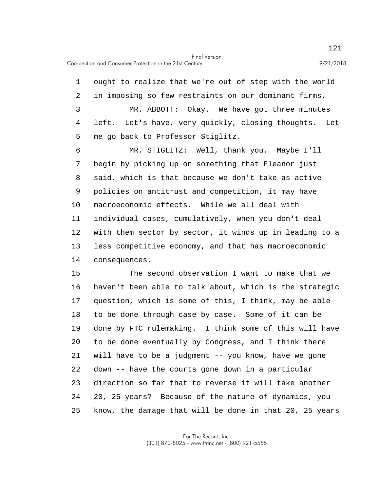5 1 ought to realize that we're out of step with the world 2 in imposing so few restraints on our dominant firms. 3 MR. ABBOTT: Okay. We have got three minutes 4 left. Let's have, very quickly, closing thoughts. Let me go back to Professor Stiglitz. 6 MR. STIGLITZ: Well, thank you. Maybe I'll 7 begin by picking up on something that Eleanor just 8 said, which is that because we don't take as active 9 policies on antitrust and competition, it may have

10 macroeconomic effects. While we all deal with 11 individual cases, cumulatively, when you don't deal 12 with them sector by sector, it winds up in leading to a 13 less competitive economy, and that has macroeconomic 14 consequences.

15 20 25 The second observation I want to make that we 16 haven't been able to talk about, which is the strategic 17 question, which is some of this, I think, may be able 18 to be done through case by case. Some of it can be 19 done by FTC rulemaking. I think some of this will have to be done eventually by Congress, and I think there 21 will have to be a judgment -- you know, have we gone 22 down -- have the courts gone down in a particular 23 direction so far that to reverse it will take another 24 20, 25 years? Because of the nature of dynamics, you know, the damage that will be done in that 20, 25 years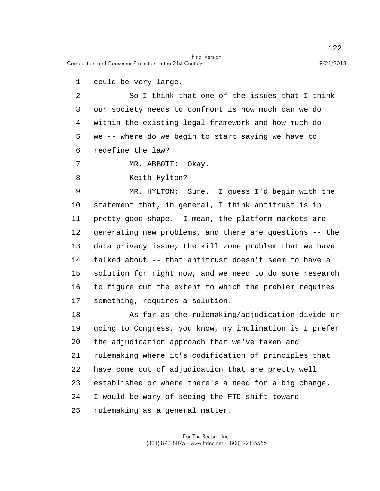Competition and Consumer Protection in the 21st Century 9/21/2018

1 could be very large.

5 2 So I think that one of the issues that I think 3 our society needs to confront is how much can we do 4 within the existing legal framework and how much do we -- where do we begin to start saying we have to 6 redefine the law?

7 MR. ABBOTT: Okay.

8 Keith Hylton?

10 15 9 MR. HYLTON: Sure. I guess I'd begin with the statement that, in general, I think antitrust is in 11 pretty good shape. I mean, the platform markets are 12 generating new problems, and there are questions -- the 13 data privacy issue, the kill zone problem that we have 14 talked about -- that antitrust doesn't seem to have a solution for right now, and we need to do some research 16 to figure out the extent to which the problem requires 17 something, requires a solution.

20 25 18 As far as the rulemaking/adjudication divide or 19 going to Congress, you know, my inclination is I prefer the adjudication approach that we've taken and 21 rulemaking where it's codification of principles that 22 have come out of adjudication that are pretty well 23 established or where there's a need for a big change. 24 I would be wary of seeing the FTC shift toward rulemaking as a general matter.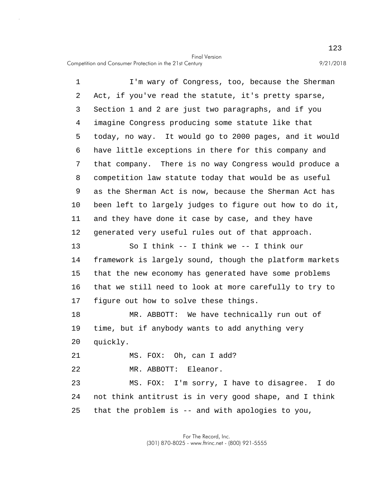Competition and Consumer Protection in the 21st Century 9/21/2018

5 10 15 20 1 I'm wary of Congress, too, because the Sherman 2 Act, if you've read the statute, it's pretty sparse, 3 Section 1 and 2 are just two paragraphs, and if you 4 imagine Congress producing some statute like that today, no way. It would go to 2000 pages, and it would 6 have little exceptions in there for this company and 7 that company. There is no way Congress would produce a 8 competition law statute today that would be as useful 9 as the Sherman Act is now, because the Sherman Act has been left to largely judges to figure out how to do it, 11 and they have done it case by case, and they have 12 generated very useful rules out of that approach. 13 So I think -- I think we -- I think our 14 framework is largely sound, though the platform markets that the new economy has generated have some problems 16 that we still need to look at more carefully to try to 17 figure out how to solve these things. 18 MR. ABBOTT: We have technically run out of 19 time, but if anybody wants to add anything very quickly. 21 MS. FOX: Oh, can I add? 22 MR. ABBOTT: Eleanor. 23 MS. FOX: I'm sorry, I have to disagree. I do

25 24 not think antitrust is in very good shape, and I think that the problem is -- and with apologies to you,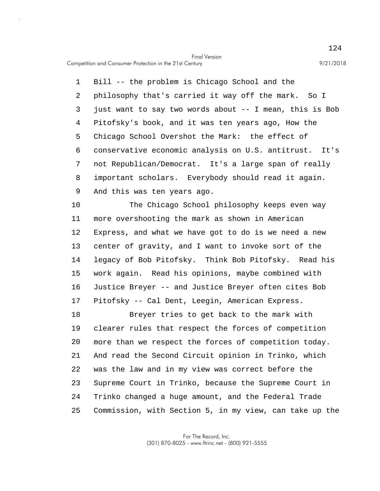Competition and Consumer Protection in the 21st Century 9/21/2018

5 1 Bill -- the problem is Chicago School and the 2 philosophy that's carried it way off the mark. So I 3 just want to say two words about -- I mean, this is Bob 4 Pitofsky's book, and it was ten years ago, How the Chicago School Overshot the Mark: the effect of 6 conservative economic analysis on U.S. antitrust. It's 7 not Republican/Democrat. It's a large span of really 8 important scholars. Everybody should read it again. 9 And this was ten years ago.

10 15 The Chicago School philosophy keeps even way 11 more overshooting the mark as shown in American 12 Express, and what we have got to do is we need a new 13 center of gravity, and I want to invoke sort of the 14 legacy of Bob Pitofsky. Think Bob Pitofsky. Read his work again. Read his opinions, maybe combined with 16 Justice Breyer -- and Justice Breyer often cites Bob 17 Pitofsky -- Cal Dent, Leegin, American Express.

20 25 18 Breyer tries to get back to the mark with 19 clearer rules that respect the forces of competition more than we respect the forces of competition today. 21 And read the Second Circuit opinion in Trinko, which 22 was the law and in my view was correct before the 23 Supreme Court in Trinko, because the Supreme Court in 24 Trinko changed a huge amount, and the Federal Trade Commission, with Section 5, in my view, can take up the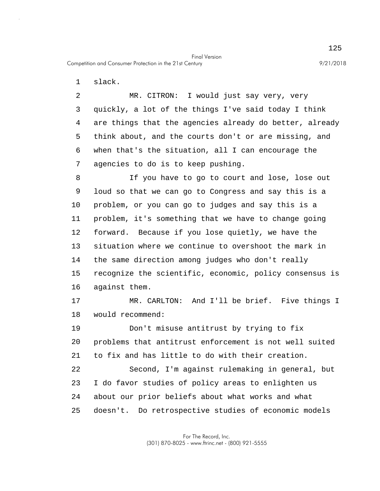1 slack.

5 2 MR. CITRON: I would just say very, very 3 quickly, a lot of the things I've said today I think 4 are things that the agencies already do better, already think about, and the courts don't or are missing, and 6 when that's the situation, all I can encourage the 7 agencies to do is to keep pushing.

Final Version

10 15 8 If you have to go to court and lose, lose out 9 loud so that we can go to Congress and say this is a problem, or you can go to judges and say this is a 11 problem, it's something that we have to change going 12 forward. Because if you lose quietly, we have the 13 situation where we continue to overshoot the mark in 14 the same direction among judges who don't really recognize the scientific, economic, policy consensus is 16 against them.

17 MR. CARLTON: And I'll be brief. Five things I 18 would recommend:

20 19 Don't misuse antitrust by trying to fix problems that antitrust enforcement is not well suited 21 to fix and has little to do with their creation.

25 22 Second, I'm against rulemaking in general, but 23 I do favor studies of policy areas to enlighten us 24 about our prior beliefs about what works and what doesn't. Do retrospective studies of economic models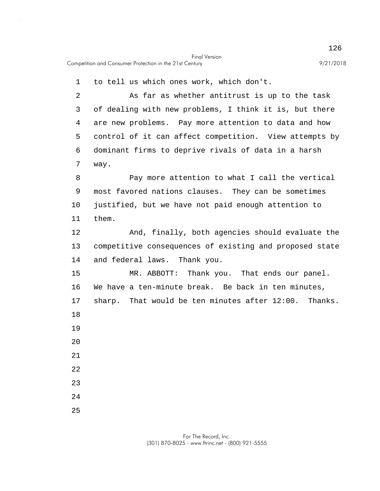1 to tell us which ones work, which don't.

5 2 As far as whether antitrust is up to the task 3 of dealing with new problems, I think it is, but there 4 are new problems. Pay more attention to data and how control of it can affect competition. View attempts by 6 dominant firms to deprive rivals of data in a harsh 7 way.

10 8 Pay more attention to what I call the vertical 9 most favored nations clauses. They can be sometimes justified, but we have not paid enough attention to 11 them.

12 And, finally, both agencies should evaluate the 13 competitive consequences of existing and proposed state 14 and federal laws. Thank you.

15 20 MR. ABBOTT: Thank you. That ends our panel. 16 We have a ten-minute break. Be back in ten minutes, 17 sharp. That would be ten minutes after 12:00. Thanks. 18 19 21 22

23

24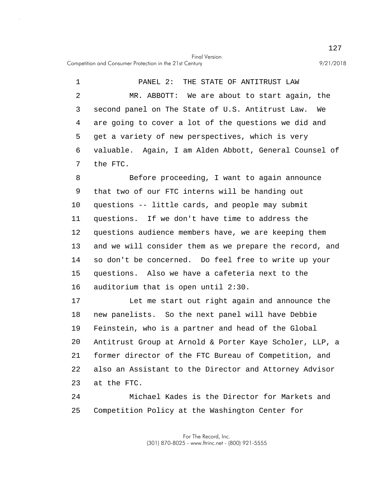Competition and Consumer Protection in the 21st Century 9/21/2018

5 1 PANEL 2: THE STATE OF ANTITRUST LAW 2 MR. ABBOTT: We are about to start again, the 3 second panel on The State of U.S. Antitrust Law. We 4 are going to cover a lot of the questions we did and get a variety of new perspectives, which is very 6 valuable. Again, I am Alden Abbott, General Counsel of 7 the FTC.

10 15 8 Before proceeding, I want to again announce 9 that two of our FTC interns will be handing out questions -- little cards, and people may submit 11 questions. If we don't have time to address the 12 questions audience members have, we are keeping them 13 and we will consider them as we prepare the record, and 14 so don't be concerned. Do feel free to write up your questions. Also we have a cafeteria next to the 16 auditorium that is open until 2:30.

20 17 Let me start out right again and announce the 18 new panelists. So the next panel will have Debbie 19 Feinstein, who is a partner and head of the Global Antitrust Group at Arnold & Porter Kaye Scholer, LLP, a 21 former director of the FTC Bureau of Competition, and 22 also an Assistant to the Director and Attorney Advisor 23 at the FTC.

25 24 Michael Kades is the Director for Markets and Competition Policy at the Washington Center for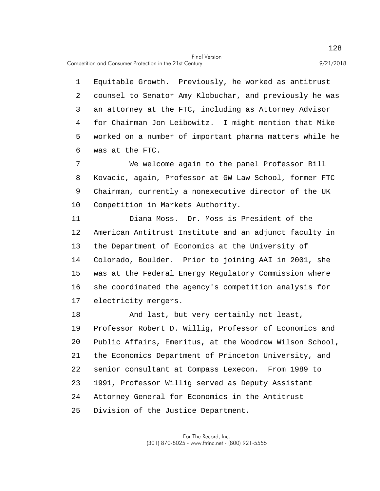5 1 Equitable Growth. Previously, he worked as antitrust 2 counsel to Senator Amy Klobuchar, and previously he was 3 an attorney at the FTC, including as Attorney Advisor 4 for Chairman Jon Leibowitz. I might mention that Mike worked on a number of important pharma matters while he 6 was at the FTC.

10 7 We welcome again to the panel Professor Bill 8 Kovacic, again, Professor at GW Law School, former FTC 9 Chairman, currently a nonexecutive director of the UK Competition in Markets Authority.

15 11 Diana Moss. Dr. Moss is President of the 12 American Antitrust Institute and an adjunct faculty in 13 the Department of Economics at the University of 14 Colorado, Boulder. Prior to joining AAI in 2001, she was at the Federal Energy Regulatory Commission where 16 she coordinated the agency's competition analysis for 17 electricity mergers.

20 25 18 And last, but very certainly not least, 19 Professor Robert D. Willig, Professor of Economics and Public Affairs, Emeritus, at the Woodrow Wilson School, 21 the Economics Department of Princeton University, and 22 senior consultant at Compass Lexecon. From 1989 to 23 1991, Professor Willig served as Deputy Assistant 24 Attorney General for Economics in the Antitrust Division of the Justice Department.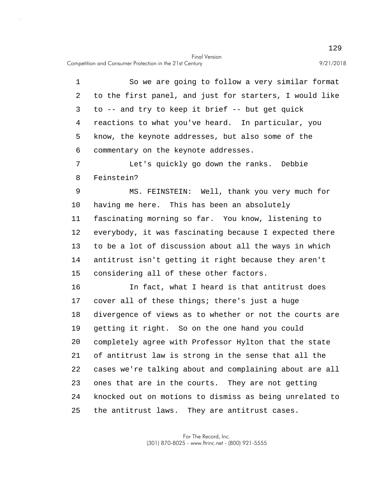Competition and Consumer Protection in the 21st Century 9/21/2018

5 10 15 20 25 1 So we are going to follow a very similar format 2 to the first panel, and just for starters, I would like 3 to -- and try to keep it brief -- but get quick 4 reactions to what you've heard. In particular, you know, the keynote addresses, but also some of the 6 commentary on the keynote addresses. 7 Let's quickly go down the ranks. Debbie 8 Feinstein? 9 MS. FEINSTEIN: Well, thank you very much for having me here. This has been an absolutely 11 fascinating morning so far. You know, listening to 12 everybody, it was fascinating because I expected there 13 to be a lot of discussion about all the ways in which 14 antitrust isn't getting it right because they aren't considering all of these other factors. 16 In fact, what I heard is that antitrust does 17 cover all of these things; there's just a huge 18 divergence of views as to whether or not the courts are 19 getting it right. So on the one hand you could completely agree with Professor Hylton that the state 21 of antitrust law is strong in the sense that all the 22 cases we're talking about and complaining about are all 23 ones that are in the courts. They are not getting 24 knocked out on motions to dismiss as being unrelated to the antitrust laws. They are antitrust cases.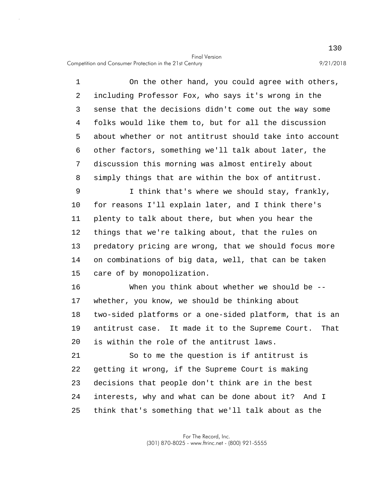5 1 On the other hand, you could agree with others, 2 including Professor Fox, who says it's wrong in the 3 sense that the decisions didn't come out the way some 4 folks would like them to, but for all the discussion about whether or not antitrust should take into account 6 other factors, something we'll talk about later, the 7 discussion this morning was almost entirely about 8 simply things that are within the box of antitrust.

10 15 9 I think that's where we should stay, frankly, for reasons I'll explain later, and I think there's 11 plenty to talk about there, but when you hear the 12 things that we're talking about, that the rules on 13 predatory pricing are wrong, that we should focus more 14 on combinations of big data, well, that can be taken care of by monopolization.

20 16 When you think about whether we should be -- 17 whether, you know, we should be thinking about 18 two-sided platforms or a one-sided platform, that is an 19 antitrust case. It made it to the Supreme Court. That is within the role of the antitrust laws.

25 21 So to me the question is if antitrust is 22 getting it wrong, if the Supreme Court is making 23 decisions that people don't think are in the best 24 interests, why and what can be done about it? And I think that's something that we'll talk about as the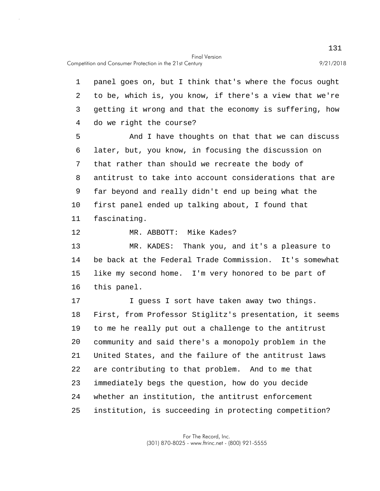5 10 15 20 25 1 panel goes on, but I think that's where the focus ought 2 to be, which is, you know, if there's a view that we're 3 getting it wrong and that the economy is suffering, how 4 do we right the course? And I have thoughts on that that we can discuss 6 later, but, you know, in focusing the discussion on 7 that rather than should we recreate the body of 8 antitrust to take into account considerations that are 9 far beyond and really didn't end up being what the first panel ended up talking about, I found that 11 fascinating. 12 MR. ABBOTT: Mike Kades? 13 MR. KADES: Thank you, and it's a pleasure to 14 be back at the Federal Trade Commission. It's somewhat like my second home. I'm very honored to be part of 16 this panel. 17 I guess I sort have taken away two things. 18 First, from Professor Stiglitz's presentation, it seems 19 to me he really put out a challenge to the antitrust community and said there's a monopoly problem in the 21 United States, and the failure of the antitrust laws 22 are contributing to that problem. And to me that 23 immediately begs the question, how do you decide 24 whether an institution, the antitrust enforcement institution, is succeeding in protecting competition?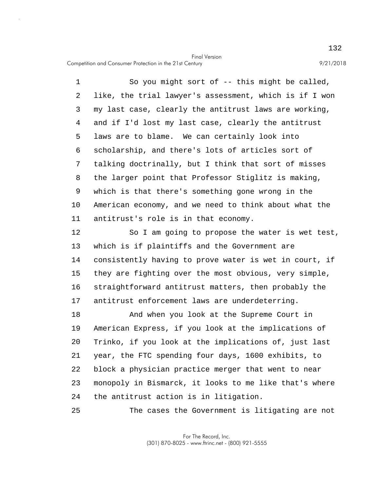Competition and Consumer Protection in the 21st Century 9/21/2018

25

5 10 1 So you might sort of -- this might be called, 2 like, the trial lawyer's assessment, which is if I won 3 my last case, clearly the antitrust laws are working, 4 and if I'd lost my last case, clearly the antitrust laws are to blame. We can certainly look into 6 scholarship, and there's lots of articles sort of 7 talking doctrinally, but I think that sort of misses 8 the larger point that Professor Stiglitz is making, 9 which is that there's something gone wrong in the American economy, and we need to think about what the 11 antitrust's role is in that economy.

15 12 So I am going to propose the water is wet test, 13 which is if plaintiffs and the Government are 14 consistently having to prove water is wet in court, if they are fighting over the most obvious, very simple, 16 straightforward antitrust matters, then probably the 17 antitrust enforcement laws are underdeterring.

20 18 And when you look at the Supreme Court in 19 American Express, if you look at the implications of Trinko, if you look at the implications of, just last 21 year, the FTC spending four days, 1600 exhibits, to 22 block a physician practice merger that went to near 23 monopoly in Bismarck, it looks to me like that's where 24 the antitrust action is in litigation.

The cases the Government is litigating are not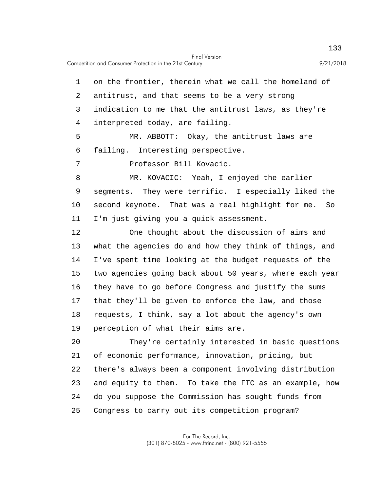5 10 15 20 1 on the frontier, therein what we call the homeland of 2 antitrust, and that seems to be a very strong 3 indication to me that the antitrust laws, as they're 4 interpreted today, are failing. MR. ABBOTT: Okay, the antitrust laws are 6 failing. Interesting perspective. 7 Professor Bill Kovacic. 8 MR. KOVACIC: Yeah, I enjoyed the earlier 9 segments. They were terrific. I especially liked the second keynote. That was a real highlight for me. So 11 I'm just giving you a quick assessment. 12 One thought about the discussion of aims and 13 what the agencies do and how they think of things, and 14 I've spent time looking at the budget requests of the two agencies going back about 50 years, where each year 16 they have to go before Congress and justify the sums 17 that they'll be given to enforce the law, and those 18 requests, I think, say a lot about the agency's own 19 perception of what their aims are. They're certainly interested in basic questions 21 of economic performance, innovation, pricing, but 22 there's always been a component involving distribution 23 and equity to them. To take the FTC as an example, how 24 do you suppose the Commission has sought funds from

25 Congress to carry out its competition program?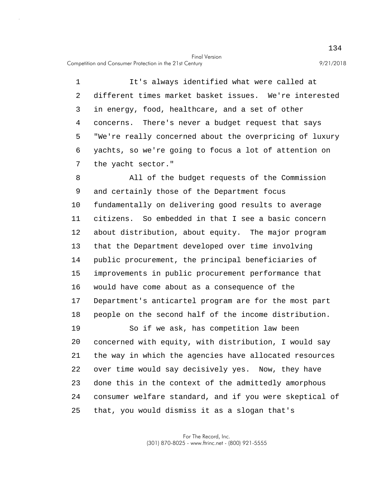Competition and Consumer Protection in the 21st Century 9/21/2018

5 1 It's always identified what were called at 2 different times market basket issues. We're interested 3 in energy, food, healthcare, and a set of other 4 concerns. There's never a budget request that says "We're really concerned about the overpricing of luxury 6 yachts, so we're going to focus a lot of attention on 7 the yacht sector."

10 15 8 All of the budget requests of the Commission 9 and certainly those of the Department focus fundamentally on delivering good results to average 11 citizens. So embedded in that I see a basic concern 12 about distribution, about equity. The major program 13 that the Department developed over time involving 14 public procurement, the principal beneficiaries of improvements in public procurement performance that 16 would have come about as a consequence of the 17 Department's anticartel program are for the most part 18 people on the second half of the income distribution.

20 25 19 So if we ask, has competition law been concerned with equity, with distribution, I would say 21 the way in which the agencies have allocated resources 22 over time would say decisively yes. Now, they have 23 done this in the context of the admittedly amorphous 24 consumer welfare standard, and if you were skeptical of that, you would dismiss it as a slogan that's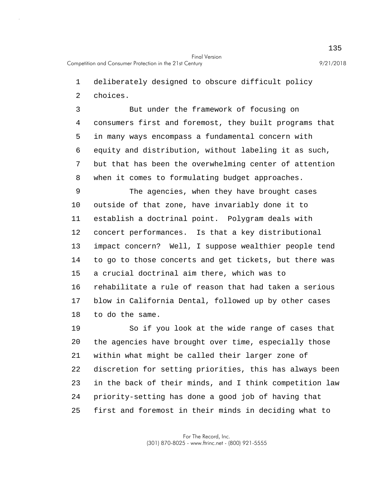1 deliberately designed to obscure difficult policy

2 choices.

5 3 But under the framework of focusing on 4 consumers first and foremost, they built programs that in many ways encompass a fundamental concern with 6 equity and distribution, without labeling it as such, 7 but that has been the overwhelming center of attention 8 when it comes to formulating budget approaches.

10 15 9 The agencies, when they have brought cases outside of that zone, have invariably done it to 11 establish a doctrinal point. Polygram deals with 12 concert performances. Is that a key distributional 13 impact concern? Well, I suppose wealthier people tend 14 to go to those concerts and get tickets, but there was a crucial doctrinal aim there, which was to 16 rehabilitate a rule of reason that had taken a serious 17 blow in California Dental, followed up by other cases 18 to do the same.

20 25 19 So if you look at the wide range of cases that the agencies have brought over time, especially those 21 within what might be called their larger zone of 22 discretion for setting priorities, this has always been 23 in the back of their minds, and I think competition law 24 priority-setting has done a good job of having that first and foremost in their minds in deciding what to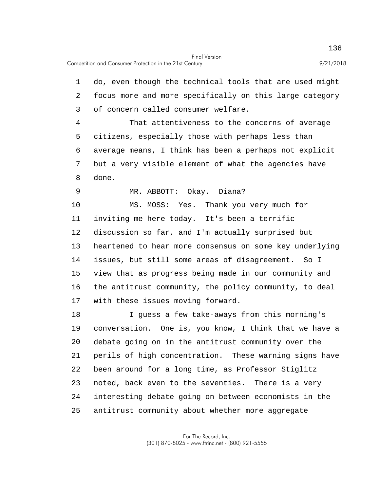5 10 15 20 25 1 do, even though the technical tools that are used might 2 focus more and more specifically on this large category 3 of concern called consumer welfare. 4 That attentiveness to the concerns of average citizens, especially those with perhaps less than 6 average means, I think has been a perhaps not explicit 7 but a very visible element of what the agencies have 8 done. 9 MR. ABBOTT: Okay. Diana? MS. MOSS: Yes. Thank you very much for 11 inviting me here today. It's been a terrific 12 discussion so far, and I'm actually surprised but 13 heartened to hear more consensus on some key underlying 14 issues, but still some areas of disagreement. So I view that as progress being made in our community and 16 the antitrust community, the policy community, to deal 17 with these issues moving forward. 18 I guess a few take-aways from this morning's 19 conversation. One is, you know, I think that we have a debate going on in the antitrust community over the 21 perils of high concentration. These warning signs have 22 been around for a long time, as Professor Stiglitz 23 noted, back even to the seventies. There is a very 24 interesting debate going on between economists in the antitrust community about whether more aggregate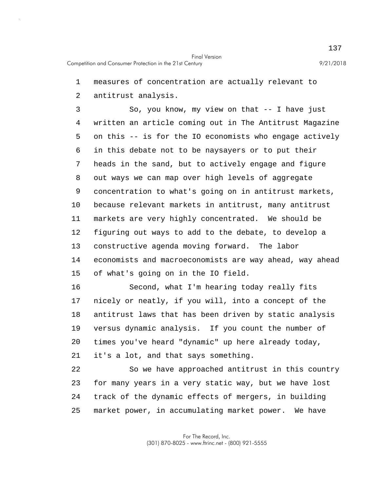1 measures of concentration are actually relevant to

2 antitrust analysis.

5 10 15 3 So, you know, my view on that -- I have just 4 written an article coming out in The Antitrust Magazine on this -- is for the IO economists who engage actively 6 in this debate not to be naysayers or to put their 7 heads in the sand, but to actively engage and figure 8 out ways we can map over high levels of aggregate 9 concentration to what's going on in antitrust markets, because relevant markets in antitrust, many antitrust 11 markets are very highly concentrated. We should be 12 figuring out ways to add to the debate, to develop a 13 constructive agenda moving forward. The labor 14 economists and macroeconomists are way ahead, way ahead of what's going on in the IO field.

20 16 Second, what I'm hearing today really fits 17 nicely or neatly, if you will, into a concept of the 18 antitrust laws that has been driven by static analysis 19 versus dynamic analysis. If you count the number of times you've heard "dynamic" up here already today, 21 it's a lot, and that says something.

25 22 So we have approached antitrust in this country 23 for many years in a very static way, but we have lost 24 track of the dynamic effects of mergers, in building market power, in accumulating market power. We have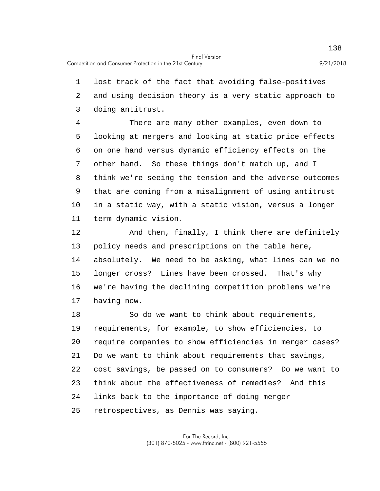1 lost track of the fact that avoiding false-positives 2 and using decision theory is a very static approach to 3 doing antitrust.

5 10 4 There are many other examples, even down to looking at mergers and looking at static price effects 6 on one hand versus dynamic efficiency effects on the 7 other hand. So these things don't match up, and I 8 think we're seeing the tension and the adverse outcomes 9 that are coming from a misalignment of using antitrust in a static way, with a static vision, versus a longer 11 term dynamic vision.

15 12 And then, finally, I think there are definitely 13 policy needs and prescriptions on the table here, 14 absolutely. We need to be asking, what lines can we no longer cross? Lines have been crossed. That's why 16 we're having the declining competition problems we're 17 having now.

20 25 18 So do we want to think about requirements, 19 requirements, for example, to show efficiencies, to require companies to show efficiencies in merger cases? 21 Do we want to think about requirements that savings, 22 cost savings, be passed on to consumers? Do we want to 23 think about the effectiveness of remedies? And this 24 links back to the importance of doing merger retrospectives, as Dennis was saying.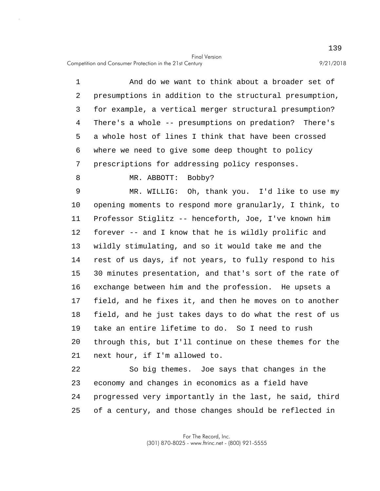Competition and Consumer Protection in the 21st Century 9/21/2018

5 10 15 20 1 And do we want to think about a broader set of 2 presumptions in addition to the structural presumption, 3 for example, a vertical merger structural presumption? 4 There's a whole -- presumptions on predation? There's a whole host of lines I think that have been crossed 6 where we need to give some deep thought to policy 7 prescriptions for addressing policy responses. 8 MR. ABBOTT: Bobby? 9 MR. WILLIG: Oh, thank you. I'd like to use my opening moments to respond more granularly, I think, to 11 Professor Stiglitz -- henceforth, Joe, I've known him 12 forever -- and I know that he is wildly prolific and 13 wildly stimulating, and so it would take me and the 14 rest of us days, if not years, to fully respond to his 30 minutes presentation, and that's sort of the rate of 16 exchange between him and the profession. He upsets a 17 field, and he fixes it, and then he moves on to another 18 field, and he just takes days to do what the rest of us 19 take an entire lifetime to do. So I need to rush through this, but I'll continue on these themes for the 21 next hour, if I'm allowed to. 22 So big themes. Joe says that changes in the

25 23 economy and changes in economics as a field have 24 progressed very importantly in the last, he said, third of a century, and those changes should be reflected in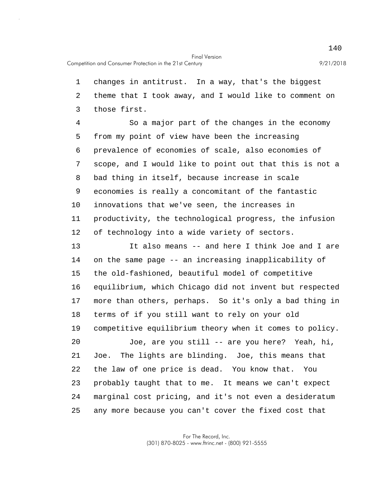1 changes in antitrust. In a way, that's the biggest 2 theme that I took away, and I would like to comment on 3 those first.

5 10 4 So a major part of the changes in the economy from my point of view have been the increasing 6 prevalence of economies of scale, also economies of 7 scope, and I would like to point out that this is not a 8 bad thing in itself, because increase in scale 9 economies is really a concomitant of the fantastic innovations that we've seen, the increases in 11 productivity, the technological progress, the infusion 12 of technology into a wide variety of sectors.

15 20 25 13 It also means -- and here I think Joe and I are 14 on the same page -- an increasing inapplicability of the old-fashioned, beautiful model of competitive 16 equilibrium, which Chicago did not invent but respected 17 more than others, perhaps. So it's only a bad thing in 18 terms of if you still want to rely on your old 19 competitive equilibrium theory when it comes to policy. Joe, are you still -- are you here? Yeah, hi, 21 Joe. The lights are blinding. Joe, this means that 22 the law of one price is dead. You know that. You 23 probably taught that to me. It means we can't expect 24 marginal cost pricing, and it's not even a desideratum any more because you can't cover the fixed cost that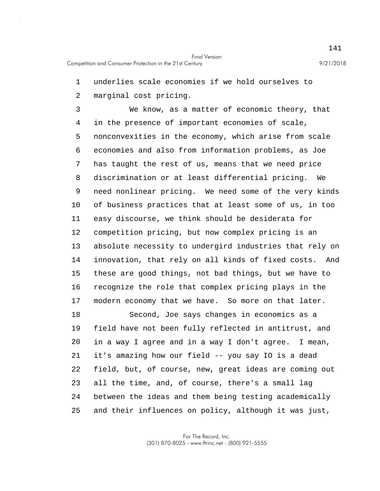1 underlies scale economies if we hold ourselves to

2 marginal cost pricing.

5 10 15 3 We know, as a matter of economic theory, that 4 in the presence of important economies of scale, nonconvexities in the economy, which arise from scale 6 economies and also from information problems, as Joe 7 has taught the rest of us, means that we need price 8 discrimination or at least differential pricing. We 9 need nonlinear pricing. We need some of the very kinds of business practices that at least some of us, in too 11 easy discourse, we think should be desiderata for 12 competition pricing, but now complex pricing is an 13 absolute necessity to undergird industries that rely on 14 innovation, that rely on all kinds of fixed costs. And these are good things, not bad things, but we have to 16 recognize the role that complex pricing plays in the 17 modern economy that we have. So more on that later.

20 25 18 Second, Joe says changes in economics as a 19 field have not been fully reflected in antitrust, and in a way I agree and in a way I don't agree. I mean, 21 it's amazing how our field -- you say IO is a dead 22 field, but, of course, new, great ideas are coming out 23 all the time, and, of course, there's a small lag 24 between the ideas and them being testing academically and their influences on policy, although it was just,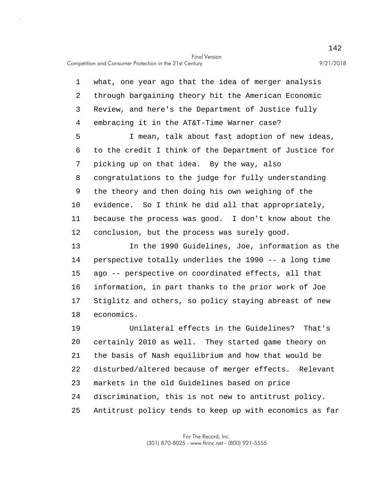5 10 1 what, one year ago that the idea of merger analysis 2 through bargaining theory hit the American Economic 3 Review, and here's the Department of Justice fully 4 embracing it in the AT&T-Time Warner case? I mean, talk about fast adoption of new ideas, 6 to the credit I think of the Department of Justice for 7 picking up on that idea. By the way, also 8 congratulations to the judge for fully understanding 9 the theory and then doing his own weighing of the evidence. So I think he did all that appropriately, 11 because the process was good. I don't know about the 12 conclusion, but the process was surely good.

15 13 In the 1990 Guidelines, Joe, information as the 14 perspective totally underlies the 1990 -- a long time ago -- perspective on coordinated effects, all that 16 information, in part thanks to the prior work of Joe 17 Stiglitz and others, so policy staying abreast of new 18 economics.

20 25 19 Unilateral effects in the Guidelines? That's certainly 2010 as well. They started game theory on 21 the basis of Nash equilibrium and how that would be 22 disturbed/altered because of merger effects. Relevant 23 markets in the old Guidelines based on price 24 discrimination, this is not new to antitrust policy. Antitrust policy tends to keep up with economics as far

> For The Record, Inc. (301) 870-8025 - www.ftrinc.net - (800) 921-5555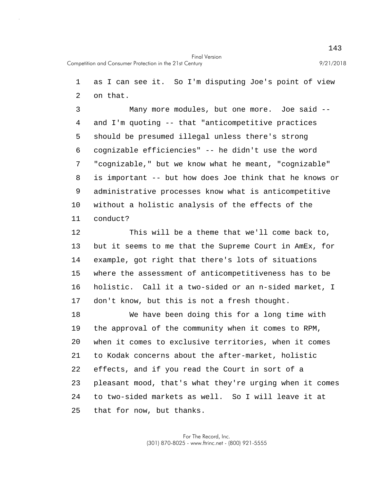1 as I can see it. So I'm disputing Joe's point of view 2 on that.

5 10 3 Many more modules, but one more. Joe said -- 4 and I'm quoting -- that "anticompetitive practices should be presumed illegal unless there's strong 6 cognizable efficiencies" -- he didn't use the word 7 "cognizable," but we know what he meant, "cognizable" 8 is important -- but how does Joe think that he knows or 9 administrative processes know what is anticompetitive without a holistic analysis of the effects of the 11 conduct?

15 12 This will be a theme that we'll come back to, 13 but it seems to me that the Supreme Court in AmEx, for 14 example, got right that there's lots of situations where the assessment of anticompetitiveness has to be 16 holistic. Call it a two-sided or an n-sided market, I 17 don't know, but this is not a fresh thought.

20 25 18 We have been doing this for a long time with 19 the approval of the community when it comes to RPM, when it comes to exclusive territories, when it comes 21 to Kodak concerns about the after-market, holistic 22 effects, and if you read the Court in sort of a 23 pleasant mood, that's what they're urging when it comes 24 to two-sided markets as well. So I will leave it at that for now, but thanks.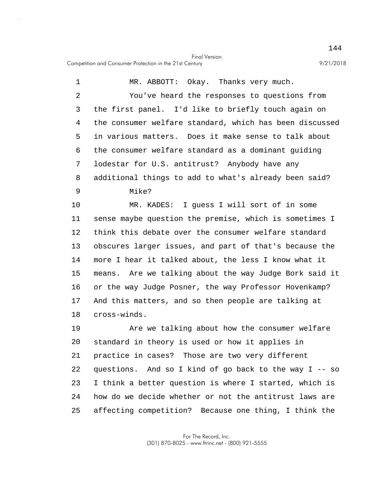Competition and Consumer Protection in the 21st Century 9/21/2018

5 10 1 MR. ABBOTT: Okay. Thanks very much. 2 You've heard the responses to questions from 3 the first panel. I'd like to briefly touch again on 4 the consumer welfare standard, which has been discussed in various matters. Does it make sense to talk about 6 the consumer welfare standard as a dominant guiding 7 lodestar for U.S. antitrust? Anybody have any 8 additional things to add to what's already been said? 9 Mike? MR. KADES: I guess I will sort of in some 11 sense maybe question the premise, which is sometimes I 12 think this debate over the consumer welfare standard

15 13 obscures larger issues, and part of that's because the 14 more I hear it talked about, the less I know what it means. Are we talking about the way Judge Bork said it 16 or the way Judge Posner, the way Professor Hovenkamp? 17 And this matters, and so then people are talking at 18 cross-winds.

20 25 19 Are we talking about how the consumer welfare standard in theory is used or how it applies in 21 practice in cases? Those are two very different 22 questions. And so I kind of go back to the way I -- so 23 I think a better question is where I started, which is 24 how do we decide whether or not the antitrust laws are affecting competition? Because one thing, I think the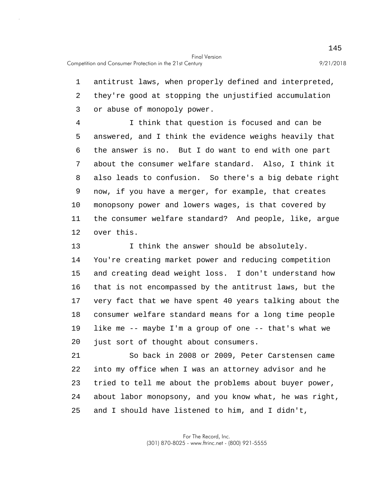1 antitrust laws, when properly defined and interpreted, 2 they're good at stopping the unjustified accumulation 3 or abuse of monopoly power.

5 10 4 I think that question is focused and can be answered, and I think the evidence weighs heavily that 6 the answer is no. But I do want to end with one part 7 about the consumer welfare standard. Also, I think it 8 also leads to confusion. So there's a big debate right 9 now, if you have a merger, for example, that creates monopsony power and lowers wages, is that covered by 11 the consumer welfare standard? And people, like, argue 12 over this.

15 20 13 I think the answer should be absolutely. 14 You're creating market power and reducing competition and creating dead weight loss. I don't understand how 16 that is not encompassed by the antitrust laws, but the 17 very fact that we have spent 40 years talking about the 18 consumer welfare standard means for a long time people 19 like me -- maybe I'm a group of one -- that's what we just sort of thought about consumers.

25 21 So back in 2008 or 2009, Peter Carstensen came 22 into my office when I was an attorney advisor and he 23 tried to tell me about the problems about buyer power, 24 about labor monopsony, and you know what, he was right, and I should have listened to him, and I didn't,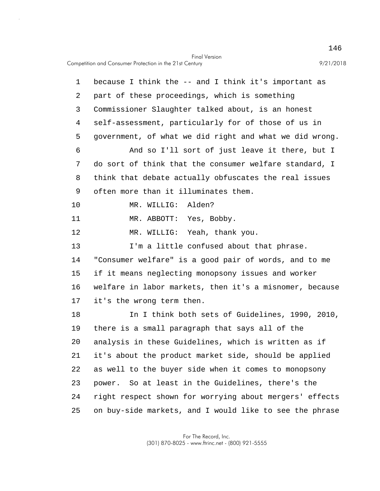5 10 15 20 25 1 because I think the -- and I think it's important as 2 part of these proceedings, which is something 3 Commissioner Slaughter talked about, is an honest 4 self-assessment, particularly for of those of us in government, of what we did right and what we did wrong. 6 And so I'll sort of just leave it there, but I 7 do sort of think that the consumer welfare standard, I 8 think that debate actually obfuscates the real issues 9 often more than it illuminates them. MR. WILLIG: Alden? 11 MR. ABBOTT: Yes, Bobby. 12 MR. WILLIG: Yeah, thank you. 13 I'm a little confused about that phrase. 14 "Consumer welfare" is a good pair of words, and to me if it means neglecting monopsony issues and worker 16 welfare in labor markets, then it's a misnomer, because 17 it's the wrong term then. 18 In I think both sets of Guidelines, 1990, 2010, 19 there is a small paragraph that says all of the analysis in these Guidelines, which is written as if 21 it's about the product market side, should be applied 22 as well to the buyer side when it comes to monopsony 23 power. So at least in the Guidelines, there's the 24 right respect shown for worrying about mergers' effects on buy-side markets, and I would like to see the phrase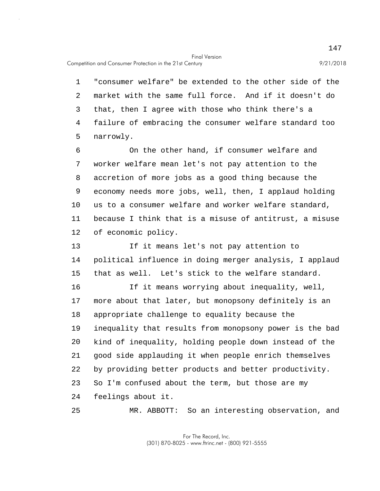Competition and Consumer Protection in the 21st Century 9/21/2018

25

5 1 "consumer welfare" be extended to the other side of the 2 market with the same full force. And if it doesn't do 3 that, then I agree with those who think there's a 4 failure of embracing the consumer welfare standard too narrowly.

10 6 On the other hand, if consumer welfare and 7 worker welfare mean let's not pay attention to the 8 accretion of more jobs as a good thing because the 9 economy needs more jobs, well, then, I applaud holding us to a consumer welfare and worker welfare standard, 11 because I think that is a misuse of antitrust, a misuse 12 of economic policy.

15 13 If it means let's not pay attention to 14 political influence in doing merger analysis, I applaud that as well. Let's stick to the welfare standard.

20 16 If it means worrying about inequality, well, 17 more about that later, but monopsony definitely is an 18 appropriate challenge to equality because the 19 inequality that results from monopsony power is the bad kind of inequality, holding people down instead of the 21 good side applauding it when people enrich themselves 22 by providing better products and better productivity. 23 So I'm confused about the term, but those are my 24 feelings about it.

MR. ABBOTT: So an interesting observation, and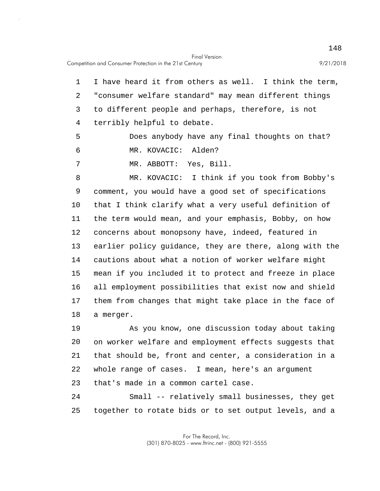1 I have heard it from others as well. I think the term, 2 "consumer welfare standard" may mean different things 3 to different people and perhaps, therefore, is not 4 terribly helpful to debate.

5 Does anybody have any final thoughts on that? 6 MR. KOVACIC: Alden?

7 MR. ABBOTT: Yes, Bill.

10 15 8 MR. KOVACIC: I think if you took from Bobby's 9 comment, you would have a good set of specifications that I think clarify what a very useful definition of 11 the term would mean, and your emphasis, Bobby, on how 12 concerns about monopsony have, indeed, featured in 13 earlier policy guidance, they are there, along with the 14 cautions about what a notion of worker welfare might mean if you included it to protect and freeze in place 16 all employment possibilities that exist now and shield 17 them from changes that might take place in the face of 18 a merger.

20 19 As you know, one discussion today about taking on worker welfare and employment effects suggests that 21 that should be, front and center, a consideration in a 22 whole range of cases. I mean, here's an argument 23 that's made in a common cartel case.

25 24 Small -- relatively small businesses, they get together to rotate bids or to set output levels, and a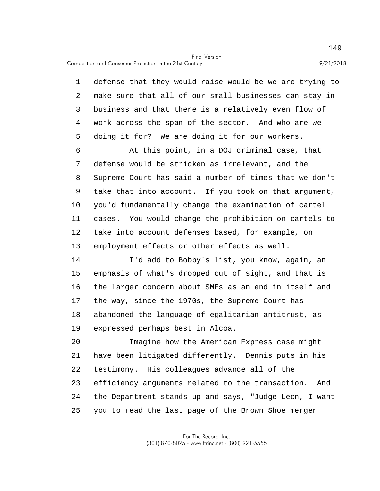Competition and Consumer Protection in the 21st Century 9/21/2018

5 1 defense that they would raise would be we are trying to 2 make sure that all of our small businesses can stay in 3 business and that there is a relatively even flow of 4 work across the span of the sector. And who are we doing it for? We are doing it for our workers.

10 6 At this point, in a DOJ criminal case, that 7 defense would be stricken as irrelevant, and the 8 Supreme Court has said a number of times that we don't 9 take that into account. If you took on that argument, you'd fundamentally change the examination of cartel 11 cases. You would change the prohibition on cartels to 12 take into account defenses based, for example, on 13 employment effects or other effects as well.

15 14 I'd add to Bobby's list, you know, again, an emphasis of what's dropped out of sight, and that is 16 the larger concern about SMEs as an end in itself and 17 the way, since the 1970s, the Supreme Court has 18 abandoned the language of egalitarian antitrust, as 19 expressed perhaps best in Alcoa.

20 25 Imagine how the American Express case might 21 have been litigated differently. Dennis puts in his 22 testimony. His colleagues advance all of the 23 efficiency arguments related to the transaction. And 24 the Department stands up and says, "Judge Leon, I want you to read the last page of the Brown Shoe merger

> For The Record, Inc. (301) 870-8025 - www.ftrinc.net - (800) 921-5555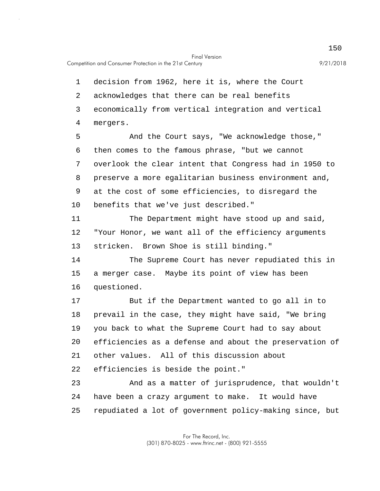Competition and Consumer Protection in the 21st Century 9/21/2018

5 10 15 20 25 1 decision from 1962, here it is, where the Court 2 acknowledges that there can be real benefits 3 economically from vertical integration and vertical 4 mergers. And the Court says, "We acknowledge those," 6 then comes to the famous phrase, "but we cannot 7 overlook the clear intent that Congress had in 1950 to 8 preserve a more egalitarian business environment and, 9 at the cost of some efficiencies, to disregard the benefits that we've just described." 11 The Department might have stood up and said, 12 "Your Honor, we want all of the efficiency arguments 13 stricken. Brown Shoe is still binding." 14 The Supreme Court has never repudiated this in a merger case. Maybe its point of view has been 16 questioned. 17 But if the Department wanted to go all in to 18 prevail in the case, they might have said, "We bring 19 you back to what the Supreme Court had to say about efficiencies as a defense and about the preservation of 21 other values. All of this discussion about 22 efficiencies is beside the point." 23 And as a matter of jurisprudence, that wouldn't 24 have been a crazy argument to make. It would have repudiated a lot of government policy-making since, but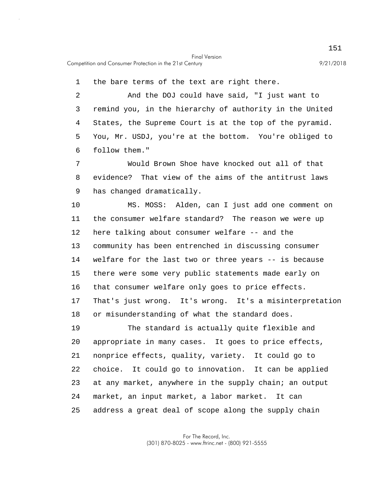1 the bare terms of the text are right there.

5 2 And the DOJ could have said, "I just want to 3 remind you, in the hierarchy of authority in the United 4 States, the Supreme Court is at the top of the pyramid. You, Mr. USDJ, you're at the bottom. You're obliged to 6 follow them."

7 Would Brown Shoe have knocked out all of that 8 evidence? That view of the aims of the antitrust laws 9 has changed dramatically.

10 15 MS. MOSS: Alden, can I just add one comment on 11 the consumer welfare standard? The reason we were up 12 here talking about consumer welfare -- and the 13 community has been entrenched in discussing consumer 14 welfare for the last two or three years -- is because there were some very public statements made early on 16 that consumer welfare only goes to price effects. 17 That's just wrong. It's wrong. It's a misinterpretation 18 or misunderstanding of what the standard does.

20 25 19 The standard is actually quite flexible and appropriate in many cases. It goes to price effects, 21 nonprice effects, quality, variety. It could go to 22 choice. It could go to innovation. It can be applied 23 at any market, anywhere in the supply chain; an output 24 market, an input market, a labor market. It can address a great deal of scope along the supply chain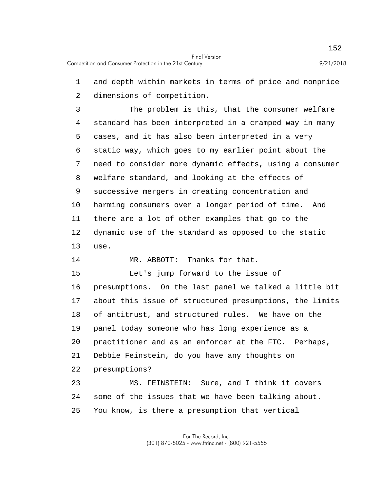1 and depth within markets in terms of price and nonprice 2 dimensions of competition.

5 10 3 The problem is this, that the consumer welfare 4 standard has been interpreted in a cramped way in many cases, and it has also been interpreted in a very 6 static way, which goes to my earlier point about the 7 need to consider more dynamic effects, using a consumer 8 welfare standard, and looking at the effects of 9 successive mergers in creating concentration and harming consumers over a longer period of time. And 11 there are a lot of other examples that go to the 12 dynamic use of the standard as opposed to the static 13 use.

14 MR. ABBOTT: Thanks for that.

15 20 Let's jump forward to the issue of 16 presumptions. On the last panel we talked a little bit 17 about this issue of structured presumptions, the limits 18 of antitrust, and structured rules. We have on the 19 panel today someone who has long experience as a practitioner and as an enforcer at the FTC. Perhaps, 21 Debbie Feinstein, do you have any thoughts on 22 presumptions? 23 MS. FEINSTEIN: Sure, and I think it covers 24 some of the issues that we have been talking about.

25 You know, is there a presumption that vertical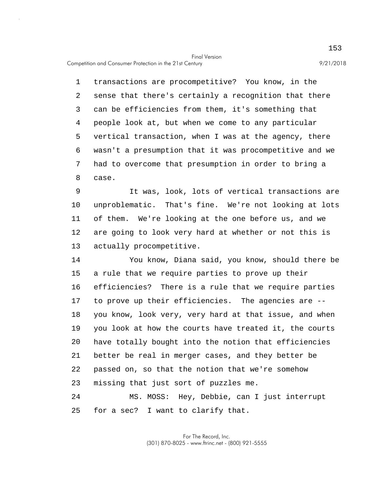Competition and Consumer Protection in the 21st Century 9/21/2018

5 1 transactions are procompetitive? You know, in the 2 sense that there's certainly a recognition that there 3 can be efficiencies from them, it's something that 4 people look at, but when we come to any particular vertical transaction, when I was at the agency, there 6 wasn't a presumption that it was procompetitive and we 7 had to overcome that presumption in order to bring a 8 case.

10 9 It was, look, lots of vertical transactions are unproblematic. That's fine. We're not looking at lots 11 of them. We're looking at the one before us, and we 12 are going to look very hard at whether or not this is 13 actually procompetitive.

15 20 14 You know, Diana said, you know, should there be a rule that we require parties to prove up their 16 efficiencies? There is a rule that we require parties 17 to prove up their efficiencies. The agencies are -- 18 you know, look very, very hard at that issue, and when 19 you look at how the courts have treated it, the courts have totally bought into the notion that efficiencies 21 better be real in merger cases, and they better be 22 passed on, so that the notion that we're somehow 23 missing that just sort of puzzles me. 24 MS. MOSS: Hey, Debbie, can I just interrupt

25 for a sec? I want to clarify that.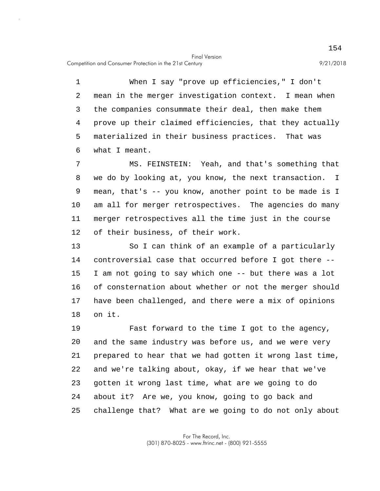5 1 When I say "prove up efficiencies," I don't 2 mean in the merger investigation context. I mean when 3 the companies consummate their deal, then make them 4 prove up their claimed efficiencies, that they actually materialized in their business practices. That was 6 what I meant.

10 7 MS. FEINSTEIN: Yeah, and that's something that 8 we do by looking at, you know, the next transaction. I 9 mean, that's -- you know, another point to be made is I am all for merger retrospectives. The agencies do many 11 merger retrospectives all the time just in the course 12 of their business, of their work.

15 13 So I can think of an example of a particularly 14 controversial case that occurred before I got there -- I am not going to say which one -- but there was a lot 16 of consternation about whether or not the merger should 17 have been challenged, and there were a mix of opinions 18 on it.

20 25 19 Fast forward to the time I got to the agency, and the same industry was before us, and we were very 21 prepared to hear that we had gotten it wrong last time, 22 and we're talking about, okay, if we hear that we've 23 gotten it wrong last time, what are we going to do 24 about it? Are we, you know, going to go back and challenge that? What are we going to do not only about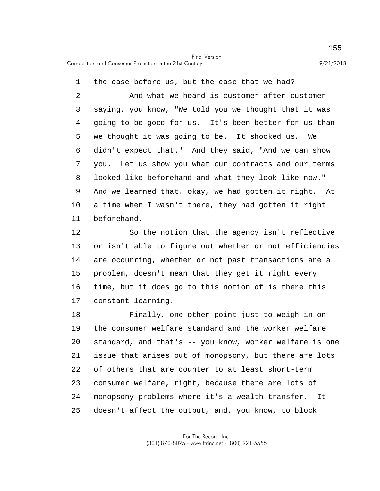5 10 1 the case before us, but the case that we had? 2 And what we heard is customer after customer 3 saying, you know, "We told you we thought that it was 4 going to be good for us. It's been better for us than we thought it was going to be. It shocked us. We 6 didn't expect that." And they said, "And we can show 7 you. Let us show you what our contracts and our terms 8 looked like beforehand and what they look like now." 9 And we learned that, okay, we had gotten it right. At a time when I wasn't there, they had gotten it right 11 beforehand.

15 12 So the notion that the agency isn't reflective 13 or isn't able to figure out whether or not efficiencies 14 are occurring, whether or not past transactions are a problem, doesn't mean that they get it right every 16 time, but it does go to this notion of is there this 17 constant learning.

20 25 18 Finally, one other point just to weigh in on 19 the consumer welfare standard and the worker welfare standard, and that's -- you know, worker welfare is one 21 issue that arises out of monopsony, but there are lots 22 of others that are counter to at least short-term 23 consumer welfare, right, because there are lots of 24 monopsony problems where it's a wealth transfer. It doesn't affect the output, and, you know, to block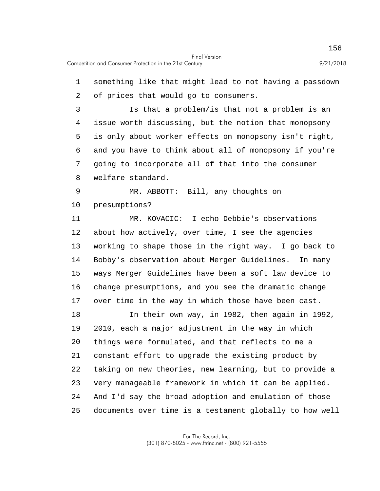| 1  | something like that might lead to not having a passdown |
|----|---------------------------------------------------------|
| 2  | of prices that would go to consumers.                   |
| 3  | Is that a problem/is that not a problem is an           |
| 4  | issue worth discussing, but the notion that monopsony   |
| 5  | is only about worker effects on monopsony isn't right,  |
| 6  | and you have to think about all of monopsony if you're  |
| 7  | going to incorporate all of that into the consumer      |
| 8  | welfare standard.                                       |
| 9  | MR. ABBOTT: Bill, any thoughts on                       |
| 10 | presumptions?                                           |
| 11 | MR. KOVACIC: I echo Debbie's observations               |
| 12 | about how actively, over time, I see the agencies       |
| 13 | working to shape those in the right way. I go back to   |
| 14 | Bobby's observation about Merger Guidelines. In many    |
| 15 | ways Merger Guidelines have been a soft law device to   |
| 16 | change presumptions, and you see the dramatic change    |
| 17 | over time in the way in which those have been cast.     |
| 18 | In their own way, in 1982, then again in 1992,          |
| 19 | 2010, each a major adjustment in the way in which       |
| 20 | things were formulated, and that reflects to me a       |
| 21 | constant effort to upgrade the existing product by      |
| 22 | taking on new theories, new learning, but to provide a  |
| 23 | very manageable framework in which it can be applied.   |
| 24 | And I'd say the broad adoption and emulation of those   |
| 25 | documents over time is a testament globally to how well |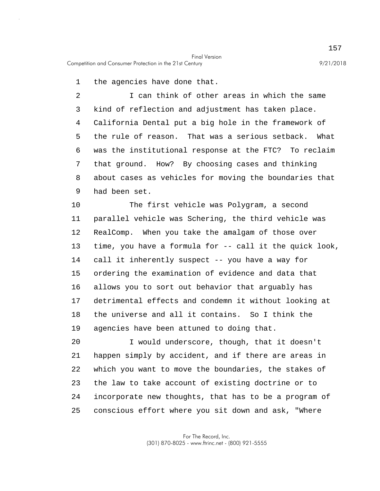1 the agencies have done that.

5 2 I can think of other areas in which the same 3 kind of reflection and adjustment has taken place. 4 California Dental put a big hole in the framework of the rule of reason. That was a serious setback. What 6 was the institutional response at the FTC? To reclaim 7 that ground. How? By choosing cases and thinking 8 about cases as vehicles for moving the boundaries that 9 had been set.

10 15 The first vehicle was Polygram, a second 11 parallel vehicle was Schering, the third vehicle was 12 RealComp. When you take the amalgam of those over 13 time, you have a formula for -- call it the quick look, 14 call it inherently suspect -- you have a way for ordering the examination of evidence and data that 16 allows you to sort out behavior that arguably has 17 detrimental effects and condemn it without looking at 18 the universe and all it contains. So I think the 19 agencies have been attuned to doing that.

20 25 I would underscore, though, that it doesn't 21 happen simply by accident, and if there are areas in 22 which you want to move the boundaries, the stakes of 23 the law to take account of existing doctrine or to 24 incorporate new thoughts, that has to be a program of conscious effort where you sit down and ask, "Where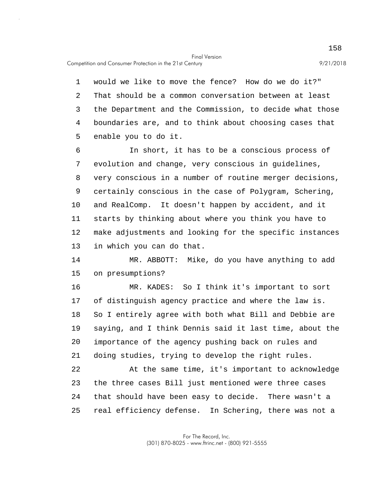Competition and Consumer Protection in the 21st Century 9/21/2018

5 1 would we like to move the fence? How do we do it?" 2 That should be a common conversation between at least 3 the Department and the Commission, to decide what those 4 boundaries are, and to think about choosing cases that enable you to do it.

10 6 In short, it has to be a conscious process of 7 evolution and change, very conscious in guidelines, 8 very conscious in a number of routine merger decisions, 9 certainly conscious in the case of Polygram, Schering, and RealComp. It doesn't happen by accident, and it 11 starts by thinking about where you think you have to 12 make adjustments and looking for the specific instances 13 in which you can do that.

15 14 MR. ABBOTT: Mike, do you have anything to add on presumptions?

20 16 MR. KADES: So I think it's important to sort 17 of distinguish agency practice and where the law is. 18 So I entirely agree with both what Bill and Debbie are 19 saying, and I think Dennis said it last time, about the importance of the agency pushing back on rules and 21 doing studies, trying to develop the right rules.

25 22 At the same time, it's important to acknowledge 23 the three cases Bill just mentioned were three cases 24 that should have been easy to decide. There wasn't a real efficiency defense. In Schering, there was not a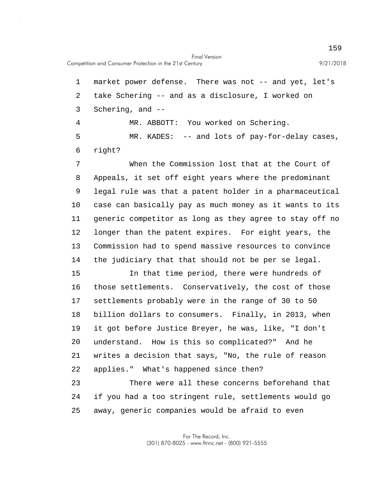5 1 market power defense. There was not -- and yet, let's 2 take Schering -- and as a disclosure, I worked on 3 Schering, and -- 4 MR. ABBOTT: You worked on Schering. MR. KADES: -- and lots of pay-for-delay cases, 6 right? 7 When the Commission lost that at the Court of

10 8 Appeals, it set off eight years where the predominant 9 legal rule was that a patent holder in a pharmaceutical case can basically pay as much money as it wants to its 11 generic competitor as long as they agree to stay off no 12 longer than the patent expires. For eight years, the 13 Commission had to spend massive resources to convince 14 the judiciary that that should not be per se legal.

15 20 In that time period, there were hundreds of 16 those settlements. Conservatively, the cost of those 17 settlements probably were in the range of 30 to 50 18 billion dollars to consumers. Finally, in 2013, when 19 it got before Justice Breyer, he was, like, "I don't understand. How is this so complicated?" And he 21 writes a decision that says, "No, the rule of reason 22 applies." What's happened since then? 23 There were all these concerns beforehand that 24 if you had a too stringent rule, settlements would go

25 away, generic companies would be afraid to even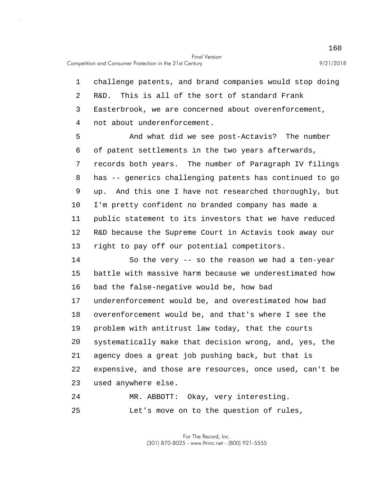1 challenge patents, and brand companies would stop doing 2 R&D. This is all of the sort of standard Frank 3 Easterbrook, we are concerned about overenforcement, 4 not about underenforcement.

5 10 And what did we see post-Actavis? The number 6 of patent settlements in the two years afterwards, 7 records both years. The number of Paragraph IV filings 8 has -- generics challenging patents has continued to go 9 up. And this one I have not researched thoroughly, but I'm pretty confident no branded company has made a 11 public statement to its investors that we have reduced 12 R&D because the Supreme Court in Actavis took away our 13 right to pay off our potential competitors.

15 20 14 So the very -- so the reason we had a ten-year battle with massive harm because we underestimated how 16 bad the false-negative would be, how bad 17 underenforcement would be, and overestimated how bad 18 overenforcement would be, and that's where I see the 19 problem with antitrust law today, that the courts systematically make that decision wrong, and, yes, the 21 agency does a great job pushing back, but that is 22 expensive, and those are resources, once used, can't be 23 used anywhere else.

25 24 MR. ABBOTT: Okay, very interesting. Let's move on to the question of rules,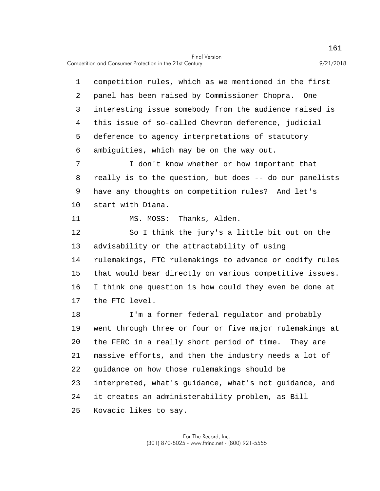Competition and Consumer Protection in the 21st Century 9/21/2018

5 10 15 20 25 1 competition rules, which as we mentioned in the first 2 panel has been raised by Commissioner Chopra. One 3 interesting issue somebody from the audience raised is 4 this issue of so-called Chevron deference, judicial deference to agency interpretations of statutory 6 ambiguities, which may be on the way out. 7 I don't know whether or how important that 8 really is to the question, but does -- do our panelists 9 have any thoughts on competition rules? And let's start with Diana. 11 MS. MOSS: Thanks, Alden. 12 So I think the jury's a little bit out on the 13 advisability or the attractability of using 14 rulemakings, FTC rulemakings to advance or codify rules that would bear directly on various competitive issues. 16 I think one question is how could they even be done at 17 the FTC level. 18 I'm a former federal regulator and probably 19 went through three or four or five major rulemakings at the FERC in a really short period of time. They are 21 massive efforts, and then the industry needs a lot of 22 guidance on how those rulemakings should be 23 interpreted, what's guidance, what's not guidance, and 24 it creates an administerability problem, as Bill Kovacic likes to say.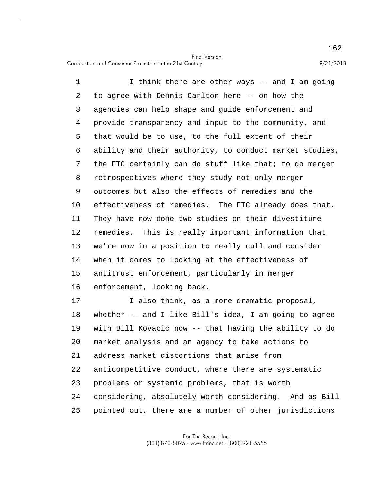5 10 15 1 I think there are other ways -- and I am going 2 to agree with Dennis Carlton here -- on how the 3 agencies can help shape and guide enforcement and 4 provide transparency and input to the community, and that would be to use, to the full extent of their 6 ability and their authority, to conduct market studies, 7 the FTC certainly can do stuff like that; to do merger 8 retrospectives where they study not only merger 9 outcomes but also the effects of remedies and the effectiveness of remedies. The FTC already does that. 11 They have now done two studies on their divestiture 12 remedies. This is really important information that 13 we're now in a position to really cull and consider 14 when it comes to looking at the effectiveness of antitrust enforcement, particularly in merger 16 enforcement, looking back.

20 25 17 I also think, as a more dramatic proposal, 18 whether -- and I like Bill's idea, I am going to agree 19 with Bill Kovacic now -- that having the ability to do market analysis and an agency to take actions to 21 address market distortions that arise from 22 anticompetitive conduct, where there are systematic 23 problems or systemic problems, that is worth 24 considering, absolutely worth considering. And as Bill pointed out, there are a number of other jurisdictions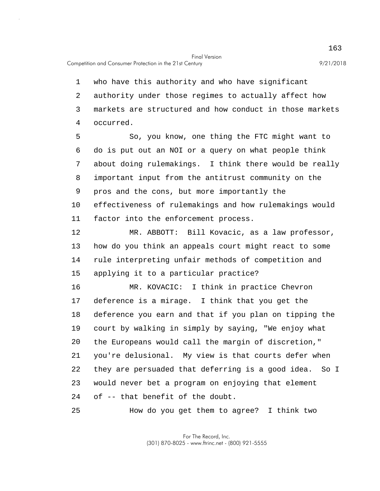1 who have this authority and who have significant 2 authority under those regimes to actually affect how 3 markets are structured and how conduct in those markets 4 occurred.

5 10 So, you know, one thing the FTC might want to 6 do is put out an NOI or a query on what people think 7 about doing rulemakings. I think there would be really 8 important input from the antitrust community on the 9 pros and the cons, but more importantly the effectiveness of rulemakings and how rulemakings would 11 factor into the enforcement process.

15 12 MR. ABBOTT: Bill Kovacic, as a law professor, 13 how do you think an appeals court might react to some 14 rule interpreting unfair methods of competition and applying it to a particular practice?

20 16 MR. KOVACIC: I think in practice Chevron 17 deference is a mirage. I think that you get the 18 deference you earn and that if you plan on tipping the 19 court by walking in simply by saying, "We enjoy what the Europeans would call the margin of discretion," 21 you're delusional. My view is that courts defer when 22 they are persuaded that deferring is a good idea. So I 23 would never bet a program on enjoying that element 24 of -- that benefit of the doubt.

25 How do you get them to agree? I think two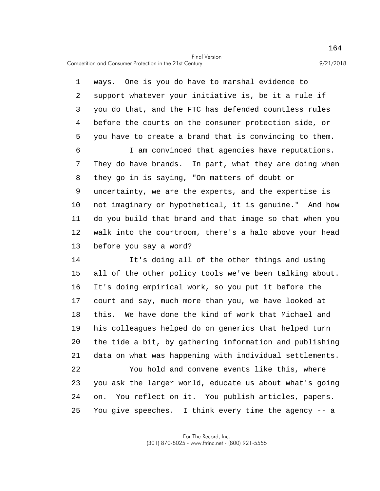5 10 1 ways. One is you do have to marshal evidence to 2 support whatever your initiative is, be it a rule if 3 you do that, and the FTC has defended countless rules 4 before the courts on the consumer protection side, or you have to create a brand that is convincing to them. 6 I am convinced that agencies have reputations. 7 They do have brands. In part, what they are doing when 8 they go in is saying, "On matters of doubt or 9 uncertainty, we are the experts, and the expertise is not imaginary or hypothetical, it is genuine." And how 11 do you build that brand and that image so that when you 12 walk into the courtroom, there's a halo above your head 13 before you say a word?

15 20 14 It's doing all of the other things and using all of the other policy tools we've been talking about. 16 It's doing empirical work, so you put it before the 17 court and say, much more than you, we have looked at 18 this. We have done the kind of work that Michael and 19 his colleagues helped do on generics that helped turn the tide a bit, by gathering information and publishing 21 data on what was happening with individual settlements.

25 22 You hold and convene events like this, where 23 you ask the larger world, educate us about what's going 24 on. You reflect on it. You publish articles, papers. You give speeches. I think every time the agency -- a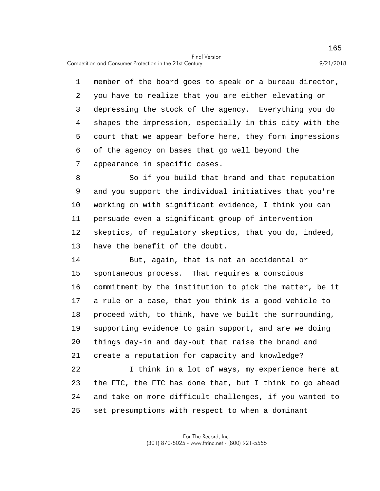Competition and Consumer Protection in the 21st Century 9/21/2018

5 1 member of the board goes to speak or a bureau director, 2 you have to realize that you are either elevating or 3 depressing the stock of the agency. Everything you do 4 shapes the impression, especially in this city with the court that we appear before here, they form impressions 6 of the agency on bases that go well beyond the 7 appearance in specific cases.

10 8 So if you build that brand and that reputation 9 and you support the individual initiatives that you're working on with significant evidence, I think you can 11 persuade even a significant group of intervention 12 skeptics, of regulatory skeptics, that you do, indeed, 13 have the benefit of the doubt.

15 20 14 But, again, that is not an accidental or spontaneous process. That requires a conscious 16 commitment by the institution to pick the matter, be it 17 a rule or a case, that you think is a good vehicle to 18 proceed with, to think, have we built the surrounding, 19 supporting evidence to gain support, and are we doing things day-in and day-out that raise the brand and 21 create a reputation for capacity and knowledge?

25 22 I think in a lot of ways, my experience here at 23 the FTC, the FTC has done that, but I think to go ahead 24 and take on more difficult challenges, if you wanted to set presumptions with respect to when a dominant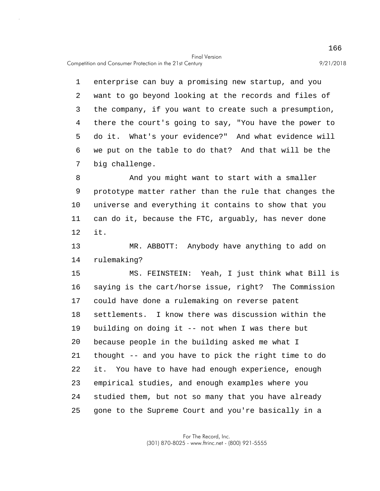5 1 enterprise can buy a promising new startup, and you 2 want to go beyond looking at the records and files of 3 the company, if you want to create such a presumption, 4 there the court's going to say, "You have the power to do it. What's your evidence?" And what evidence will 6 we put on the table to do that? And that will be the 7 big challenge.

10 8 And you might want to start with a smaller 9 prototype matter rather than the rule that changes the universe and everything it contains to show that you 11 can do it, because the FTC, arguably, has never done 12 it.

13 MR. ABBOTT: Anybody have anything to add on 14 rulemaking?

15 20 25 MS. FEINSTEIN: Yeah, I just think what Bill is 16 saying is the cart/horse issue, right? The Commission 17 could have done a rulemaking on reverse patent 18 settlements. I know there was discussion within the 19 building on doing it -- not when I was there but because people in the building asked me what I 21 thought -- and you have to pick the right time to do 22 it. You have to have had enough experience, enough 23 empirical studies, and enough examples where you 24 studied them, but not so many that you have already gone to the Supreme Court and you're basically in a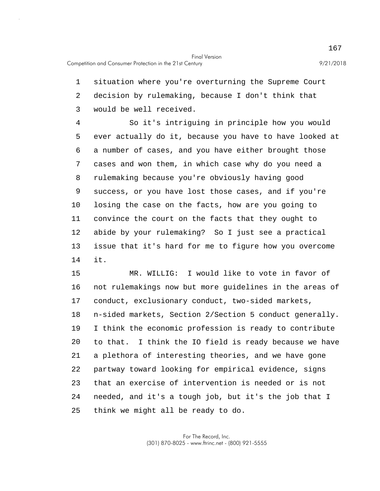1 situation where you're overturning the Supreme Court 2 decision by rulemaking, because I don't think that 3 would be well received.

5 10 4 So it's intriguing in principle how you would ever actually do it, because you have to have looked at 6 a number of cases, and you have either brought those 7 cases and won them, in which case why do you need a 8 rulemaking because you're obviously having good 9 success, or you have lost those cases, and if you're losing the case on the facts, how are you going to 11 convince the court on the facts that they ought to 12 abide by your rulemaking? So I just see a practical 13 issue that it's hard for me to figure how you overcome 14 it.

15 20 25 MR. WILLIG: I would like to vote in favor of 16 not rulemakings now but more guidelines in the areas of 17 conduct, exclusionary conduct, two-sided markets, 18 n-sided markets, Section 2/Section 5 conduct generally. 19 I think the economic profession is ready to contribute to that. I think the IO field is ready because we have 21 a plethora of interesting theories, and we have gone 22 partway toward looking for empirical evidence, signs 23 that an exercise of intervention is needed or is not 24 needed, and it's a tough job, but it's the job that I think we might all be ready to do.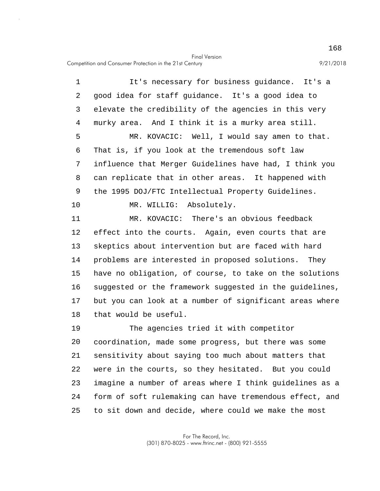5 10 15 20 1 It's necessary for business guidance. It's a 2 good idea for staff guidance. It's a good idea to 3 elevate the credibility of the agencies in this very 4 murky area. And I think it is a murky area still. MR. KOVACIC: Well, I would say amen to that. 6 That is, if you look at the tremendous soft law 7 influence that Merger Guidelines have had, I think you 8 can replicate that in other areas. It happened with 9 the 1995 DOJ/FTC Intellectual Property Guidelines. MR. WILLIG: Absolutely. 11 MR. KOVACIC: There's an obvious feedback 12 effect into the courts. Again, even courts that are 13 skeptics about intervention but are faced with hard 14 problems are interested in proposed solutions. They have no obligation, of course, to take on the solutions 16 suggested or the framework suggested in the guidelines, 17 but you can look at a number of significant areas where 18 that would be useful. 19 The agencies tried it with competitor coordination, made some progress, but there was some 21 sensitivity about saying too much about matters that 22 were in the courts, so they hesitated. But you could 23 imagine a number of areas where I think guidelines as a

25 to sit down and decide, where could we make the most

24 form of soft rulemaking can have tremendous effect, and

For The Record, Inc. (301) 870-8025 - www.ftrinc.net - (800) 921-5555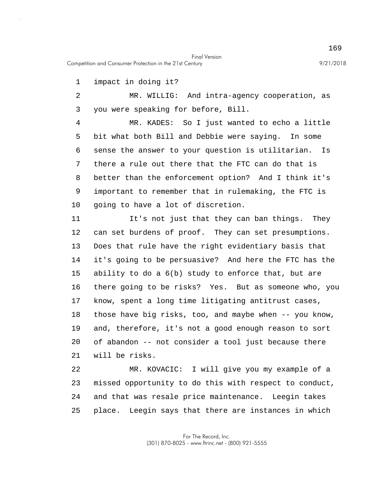Competition and Consumer Protection in the 21st Century 9/21/2018

1 impact in doing it?

2 MR. WILLIG: And intra-agency cooperation, as 3 you were speaking for before, Bill.

5 10 4 MR. KADES: So I just wanted to echo a little bit what both Bill and Debbie were saying. In some 6 sense the answer to your question is utilitarian. Is 7 there a rule out there that the FTC can do that is 8 better than the enforcement option? And I think it's 9 important to remember that in rulemaking, the FTC is going to have a lot of discretion.

15 20 11 It's not just that they can ban things. They 12 can set burdens of proof. They can set presumptions. 13 Does that rule have the right evidentiary basis that 14 it's going to be persuasive? And here the FTC has the ability to do a 6(b) study to enforce that, but are 16 there going to be risks? Yes. But as someone who, you 17 know, spent a long time litigating antitrust cases, 18 those have big risks, too, and maybe when -- you know, 19 and, therefore, it's not a good enough reason to sort of abandon -- not consider a tool just because there 21 will be risks.

25 22 MR. KOVACIC: I will give you my example of a 23 missed opportunity to do this with respect to conduct, 24 and that was resale price maintenance. Leegin takes place. Leegin says that there are instances in which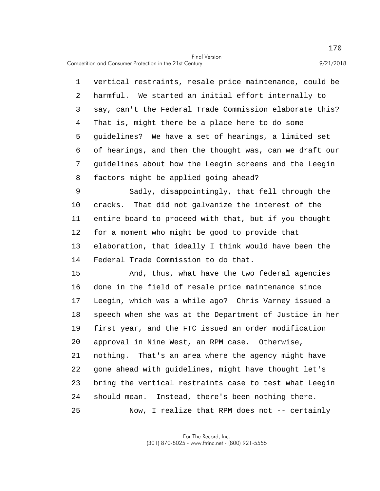5 1 vertical restraints, resale price maintenance, could be 2 harmful. We started an initial effort internally to 3 say, can't the Federal Trade Commission elaborate this? 4 That is, might there be a place here to do some guidelines? We have a set of hearings, a limited set 6 of hearings, and then the thought was, can we draft our 7 guidelines about how the Leegin screens and the Leegin 8 factors might be applied going ahead?

10 9 Sadly, disappointingly, that fell through the cracks. That did not galvanize the interest of the 11 entire board to proceed with that, but if you thought 12 for a moment who might be good to provide that 13 elaboration, that ideally I think would have been the 14 Federal Trade Commission to do that.

15 20 25 And, thus, what have the two federal agencies 16 done in the field of resale price maintenance since 17 Leegin, which was a while ago? Chris Varney issued a 18 speech when she was at the Department of Justice in her 19 first year, and the FTC issued an order modification approval in Nine West, an RPM case. Otherwise, 21 nothing. That's an area where the agency might have 22 gone ahead with guidelines, might have thought let's 23 bring the vertical restraints case to test what Leegin 24 should mean. Instead, there's been nothing there. Now, I realize that RPM does not -- certainly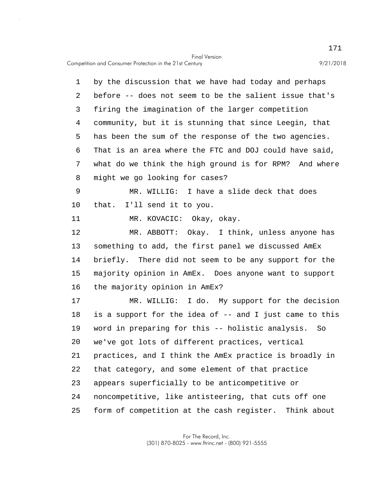5 10 15 20 1 by the discussion that we have had today and perhaps 2 before -- does not seem to be the salient issue that's 3 firing the imagination of the larger competition 4 community, but it is stunning that since Leegin, that has been the sum of the response of the two agencies. 6 That is an area where the FTC and DOJ could have said, 7 what do we think the high ground is for RPM? And where 8 might we go looking for cases? 9 MR. WILLIG: I have a slide deck that does that. I'll send it to you. 11 MR. KOVACIC: Okay, okay. 12 MR. ABBOTT: Okay. I think, unless anyone has 13 something to add, the first panel we discussed AmEx 14 briefly. There did not seem to be any support for the majority opinion in AmEx. Does anyone want to support 16 the majority opinion in AmEx? 17 MR. WILLIG: I do. My support for the decision 18 is a support for the idea of -- and I just came to this 19 word in preparing for this -- holistic analysis. So we've got lots of different practices, vertical 21 practices, and I think the AmEx practice is broadly in 22 that category, and some element of that practice

23 appears superficially to be anticompetitive or

24 noncompetitive, like antisteering, that cuts off one

25 form of competition at the cash register. Think about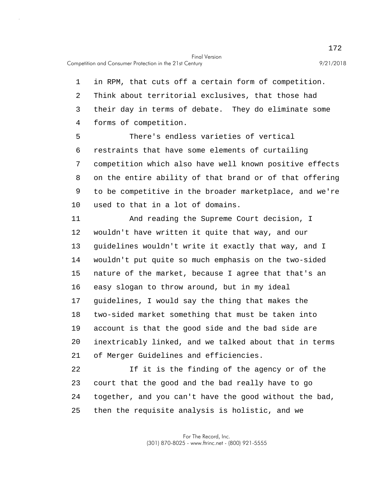Competition and Consumer Protection in the 21st Century 9/21/2018

1 in RPM, that cuts off a certain form of competition. 2 Think about territorial exclusives, that those had 3 their day in terms of debate. They do eliminate some 4 forms of competition.

5 10 There's endless varieties of vertical 6 restraints that have some elements of curtailing 7 competition which also have well known positive effects 8 on the entire ability of that brand or of that offering 9 to be competitive in the broader marketplace, and we're used to that in a lot of domains.

15 20 11 And reading the Supreme Court decision, I 12 wouldn't have written it quite that way, and our 13 guidelines wouldn't write it exactly that way, and I 14 wouldn't put quite so much emphasis on the two-sided nature of the market, because I agree that that's an 16 easy slogan to throw around, but in my ideal 17 guidelines, I would say the thing that makes the 18 two-sided market something that must be taken into 19 account is that the good side and the bad side are inextricably linked, and we talked about that in terms 21 of Merger Guidelines and efficiencies.

25 22 If it is the finding of the agency or of the 23 court that the good and the bad really have to go 24 together, and you can't have the good without the bad, then the requisite analysis is holistic, and we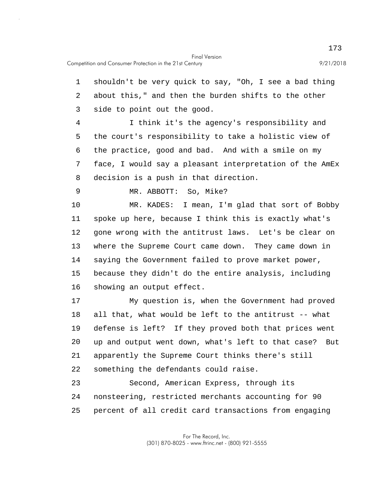1 shouldn't be very quick to say, "Oh, I see a bad thing 2 about this," and then the burden shifts to the other 3 side to point out the good.

5 4 I think it's the agency's responsibility and the court's responsibility to take a holistic view of 6 the practice, good and bad. And with a smile on my 7 face, I would say a pleasant interpretation of the AmEx 8 decision is a push in that direction.

9 MR. ABBOTT: So, Mike?

10 15 MR. KADES: I mean, I'm glad that sort of Bobby 11 spoke up here, because I think this is exactly what's 12 gone wrong with the antitrust laws. Let's be clear on 13 where the Supreme Court came down. They came down in 14 saying the Government failed to prove market power, because they didn't do the entire analysis, including 16 showing an output effect.

20 17 My question is, when the Government had proved 18 all that, what would be left to the antitrust -- what 19 defense is left? If they proved both that prices went up and output went down, what's left to that case? But 21 apparently the Supreme Court thinks there's still 22 something the defendants could raise.

25 23 Second, American Express, through its 24 nonsteering, restricted merchants accounting for 90 percent of all credit card transactions from engaging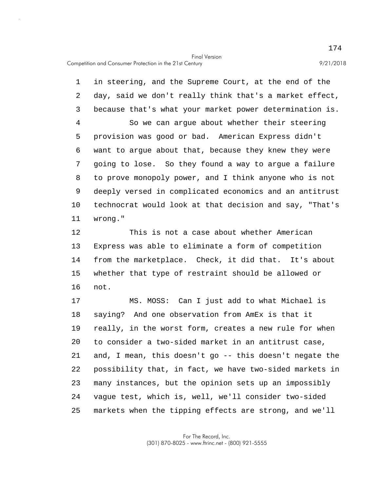5 10 1 in steering, and the Supreme Court, at the end of the 2 day, said we don't really think that's a market effect, 3 because that's what your market power determination is. 4 So we can argue about whether their steering provision was good or bad. American Express didn't 6 want to argue about that, because they knew they were 7 going to lose. So they found a way to argue a failure 8 to prove monopoly power, and I think anyone who is not 9 deeply versed in complicated economics and an antitrust technocrat would look at that decision and say, "That's 11 wrong."

15 12 This is not a case about whether American 13 Express was able to eliminate a form of competition 14 from the marketplace. Check, it did that. It's about whether that type of restraint should be allowed or 16 not.

20 25 17 MS. MOSS: Can I just add to what Michael is 18 saying? And one observation from AmEx is that it 19 really, in the worst form, creates a new rule for when to consider a two-sided market in an antitrust case, 21 and, I mean, this doesn't go -- this doesn't negate the 22 possibility that, in fact, we have two-sided markets in 23 many instances, but the opinion sets up an impossibly 24 vague test, which is, well, we'll consider two-sided markets when the tipping effects are strong, and we'll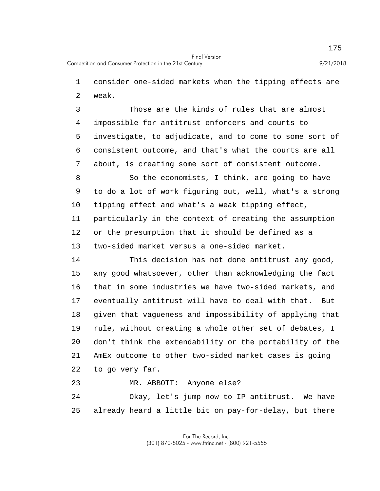1 consider one-sided markets when the tipping effects are 2 weak.

5 3 Those are the kinds of rules that are almost 4 impossible for antitrust enforcers and courts to investigate, to adjudicate, and to come to some sort of 6 consistent outcome, and that's what the courts are all 7 about, is creating some sort of consistent outcome.

10 8 So the economists, I think, are going to have 9 to do a lot of work figuring out, well, what's a strong tipping effect and what's a weak tipping effect, 11 particularly in the context of creating the assumption 12 or the presumption that it should be defined as a 13 two-sided market versus a one-sided market.

15 20 14 This decision has not done antitrust any good, any good whatsoever, other than acknowledging the fact 16 that in some industries we have two-sided markets, and 17 eventually antitrust will have to deal with that. But 18 given that vagueness and impossibility of applying that 19 rule, without creating a whole other set of debates, I don't think the extendability or the portability of the 21 AmEx outcome to other two-sided market cases is going 22 to go very far.

23 MR. ABBOTT: Anyone else?

25 24 Okay, let's jump now to IP antitrust. We have already heard a little bit on pay-for-delay, but there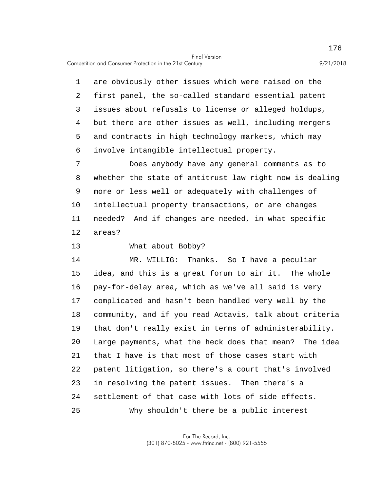5 1 are obviously other issues which were raised on the 2 first panel, the so-called standard essential patent 3 issues about refusals to license or alleged holdups, 4 but there are other issues as well, including mergers and contracts in high technology markets, which may 6 involve intangible intellectual property.

10 7 Does anybody have any general comments as to 8 whether the state of antitrust law right now is dealing 9 more or less well or adequately with challenges of intellectual property transactions, or are changes 11 needed? And if changes are needed, in what specific 12 areas?

13 What about Bobby?

15 20 25 14 MR. WILLIG: Thanks. So I have a peculiar idea, and this is a great forum to air it. The whole 16 pay-for-delay area, which as we've all said is very 17 complicated and hasn't been handled very well by the 18 community, and if you read Actavis, talk about criteria 19 that don't really exist in terms of administerability. Large payments, what the heck does that mean? The idea 21 that I have is that most of those cases start with 22 patent litigation, so there's a court that's involved 23 in resolving the patent issues. Then there's a 24 settlement of that case with lots of side effects. Why shouldn't there be a public interest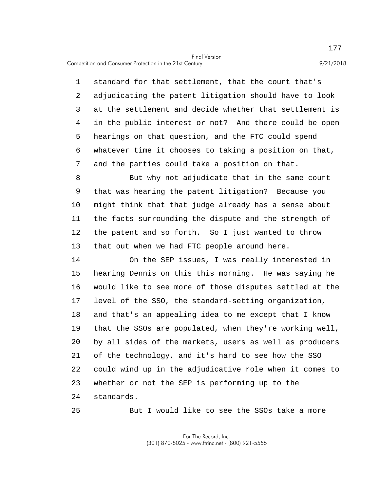5 1 standard for that settlement, that the court that's 2 adjudicating the patent litigation should have to look 3 at the settlement and decide whether that settlement is 4 in the public interest or not? And there could be open hearings on that question, and the FTC could spend 6 whatever time it chooses to taking a position on that, 7 and the parties could take a position on that.

10 8 But why not adjudicate that in the same court 9 that was hearing the patent litigation? Because you might think that that judge already has a sense about 11 the facts surrounding the dispute and the strength of 12 the patent and so forth. So I just wanted to throw 13 that out when we had FTC people around here.

15 20 14 On the SEP issues, I was really interested in hearing Dennis on this this morning. He was saying he 16 would like to see more of those disputes settled at the 17 level of the SSO, the standard-setting organization, 18 and that's an appealing idea to me except that I know 19 that the SSOs are populated, when they're working well, by all sides of the markets, users as well as producers 21 of the technology, and it's hard to see how the SSO 22 could wind up in the adjudicative role when it comes to 23 whether or not the SEP is performing up to the 24 standards.

25

But I would like to see the SSOs take a more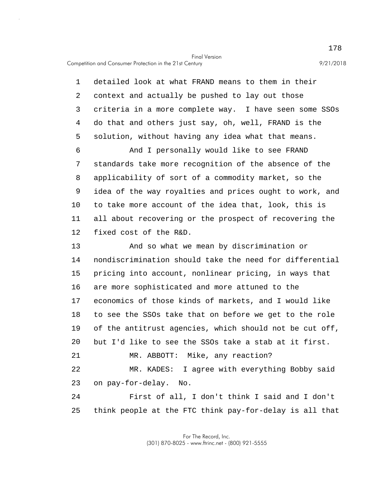Competition and Consumer Protection in the 21st Century 9/21/2018

5 10 15 20 25 1 detailed look at what FRAND means to them in their 2 context and actually be pushed to lay out those 3 criteria in a more complete way. I have seen some SSOs 4 do that and others just say, oh, well, FRAND is the solution, without having any idea what that means. 6 And I personally would like to see FRAND 7 standards take more recognition of the absence of the 8 applicability of sort of a commodity market, so the 9 idea of the way royalties and prices ought to work, and to take more account of the idea that, look, this is 11 all about recovering or the prospect of recovering the 12 fixed cost of the R&D. 13 And so what we mean by discrimination or 14 nondiscrimination should take the need for differential pricing into account, nonlinear pricing, in ways that 16 are more sophisticated and more attuned to the 17 economics of those kinds of markets, and I would like 18 to see the SSOs take that on before we get to the role 19 of the antitrust agencies, which should not be cut off, but I'd like to see the SSOs take a stab at it first. 21 MR. ABBOTT: Mike, any reaction? 22 MR. KADES: I agree with everything Bobby said 23 on pay-for-delay. No. 24 First of all, I don't think I said and I don't think people at the FTC think pay-for-delay is all that

> For The Record, Inc. (301) 870-8025 - www.ftrinc.net - (800) 921-5555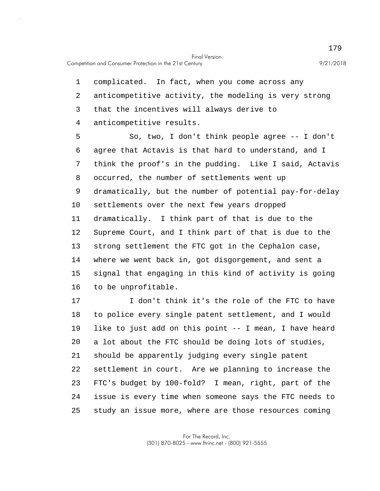1 complicated. In fact, when you come across any 2 anticompetitive activity, the modeling is very strong 3 that the incentives will always derive to 4 anticompetitive results.

5 10 15 So, two, I don't think people agree -- I don't 6 agree that Actavis is that hard to understand, and I 7 think the proof's in the pudding. Like I said, Actavis 8 occurred, the number of settlements went up 9 dramatically, but the number of potential pay-for-delay settlements over the next few years dropped 11 dramatically. I think part of that is due to the 12 Supreme Court, and I think part of that is due to the 13 strong settlement the FTC got in the Cephalon case, 14 where we went back in, got disgorgement, and sent a signal that engaging in this kind of activity is going 16 to be unprofitable.

20 25 17 I don't think it's the role of the FTC to have 18 to police every single patent settlement, and I would 19 like to just add on this point -- I mean, I have heard a lot about the FTC should be doing lots of studies, 21 should be apparently judging every single patent 22 settlement in court. Are we planning to increase the 23 FTC's budget by 100-fold? I mean, right, part of the 24 issue is every time when someone says the FTC needs to study an issue more, where are those resources coming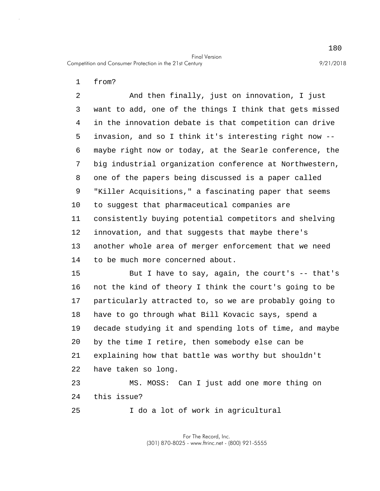1 from?

5 10 2 And then finally, just on innovation, I just 3 want to add, one of the things I think that gets missed 4 in the innovation debate is that competition can drive invasion, and so I think it's interesting right now -- 6 maybe right now or today, at the Searle conference, the 7 big industrial organization conference at Northwestern, 8 one of the papers being discussed is a paper called 9 "Killer Acquisitions," a fascinating paper that seems to suggest that pharmaceutical companies are 11 consistently buying potential competitors and shelving 12 innovation, and that suggests that maybe there's 13 another whole area of merger enforcement that we need 14 to be much more concerned about.

15 20 But I have to say, again, the court's -- that's 16 not the kind of theory I think the court's going to be 17 particularly attracted to, so we are probably going to 18 have to go through what Bill Kovacic says, spend a 19 decade studying it and spending lots of time, and maybe by the time I retire, then somebody else can be 21 explaining how that battle was worthy but shouldn't 22 have taken so long.

23 MS. MOSS: Can I just add one more thing on 24 this issue?

25 I do a lot of work in agricultural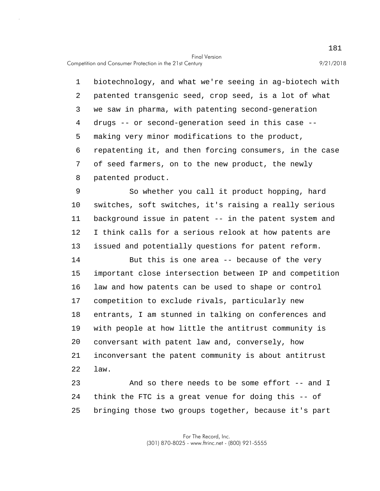5 1 biotechnology, and what we're seeing in ag-biotech with 2 patented transgenic seed, crop seed, is a lot of what 3 we saw in pharma, with patenting second-generation 4 drugs -- or second-generation seed in this case - making very minor modifications to the product, 6 repatenting it, and then forcing consumers, in the case 7 of seed farmers, on to the new product, the newly 8 patented product.

10 9 So whether you call it product hopping, hard switches, soft switches, it's raising a really serious 11 background issue in patent -- in the patent system and 12 I think calls for a serious relook at how patents are 13 issued and potentially questions for patent reform.

15 20 14 But this is one area -- because of the very important close intersection between IP and competition 16 law and how patents can be used to shape or control 17 competition to exclude rivals, particularly new 18 entrants, I am stunned in talking on conferences and 19 with people at how little the antitrust community is conversant with patent law and, conversely, how 21 inconversant the patent community is about antitrust 22 law.

25 23 And so there needs to be some effort -- and I 24 think the FTC is a great venue for doing this -- of bringing those two groups together, because it's part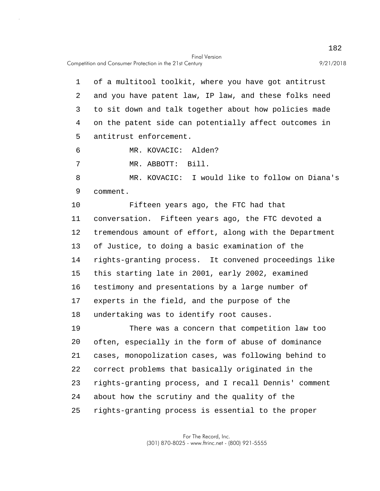5 1 of a multitool toolkit, where you have got antitrust 2 and you have patent law, IP law, and these folks need 3 to sit down and talk together about how policies made 4 on the patent side can potentially affect outcomes in antitrust enforcement.

6 MR. KOVACIC: Alden?

7 MR. ABBOTT: Bill.

8 MR. KOVACIC: I would like to follow on Diana's 9 comment.

10 15 Fifteen years ago, the FTC had that 11 conversation. Fifteen years ago, the FTC devoted a 12 tremendous amount of effort, along with the Department 13 of Justice, to doing a basic examination of the 14 rights-granting process. It convened proceedings like this starting late in 2001, early 2002, examined 16 testimony and presentations by a large number of 17 experts in the field, and the purpose of the 18 undertaking was to identify root causes.

20 25 19 There was a concern that competition law too often, especially in the form of abuse of dominance 21 cases, monopolization cases, was following behind to 22 correct problems that basically originated in the 23 rights-granting process, and I recall Dennis' comment 24 about how the scrutiny and the quality of the rights-granting process is essential to the proper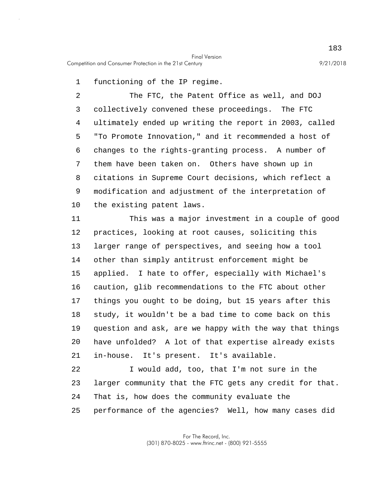1 functioning of the IP regime.

5 10 2 The FTC, the Patent Office as well, and DOJ 3 collectively convened these proceedings. The FTC 4 ultimately ended up writing the report in 2003, called "To Promote Innovation," and it recommended a host of 6 changes to the rights-granting process. A number of 7 them have been taken on. Others have shown up in 8 citations in Supreme Court decisions, which reflect a 9 modification and adjustment of the interpretation of the existing patent laws.

15 20 11 This was a major investment in a couple of good 12 practices, looking at root causes, soliciting this 13 larger range of perspectives, and seeing how a tool 14 other than simply antitrust enforcement might be applied. I hate to offer, especially with Michael's 16 caution, glib recommendations to the FTC about other 17 things you ought to be doing, but 15 years after this 18 study, it wouldn't be a bad time to come back on this 19 question and ask, are we happy with the way that things have unfolded? A lot of that expertise already exists 21 in-house. It's present. It's available.

25 22 I would add, too, that I'm not sure in the 23 larger community that the FTC gets any credit for that. 24 That is, how does the community evaluate the performance of the agencies? Well, how many cases did

> For The Record, Inc. (301) 870-8025 - www.ftrinc.net - (800) 921-5555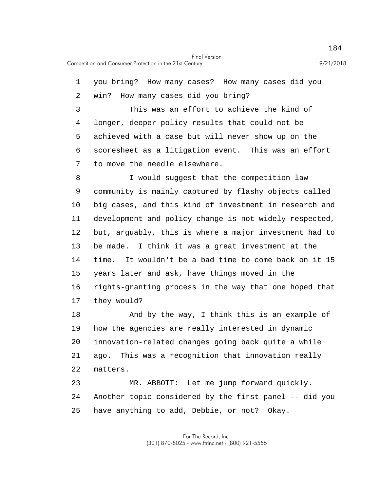5 10 15 20 25 1 you bring? How many cases? How many cases did you 2 win? How many cases did you bring? 3 This was an effort to achieve the kind of 4 longer, deeper policy results that could not be achieved with a case but will never show up on the 6 scoresheet as a litigation event. This was an effort 7 to move the needle elsewhere. 8 I would suggest that the competition law 9 community is mainly captured by flashy objects called big cases, and this kind of investment in research and 11 development and policy change is not widely respected, 12 but, arguably, this is where a major investment had to 13 be made. I think it was a great investment at the 14 time. It wouldn't be a bad time to come back on it 15 years later and ask, have things moved in the 16 rights-granting process in the way that one hoped that 17 they would? 18 And by the way, I think this is an example of 19 how the agencies are really interested in dynamic innovation-related changes going back quite a while 21 ago. This was a recognition that innovation really 22 matters. 23 MR. ABBOTT: Let me jump forward quickly. 24 Another topic considered by the first panel -- did you have anything to add, Debbie, or not? Okay.

> For The Record, Inc. (301) 870-8025 - www.ftrinc.net - (800) 921-5555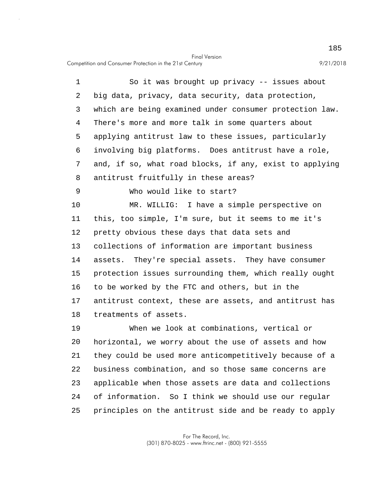5 1 So it was brought up privacy -- issues about 2 big data, privacy, data security, data protection, 3 which are being examined under consumer protection law. 4 There's more and more talk in some quarters about applying antitrust law to these issues, particularly 6 involving big platforms. Does antitrust have a role, 7 and, if so, what road blocks, if any, exist to applying 8 antitrust fruitfully in these areas?

9 Who would like to start?

10 15 MR. WILLIG: I have a simple perspective on 11 this, too simple, I'm sure, but it seems to me it's 12 pretty obvious these days that data sets and 13 collections of information are important business 14 assets. They're special assets. They have consumer protection issues surrounding them, which really ought 16 to be worked by the FTC and others, but in the 17 antitrust context, these are assets, and antitrust has 18 treatments of assets.

20 25 19 When we look at combinations, vertical or horizontal, we worry about the use of assets and how 21 they could be used more anticompetitively because of a 22 business combination, and so those same concerns are 23 applicable when those assets are data and collections 24 of information. So I think we should use our regular principles on the antitrust side and be ready to apply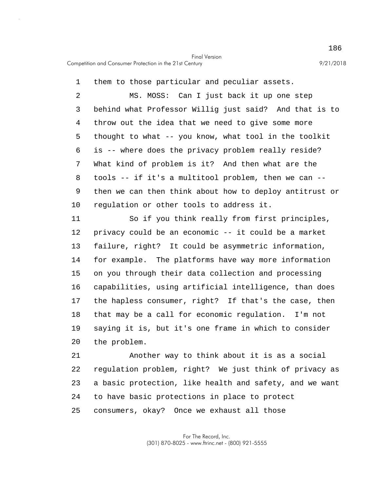1 them to those particular and peculiar assets.

5 10 2 MS. MOSS: Can I just back it up one step 3 behind what Professor Willig just said? And that is to 4 throw out the idea that we need to give some more thought to what -- you know, what tool in the toolkit 6 is -- where does the privacy problem really reside? 7 What kind of problem is it? And then what are the 8 tools -- if it's a multitool problem, then we can -- 9 then we can then think about how to deploy antitrust or regulation or other tools to address it.

15 20 11 So if you think really from first principles, 12 privacy could be an economic -- it could be a market 13 failure, right? It could be asymmetric information, 14 for example. The platforms have way more information on you through their data collection and processing 16 capabilities, using artificial intelligence, than does 17 the hapless consumer, right? If that's the case, then 18 that may be a call for economic regulation. I'm not 19 saying it is, but it's one frame in which to consider the problem.

25 21 Another way to think about it is as a social 22 regulation problem, right? We just think of privacy as 23 a basic protection, like health and safety, and we want 24 to have basic protections in place to protect consumers, okay? Once we exhaust all those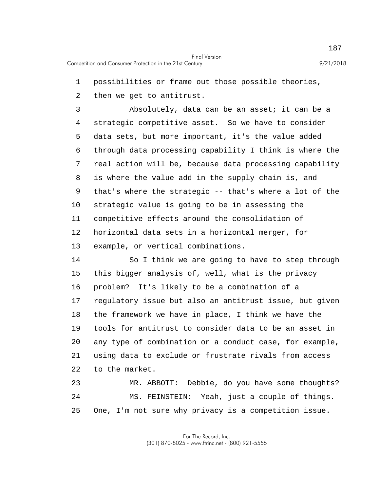1 possibilities or frame out those possible theories,

2 then we get to antitrust.

5 10 3 Absolutely, data can be an asset; it can be a 4 strategic competitive asset. So we have to consider data sets, but more important, it's the value added 6 through data processing capability I think is where the 7 real action will be, because data processing capability 8 is where the value add in the supply chain is, and 9 that's where the strategic -- that's where a lot of the strategic value is going to be in assessing the 11 competitive effects around the consolidation of 12 horizontal data sets in a horizontal merger, for 13 example, or vertical combinations.

15 20 14 So I think we are going to have to step through this bigger analysis of, well, what is the privacy 16 problem? It's likely to be a combination of a 17 regulatory issue but also an antitrust issue, but given 18 the framework we have in place, I think we have the 19 tools for antitrust to consider data to be an asset in any type of combination or a conduct case, for example, 21 using data to exclude or frustrate rivals from access 22 to the market.

25 23 MR. ABBOTT: Debbie, do you have some thoughts? 24 MS. FEINSTEIN: Yeah, just a couple of things. One, I'm not sure why privacy is a competition issue.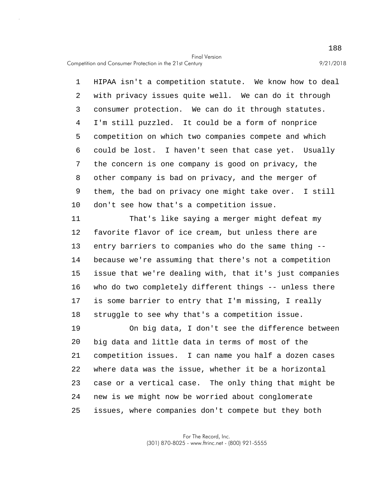5 10 1 HIPAA isn't a competition statute. We know how to deal 2 with privacy issues quite well. We can do it through 3 consumer protection. We can do it through statutes. 4 I'm still puzzled. It could be a form of nonprice competition on which two companies compete and which 6 could be lost. I haven't seen that case yet. Usually 7 the concern is one company is good on privacy, the 8 other company is bad on privacy, and the merger of 9 them, the bad on privacy one might take over. I still don't see how that's a competition issue.

15 11 That's like saying a merger might defeat my 12 favorite flavor of ice cream, but unless there are 13 entry barriers to companies who do the same thing -- 14 because we're assuming that there's not a competition issue that we're dealing with, that it's just companies 16 who do two completely different things -- unless there 17 is some barrier to entry that I'm missing, I really 18 struggle to see why that's a competition issue.

20 25 19 On big data, I don't see the difference between big data and little data in terms of most of the 21 competition issues. I can name you half a dozen cases 22 where data was the issue, whether it be a horizontal 23 case or a vertical case. The only thing that might be 24 new is we might now be worried about conglomerate issues, where companies don't compete but they both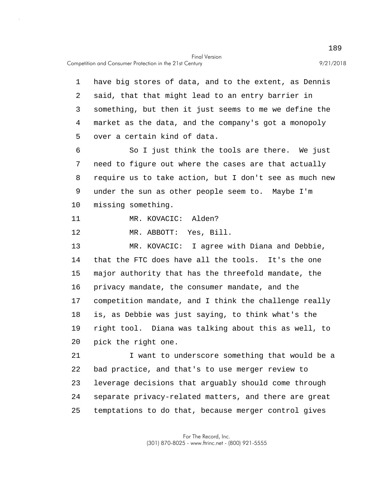Competition and Consumer Protection in the 21st Century 9/21/2018

5 10 15 20 25 1 have big stores of data, and to the extent, as Dennis 2 said, that that might lead to an entry barrier in 3 something, but then it just seems to me we define the 4 market as the data, and the company's got a monopoly over a certain kind of data. 6 So I just think the tools are there. We just 7 need to figure out where the cases are that actually 8 require us to take action, but I don't see as much new 9 under the sun as other people seem to. Maybe I'm missing something. 11 MR. KOVACIC: Alden? 12 MR. ABBOTT: Yes, Bill. 13 MR. KOVACIC: I agree with Diana and Debbie, 14 that the FTC does have all the tools. It's the one major authority that has the threefold mandate, the 16 privacy mandate, the consumer mandate, and the 17 competition mandate, and I think the challenge really 18 is, as Debbie was just saying, to think what's the 19 right tool. Diana was talking about this as well, to pick the right one. 21 I want to underscore something that would be a 22 bad practice, and that's to use merger review to 23 leverage decisions that arguably should come through 24 separate privacy-related matters, and there are great temptations to do that, because merger control gives

> For The Record, Inc. (301) 870-8025 - www.ftrinc.net - (800) 921-5555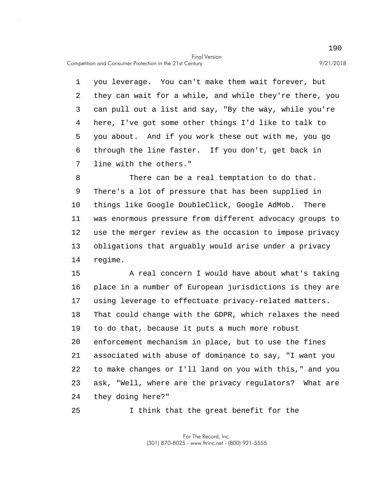Competition and Consumer Protection in the 21st Century 9/21/2018

5 1 you leverage. You can't make them wait forever, but 2 they can wait for a while, and while they're there, you 3 can pull out a list and say, "By the way, while you're 4 here, I've got some other things I'd like to talk to you about. And if you work these out with me, you go 6 through the line faster. If you don't, get back in 7 line with the others."

10 8 There can be a real temptation to do that. 9 There's a lot of pressure that has been supplied in things like Google DoubleClick, Google AdMob. There 11 was enormous pressure from different advocacy groups to 12 use the merger review as the occasion to impose privacy 13 obligations that arguably would arise under a privacy 14 regime.

15 20 A real concern I would have about what's taking 16 place in a number of European jurisdictions is they are 17 using leverage to effectuate privacy-related matters. 18 That could change with the GDPR, which relaxes the need 19 to do that, because it puts a much more robust enforcement mechanism in place, but to use the fines 21 associated with abuse of dominance to say, "I want you 22 to make changes or I'll land on you with this," and you 23 ask, "Well, where are the privacy regulators? What are 24 they doing here?"

25 I think that the great benefit for the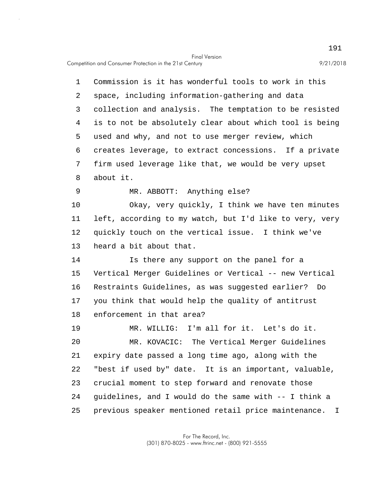Competition and Consumer Protection in the 21st Century 9/21/2018

5 10 15 20 25 1 Commission is it has wonderful tools to work in this 2 space, including information-gathering and data 3 collection and analysis. The temptation to be resisted 4 is to not be absolutely clear about which tool is being used and why, and not to use merger review, which 6 creates leverage, to extract concessions. If a private 7 firm used leverage like that, we would be very upset 8 about it. 9 MR. ABBOTT: Anything else? Okay, very quickly, I think we have ten minutes 11 left, according to my watch, but I'd like to very, very 12 quickly touch on the vertical issue. I think we've 13 heard a bit about that. 14 Is there any support on the panel for a Vertical Merger Guidelines or Vertical -- new Vertical 16 Restraints Guidelines, as was suggested earlier? Do 17 you think that would help the quality of antitrust 18 enforcement in that area? 19 MR. WILLIG: I'm all for it. Let's do it. MR. KOVACIC: The Vertical Merger Guidelines 21 expiry date passed a long time ago, along with the 22 "best if used by" date. It is an important, valuable, 23 crucial moment to step forward and renovate those 24 guidelines, and I would do the same with -- I think a previous speaker mentioned retail price maintenance. I

> For The Record, Inc. (301) 870-8025 - www.ftrinc.net - (800) 921-5555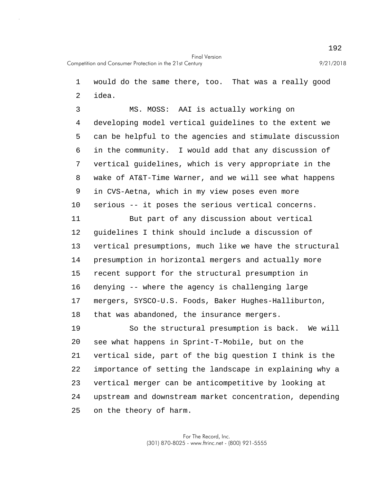1 would do the same there, too. That was a really good

2 idea.

5 10 3 MS. MOSS: AAI is actually working on 4 developing model vertical guidelines to the extent we can be helpful to the agencies and stimulate discussion 6 in the community. I would add that any discussion of 7 vertical guidelines, which is very appropriate in the 8 wake of AT&T-Time Warner, and we will see what happens 9 in CVS-Aetna, which in my view poses even more serious -- it poses the serious vertical concerns.

15 11 But part of any discussion about vertical 12 guidelines I think should include a discussion of 13 vertical presumptions, much like we have the structural 14 presumption in horizontal mergers and actually more recent support for the structural presumption in 16 denying -- where the agency is challenging large 17 mergers, SYSCO-U.S. Foods, Baker Hughes-Halliburton, 18 that was abandoned, the insurance mergers.

20 25 19 So the structural presumption is back. We will see what happens in Sprint-T-Mobile, but on the 21 vertical side, part of the big question I think is the 22 importance of setting the landscape in explaining why a 23 vertical merger can be anticompetitive by looking at 24 upstream and downstream market concentration, depending on the theory of harm.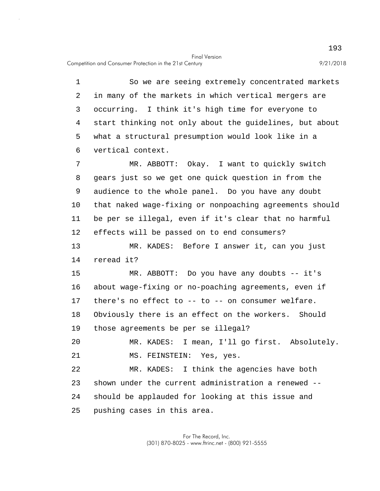Competition and Consumer Protection in the 21st Century 9/21/2018

5 10 15 20 25 1 So we are seeing extremely concentrated markets 2 in many of the markets in which vertical mergers are 3 occurring. I think it's high time for everyone to 4 start thinking not only about the guidelines, but about what a structural presumption would look like in a 6 vertical context. 7 MR. ABBOTT: Okay. I want to quickly switch 8 gears just so we get one quick question in from the 9 audience to the whole panel. Do you have any doubt that naked wage-fixing or nonpoaching agreements should 11 be per se illegal, even if it's clear that no harmful 12 effects will be passed on to end consumers? 13 MR. KADES: Before I answer it, can you just 14 reread it? MR. ABBOTT: Do you have any doubts -- it's 16 about wage-fixing or no-poaching agreements, even if 17 there's no effect to -- to -- on consumer welfare. 18 Obviously there is an effect on the workers. Should 19 those agreements be per se illegal? MR. KADES: I mean, I'll go first. Absolutely. 21 MS. FEINSTEIN: Yes, yes. 22 MR. KADES: I think the agencies have both 23 shown under the current administration a renewed -- 24 should be applauded for looking at this issue and pushing cases in this area.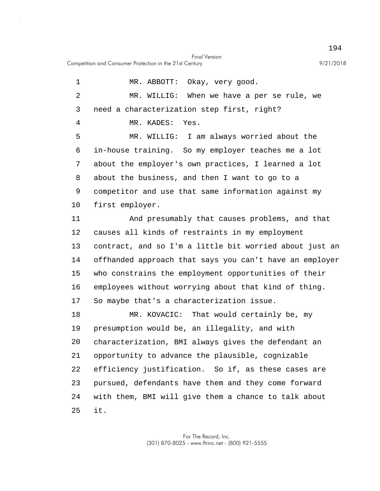Competition and Consumer Protection in the 21st Century 9/21/2018

5 10 15 20 25 1 MR. ABBOTT: Okay, very good. 2 MR. WILLIG: When we have a per se rule, we 3 need a characterization step first, right? 4 MR. KADES: Yes. MR. WILLIG: I am always worried about the 6 in-house training. So my employer teaches me a lot 7 about the employer's own practices, I learned a lot 8 about the business, and then I want to go to a 9 competitor and use that same information against my first employer. 11 And presumably that causes problems, and that 12 causes all kinds of restraints in my employment 13 contract, and so I'm a little bit worried about just an 14 offhanded approach that says you can't have an employer who constrains the employment opportunities of their 16 employees without worrying about that kind of thing. 17 So maybe that's a characterization issue. 18 MR. KOVACIC: That would certainly be, my 19 presumption would be, an illegality, and with characterization, BMI always gives the defendant an 21 opportunity to advance the plausible, cognizable 22 efficiency justification. So if, as these cases are 23 pursued, defendants have them and they come forward 24 with them, BMI will give them a chance to talk about it.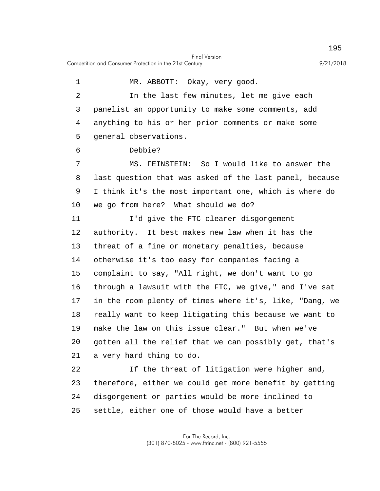5 10 15 20 1 MR. ABBOTT: Okay, very good. 2 In the last few minutes, let me give each 3 panelist an opportunity to make some comments, add 4 anything to his or her prior comments or make some general observations. 6 Debbie? 7 MS. FEINSTEIN: So I would like to answer the 8 last question that was asked of the last panel, because 9 I think it's the most important one, which is where do we go from here? What should we do? 11 I'd give the FTC clearer disgorgement 12 authority. It best makes new law when it has the 13 threat of a fine or monetary penalties, because 14 otherwise it's too easy for companies facing a complaint to say, "All right, we don't want to go 16 through a lawsuit with the FTC, we give," and I've sat 17 in the room plenty of times where it's, like, "Dang, we 18 really want to keep litigating this because we want to 19 make the law on this issue clear." But when we've gotten all the relief that we can possibly get, that's 21 a very hard thing to do. 22 If the threat of litigation were higher and, 23 therefore, either we could get more benefit by getting 24 disgorgement or parties would be more inclined to

25 settle, either one of those would have a better

> For The Record, Inc. (301) 870-8025 - www.ftrinc.net - (800) 921-5555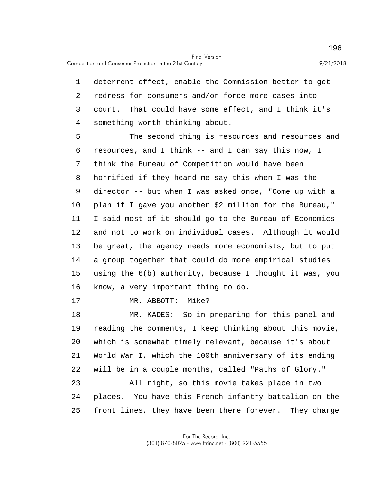1 deterrent effect, enable the Commission better to get 2 redress for consumers and/or force more cases into 3 court. That could have some effect, and I think it's 4 something worth thinking about.

5 10 15 The second thing is resources and resources and 6 resources, and I think -- and I can say this now, I 7 think the Bureau of Competition would have been 8 horrified if they heard me say this when I was the 9 director -- but when I was asked once, "Come up with a plan if I gave you another \$2 million for the Bureau," 11 I said most of it should go to the Bureau of Economics 12 and not to work on individual cases. Although it would 13 be great, the agency needs more economists, but to put 14 a group together that could do more empirical studies using the 6(b) authority, because I thought it was, you 16 know, a very important thing to do.

17 MR. ABBOTT: Mike?

20 25 18 MR. KADES: So in preparing for this panel and 19 reading the comments, I keep thinking about this movie, which is somewhat timely relevant, because it's about 21 World War I, which the 100th anniversary of its ending 22 will be in a couple months, called "Paths of Glory." 23 All right, so this movie takes place in two 24 places. You have this French infantry battalion on the front lines, they have been there forever. They charge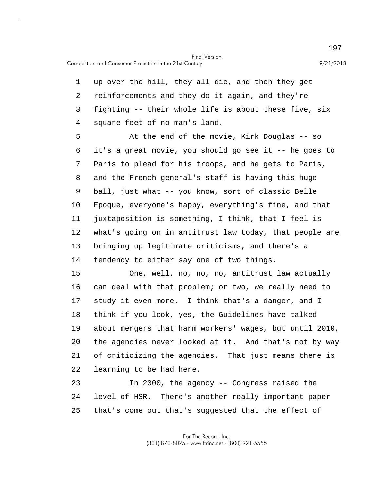Competition and Consumer Protection in the 21st Century 9/21/2018

1 up over the hill, they all die, and then they get 2 reinforcements and they do it again, and they're 3 fighting -- their whole life is about these five, six 4 square feet of no man's land.

5 10 At the end of the movie, Kirk Douglas -- so 6 it's a great movie, you should go see it -- he goes to 7 Paris to plead for his troops, and he gets to Paris, 8 and the French general's staff is having this huge 9 ball, just what -- you know, sort of classic Belle Epoque, everyone's happy, everything's fine, and that 11 juxtaposition is something, I think, that I feel is 12 what's going on in antitrust law today, that people are 13 bringing up legitimate criticisms, and there's a 14 tendency to either say one of two things.

15 20 One, well, no, no, no, antitrust law actually 16 can deal with that problem; or two, we really need to 17 study it even more. I think that's a danger, and I 18 think if you look, yes, the Guidelines have talked 19 about mergers that harm workers' wages, but until 2010, the agencies never looked at it. And that's not by way 21 of criticizing the agencies. That just means there is 22 learning to be had here.

25 23 In 2000, the agency -- Congress raised the 24 level of HSR. There's another really important paper that's come out that's suggested that the effect of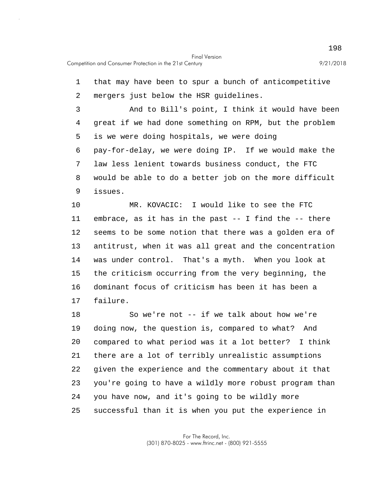5 10 15 20 1 that may have been to spur a bunch of anticompetitive 2 mergers just below the HSR guidelines. 3 And to Bill's point, I think it would have been 4 great if we had done something on RPM, but the problem is we were doing hospitals, we were doing 6 pay-for-delay, we were doing IP. If we would make the 7 law less lenient towards business conduct, the FTC 8 would be able to do a better job on the more difficult 9 issues. MR. KOVACIC: I would like to see the FTC 11 embrace, as it has in the past -- I find the -- there 12 seems to be some notion that there was a golden era of 13 antitrust, when it was all great and the concentration 14 was under control. That's a myth. When you look at the criticism occurring from the very beginning, the 16 dominant focus of criticism has been it has been a 17 failure. 18 So we're not -- if we talk about how we're 19 doing now, the question is, compared to what? And compared to what period was it a lot better? I think 21 there are a lot of terribly unrealistic assumptions 22 given the experience and the commentary about it that

25 23 you're going to have a wildly more robust program than 24 you have now, and it's going to be wildly more successful than it is when you put the experience in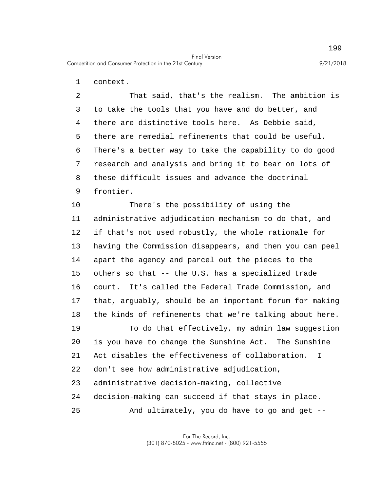1 context.

5 2 That said, that's the realism. The ambition is 3 to take the tools that you have and do better, and 4 there are distinctive tools here. As Debbie said, there are remedial refinements that could be useful. 6 There's a better way to take the capability to do good 7 research and analysis and bring it to bear on lots of 8 these difficult issues and advance the doctrinal 9 frontier.

10 15 20 There's the possibility of using the 11 administrative adjudication mechanism to do that, and 12 if that's not used robustly, the whole rationale for 13 having the Commission disappears, and then you can peel 14 apart the agency and parcel out the pieces to the others so that -- the U.S. has a specialized trade 16 court. It's called the Federal Trade Commission, and 17 that, arguably, should be an important forum for making 18 the kinds of refinements that we're talking about here. 19 To do that effectively, my admin law suggestion is you have to change the Sunshine Act. The Sunshine 21 Act disables the effectiveness of collaboration. I

- 22 don't see how administrative adjudication,
- 23 administrative decision-making, collective

24 decision-making can succeed if that stays in place.

25 And ultimately, you do have to go and get --

> For The Record, Inc. (301) 870-8025 - www.ftrinc.net - (800) 921-5555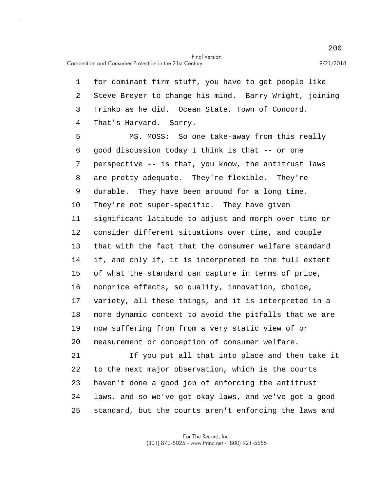Competition and Consumer Protection in the 21st Century 9/21/2018

1 for dominant firm stuff, you have to get people like 2 Steve Breyer to change his mind. Barry Wright, joining 3 Trinko as he did. Ocean State, Town of Concord. 4 That's Harvard. Sorry.

5 10 15 20 MS. MOSS: So one take-away from this really 6 good discussion today I think is that -- or one 7 perspective -- is that, you know, the antitrust laws 8 are pretty adequate. They're flexible. They're 9 durable. They have been around for a long time. They're not super-specific. They have given 11 significant latitude to adjust and morph over time or 12 consider different situations over time, and couple 13 that with the fact that the consumer welfare standard 14 if, and only if, it is interpreted to the full extent of what the standard can capture in terms of price, 16 nonprice effects, so quality, innovation, choice, 17 variety, all these things, and it is interpreted in a 18 more dynamic context to avoid the pitfalls that we are 19 now suffering from from a very static view of or measurement or conception of consumer welfare.

25 21 If you put all that into place and then take it 22 to the next major observation, which is the courts 23 haven't done a good job of enforcing the antitrust 24 laws, and so we've got okay laws, and we've got a good standard, but the courts aren't enforcing the laws and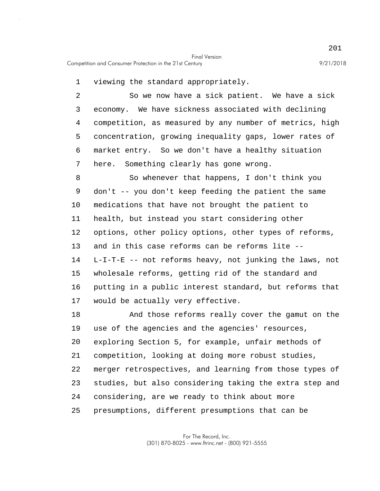1 viewing the standard appropriately.

5 2 So we now have a sick patient. We have a sick 3 economy. We have sickness associated with declining 4 competition, as measured by any number of metrics, high concentration, growing inequality gaps, lower rates of 6 market entry. So we don't have a healthy situation 7 here. Something clearly has gone wrong.

10 15 8 So whenever that happens, I don't think you 9 don't -- you don't keep feeding the patient the same medications that have not brought the patient to 11 health, but instead you start considering other 12 options, other policy options, other types of reforms, 13 and in this case reforms can be reforms lite -- 14 L-I-T-E -- not reforms heavy, not junking the laws, not wholesale reforms, getting rid of the standard and 16 putting in a public interest standard, but reforms that 17 would be actually very effective.

20 25 18 And those reforms really cover the gamut on the 19 use of the agencies and the agencies' resources, exploring Section 5, for example, unfair methods of 21 competition, looking at doing more robust studies, 22 merger retrospectives, and learning from those types of 23 studies, but also considering taking the extra step and 24 considering, are we ready to think about more presumptions, different presumptions that can be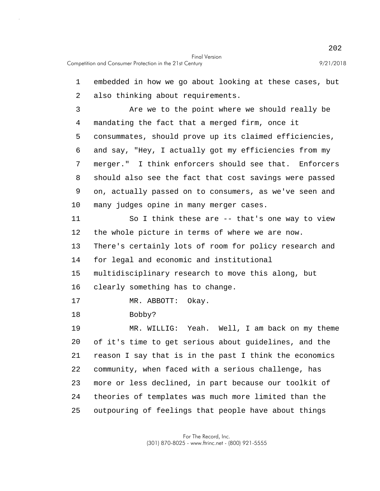5 10 15 20 25 1 embedded in how we go about looking at these cases, but 2 also thinking about requirements. 3 Are we to the point where we should really be 4 mandating the fact that a merged firm, once it consummates, should prove up its claimed efficiencies, 6 and say, "Hey, I actually got my efficiencies from my 7 merger." I think enforcers should see that. Enforcers 8 should also see the fact that cost savings were passed 9 on, actually passed on to consumers, as we've seen and many judges opine in many merger cases. 11 So I think these are -- that's one way to view 12 the whole picture in terms of where we are now. 13 There's certainly lots of room for policy research and 14 for legal and economic and institutional multidisciplinary research to move this along, but 16 clearly something has to change. 17 MR. ABBOTT: Okay. 18 Bobby? 19 MR. WILLIG: Yeah. Well, I am back on my theme of it's time to get serious about guidelines, and the 21 reason I say that is in the past I think the economics 22 community, when faced with a serious challenge, has 23 more or less declined, in part because our toolkit of 24 theories of templates was much more limited than the outpouring of feelings that people have about things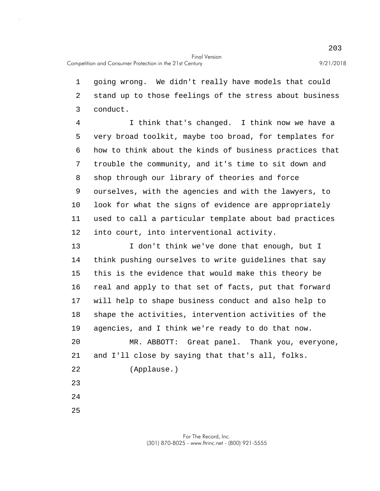1 going wrong. We didn't really have models that could 2 stand up to those feelings of the stress about business 3 conduct.

5 10 4 I think that's changed. I think now we have a very broad toolkit, maybe too broad, for templates for 6 how to think about the kinds of business practices that 7 trouble the community, and it's time to sit down and 8 shop through our library of theories and force 9 ourselves, with the agencies and with the lawyers, to look for what the signs of evidence are appropriately 11 used to call a particular template about bad practices 12 into court, into interventional activity.

15 20 13 I don't think we've done that enough, but I 14 think pushing ourselves to write guidelines that say this is the evidence that would make this theory be 16 real and apply to that set of facts, put that forward 17 will help to shape business conduct and also help to 18 shape the activities, intervention activities of the 19 agencies, and I think we're ready to do that now. MR. ABBOTT: Great panel. Thank you, everyone, 21 and I'll close by saying that that's all, folks. 22 (Applause.) 23

24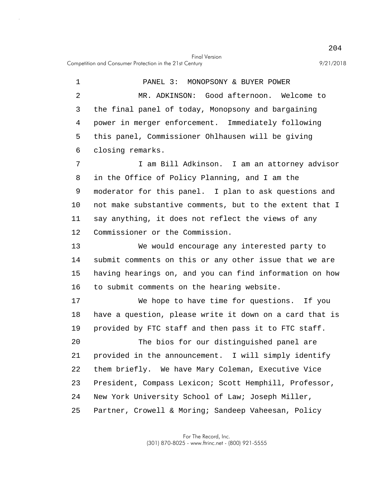5 1 PANEL 3: MONOPSONY & BUYER POWER 2 MR. ADKINSON: Good afternoon. Welcome to 3 the final panel of today, Monopsony and bargaining 4 power in merger enforcement. Immediately following this panel, Commissioner Ohlhausen will be giving 6 closing remarks. 7 I am Bill Adkinson. I am an attorney advisor 8 in the Office of Policy Planning, and I am the

10 9 moderator for this panel. I plan to ask questions and not make substantive comments, but to the extent that I 11 say anything, it does not reflect the views of any 12 Commissioner or the Commission.

15 13 We would encourage any interested party to 14 submit comments on this or any other issue that we are having hearings on, and you can find information on how 16 to submit comments on the hearing website.

17 We hope to have time for questions. If you 18 have a question, please write it down on a card that is 19 provided by FTC staff and then pass it to FTC staff.

20 25 The bios for our distinguished panel are 21 provided in the announcement. I will simply identify 22 them briefly. We have Mary Coleman, Executive Vice 23 President, Compass Lexicon; Scott Hemphill, Professor, 24 New York University School of Law; Joseph Miller, Partner, Crowell & Moring; Sandeep Vaheesan, Policy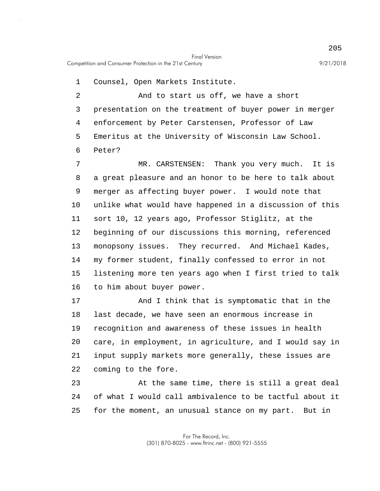1 Counsel, Open Markets Institute.

5 2 And to start us off, we have a short 3 presentation on the treatment of buyer power in merger 4 enforcement by Peter Carstensen, Professor of Law Emeritus at the University of Wisconsin Law School. 6 Peter?

10 15 7 MR. CARSTENSEN: Thank you very much. It is 8 a great pleasure and an honor to be here to talk about 9 merger as affecting buyer power. I would note that unlike what would have happened in a discussion of this 11 sort 10, 12 years ago, Professor Stiglitz, at the 12 beginning of our discussions this morning, referenced 13 monopsony issues. They recurred. And Michael Kades, 14 my former student, finally confessed to error in not listening more ten years ago when I first tried to talk 16 to him about buyer power.

20 17 And I think that is symptomatic that in the 18 last decade, we have seen an enormous increase in 19 recognition and awareness of these issues in health care, in employment, in agriculture, and I would say in 21 input supply markets more generally, these issues are 22 coming to the fore.

25 23 At the same time, there is still a great deal 24 of what I would call ambivalence to be tactful about it for the moment, an unusual stance on my part. But in

> For The Record, Inc. (301) 870-8025 - www.ftrinc.net - (800) 921-5555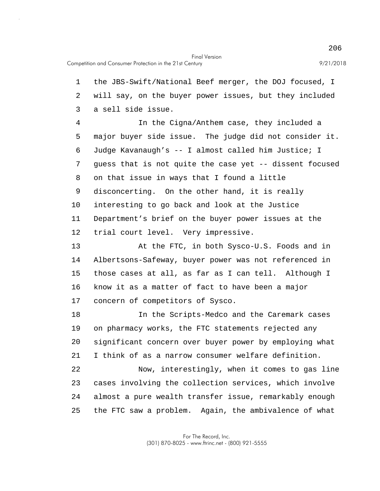5 10 15 20 1 the JBS-Swift/National Beef merger, the DOJ focused, I 2 will say, on the buyer power issues, but they included 3 a sell side issue. 4 In the Cigna/Anthem case, they included a major buyer side issue. The judge did not consider it. 6 Judge Kavanaugh's -- I almost called him Justice; I 7 guess that is not quite the case yet -- dissent focused 8 on that issue in ways that I found a little 9 disconcerting. On the other hand, it is really interesting to go back and look at the Justice 11 Department's brief on the buyer power issues at the 12 trial court level. Very impressive. 13 At the FTC, in both Sysco-U.S. Foods and in 14 Albertsons-Safeway, buyer power was not referenced in those cases at all, as far as I can tell. Although I 16 know it as a matter of fact to have been a major 17 concern of competitors of Sysco. 18 In the Scripts-Medco and the Caremark cases 19 on pharmacy works, the FTC statements rejected any significant concern over buyer power by employing what 21 I think of as a narrow consumer welfare definition. 22 Now, interestingly, when it comes to gas line 23 cases involving the collection services, which involve

25 the FTC saw a problem. Again, the ambivalence of what

24 almost a pure wealth transfer issue, remarkably enough

For The Record, Inc. (301) 870-8025 - www.ftrinc.net - (800) 921-5555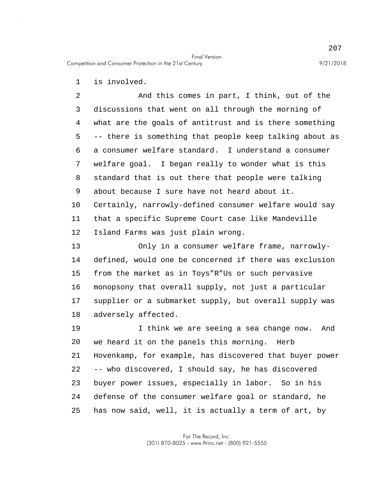1 is involved.

5 10 2 And this comes in part, I think, out of the 3 discussions that went on all through the morning of 4 what are the goals of antitrust and is there something -- there is something that people keep talking about as 6 a consumer welfare standard. I understand a consumer 7 welfare goal. I began really to wonder what is this 8 standard that is out there that people were talking 9 about because I sure have not heard about it. Certainly, narrowly-defined consumer welfare would say 11 that a specific Supreme Court case like Mandeville 12 Island Farms was just plain wrong.

15 13 Only in a consumer welfare frame, narrowly-14 defined, would one be concerned if there was exclusion from the market as in Toys"R"Us or such pervasive 16 monopsony that overall supply, not just a particular 17 supplier or a submarket supply, but overall supply was 18 adversely affected.

20 25 19 I think we are seeing a sea change now. And we heard it on the panels this morning. Herb 21 Hovenkamp, for example, has discovered that buyer power 22 -- who discovered, I should say, he has discovered 23 buyer power issues, especially in labor. So in his 24 defense of the consumer welfare goal or standard, he has now said, well, it is actually a term of art, by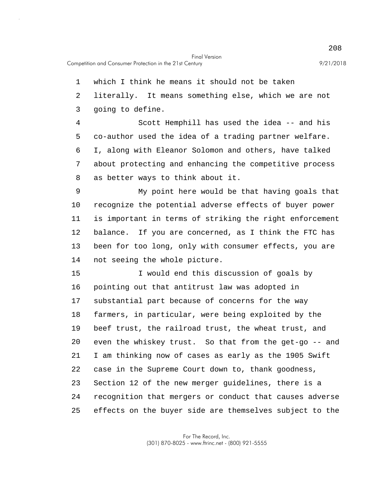1 which I think he means it should not be taken

2 literally. It means something else, which we are not

3 going to define.

5 4 Scott Hemphill has used the idea -- and his co-author used the idea of a trading partner welfare. 6 I, along with Eleanor Solomon and others, have talked 7 about protecting and enhancing the competitive process 8 as better ways to think about it.

10 9 My point here would be that having goals that recognize the potential adverse effects of buyer power 11 is important in terms of striking the right enforcement 12 balance. If you are concerned, as I think the FTC has 13 been for too long, only with consumer effects, you are 14 not seeing the whole picture.

15 20 25 I would end this discussion of goals by 16 pointing out that antitrust law was adopted in 17 substantial part because of concerns for the way 18 farmers, in particular, were being exploited by the 19 beef trust, the railroad trust, the wheat trust, and even the whiskey trust. So that from the get-go -- and 21 I am thinking now of cases as early as the 1905 Swift 22 case in the Supreme Court down to, thank goodness, 23 Section 12 of the new merger guidelines, there is a 24 recognition that mergers or conduct that causes adverse effects on the buyer side are themselves subject to the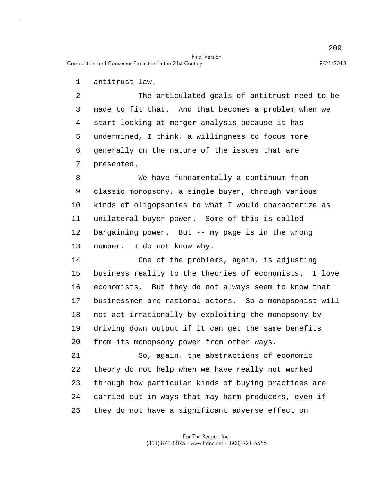Competition and Consumer Protection in the 21st Century 9/21/2018

1 antitrust law.

5 2 The articulated goals of antitrust need to be 3 made to fit that. And that becomes a problem when we 4 start looking at merger analysis because it has undermined, I think, a willingness to focus more 6 generally on the nature of the issues that are 7 presented.

10 8 We have fundamentally a continuum from 9 classic monopsony, a single buyer, through various kinds of oligopsonies to what I would characterize as 11 unilateral buyer power. Some of this is called 12 bargaining power. But -- my page is in the wrong 13 number. I do not know why.

15 20 14 One of the problems, again, is adjusting business reality to the theories of economists. I love 16 economists. But they do not always seem to know that 17 businessmen are rational actors. So a monopsonist will 18 not act irrationally by exploiting the monopsony by 19 driving down output if it can get the same benefits from its monopsony power from other ways.

25 21 So, again, the abstractions of economic 22 theory do not help when we have really not worked 23 through how particular kinds of buying practices are 24 carried out in ways that may harm producers, even if they do not have a significant adverse effect on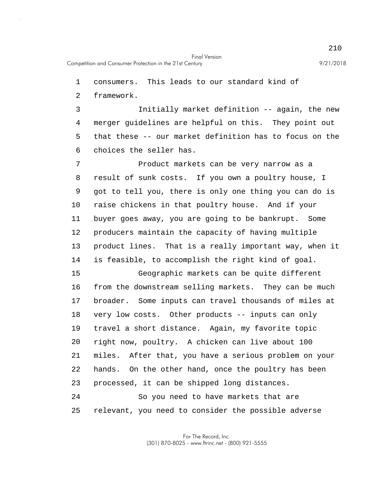1 consumers. This leads to our standard kind of

2 framework.

5 3 Initially market definition -- again, the new 4 merger guidelines are helpful on this. They point out that these -- our market definition has to focus on the 6 choices the seller has.

10 7 Product markets can be very narrow as a 8 result of sunk costs. If you own a poultry house, I 9 got to tell you, there is only one thing you can do is raise chickens in that poultry house. And if your 11 buyer goes away, you are going to be bankrupt. Some 12 producers maintain the capacity of having multiple 13 product lines. That is a really important way, when it 14 is feasible, to accomplish the right kind of goal.

15 20 Geographic markets can be quite different 16 from the downstream selling markets. They can be much 17 broader. Some inputs can travel thousands of miles at 18 very low costs. Other products -- inputs can only 19 travel a short distance. Again, my favorite topic right now, poultry. A chicken can live about 100 21 miles. After that, you have a serious problem on your 22 hands. On the other hand, once the poultry has been 23 processed, it can be shipped long distances. 24 So you need to have markets that are

25 relevant, you need to consider the possible adverse

> For The Record, Inc. (301) 870-8025 - www.ftrinc.net - (800) 921-5555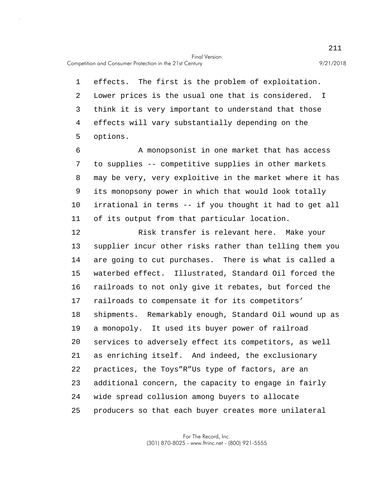Competition and Consumer Protection in the 21st Century 9/21/2018

5 1 effects. The first is the problem of exploitation. 2 Lower prices is the usual one that is considered. I 3 think it is very important to understand that those 4 effects will vary substantially depending on the options.

10 6 A monopsonist in one market that has access 7 to supplies -- competitive supplies in other markets 8 may be very, very exploitive in the market where it has 9 its monopsony power in which that would look totally irrational in terms -- if you thought it had to get all 11 of its output from that particular location.

15 20 25 12 Risk transfer is relevant here. Make your 13 supplier incur other risks rather than telling them you 14 are going to cut purchases. There is what is called a waterbed effect. Illustrated, Standard Oil forced the 16 railroads to not only give it rebates, but forced the 17 railroads to compensate it for its competitors' 18 shipments. Remarkably enough, Standard Oil wound up as 19 a monopoly. It used its buyer power of railroad services to adversely effect its competitors, as well 21 as enriching itself. And indeed, the exclusionary 22 practices, the Toys"R"Us type of factors, are an 23 additional concern, the capacity to engage in fairly 24 wide spread collusion among buyers to allocate producers so that each buyer creates more unilateral

> For The Record, Inc. (301) 870-8025 - www.ftrinc.net - (800) 921-5555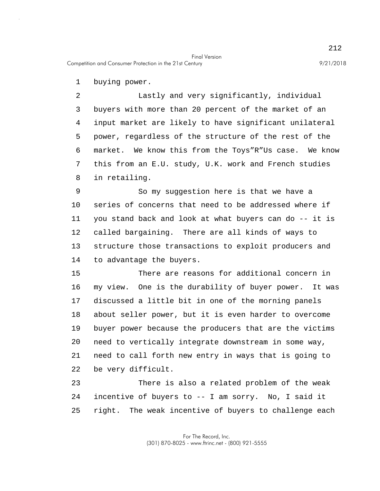Competition and Consumer Protection in the 21st Century 9/21/2018

1 buying power.

5 2 Lastly and very significantly, individual 3 buyers with more than 20 percent of the market of an 4 input market are likely to have significant unilateral power, regardless of the structure of the rest of the 6 market. We know this from the Toys"R"Us case. We know 7 this from an E.U. study, U.K. work and French studies 8 in retailing.

10 9 So my suggestion here is that we have a series of concerns that need to be addressed where if 11 you stand back and look at what buyers can do -- it is 12 called bargaining. There are all kinds of ways to 13 structure those transactions to exploit producers and 14 to advantage the buyers.

15 20 There are reasons for additional concern in 16 my view. One is the durability of buyer power. It was 17 discussed a little bit in one of the morning panels 18 about seller power, but it is even harder to overcome 19 buyer power because the producers that are the victims need to vertically integrate downstream in some way, 21 need to call forth new entry in ways that is going to 22 be very difficult.

25 23 There is also a related problem of the weak 24 incentive of buyers to -- I am sorry. No, I said it right. The weak incentive of buyers to challenge each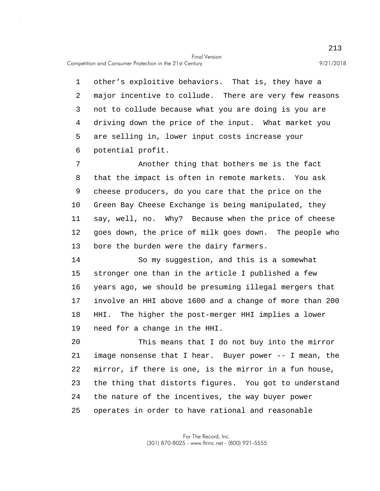Competition and Consumer Protection in the 21st Century 9/21/2018

5 1 other's exploitive behaviors. That is, they have a 2 major incentive to collude. There are very few reasons 3 not to collude because what you are doing is you are 4 driving down the price of the input. What market you are selling in, lower input costs increase your 6 potential profit.

10 7 Another thing that bothers me is the fact 8 that the impact is often in remote markets. You ask 9 cheese producers, do you care that the price on the Green Bay Cheese Exchange is being manipulated, they 11 say, well, no. Why? Because when the price of cheese 12 goes down, the price of milk goes down. The people who 13 bore the burden were the dairy farmers.

15 14 So my suggestion, and this is a somewhat stronger one than in the article I published a few 16 years ago, we should be presuming illegal mergers that 17 involve an HHI above 1600 and a change of more than 200 18 HHI. The higher the post-merger HHI implies a lower 19 need for a change in the HHI.

20 25 This means that I do not buy into the mirror 21 image nonsense that I hear. Buyer power -- I mean, the 22 mirror, if there is one, is the mirror in a fun house, 23 the thing that distorts figures. You got to understand 24 the nature of the incentives, the way buyer power operates in order to have rational and reasonable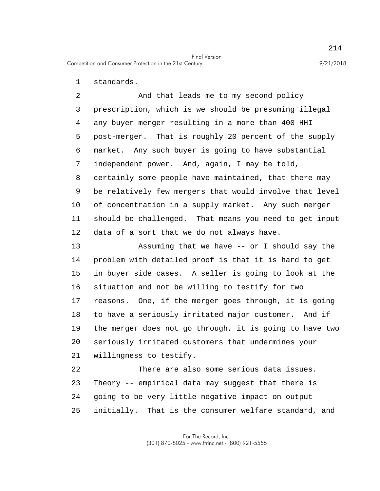1 standards.

5 10 2 And that leads me to my second policy 3 prescription, which is we should be presuming illegal 4 any buyer merger resulting in a more than 400 HHI post-merger. That is roughly 20 percent of the supply 6 market. Any such buyer is going to have substantial 7 independent power. And, again, I may be told, 8 certainly some people have maintained, that there may 9 be relatively few mergers that would involve that level of concentration in a supply market. Any such merger 11 should be challenged. That means you need to get input 12 data of a sort that we do not always have.

15 20 13 Assuming that we have -- or I should say the 14 problem with detailed proof is that it is hard to get in buyer side cases. A seller is going to look at the 16 situation and not be willing to testify for two 17 reasons. One, if the merger goes through, it is going 18 to have a seriously irritated major customer. And if 19 the merger does not go through, it is going to have two seriously irritated customers that undermines your 21 willingness to testify.

25 22 There are also some serious data issues. 23 Theory -- empirical data may suggest that there is 24 going to be very little negative impact on output initially. That is the consumer welfare standard, and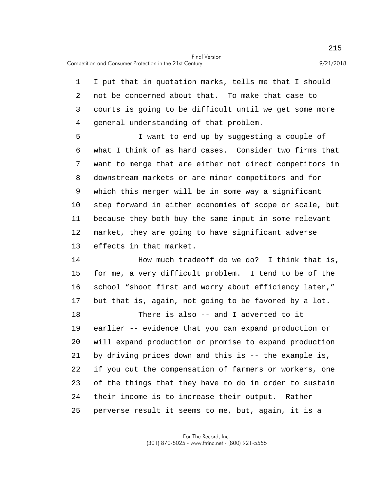1 I put that in quotation marks, tells me that I should 2 not be concerned about that. To make that case to 3 courts is going to be difficult until we get some more 4 general understanding of that problem.

5 10 I want to end up by suggesting a couple of 6 what I think of as hard cases. Consider two firms that 7 want to merge that are either not direct competitors in 8 downstream markets or are minor competitors and for 9 which this merger will be in some way a significant step forward in either economies of scope or scale, but 11 because they both buy the same input in some relevant 12 market, they are going to have significant adverse 13 effects in that market.

15 14 How much tradeoff do we do? I think that is, for me, a very difficult problem. I tend to be of the 16 school "shoot first and worry about efficiency later," 17 but that is, again, not going to be favored by a lot.

20 25 18 There is also -- and I adverted to it 19 earlier -- evidence that you can expand production or will expand production or promise to expand production 21 by driving prices down and this is -- the example is, 22 if you cut the compensation of farmers or workers, one 23 of the things that they have to do in order to sustain 24 their income is to increase their output. Rather perverse result it seems to me, but, again, it is a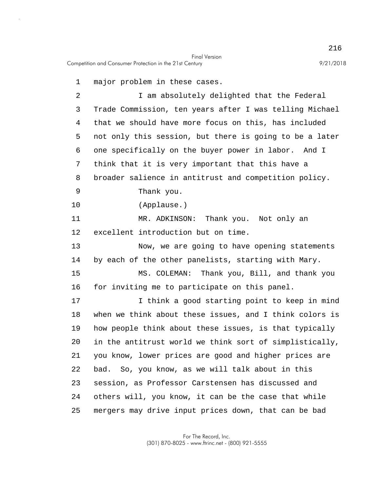1 major problem in these cases.

5 10 15 20 25 2 I am absolutely delighted that the Federal 3 Trade Commission, ten years after I was telling Michael 4 that we should have more focus on this, has included not only this session, but there is going to be a later 6 one specifically on the buyer power in labor. And I 7 think that it is very important that this have a 8 broader salience in antitrust and competition policy. 9 Thank you. (Applause.) 11 MR. ADKINSON: Thank you. Not only an 12 excellent introduction but on time. 13 Now, we are going to have opening statements 14 by each of the other panelists, starting with Mary. MS. COLEMAN: Thank you, Bill, and thank you 16 for inviting me to participate on this panel. 17 I think a good starting point to keep in mind 18 when we think about these issues, and I think colors is 19 how people think about these issues, is that typically in the antitrust world we think sort of simplistically, 21 you know, lower prices are good and higher prices are 22 bad. So, you know, as we will talk about in this 23 session, as Professor Carstensen has discussed and 24 others will, you know, it can be the case that while mergers may drive input prices down, that can be bad

> For The Record, Inc. (301) 870-8025 - www.ftrinc.net - (800) 921-5555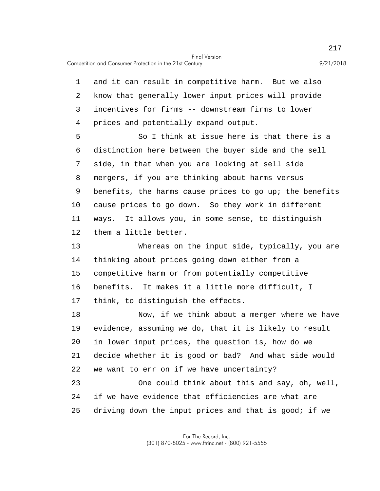5 10 15 20 25 1 and it can result in competitive harm. But we also 2 know that generally lower input prices will provide 3 incentives for firms -- downstream firms to lower 4 prices and potentially expand output. So I think at issue here is that there is a 6 distinction here between the buyer side and the sell 7 side, in that when you are looking at sell side 8 mergers, if you are thinking about harms versus 9 benefits, the harms cause prices to go up; the benefits cause prices to go down. So they work in different 11 ways. It allows you, in some sense, to distinguish 12 them a little better. 13 Whereas on the input side, typically, you are 14 thinking about prices going down either from a competitive harm or from potentially competitive 16 benefits. It makes it a little more difficult, I 17 think, to distinguish the effects. 18 Now, if we think about a merger where we have 19 evidence, assuming we do, that it is likely to result in lower input prices, the question is, how do we 21 decide whether it is good or bad? And what side would 22 we want to err on if we have uncertainty? 23 One could think about this and say, oh, well, 24 if we have evidence that efficiencies are what are driving down the input prices and that is good; if we

> For The Record, Inc. (301) 870-8025 - www.ftrinc.net - (800) 921-5555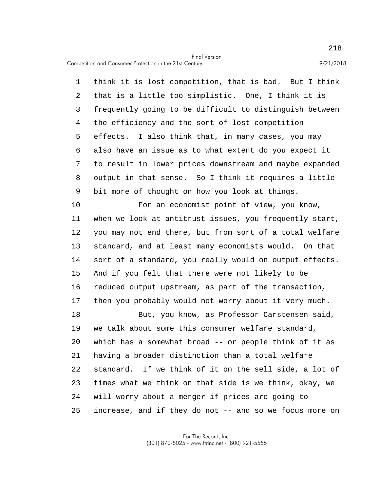Competition and Consumer Protection in the 21st Century 9/21/2018

5 1 think it is lost competition, that is bad. But I think 2 that is a little too simplistic. One, I think it is 3 frequently going to be difficult to distinguish between 4 the efficiency and the sort of lost competition effects. I also think that, in many cases, you may 6 also have an issue as to what extent do you expect it 7 to result in lower prices downstream and maybe expanded 8 output in that sense. So I think it requires a little 9 bit more of thought on how you look at things.

10 15 20 25 For an economist point of view, you know, 11 when we look at antitrust issues, you frequently start, 12 you may not end there, but from sort of a total welfare 13 standard, and at least many economists would. On that 14 sort of a standard, you really would on output effects. And if you felt that there were not likely to be 16 reduced output upstream, as part of the transaction, 17 then you probably would not worry about it very much. 18 But, you know, as Professor Carstensen said, 19 we talk about some this consumer welfare standard, which has a somewhat broad -- or people think of it as 21 having a broader distinction than a total welfare 22 standard. If we think of it on the sell side, a lot of 23 times what we think on that side is we think, okay, we 24 will worry about a merger if prices are going to increase, and if they do not -- and so we focus more on

> For The Record, Inc. (301) 870-8025 - www.ftrinc.net - (800) 921-5555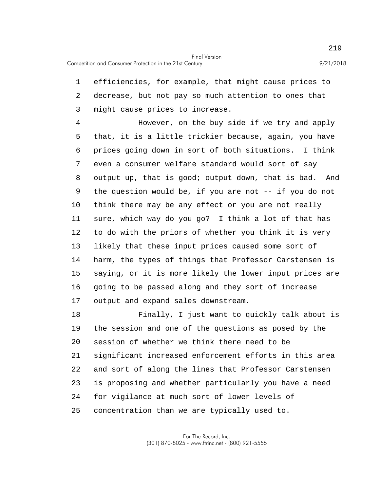1 efficiencies, for example, that might cause prices to 2 decrease, but not pay so much attention to ones that 3 might cause prices to increase.

5 10 15 4 However, on the buy side if we try and apply that, it is a little trickier because, again, you have 6 prices going down in sort of both situations. I think 7 even a consumer welfare standard would sort of say 8 output up, that is good; output down, that is bad. And 9 the question would be, if you are not -- if you do not think there may be any effect or you are not really 11 sure, which way do you go? I think a lot of that has 12 to do with the priors of whether you think it is very 13 likely that these input prices caused some sort of 14 harm, the types of things that Professor Carstensen is saying, or it is more likely the lower input prices are 16 going to be passed along and they sort of increase 17 output and expand sales downstream.

20 25 18 Finally, I just want to quickly talk about is 19 the session and one of the questions as posed by the session of whether we think there need to be 21 significant increased enforcement efforts in this area 22 and sort of along the lines that Professor Carstensen 23 is proposing and whether particularly you have a need 24 for vigilance at much sort of lower levels of concentration than we are typically used to.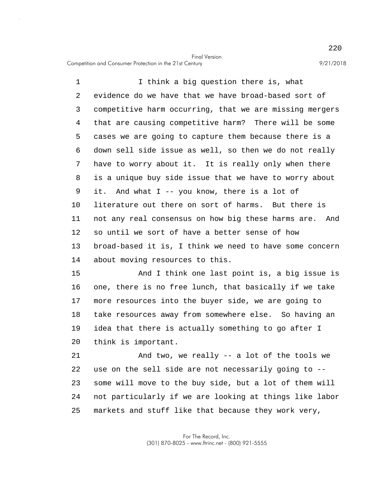Competition and Consumer Protection in the 21st Century 9/21/2018

5 10 1 1 I think a big question there is, what 2 evidence do we have that we have broad-based sort of 3 competitive harm occurring, that we are missing mergers 4 that are causing competitive harm? There will be some cases we are going to capture them because there is a 6 down sell side issue as well, so then we do not really 7 have to worry about it. It is really only when there 8 is a unique buy side issue that we have to worry about 9 it. And what I -- you know, there is a lot of literature out there on sort of harms. But there is 11 not any real consensus on how big these harms are. And 12 so until we sort of have a better sense of how 13 broad-based it is, I think we need to have some concern 14 about moving resources to this.

15 20 And I think one last point is, a big issue is 16 one, there is no free lunch, that basically if we take 17 more resources into the buyer side, we are going to 18 take resources away from somewhere else. So having an 19 idea that there is actually something to go after I think is important.

25 21 And two, we really -- a lot of the tools we 22 use on the sell side are not necessarily going to -- 23 some will move to the buy side, but a lot of them will 24 not particularly if we are looking at things like labor markets and stuff like that because they work very,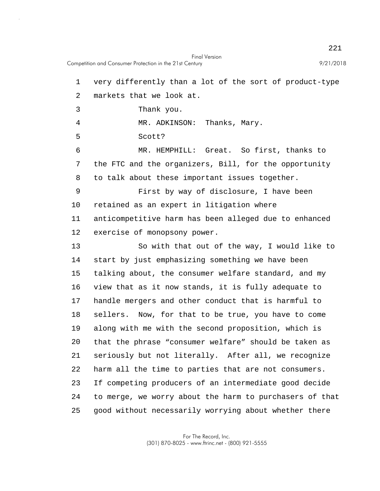Final Version Competition and Consumer Protection in the 21st Century 9/21/2018

5 10 15 20 25 1 very differently than a lot of the sort of product-type 2 markets that we look at. 3 Thank you. 4 MR. ADKINSON: Thanks, Mary. Scott? 6 MR. HEMPHILL: Great. So first, thanks to 7 the FTC and the organizers, Bill, for the opportunity 8 to talk about these important issues together. 9 First by way of disclosure, I have been retained as an expert in litigation where 11 anticompetitive harm has been alleged due to enhanced 12 exercise of monopsony power. 13 So with that out of the way, I would like to 14 start by just emphasizing something we have been talking about, the consumer welfare standard, and my 16 view that as it now stands, it is fully adequate to 17 handle mergers and other conduct that is harmful to 18 sellers. Now, for that to be true, you have to come 19 along with me with the second proposition, which is that the phrase "consumer welfare" should be taken as 21 seriously but not literally. After all, we recognize 22 harm all the time to parties that are not consumers. 23 If competing producers of an intermediate good decide 24 to merge, we worry about the harm to purchasers of that good without necessarily worrying about whether there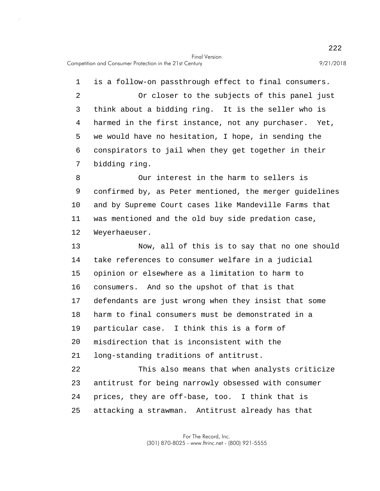5 1 is a follow-on passthrough effect to final consumers. 2 Or closer to the subjects of this panel just 3 think about a bidding ring. It is the seller who is 4 harmed in the first instance, not any purchaser. Yet, we would have no hesitation, I hope, in sending the 6 conspirators to jail when they get together in their 7 bidding ring.

10 8 Our interest in the harm to sellers is 9 confirmed by, as Peter mentioned, the merger guidelines and by Supreme Court cases like Mandeville Farms that 11 was mentioned and the old buy side predation case, 12 Weyerhaeuser.

15 20 13 Now, all of this is to say that no one should 14 take references to consumer welfare in a judicial opinion or elsewhere as a limitation to harm to 16 consumers. And so the upshot of that is that 17 defendants are just wrong when they insist that some 18 harm to final consumers must be demonstrated in a 19 particular case. I think this is a form of misdirection that is inconsistent with the 21 long-standing traditions of antitrust. 22 This also means that when analysts criticize 23 antitrust for being narrowly obsessed with consumer 24 prices, they are off-base, too. I think that is

25 attacking a strawman. Antitrust already has that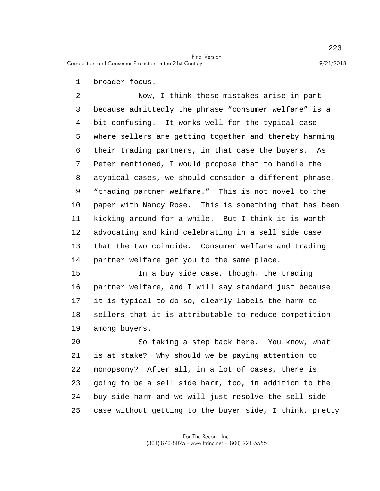1 broader focus.

5 10 2 Now, I think these mistakes arise in part 3 because admittedly the phrase "consumer welfare" is a 4 bit confusing. It works well for the typical case where sellers are getting together and thereby harming 6 their trading partners, in that case the buyers. As 7 Peter mentioned, I would propose that to handle the 8 atypical cases, we should consider a different phrase, 9 "trading partner welfare." This is not novel to the paper with Nancy Rose. This is something that has been 11 kicking around for a while. But I think it is worth 12 advocating and kind celebrating in a sell side case 13 that the two coincide. Consumer welfare and trading 14 partner welfare get you to the same place.

15 In a buy side case, though, the trading 16 partner welfare, and I will say standard just because 17 it is typical to do so, clearly labels the harm to 18 sellers that it is attributable to reduce competition 19 among buyers.

20 25 So taking a step back here. You know, what 21 is at stake? Why should we be paying attention to 22 monopsony? After all, in a lot of cases, there is 23 going to be a sell side harm, too, in addition to the 24 buy side harm and we will just resolve the sell side case without getting to the buyer side, I think, pretty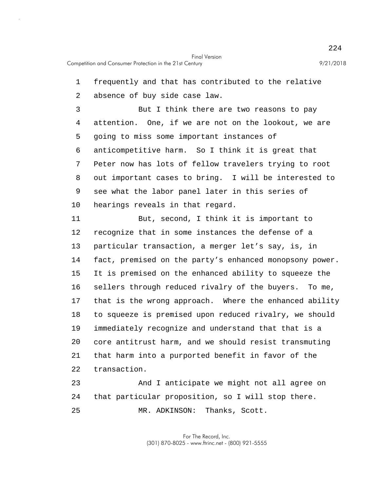5 10 15 20 1 frequently and that has contributed to the relative 2 absence of buy side case law. 3 But I think there are two reasons to pay 4 attention. One, if we are not on the lookout, we are going to miss some important instances of 6 anticompetitive harm. So I think it is great that 7 Peter now has lots of fellow travelers trying to root 8 out important cases to bring. I will be interested to 9 see what the labor panel later in this series of hearings reveals in that regard. 11 But, second, I think it is important to 12 recognize that in some instances the defense of a 13 particular transaction, a merger let's say, is, in 14 fact, premised on the party's enhanced monopsony power. It is premised on the enhanced ability to squeeze the 16 sellers through reduced rivalry of the buyers. To me, 17 that is the wrong approach. Where the enhanced ability 18 to squeeze is premised upon reduced rivalry, we should 19 immediately recognize and understand that that is a core antitrust harm, and we should resist transmuting 21 that harm into a purported benefit in favor of the 22 transaction. 23 And I anticipate we might not all agree on 24 that particular proposition, so I will stop there.

MR. ADKINSON: Thanks, Scott.

25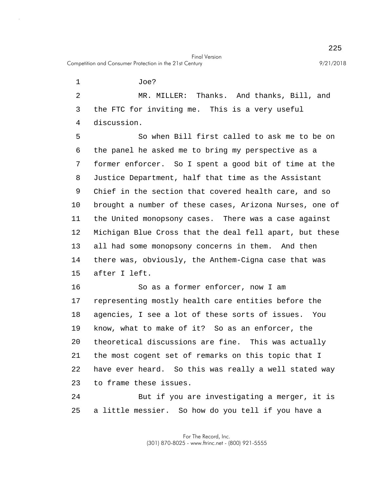Competition and Consumer Protection in the 21st Century 9/21/2018

1 Joe?

2 MR. MILLER: Thanks. And thanks, Bill, and 3 the FTC for inviting me. This is a very useful 4 discussion.

5 10 15 So when Bill first called to ask me to be on 6 the panel he asked me to bring my perspective as a 7 former enforcer. So I spent a good bit of time at the 8 Justice Department, half that time as the Assistant 9 Chief in the section that covered health care, and so brought a number of these cases, Arizona Nurses, one of 11 the United monopsony cases. There was a case against 12 Michigan Blue Cross that the deal fell apart, but these 13 all had some monopsony concerns in them. And then 14 there was, obviously, the Anthem-Cigna case that was after I left.

20 16 So as a former enforcer, now I am 17 representing mostly health care entities before the 18 agencies, I see a lot of these sorts of issues. You 19 know, what to make of it? So as an enforcer, the theoretical discussions are fine. This was actually 21 the most cogent set of remarks on this topic that I 22 have ever heard. So this was really a well stated way 23 to frame these issues.

25 24 But if you are investigating a merger, it is a little messier. So how do you tell if you have a

225

Final Version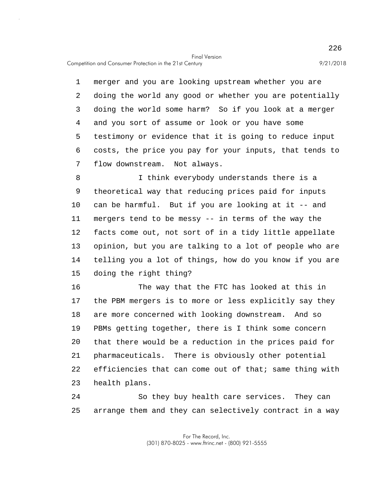5 1 merger and you are looking upstream whether you are 2 doing the world any good or whether you are potentially 3 doing the world some harm? So if you look at a merger 4 and you sort of assume or look or you have some testimony or evidence that it is going to reduce input 6 costs, the price you pay for your inputs, that tends to 7 flow downstream. Not always.

10 15 8 I think everybody understands there is a 9 theoretical way that reducing prices paid for inputs can be harmful. But if you are looking at it -- and 11 mergers tend to be messy -- in terms of the way the 12 facts come out, not sort of in a tidy little appellate 13 opinion, but you are talking to a lot of people who are 14 telling you a lot of things, how do you know if you are doing the right thing?

20 16 The way that the FTC has looked at this in 17 the PBM mergers is to more or less explicitly say they 18 are more concerned with looking downstream. And so 19 PBMs getting together, there is I think some concern that there would be a reduction in the prices paid for 21 pharmaceuticals. There is obviously other potential 22 efficiencies that can come out of that; same thing with 23 health plans.

25 24 So they buy health care services. They can arrange them and they can selectively contract in a way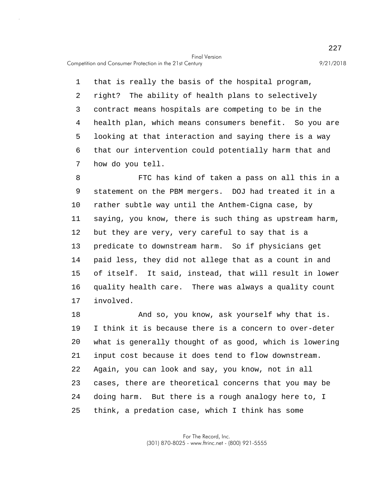Competition and Consumer Protection in the 21st Century 9/21/2018

5 1 that is really the basis of the hospital program, 2 right? The ability of health plans to selectively 3 contract means hospitals are competing to be in the 4 health plan, which means consumers benefit. So you are looking at that interaction and saying there is a way 6 that our intervention could potentially harm that and 7 how do you tell.

10 15 8 FTC has kind of taken a pass on all this in a 9 statement on the PBM mergers. DOJ had treated it in a rather subtle way until the Anthem-Cigna case, by 11 saying, you know, there is such thing as upstream harm, 12 but they are very, very careful to say that is a 13 predicate to downstream harm. So if physicians get 14 paid less, they did not allege that as a count in and of itself. It said, instead, that will result in lower 16 quality health care. There was always a quality count 17 involved.

20 25 18 And so, you know, ask yourself why that is. 19 I think it is because there is a concern to over-deter what is generally thought of as good, which is lowering 21 input cost because it does tend to flow downstream. 22 Again, you can look and say, you know, not in all 23 cases, there are theoretical concerns that you may be 24 doing harm. But there is a rough analogy here to, I think, a predation case, which I think has some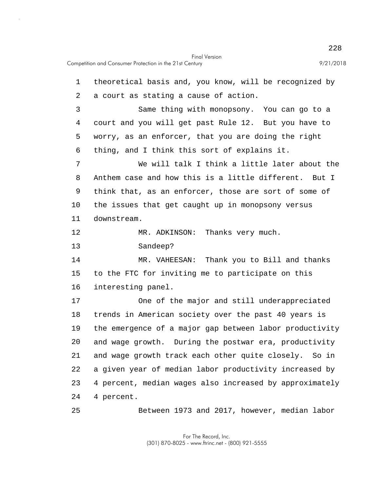25

| 1  | theoretical basis and, you know, will be recognized by |
|----|--------------------------------------------------------|
| 2  | a court as stating a cause of action.                  |
| 3  | Same thing with monopsony. You can go to a             |
| 4  | court and you will get past Rule 12. But you have to   |
| 5  | worry, as an enforcer, that you are doing the right    |
| 6  | thing, and I think this sort of explains it.           |
| 7  | We will talk I think a little later about the          |
| 8  | Anthem case and how this is a little different. But I  |
| 9  | think that, as an enforcer, those are sort of some of  |
| 10 | the issues that get caught up in monopsony versus      |
| 11 | downstream.                                            |
| 12 | MR. ADKINSON: Thanks very much.                        |
| 13 | Sandeep?                                               |
| 14 | MR. VAHEESAN: Thank you to Bill and thanks             |

15 to the FTC for inviting me to participate on this 16 interesting panel.

20 17 One of the major and still underappreciated 18 trends in American society over the past 40 years is 19 the emergence of a major gap between labor productivity and wage growth. During the postwar era, productivity 21 and wage growth track each other quite closely. So in 22 a given year of median labor productivity increased by 23 4 percent, median wages also increased by approximately 24 4 percent.

Between 1973 and 2017, however, median labor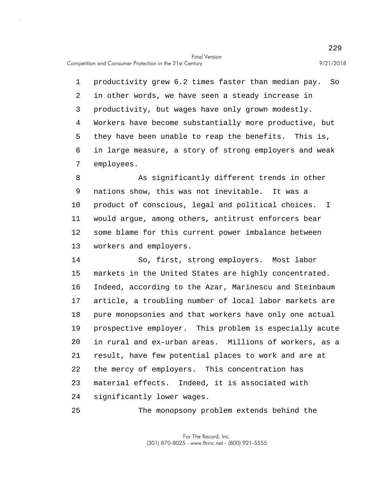Competition and Consumer Protection in the 21st Century 9/21/2018

25

5 1 productivity grew 6.2 times faster than median pay. So 2 in other words, we have seen a steady increase in 3 productivity, but wages have only grown modestly. 4 Workers have become substantially more productive, but they have been unable to reap the benefits. This is, 6 in large measure, a story of strong employers and weak 7 employees.

10 8 As significantly different trends in other 9 nations show, this was not inevitable. It was a product of conscious, legal and political choices. I 11 would argue, among others, antitrust enforcers bear 12 some blame for this current power imbalance between 13 workers and employers.

15 20 14 So, first, strong employers. Most labor markets in the United States are highly concentrated. 16 Indeed, according to the Azar, Marinescu and Steinbaum 17 article, a troubling number of local labor markets are 18 pure monopsonies and that workers have only one actual 19 prospective employer. This problem is especially acute in rural and ex-urban areas. Millions of workers, as a 21 result, have few potential places to work and are at 22 the mercy of employers. This concentration has 23 material effects. Indeed, it is associated with 24 significantly lower wages.

The monopsony problem extends behind the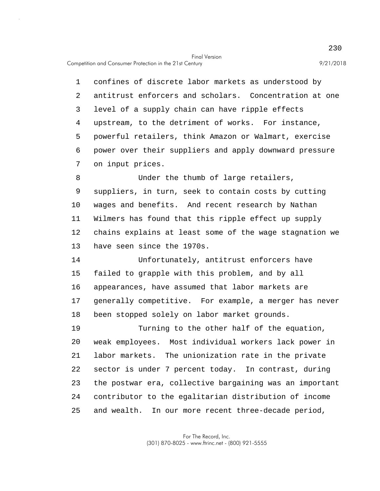5 1 confines of discrete labor markets as understood by 2 antitrust enforcers and scholars. Concentration at one 3 level of a supply chain can have ripple effects 4 upstream, to the detriment of works. For instance, powerful retailers, think Amazon or Walmart, exercise 6 power over their suppliers and apply downward pressure 7 on input prices.

10 8 Under the thumb of large retailers, 9 suppliers, in turn, seek to contain costs by cutting wages and benefits. And recent research by Nathan 11 Wilmers has found that this ripple effect up supply 12 chains explains at least some of the wage stagnation we 13 have seen since the 1970s.

15 14 Unfortunately, antitrust enforcers have failed to grapple with this problem, and by all 16 appearances, have assumed that labor markets are 17 generally competitive. For example, a merger has never 18 been stopped solely on labor market grounds.

20 25 19 Turning to the other half of the equation, weak employees. Most individual workers lack power in 21 labor markets. The unionization rate in the private 22 sector is under 7 percent today. In contrast, during 23 the postwar era, collective bargaining was an important 24 contributor to the egalitarian distribution of income and wealth. In our more recent three-decade period,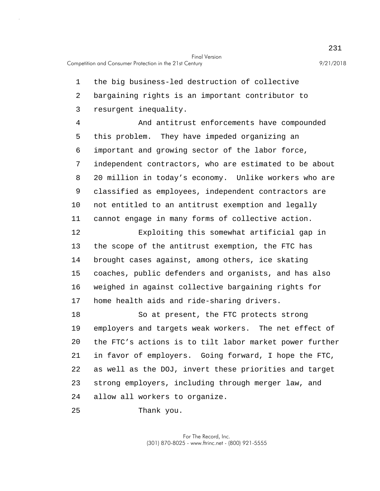1 the big business-led destruction of collective

2 bargaining rights is an important contributor to

3 resurgent inequality.

5 10 4 And antitrust enforcements have compounded this problem. They have impeded organizing an 6 important and growing sector of the labor force, 7 independent contractors, who are estimated to be about 8 20 million in today's economy. Unlike workers who are 9 classified as employees, independent contractors are not entitled to an antitrust exemption and legally 11 cannot engage in many forms of collective action.

15 12 Exploiting this somewhat artificial gap in 13 the scope of the antitrust exemption, the FTC has 14 brought cases against, among others, ice skating coaches, public defenders and organists, and has also 16 weighed in against collective bargaining rights for 17 home health aids and ride-sharing drivers.

20 18 So at present, the FTC protects strong 19 employers and targets weak workers. The net effect of the FTC's actions is to tilt labor market power further 21 in favor of employers. Going forward, I hope the FTC, 22 as well as the DOJ, invert these priorities and target 23 strong employers, including through merger law, and 24 allow all workers to organize.

25 Thank you.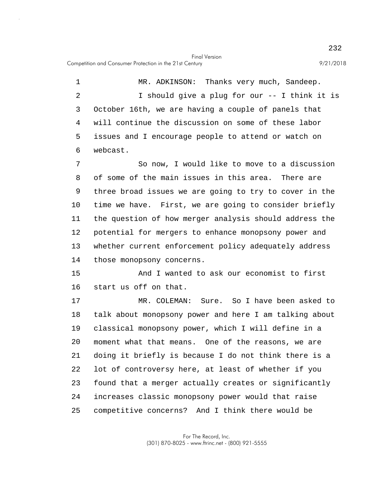5 1 MR. ADKINSON: Thanks very much, Sandeep. 2 I should give a plug for our -- I think it is 3 October 16th, we are having a couple of panels that 4 will continue the discussion on some of these labor issues and I encourage people to attend or watch on 6 webcast.

10 7 So now, I would like to move to a discussion 8 of some of the main issues in this area. There are 9 three broad issues we are going to try to cover in the time we have. First, we are going to consider briefly 11 the question of how merger analysis should address the 12 potential for mergers to enhance monopsony power and 13 whether current enforcement policy adequately address 14 those monopsony concerns.

15 And I wanted to ask our economist to first 16 start us off on that.

20 25 17 MR. COLEMAN: Sure. So I have been asked to 18 talk about monopsony power and here I am talking about 19 classical monopsony power, which I will define in a moment what that means. One of the reasons, we are 21 doing it briefly is because I do not think there is a 22 lot of controversy here, at least of whether if you 23 found that a merger actually creates or significantly 24 increases classic monopsony power would that raise competitive concerns? And I think there would be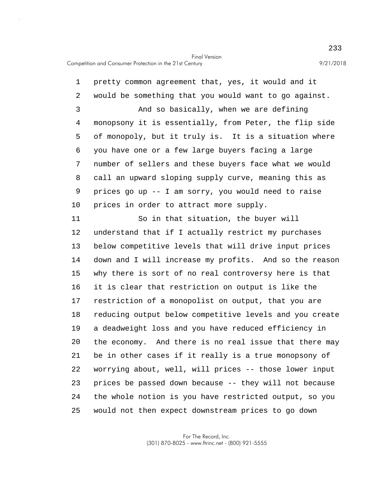5 10 1 pretty common agreement that, yes, it would and it 2 would be something that you would want to go against. 3 And so basically, when we are defining 4 monopsony it is essentially, from Peter, the flip side of monopoly, but it truly is. It is a situation where 6 you have one or a few large buyers facing a large 7 number of sellers and these buyers face what we would 8 call an upward sloping supply curve, meaning this as 9 prices go up -- I am sorry, you would need to raise prices in order to attract more supply.

15 20 25 11 So in that situation, the buyer will 12 understand that if I actually restrict my purchases 13 below competitive levels that will drive input prices 14 down and I will increase my profits. And so the reason why there is sort of no real controversy here is that 16 it is clear that restriction on output is like the 17 restriction of a monopolist on output, that you are 18 reducing output below competitive levels and you create 19 a deadweight loss and you have reduced efficiency in the economy. And there is no real issue that there may 21 be in other cases if it really is a true monopsony of 22 worrying about, well, will prices -- those lower input 23 prices be passed down because -- they will not because 24 the whole notion is you have restricted output, so you would not then expect downstream prices to go down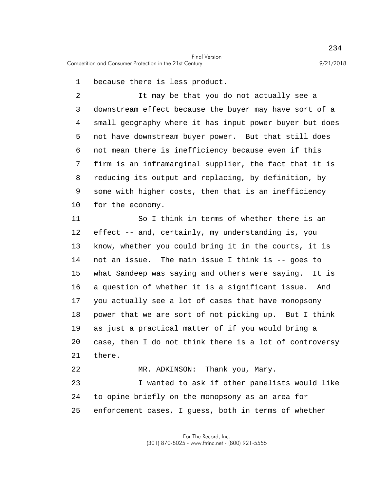1 because there is less product.

5 10 2 It may be that you do not actually see a 3 downstream effect because the buyer may have sort of a 4 small geography where it has input power buyer but does not have downstream buyer power. But that still does 6 not mean there is inefficiency because even if this 7 firm is an inframarginal supplier, the fact that it is 8 reducing its output and replacing, by definition, by 9 some with higher costs, then that is an inefficiency for the economy.

15 20 11 So I think in terms of whether there is an 12 effect -- and, certainly, my understanding is, you 13 know, whether you could bring it in the courts, it is 14 not an issue. The main issue I think is -- goes to what Sandeep was saying and others were saying. It is 16 a question of whether it is a significant issue. And 17 you actually see a lot of cases that have monopsony 18 power that we are sort of not picking up. But I think 19 as just a practical matter of if you would bring a case, then I do not think there is a lot of controversy 21 there.

25 22 MR. ADKINSON: Thank you, Mary. 23 I wanted to ask if other panelists would like 24 to opine briefly on the monopsony as an area for enforcement cases, I guess, both in terms of whether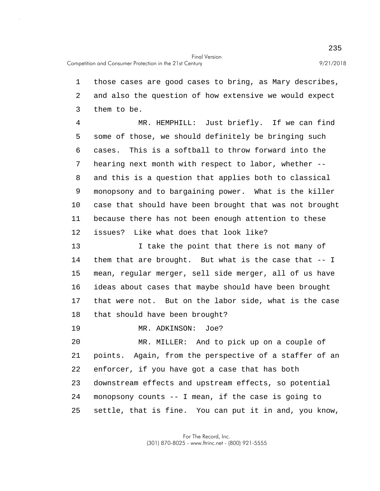1 those cases are good cases to bring, as Mary describes, 2 and also the question of how extensive we would expect 3 them to be.

5 10 4 MR. HEMPHILL: Just briefly. If we can find some of those, we should definitely be bringing such 6 cases. This is a softball to throw forward into the 7 hearing next month with respect to labor, whether -- 8 and this is a question that applies both to classical 9 monopsony and to bargaining power. What is the killer case that should have been brought that was not brought 11 because there has not been enough attention to these 12 issues? Like what does that look like?

15 13 I take the point that there is not many of 14 them that are brought. But what is the case that -- I mean, regular merger, sell side merger, all of us have 16 ideas about cases that maybe should have been brought 17 that were not. But on the labor side, what is the case 18 that should have been brought?

19 MR. ADKINSON: Joe?

20 25 MR. MILLER: And to pick up on a couple of 21 points. Again, from the perspective of a staffer of an 22 enforcer, if you have got a case that has both 23 downstream effects and upstream effects, so potential 24 monopsony counts -- I mean, if the case is going to settle, that is fine. You can put it in and, you know,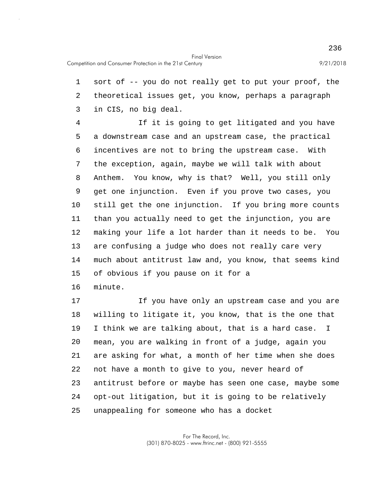5 10 15 1 sort of -- you do not really get to put your proof, the 2 theoretical issues get, you know, perhaps a paragraph 3 in CIS, no big deal. 4 If it is going to get litigated and you have a downstream case and an upstream case, the practical 6 incentives are not to bring the upstream case. With 7 the exception, again, maybe we will talk with about 8 Anthem. You know, why is that? Well, you still only 9 get one injunction. Even if you prove two cases, you still get the one injunction. If you bring more counts 11 than you actually need to get the injunction, you are 12 making your life a lot harder than it needs to be. You 13 are confusing a judge who does not really care very 14 much about antitrust law and, you know, that seems kind of obvious if you pause on it for a 16 minute. 17 If you have only an upstream case and you are

20 25 18 willing to litigate it, you know, that is the one that 19 I think we are talking about, that is a hard case. I mean, you are walking in front of a judge, again you 21 are asking for what, a month of her time when she does 22 not have a month to give to you, never heard of 23 antitrust before or maybe has seen one case, maybe some 24 opt-out litigation, but it is going to be relatively unappealing for someone who has a docket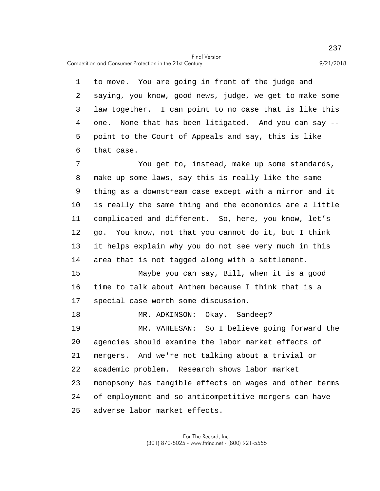Competition and Consumer Protection in the 21st Century 9/21/2018

5 1 to move. You are going in front of the judge and 2 saying, you know, good news, judge, we get to make some 3 law together. I can point to no case that is like this 4 one. None that has been litigated. And you can say - point to the Court of Appeals and say, this is like 6 that case.

10 7 You get to, instead, make up some standards, 8 make up some laws, say this is really like the same 9 thing as a downstream case except with a mirror and it is really the same thing and the economics are a little 11 complicated and different. So, here, you know, let's 12 go. You know, not that you cannot do it, but I think 13 it helps explain why you do not see very much in this 14 area that is not tagged along with a settlement.

15 Maybe you can say, Bill, when it is a good 16 time to talk about Anthem because I think that is a 17 special case worth some discussion.

20 25 18 MR. ADKINSON: Okay. Sandeep? 19 MR. VAHEESAN: So I believe going forward the agencies should examine the labor market effects of 21 mergers. And we're not talking about a trivial or 22 academic problem. Research shows labor market 23 monopsony has tangible effects on wages and other terms 24 of employment and so anticompetitive mergers can have adverse labor market effects.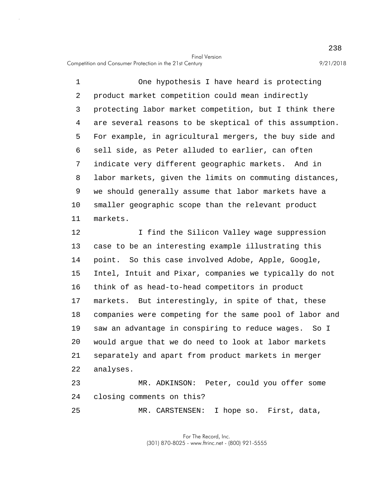5 10 1 One hypothesis I have heard is protecting 2 product market competition could mean indirectly 3 protecting labor market competition, but I think there 4 are several reasons to be skeptical of this assumption. For example, in agricultural mergers, the buy side and 6 sell side, as Peter alluded to earlier, can often 7 indicate very different geographic markets. And in 8 labor markets, given the limits on commuting distances, 9 we should generally assume that labor markets have a smaller geographic scope than the relevant product 11 markets.

15 20 12 I find the Silicon Valley wage suppression 13 case to be an interesting example illustrating this 14 point. So this case involved Adobe, Apple, Google, Intel, Intuit and Pixar, companies we typically do not 16 think of as head-to-head competitors in product 17 markets. But interestingly, in spite of that, these 18 companies were competing for the same pool of labor and 19 saw an advantage in conspiring to reduce wages. So I would argue that we do need to look at labor markets 21 separately and apart from product markets in merger 22 analyses. 23 MR. ADKINSON: Peter, could you offer some 24 closing comments on this?

25 MR. CARSTENSEN: I hope so. First, data,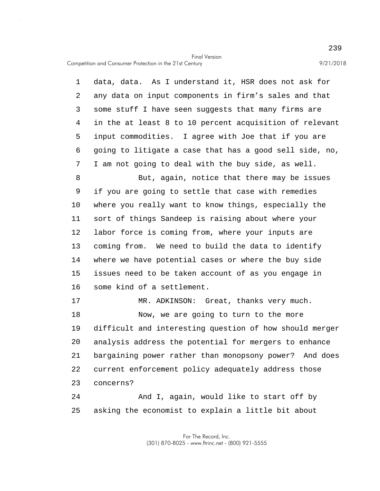Competition and Consumer Protection in the 21st Century 9/21/2018

5 10 15 20 25 1 data, data. As I understand it, HSR does not ask for 2 any data on input components in firm's sales and that 3 some stuff I have seen suggests that many firms are 4 in the at least 8 to 10 percent acquisition of relevant input commodities. I agree with Joe that if you are 6 going to litigate a case that has a good sell side, no, 7 I am not going to deal with the buy side, as well. 8 But, again, notice that there may be issues 9 if you are going to settle that case with remedies where you really want to know things, especially the 11 sort of things Sandeep is raising about where your 12 labor force is coming from, where your inputs are 13 coming from. We need to build the data to identify 14 where we have potential cases or where the buy side issues need to be taken account of as you engage in 16 some kind of a settlement. 17 MR. ADKINSON: Great, thanks very much. 18 Now, we are going to turn to the more 19 difficult and interesting question of how should merger analysis address the potential for mergers to enhance 21 bargaining power rather than monopsony power? And does 22 current enforcement policy adequately address those 23 concerns? 24 And I, again, would like to start off by asking the economist to explain a little bit about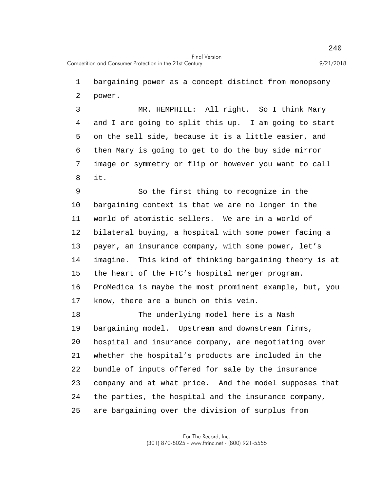1 bargaining power as a concept distinct from monopsony 2 power.

5 3 MR. HEMPHILL: All right. So I think Mary 4 and I are going to split this up. I am going to start on the sell side, because it is a little easier, and 6 then Mary is going to get to do the buy side mirror 7 image or symmetry or flip or however you want to call 8 it.

10 15 9 So the first thing to recognize in the bargaining context is that we are no longer in the 11 world of atomistic sellers. We are in a world of 12 bilateral buying, a hospital with some power facing a 13 payer, an insurance company, with some power, let's 14 imagine. This kind of thinking bargaining theory is at the heart of the FTC's hospital merger program. 16 ProMedica is maybe the most prominent example, but, you 17 know, there are a bunch on this vein.

20 25 18 The underlying model here is a Nash 19 bargaining model. Upstream and downstream firms, hospital and insurance company, are negotiating over 21 whether the hospital's products are included in the 22 bundle of inputs offered for sale by the insurance 23 company and at what price. And the model supposes that 24 the parties, the hospital and the insurance company, are bargaining over the division of surplus from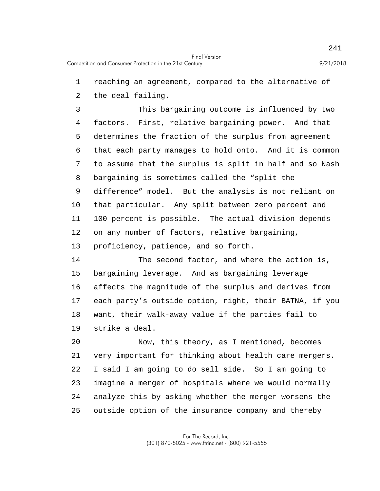1 reaching an agreement, compared to the alternative of

2 the deal failing.

5 10 3 This bargaining outcome is influenced by two 4 factors. First, relative bargaining power. And that determines the fraction of the surplus from agreement 6 that each party manages to hold onto. And it is common 7 to assume that the surplus is split in half and so Nash 8 bargaining is sometimes called the "split the 9 difference" model. But the analysis is not reliant on that particular. Any split between zero percent and 11 100 percent is possible. The actual division depends 12 on any number of factors, relative bargaining, 13 proficiency, patience, and so forth.

15 14 The second factor, and where the action is, bargaining leverage. And as bargaining leverage 16 affects the magnitude of the surplus and derives from 17 each party's outside option, right, their BATNA, if you 18 want, their walk-away value if the parties fail to 19 strike a deal.

20 25 Now, this theory, as I mentioned, becomes 21 very important for thinking about health care mergers. 22 I said I am going to do sell side. So I am going to 23 imagine a merger of hospitals where we would normally 24 analyze this by asking whether the merger worsens the outside option of the insurance company and thereby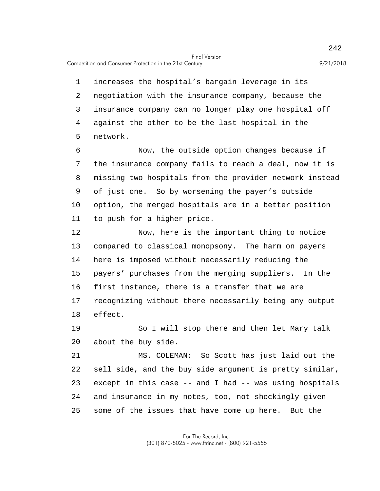5 1 increases the hospital's bargain leverage in its 2 negotiation with the insurance company, because the 3 insurance company can no longer play one hospital off 4 against the other to be the last hospital in the network.

10 6 Now, the outside option changes because if 7 the insurance company fails to reach a deal, now it is 8 missing two hospitals from the provider network instead 9 of just one. So by worsening the payer's outside option, the merged hospitals are in a better position 11 to push for a higher price.

15 12 Now, here is the important thing to notice 13 compared to classical monopsony. The harm on payers 14 here is imposed without necessarily reducing the payers' purchases from the merging suppliers. In the 16 first instance, there is a transfer that we are 17 recognizing without there necessarily being any output 18 effect.

20 19 So I will stop there and then let Mary talk about the buy side.

25 21 MS. COLEMAN: So Scott has just laid out the 22 sell side, and the buy side argument is pretty similar, 23 except in this case -- and I had -- was using hospitals 24 and insurance in my notes, too, not shockingly given some of the issues that have come up here. But the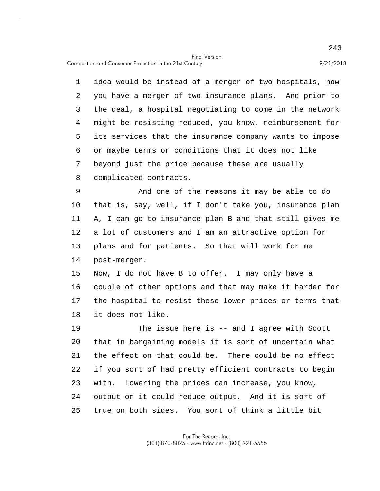Competition and Consumer Protection in the 21st Century 9/21/2018

5 1 idea would be instead of a merger of two hospitals, now 2 you have a merger of two insurance plans. And prior to 3 the deal, a hospital negotiating to come in the network 4 might be resisting reduced, you know, reimbursement for its services that the insurance company wants to impose 6 or maybe terms or conditions that it does not like 7 beyond just the price because these are usually 8 complicated contracts.

10 9 And one of the reasons it may be able to do that is, say, well, if I don't take you, insurance plan 11 A, I can go to insurance plan B and that still gives me 12 a lot of customers and I am an attractive option for 13 plans and for patients. So that will work for me 14 post-merger.

15 Now, I do not have B to offer. I may only have a 16 couple of other options and that may make it harder for 17 the hospital to resist these lower prices or terms that 18 it does not like.

20 25 19 The issue here is -- and I agree with Scott that in bargaining models it is sort of uncertain what 21 the effect on that could be. There could be no effect 22 if you sort of had pretty efficient contracts to begin 23 with. Lowering the prices can increase, you know, 24 output or it could reduce output. And it is sort of true on both sides. You sort of think a little bit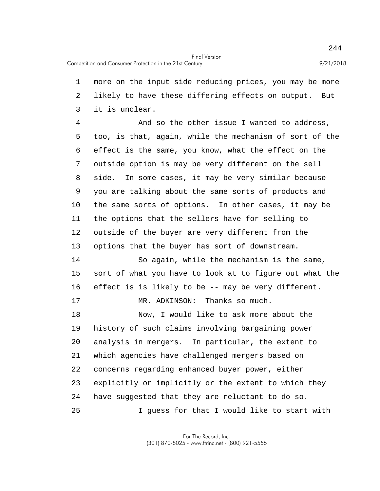25

5 10 15 20 1 more on the input side reducing prices, you may be more 2 likely to have these differing effects on output. But 3 it is unclear. 4 And so the other issue I wanted to address, too, is that, again, while the mechanism of sort of the 6 effect is the same, you know, what the effect on the 7 outside option is may be very different on the sell 8 side. In some cases, it may be very similar because 9 you are talking about the same sorts of products and the same sorts of options. In other cases, it may be 11 the options that the sellers have for selling to 12 outside of the buyer are very different from the 13 options that the buyer has sort of downstream. 14 So again, while the mechanism is the same, sort of what you have to look at to figure out what the 16 effect is is likely to be -- may be very different. 17 MR. ADKINSON: Thanks so much. 18 Now, I would like to ask more about the 19 history of such claims involving bargaining power analysis in mergers. In particular, the extent to 21 which agencies have challenged mergers based on 22 concerns regarding enhanced buyer power, either 23 explicitly or implicitly or the extent to which they 24 have suggested that they are reluctant to do so.

I guess for that I would like to start with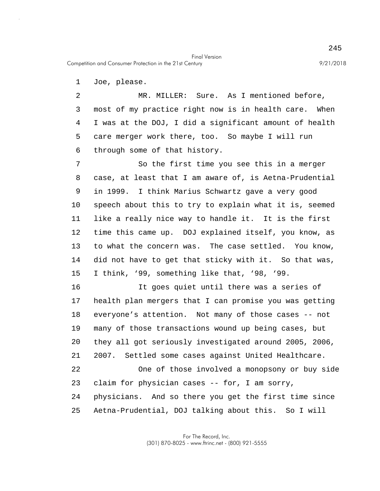Competition and Consumer Protection in the 21st Century 9/21/2018

1 Joe, please.

5 2 MR. MILLER: Sure. As I mentioned before, 3 most of my practice right now is in health care. When 4 I was at the DOJ, I did a significant amount of health care merger work there, too. So maybe I will run 6 through some of that history.

Final Version

10 15 7 So the first time you see this in a merger 8 case, at least that I am aware of, is Aetna-Prudential 9 in 1999. I think Marius Schwartz gave a very good speech about this to try to explain what it is, seemed 11 like a really nice way to handle it. It is the first 12 time this came up. DOJ explained itself, you know, as 13 to what the concern was. The case settled. You know, 14 did not have to get that sticky with it. So that was, I think, '99, something like that, '98, '99.

20 25 16 It goes quiet until there was a series of 17 health plan mergers that I can promise you was getting 18 everyone's attention. Not many of those cases -- not 19 many of those transactions wound up being cases, but they all got seriously investigated around 2005, 2006, 21 2007. Settled some cases against United Healthcare. 22 One of those involved a monopsony or buy side 23 claim for physician cases -- for, I am sorry, 24 physicians. And so there you get the first time since Aetna-Prudential, DOJ talking about this. So I will

> For The Record, Inc. (301) 870-8025 - www.ftrinc.net - (800) 921-5555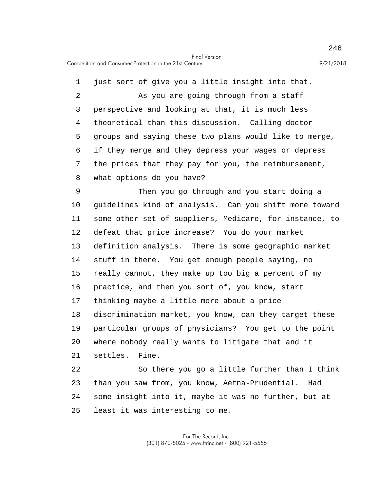5 10 15 20 1 just sort of give you a little insight into that. 2 As you are going through from a staff 3 perspective and looking at that, it is much less 4 theoretical than this discussion. Calling doctor groups and saying these two plans would like to merge, 6 if they merge and they depress your wages or depress 7 the prices that they pay for you, the reimbursement, 8 what options do you have? 9 Then you go through and you start doing a guidelines kind of analysis. Can you shift more toward 11 some other set of suppliers, Medicare, for instance, to 12 defeat that price increase? You do your market 13 definition analysis. There is some geographic market 14 stuff in there. You get enough people saying, no really cannot, they make up too big a percent of my 16 practice, and then you sort of, you know, start 17 thinking maybe a little more about a price 18 discrimination market, you know, can they target these 19 particular groups of physicians? You get to the point where nobody really wants to litigate that and it 21 settles. Fine.

25 22 So there you go a little further than I think 23 than you saw from, you know, Aetna-Prudential. Had 24 some insight into it, maybe it was no further, but at least it was interesting to me.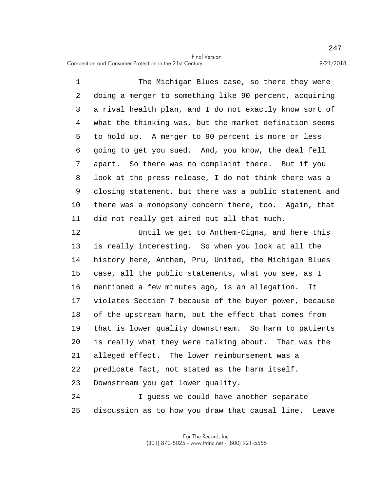5 10 1 The Michigan Blues case, so there they were 2 doing a merger to something like 90 percent, acquiring 3 a rival health plan, and I do not exactly know sort of 4 what the thinking was, but the market definition seems to hold up. A merger to 90 percent is more or less 6 going to get you sued. And, you know, the deal fell 7 apart. So there was no complaint there. But if you 8 look at the press release, I do not think there was a 9 closing statement, but there was a public statement and there was a monopsony concern there, too. Again, that 11 did not really get aired out all that much.

15 20 12 Until we get to Anthem-Cigna, and here this 13 is really interesting. So when you look at all the 14 history here, Anthem, Pru, United, the Michigan Blues case, all the public statements, what you see, as I 16 mentioned a few minutes ago, is an allegation. It 17 violates Section 7 because of the buyer power, because 18 of the upstream harm, but the effect that comes from 19 that is lower quality downstream. So harm to patients is really what they were talking about. That was the 21 alleged effect. The lower reimbursement was a 22 predicate fact, not stated as the harm itself. 23 Downstream you get lower quality. 24 I guess we could have another separate

25 discussion as to how you draw that causal line. Leave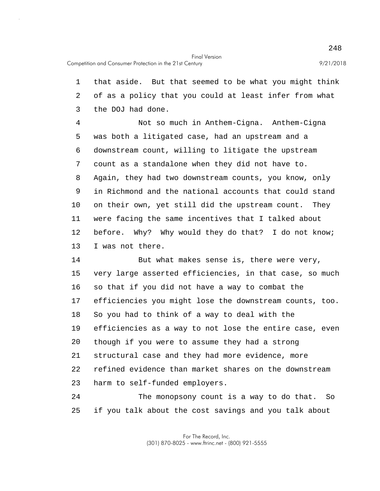5 10 15 20 1 that aside. But that seemed to be what you might think 2 of as a policy that you could at least infer from what 3 the DOJ had done. 4 Not so much in Anthem-Cigna. Anthem-Cigna was both a litigated case, had an upstream and a 6 downstream count, willing to litigate the upstream 7 count as a standalone when they did not have to. 8 Again, they had two downstream counts, you know, only 9 in Richmond and the national accounts that could stand on their own, yet still did the upstream count. They 11 were facing the same incentives that I talked about 12 before. Why? Why would they do that? I do not know; 13 I was not there. 14 But what makes sense is, there were very, very large asserted efficiencies, in that case, so much 16 so that if you did not have a way to combat the 17 efficiencies you might lose the downstream counts, too. 18 So you had to think of a way to deal with the 19 efficiencies as a way to not lose the entire case, even though if you were to assume they had a strong 21 structural case and they had more evidence, more 22 refined evidence than market shares on the downstream 23 harm to self-funded employers.

25 24 The monopsony count is a way to do that. So if you talk about the cost savings and you talk about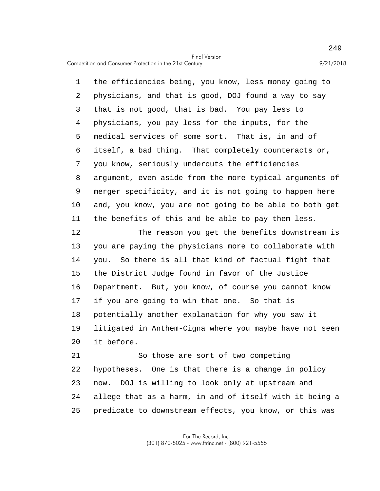Competition and Consumer Protection in the 21st Century 9/21/2018

5 10 1 the efficiencies being, you know, less money going to 2 physicians, and that is good, DOJ found a way to say 3 that is not good, that is bad. You pay less to 4 physicians, you pay less for the inputs, for the medical services of some sort. That is, in and of 6 itself, a bad thing. That completely counteracts or, 7 you know, seriously undercuts the efficiencies 8 argument, even aside from the more typical arguments of 9 merger specificity, and it is not going to happen here and, you know, you are not going to be able to both get 11 the benefits of this and be able to pay them less.

15 20 12 The reason you get the benefits downstream is 13 you are paying the physicians more to collaborate with 14 you. So there is all that kind of factual fight that the District Judge found in favor of the Justice 16 Department. But, you know, of course you cannot know 17 if you are going to win that one. So that is 18 potentially another explanation for why you saw it 19 litigated in Anthem-Cigna where you maybe have not seen it before.

25 21 So those are sort of two competing 22 hypotheses. One is that there is a change in policy 23 now. DOJ is willing to look only at upstream and 24 allege that as a harm, in and of itself with it being a predicate to downstream effects, you know, or this was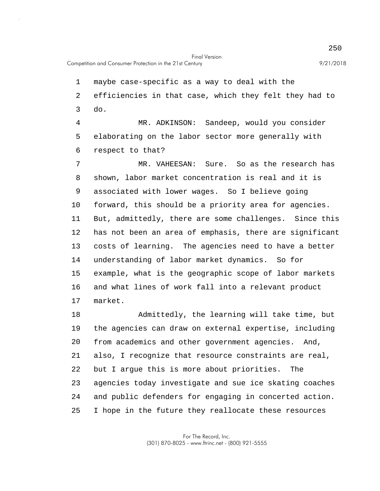1 maybe case-specific as a way to deal with the 2 efficiencies in that case, which they felt they had to 3 do.

5 4 MR. ADKINSON: Sandeep, would you consider elaborating on the labor sector more generally with 6 respect to that?

10 15 7 MR. VAHEESAN: Sure. So as the research has 8 shown, labor market concentration is real and it is 9 associated with lower wages. So I believe going forward, this should be a priority area for agencies. 11 But, admittedly, there are some challenges. Since this 12 has not been an area of emphasis, there are significant 13 costs of learning. The agencies need to have a better 14 understanding of labor market dynamics. So for example, what is the geographic scope of labor markets 16 and what lines of work fall into a relevant product 17 market.

20 25 18 Admittedly, the learning will take time, but 19 the agencies can draw on external expertise, including from academics and other government agencies. And, 21 also, I recognize that resource constraints are real, 22 but I argue this is more about priorities. The 23 agencies today investigate and sue ice skating coaches 24 and public defenders for engaging in concerted action. I hope in the future they reallocate these resources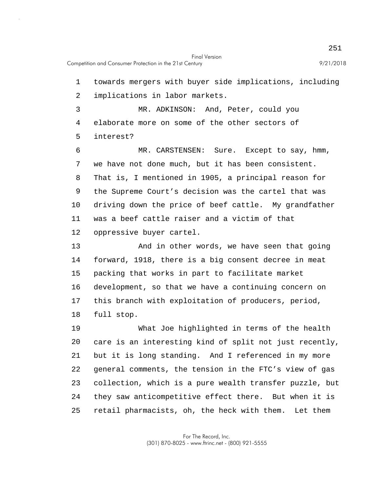5 10 15 1 towards mergers with buyer side implications, including 2 implications in labor markets. 3 MR. ADKINSON: And, Peter, could you 4 elaborate more on some of the other sectors of interest? 6 MR. CARSTENSEN: Sure. Except to say, hmm, 7 we have not done much, but it has been consistent. 8 That is, I mentioned in 1905, a principal reason for 9 the Supreme Court's decision was the cartel that was driving down the price of beef cattle. My grandfather 11 was a beef cattle raiser and a victim of that 12 oppressive buyer cartel. 13 And in other words, we have seen that going 14 forward, 1918, there is a big consent decree in meat packing that works in part to facilitate market 16 development, so that we have a continuing concern on 17 this branch with exploitation of producers, period, 18 full stop.

20 25 19 What Joe highlighted in terms of the health care is an interesting kind of split not just recently, 21 but it is long standing. And I referenced in my more 22 general comments, the tension in the FTC's view of gas 23 collection, which is a pure wealth transfer puzzle, but 24 they saw anticompetitive effect there. But when it is retail pharmacists, oh, the heck with them. Let them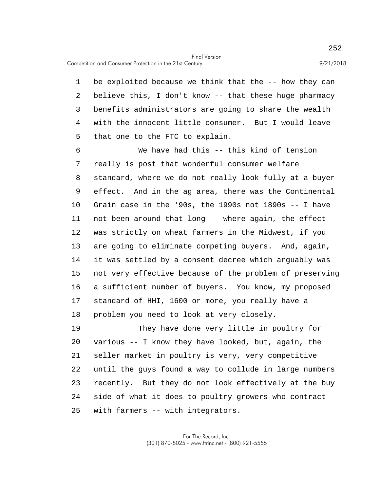Competition and Consumer Protection in the 21st Century 9/21/2018

5 1 be exploited because we think that the -- how they can 2 believe this, I don't know -- that these huge pharmacy 3 benefits administrators are going to share the wealth 4 with the innocent little consumer. But I would leave that one to the FTC to explain.

10 15 6 We have had this -- this kind of tension 7 really is post that wonderful consumer welfare 8 standard, where we do not really look fully at a buyer 9 effect. And in the ag area, there was the Continental Grain case in the '90s, the 1990s not 1890s -- I have 11 not been around that long -- where again, the effect 12 was strictly on wheat farmers in the Midwest, if you 13 are going to eliminate competing buyers. And, again, 14 it was settled by a consent decree which arguably was not very effective because of the problem of preserving 16 a sufficient number of buyers. You know, my proposed 17 standard of HHI, 1600 or more, you really have a 18 problem you need to look at very closely.

20 25 19 They have done very little in poultry for various -- I know they have looked, but, again, the 21 seller market in poultry is very, very competitive 22 until the guys found a way to collude in large numbers 23 recently. But they do not look effectively at the buy 24 side of what it does to poultry growers who contract with farmers -- with integrators.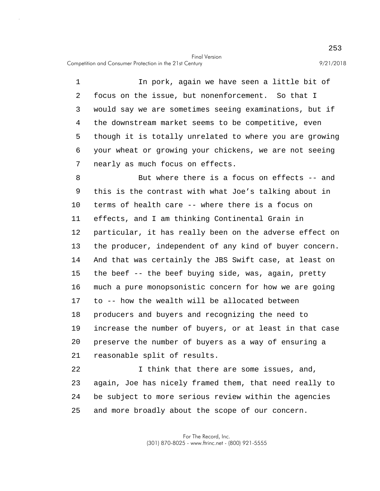5 1 In pork, again we have seen a little bit of 2 focus on the issue, but nonenforcement. So that I 3 would say we are sometimes seeing examinations, but if 4 the downstream market seems to be competitive, even though it is totally unrelated to where you are growing 6 your wheat or growing your chickens, we are not seeing 7 nearly as much focus on effects.

10 15 20 8 But where there is a focus on effects -- and 9 this is the contrast with what Joe's talking about in terms of health care -- where there is a focus on 11 effects, and I am thinking Continental Grain in 12 particular, it has really been on the adverse effect on 13 the producer, independent of any kind of buyer concern. 14 And that was certainly the JBS Swift case, at least on the beef -- the beef buying side, was, again, pretty 16 much a pure monopsonistic concern for how we are going 17 to -- how the wealth will be allocated between 18 producers and buyers and recognizing the need to 19 increase the number of buyers, or at least in that case preserve the number of buyers as a way of ensuring a 21 reasonable split of results.

25 22 1 think that there are some issues, and, 23 again, Joe has nicely framed them, that need really to 24 be subject to more serious review within the agencies and more broadly about the scope of our concern.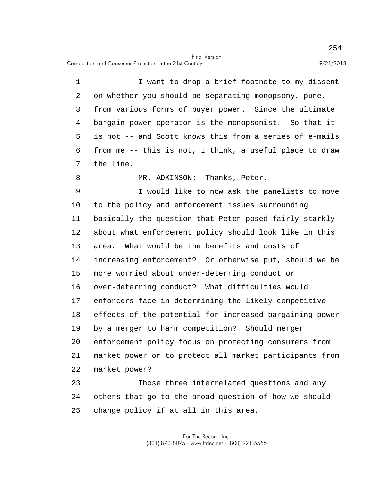Competition and Consumer Protection in the 21st Century 9/21/2018

5 10 15 20 1 I want to drop a brief footnote to my dissent 2 on whether you should be separating monopsony, pure, 3 from various forms of buyer power. Since the ultimate 4 bargain power operator is the monopsonist. So that it is not -- and Scott knows this from a series of e-mails 6 from me -- this is not, I think, a useful place to draw 7 the line. 8 MR. ADKINSON: Thanks, Peter. 9 I would like to now ask the panelists to move to the policy and enforcement issues surrounding 11 basically the question that Peter posed fairly starkly 12 about what enforcement policy should look like in this 13 area. What would be the benefits and costs of 14 increasing enforcement? Or otherwise put, should we be more worried about under-deterring conduct or 16 over-deterring conduct? What difficulties would 17 enforcers face in determining the likely competitive 18 effects of the potential for increased bargaining power 19 by a merger to harm competition? Should merger enforcement policy focus on protecting consumers from 21 market power or to protect all market participants from 22 market power? 23 Those three interrelated questions and any 24 others that go to the broad question of how we should

25 change policy if at all in this area.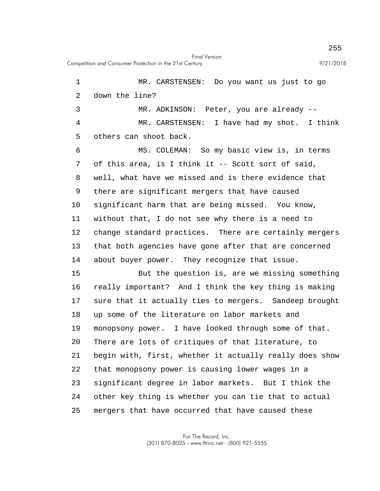Final Version Competition and Consumer Protection in the 21st Century 9/21/2018

5 10 15 20 25 1 MR. CARSTENSEN: Do you want us just to go 2 down the line? 3 MR. ADKINSON: Peter, you are already -- 4 MR. CARSTENSEN: I have had my shot. I think others can shoot back. 6 MS. COLEMAN: So my basic view is, in terms 7 of this area, is I think it -- Scott sort of said, 8 well, what have we missed and is there evidence that 9 there are significant mergers that have caused significant harm that are being missed. You know, 11 without that, I do not see why there is a need to 12 change standard practices. There are certainly mergers 13 that both agencies have gone after that are concerned 14 about buyer power. They recognize that issue. But the question is, are we missing something 16 really important? And I think the key thing is making 17 sure that it actually ties to mergers. Sandeep brought 18 up some of the literature on labor markets and 19 monopsony power. I have looked through some of that. There are lots of critiques of that literature, to 21 begin with, first, whether it actually really does show 22 that monopsony power is causing lower wages in a 23 significant degree in labor markets. But I think the 24 other key thing is whether you can tie that to actual mergers that have occurred that have caused these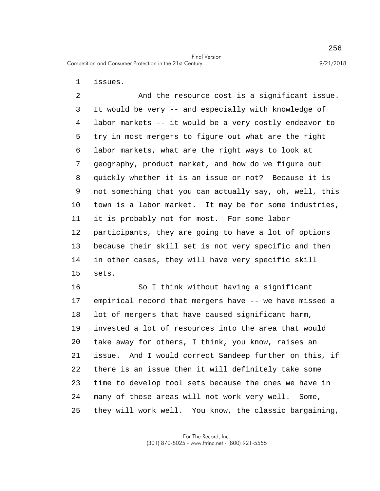1 issues.

5 10 15 2 And the resource cost is a significant issue. 3 It would be very -- and especially with knowledge of 4 labor markets -- it would be a very costly endeavor to try in most mergers to figure out what are the right 6 labor markets, what are the right ways to look at 7 geography, product market, and how do we figure out 8 quickly whether it is an issue or not? Because it is 9 not something that you can actually say, oh, well, this town is a labor market. It may be for some industries, 11 it is probably not for most. For some labor 12 participants, they are going to have a lot of options 13 because their skill set is not very specific and then 14 in other cases, they will have very specific skill sets.

20 25 16 So I think without having a significant 17 empirical record that mergers have -- we have missed a 18 lot of mergers that have caused significant harm, 19 invested a lot of resources into the area that would take away for others, I think, you know, raises an 21 issue. And I would correct Sandeep further on this, if 22 there is an issue then it will definitely take some 23 time to develop tool sets because the ones we have in 24 many of these areas will not work very well. Some, they will work well. You know, the classic bargaining,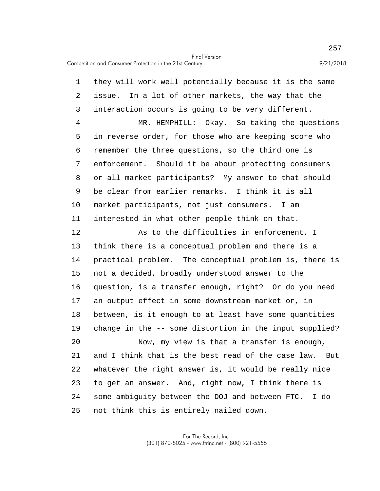5 10 15 20 25 1 they will work well potentially because it is the same 2 issue. In a lot of other markets, the way that the 3 interaction occurs is going to be very different. 4 MR. HEMPHILL: Okay. So taking the questions in reverse order, for those who are keeping score who 6 remember the three questions, so the third one is 7 enforcement. Should it be about protecting consumers 8 or all market participants? My answer to that should 9 be clear from earlier remarks. I think it is all market participants, not just consumers. I am 11 interested in what other people think on that. 12 As to the difficulties in enforcement, I 13 think there is a conceptual problem and there is a 14 practical problem. The conceptual problem is, there is not a decided, broadly understood answer to the 16 question, is a transfer enough, right? Or do you need 17 an output effect in some downstream market or, in 18 between, is it enough to at least have some quantities 19 change in the -- some distortion in the input supplied? Now, my view is that a transfer is enough, 21 and I think that is the best read of the case law. But 22 whatever the right answer is, it would be really nice 23 to get an answer. And, right now, I think there is 24 some ambiguity between the DOJ and between FTC. I do not think this is entirely nailed down.

> For The Record, Inc. (301) 870-8025 - www.ftrinc.net - (800) 921-5555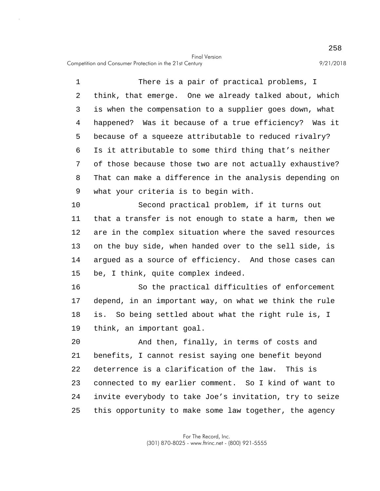Competition and Consumer Protection in the 21st Century 9/21/2018

5 1 There is a pair of practical problems, I 2 think, that emerge. One we already talked about, which 3 is when the compensation to a supplier goes down, what 4 happened? Was it because of a true efficiency? Was it because of a squeeze attributable to reduced rivalry? 6 Is it attributable to some third thing that's neither 7 of those because those two are not actually exhaustive? 8 That can make a difference in the analysis depending on 9 what your criteria is to begin with.

10 15 Second practical problem, if it turns out 11 that a transfer is not enough to state a harm, then we 12 are in the complex situation where the saved resources 13 on the buy side, when handed over to the sell side, is 14 argued as a source of efficiency. And those cases can be, I think, quite complex indeed.

16 So the practical difficulties of enforcement 17 depend, in an important way, on what we think the rule 18 is. So being settled about what the right rule is, I 19 think, an important goal.

20 25 And then, finally, in terms of costs and 21 benefits, I cannot resist saying one benefit beyond 22 deterrence is a clarification of the law. This is 23 connected to my earlier comment. So I kind of want to 24 invite everybody to take Joe's invitation, try to seize this opportunity to make some law together, the agency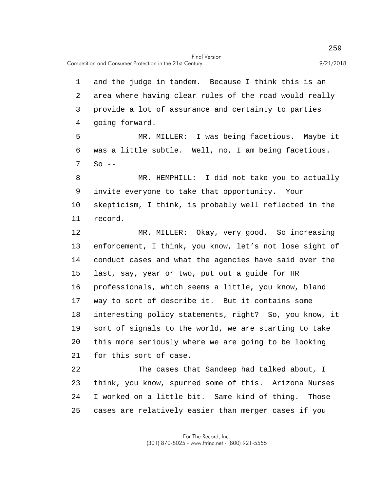Competition and Consumer Protection in the 21st Century 9/21/2018

5 10 15 20 1 and the judge in tandem. Because I think this is an 2 area where having clear rules of the road would really 3 provide a lot of assurance and certainty to parties 4 going forward. MR. MILLER: I was being facetious. Maybe it 6 was a little subtle. Well, no, I am being facetious.  $7 \quad$  So  $-$ 8 MR. HEMPHILL: I did not take you to actually 9 invite everyone to take that opportunity. Your skepticism, I think, is probably well reflected in the 11 record. 12 MR. MILLER: Okay, very good. So increasing 13 enforcement, I think, you know, let's not lose sight of 14 conduct cases and what the agencies have said over the last, say, year or two, put out a guide for HR 16 professionals, which seems a little, you know, bland 17 way to sort of describe it. But it contains some 18 interesting policy statements, right? So, you know, it 19 sort of signals to the world, we are starting to take this more seriously where we are going to be looking 21 for this sort of case. 22 The cases that Sandeep had talked about, I 23 think, you know, spurred some of this. Arizona Nurses 24 I worked on a little bit. Same kind of thing. Those

25 cases are relatively easier than merger cases if you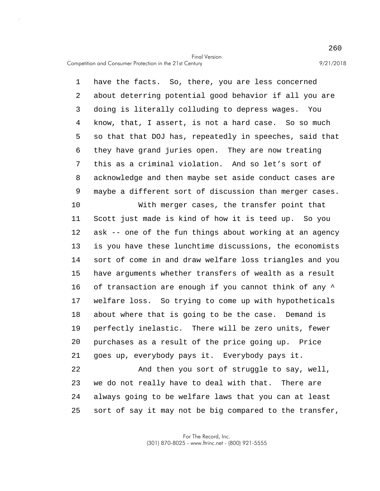5 1 have the facts. So, there, you are less concerned 2 about deterring potential good behavior if all you are 3 doing is literally colluding to depress wages. You 4 know, that, I assert, is not a hard case. So so much so that that DOJ has, repeatedly in speeches, said that 6 they have grand juries open. They are now treating 7 this as a criminal violation. And so let's sort of 8 acknowledge and then maybe set aside conduct cases are 9 maybe a different sort of discussion than merger cases.

10 15 20 With merger cases, the transfer point that 11 Scott just made is kind of how it is teed up. So you 12 ask -- one of the fun things about working at an agency 13 is you have these lunchtime discussions, the economists 14 sort of come in and draw welfare loss triangles and you have arguments whether transfers of wealth as a result 16 of transaction are enough if you cannot think of any  $\wedge$ 17 welfare loss. So trying to come up with hypotheticals 18 about where that is going to be the case. Demand is 19 perfectly inelastic. There will be zero units, fewer purchases as a result of the price going up. Price 21 goes up, everybody pays it. Everybody pays it.

25 22 And then you sort of struggle to say, well, 23 we do not really have to deal with that. There are 24 always going to be welfare laws that you can at least sort of say it may not be big compared to the transfer,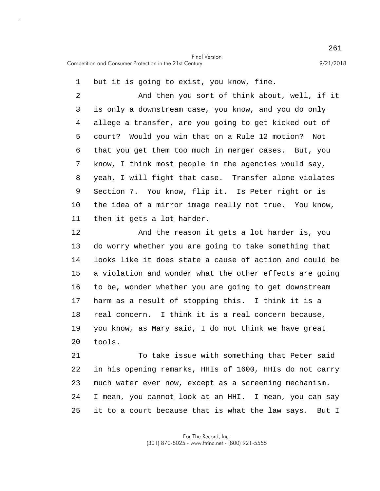1 but it is going to exist, you know, fine.

5 10 2 And then you sort of think about, well, if it 3 is only a downstream case, you know, and you do only 4 allege a transfer, are you going to get kicked out of court? Would you win that on a Rule 12 motion? Not 6 that you get them too much in merger cases. But, you 7 know, I think most people in the agencies would say, 8 yeah, I will fight that case. Transfer alone violates 9 Section 7. You know, flip it. Is Peter right or is the idea of a mirror image really not true. You know, 11 then it gets a lot harder.

15 20 12 And the reason it gets a lot harder is, you 13 do worry whether you are going to take something that 14 looks like it does state a cause of action and could be a violation and wonder what the other effects are going 16 to be, wonder whether you are going to get downstream 17 harm as a result of stopping this. I think it is a 18 real concern. I think it is a real concern because, 19 you know, as Mary said, I do not think we have great tools.

25 21 To take issue with something that Peter said 22 in his opening remarks, HHIs of 1600, HHIs do not carry 23 much water ever now, except as a screening mechanism. 24 I mean, you cannot look at an HHI. I mean, you can say it to a court because that is what the law says. But I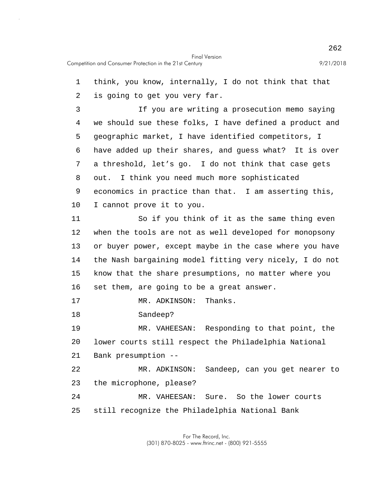5 10 15 20 25 1 think, you know, internally, I do not think that that 2 is going to get you very far. 3 If you are writing a prosecution memo saying 4 we should sue these folks, I have defined a product and geographic market, I have identified competitors, I 6 have added up their shares, and guess what? It is over 7 a threshold, let's go. I do not think that case gets 8 out. I think you need much more sophisticated 9 economics in practice than that. I am asserting this, I cannot prove it to you. 11 So if you think of it as the same thing even 12 when the tools are not as well developed for monopsony 13 or buyer power, except maybe in the case where you have 14 the Nash bargaining model fitting very nicely, I do not know that the share presumptions, no matter where you 16 set them, are going to be a great answer. 17 MR. ADKINSON: Thanks. 18 Sandeep? 19 MR. VAHEESAN: Responding to that point, the lower courts still respect the Philadelphia National 21 Bank presumption -- 22 MR. ADKINSON: Sandeep, can you get nearer to 23 the microphone, please? 24 MR. VAHEESAN: Sure. So the lower courts still recognize the Philadelphia National Bank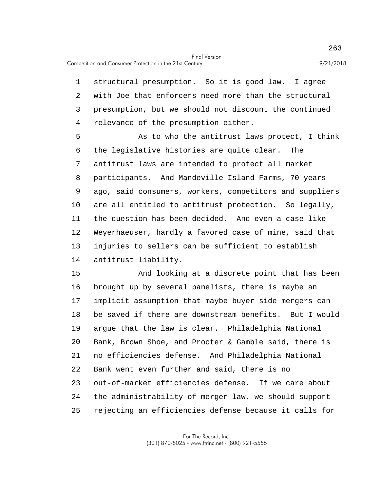1 structural presumption. So it is good law. I agree 2 with Joe that enforcers need more than the structural 3 presumption, but we should not discount the continued 4 relevance of the presumption either.

5 10 As to who the antitrust laws protect, I think 6 the legislative histories are quite clear. The 7 antitrust laws are intended to protect all market 8 participants. And Mandeville Island Farms, 70 years 9 ago, said consumers, workers, competitors and suppliers are all entitled to antitrust protection. So legally, 11 the question has been decided. And even a case like 12 Weyerhaeuser, hardly a favored case of mine, said that 13 injuries to sellers can be sufficient to establish 14 antitrust liability.

15 20 25 And looking at a discrete point that has been 16 brought up by several panelists, there is maybe an 17 implicit assumption that maybe buyer side mergers can 18 be saved if there are downstream benefits. But I would 19 argue that the law is clear. Philadelphia National Bank, Brown Shoe, and Procter & Gamble said, there is 21 no efficiencies defense. And Philadelphia National 22 Bank went even further and said, there is no 23 out-of-market efficiencies defense. If we care about 24 the administrability of merger law, we should support rejecting an efficiencies defense because it calls for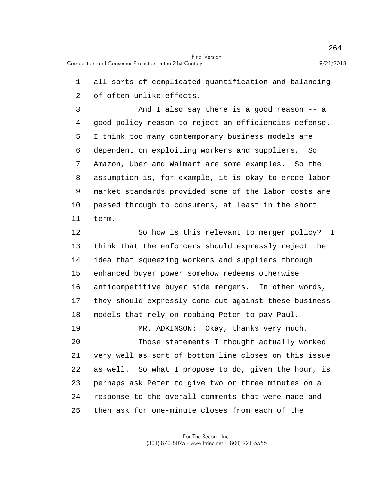1 all sorts of complicated quantification and balancing 2 of often unlike effects.

5 10 3 And I also say there is a good reason -- a 4 good policy reason to reject an efficiencies defense. I think too many contemporary business models are 6 dependent on exploiting workers and suppliers. So 7 Amazon, Uber and Walmart are some examples. So the 8 assumption is, for example, it is okay to erode labor 9 market standards provided some of the labor costs are passed through to consumers, at least in the short 11 term.

15 20 12 So how is this relevant to merger policy? I 13 think that the enforcers should expressly reject the 14 idea that squeezing workers and suppliers through enhanced buyer power somehow redeems otherwise 16 anticompetitive buyer side mergers. In other words, 17 they should expressly come out against these business 18 models that rely on robbing Peter to pay Paul. 19 MR. ADKINSON: Okay, thanks very much. Those statements I thought actually worked 21 very well as sort of bottom line closes on this issue 22 as well. So what I propose to do, given the hour, is 23 perhaps ask Peter to give two or three minutes on a 24 response to the overall comments that were made and

25 then ask for one-minute closes from each of the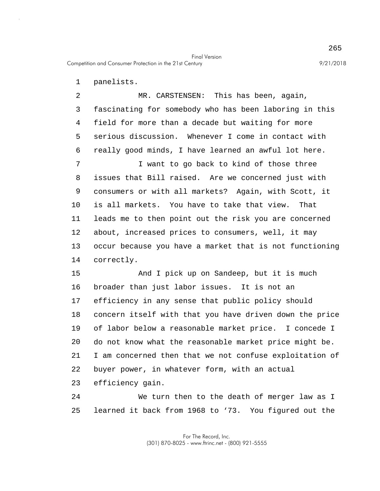Competition and Consumer Protection in the 21st Century 9/21/2018

1 panelists.

5 10 15 2 MR. CARSTENSEN: This has been, again, 3 fascinating for somebody who has been laboring in this 4 field for more than a decade but waiting for more serious discussion. Whenever I come in contact with 6 really good minds, I have learned an awful lot here. 7 I want to go back to kind of those three 8 issues that Bill raised. Are we concerned just with 9 consumers or with all markets? Again, with Scott, it is all markets. You have to take that view. That 11 leads me to then point out the risk you are concerned 12 about, increased prices to consumers, well, it may 13 occur because you have a market that is not functioning 14 correctly. And I pick up on Sandeep, but it is much

20 16 broader than just labor issues. It is not an 17 efficiency in any sense that public policy should 18 concern itself with that you have driven down the price 19 of labor below a reasonable market price. I concede I do not know what the reasonable market price might be. 21 I am concerned then that we not confuse exploitation of 22 buyer power, in whatever form, with an actual 23 efficiency gain.

25 24 We turn then to the death of merger law as I learned it back from 1968 to '73. You figured out the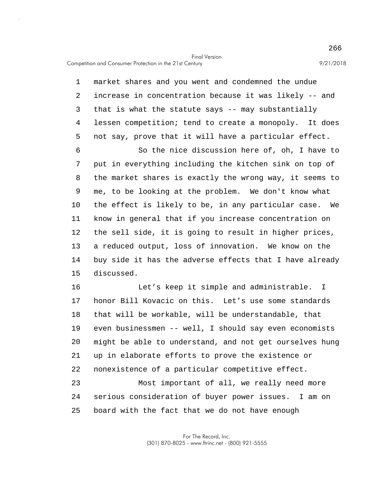5 10 15 20 1 market shares and you went and condemned the undue 2 increase in concentration because it was likely -- and 3 that is what the statute says -- may substantially 4 lessen competition; tend to create a monopoly. It does not say, prove that it will have a particular effect. 6 So the nice discussion here of, oh, I have to 7 put in everything including the kitchen sink on top of 8 the market shares is exactly the wrong way, it seems to 9 me, to be looking at the problem. We don't know what the effect is likely to be, in any particular case. We 11 know in general that if you increase concentration on 12 the sell side, it is going to result in higher prices, 13 a reduced output, loss of innovation. We know on the 14 buy side it has the adverse effects that I have already discussed. 16 Let's keep it simple and administrable. I 17 honor Bill Kovacic on this. Let's use some standards 18 that will be workable, will be understandable, that 19 even businessmen -- well, I should say even economists might be able to understand, and not get ourselves hung 21 up in elaborate efforts to prove the existence or 22 nonexistence of a particular competitive effect.

25 23 Most important of all, we really need more 24 serious consideration of buyer power issues. I am on board with the fact that we do not have enough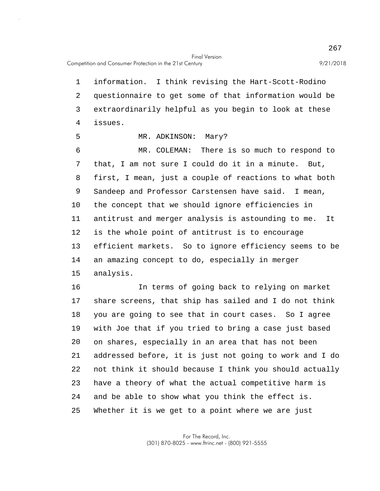Competition and Consumer Protection in the 21st Century 9/21/2018

5

1 information. I think revising the Hart-Scott-Rodino 2 questionnaire to get some of that information would be 3 extraordinarily helpful as you begin to look at these 4 issues.

MR. ADKINSON: Mary?

10 15 6 MR. COLEMAN: There is so much to respond to 7 that, I am not sure I could do it in a minute. But, 8 first, I mean, just a couple of reactions to what both 9 Sandeep and Professor Carstensen have said. I mean, the concept that we should ignore efficiencies in 11 antitrust and merger analysis is astounding to me. It 12 is the whole point of antitrust is to encourage 13 efficient markets. So to ignore efficiency seems to be 14 an amazing concept to do, especially in merger analysis.

20 25 16 In terms of going back to relying on market 17 share screens, that ship has sailed and I do not think 18 you are going to see that in court cases. So I agree 19 with Joe that if you tried to bring a case just based on shares, especially in an area that has not been 21 addressed before, it is just not going to work and I do 22 not think it should because I think you should actually 23 have a theory of what the actual competitive harm is 24 and be able to show what you think the effect is. Whether it is we get to a point where we are just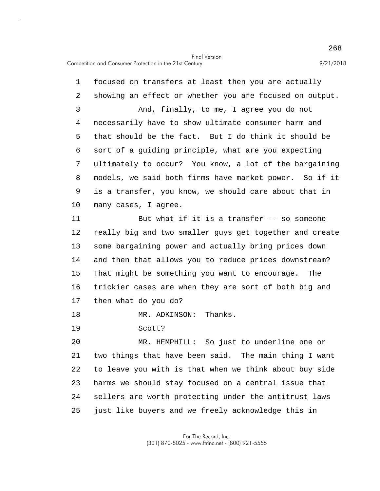5 10 1 focused on transfers at least then you are actually 2 showing an effect or whether you are focused on output. 3 And, finally, to me, I agree you do not 4 necessarily have to show ultimate consumer harm and that should be the fact. But I do think it should be 6 sort of a guiding principle, what are you expecting 7 ultimately to occur? You know, a lot of the bargaining 8 models, we said both firms have market power. So if it 9 is a transfer, you know, we should care about that in many cases, I agree.

15 11 But what if it is a transfer -- so someone 12 really big and two smaller guys get together and create 13 some bargaining power and actually bring prices down 14 and then that allows you to reduce prices downstream? That might be something you want to encourage. The 16 trickier cases are when they are sort of both big and 17 then what do you do?

18 MR. ADKINSON: Thanks.

19 Scott?

20 25 MR. HEMPHILL: So just to underline one or 21 two things that have been said. The main thing I want 22 to leave you with is that when we think about buy side 23 harms we should stay focused on a central issue that 24 sellers are worth protecting under the antitrust laws just like buyers and we freely acknowledge this in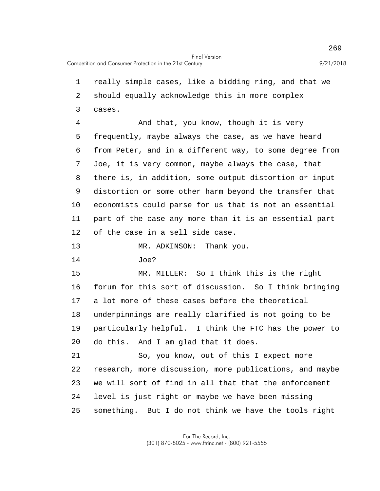5 10 15 20 25 1 really simple cases, like a bidding ring, and that we 2 should equally acknowledge this in more complex 3 cases. 4 And that, you know, though it is very frequently, maybe always the case, as we have heard 6 from Peter, and in a different way, to some degree from 7 Joe, it is very common, maybe always the case, that 8 there is, in addition, some output distortion or input 9 distortion or some other harm beyond the transfer that economists could parse for us that is not an essential 11 part of the case any more than it is an essential part 12 of the case in a sell side case. 13 MR. ADKINSON: Thank you. 14 Joe? MR. MILLER: So I think this is the right 16 forum for this sort of discussion. So I think bringing 17 a lot more of these cases before the theoretical 18 underpinnings are really clarified is not going to be 19 particularly helpful. I think the FTC has the power to do this. And I am glad that it does. 21 So, you know, out of this I expect more 22 research, more discussion, more publications, and maybe 23 we will sort of find in all that that the enforcement 24 level is just right or maybe we have been missing something. But I do not think we have the tools right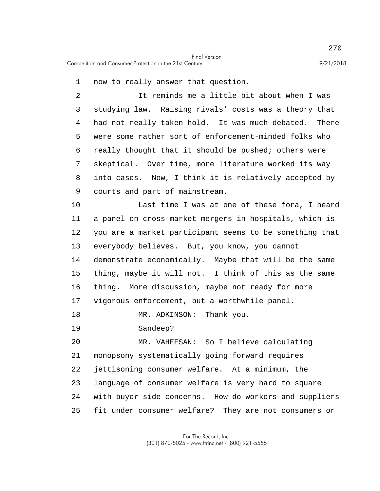1 now to really answer that question.

5 2 It reminds me a little bit about when I was 3 studying law. Raising rivals' costs was a theory that 4 had not really taken hold. It was much debated. There were some rather sort of enforcement-minded folks who 6 really thought that it should be pushed; others were 7 skeptical. Over time, more literature worked its way 8 into cases. Now, I think it is relatively accepted by 9 courts and part of mainstream.

10 15 Last time I was at one of these fora, I heard 11 a panel on cross-market mergers in hospitals, which is 12 you are a market participant seems to be something that 13 everybody believes. But, you know, you cannot 14 demonstrate economically. Maybe that will be the same thing, maybe it will not. I think of this as the same 16 thing. More discussion, maybe not ready for more 17 vigorous enforcement, but a worthwhile panel.

18 MR. ADKINSON: Thank you.

19 Sandeep?

20 25 MR. VAHEESAN: So I believe calculating 21 monopsony systematically going forward requires 22 jettisoning consumer welfare. At a minimum, the 23 language of consumer welfare is very hard to square 24 with buyer side concerns. How do workers and suppliers fit under consumer welfare? They are not consumers or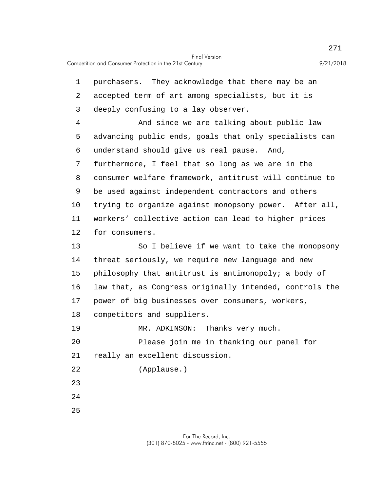5 10 15 20 25 1 purchasers. They acknowledge that there may be an 2 accepted term of art among specialists, but it is 3 deeply confusing to a lay observer. 4 And since we are talking about public law advancing public ends, goals that only specialists can 6 understand should give us real pause. And, 7 furthermore, I feel that so long as we are in the 8 consumer welfare framework, antitrust will continue to 9 be used against independent contractors and others trying to organize against monopsony power. After all, 11 workers' collective action can lead to higher prices 12 for consumers. 13 So I believe if we want to take the monopsony 14 threat seriously, we require new language and new philosophy that antitrust is antimonopoly; a body of 16 law that, as Congress originally intended, controls the 17 power of big businesses over consumers, workers, 18 competitors and suppliers. 19 MR. ADKINSON: Thanks very much. Please join me in thanking our panel for 21 really an excellent discussion. 22 (Applause.) 23 24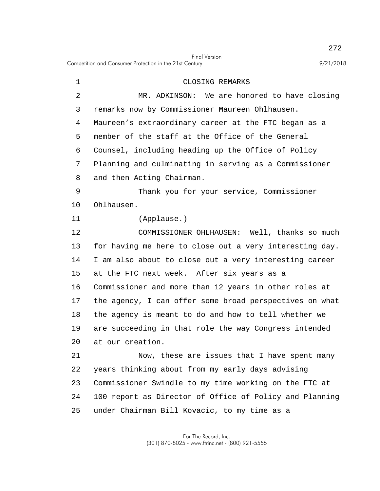Competition and Consumer Protection in the 21st Century 9/21/2018

25

5 10 15 20 1 CLOSING REMARKS 2 MR. ADKINSON: We are honored to have closing 3 remarks now by Commissioner Maureen Ohlhausen. 4 Maureen's extraordinary career at the FTC began as a member of the staff at the Office of the General 6 Counsel, including heading up the Office of Policy 7 Planning and culminating in serving as a Commissioner 8 and then Acting Chairman. 9 Thank you for your service, Commissioner Ohlhausen. 11 (Applause.) 12 COMMISSIONER OHLHAUSEN: Well, thanks so much 13 for having me here to close out a very interesting day. 14 I am also about to close out a very interesting career at the FTC next week. After six years as a 16 Commissioner and more than 12 years in other roles at 17 the agency, I can offer some broad perspectives on what 18 the agency is meant to do and how to tell whether we 19 are succeeding in that role the way Congress intended at our creation. 21 Now, these are issues that I have spent many 22 years thinking about from my early days advising 23 Commissioner Swindle to my time working on the FTC at 24 100 report as Director of Office of Policy and Planning

under Chairman Bill Kovacic, to my time as a

272

Final Version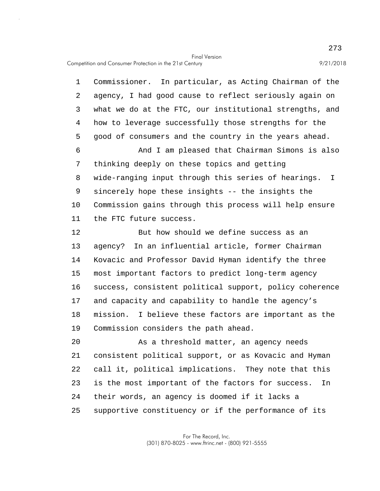5 10 15 1 Commissioner. In particular, as Acting Chairman of the 2 agency, I had good cause to reflect seriously again on 3 what we do at the FTC, our institutional strengths, and 4 how to leverage successfully those strengths for the good of consumers and the country in the years ahead. 6 And I am pleased that Chairman Simons is also 7 thinking deeply on these topics and getting 8 wide-ranging input through this series of hearings. I 9 sincerely hope these insights -- the insights the Commission gains through this process will help ensure 11 the FTC future success. 12 But how should we define success as an 13 agency? In an influential article, former Chairman 14 Kovacic and Professor David Hyman identify the three most important factors to predict long-term agency 16 success, consistent political support, policy coherence 17 and capacity and capability to handle the agency's 18 mission. I believe these factors are important as the 19 Commission considers the path ahead.

20 25 As a threshold matter, an agency needs 21 consistent political support, or as Kovacic and Hyman 22 call it, political implications. They note that this 23 is the most important of the factors for success. In 24 their words, an agency is doomed if it lacks a supportive constituency or if the performance of its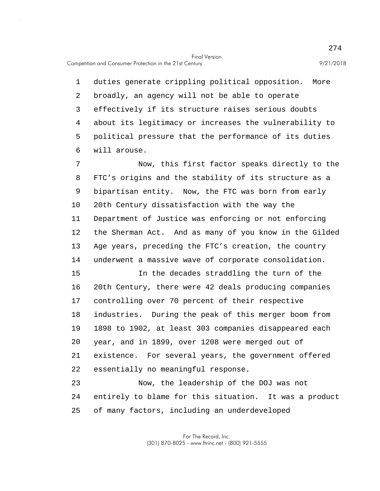5 1 duties generate crippling political opposition. More 2 broadly, an agency will not be able to operate 3 effectively if its structure raises serious doubts 4 about its legitimacy or increases the vulnerability to political pressure that the performance of its duties 6 will arouse.

10 7 Now, this first factor speaks directly to the 8 FTC's origins and the stability of its structure as a 9 bipartisan entity. Now, the FTC was born from early 20th Century dissatisfaction with the way the 11 Department of Justice was enforcing or not enforcing 12 the Sherman Act. And as many of you know in the Gilded 13 Age years, preceding the FTC's creation, the country 14 underwent a massive wave of corporate consolidation.

15 20 In the decades straddling the turn of the 16 20th Century, there were 42 deals producing companies 17 controlling over 70 percent of their respective 18 industries. During the peak of this merger boom from 19 1898 to 1902, at least 303 companies disappeared each year, and in 1899, over 1208 were merged out of 21 existence. For several years, the government offered 22 essentially no meaningful response.

25 23 Now, the leadership of the DOJ was not 24 entirely to blame for this situation. It was a product of many factors, including an underdeveloped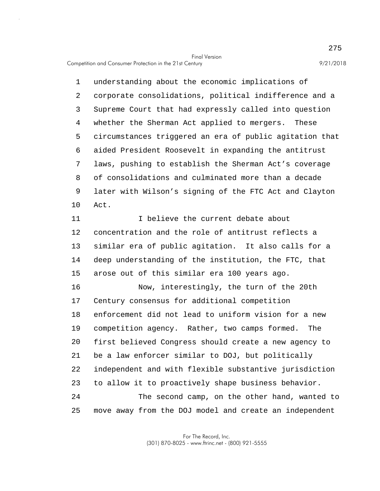5 10 1 understanding about the economic implications of 2 corporate consolidations, political indifference and a 3 Supreme Court that had expressly called into question 4 whether the Sherman Act applied to mergers. These circumstances triggered an era of public agitation that 6 aided President Roosevelt in expanding the antitrust 7 laws, pushing to establish the Sherman Act's coverage 8 of consolidations and culminated more than a decade 9 later with Wilson's signing of the FTC Act and Clayton Act.

15 11 Thelieve the current debate about 12 concentration and the role of antitrust reflects a 13 similar era of public agitation. It also calls for a 14 deep understanding of the institution, the FTC, that arose out of this similar era 100 years ago.

20 25 16 Now, interestingly, the turn of the 20th 17 Century consensus for additional competition 18 enforcement did not lead to uniform vision for a new 19 competition agency. Rather, two camps formed. The first believed Congress should create a new agency to 21 be a law enforcer similar to DOJ, but politically 22 independent and with flexible substantive jurisdiction 23 to allow it to proactively shape business behavior. 24 The second camp, on the other hand, wanted to move away from the DOJ model and create an independent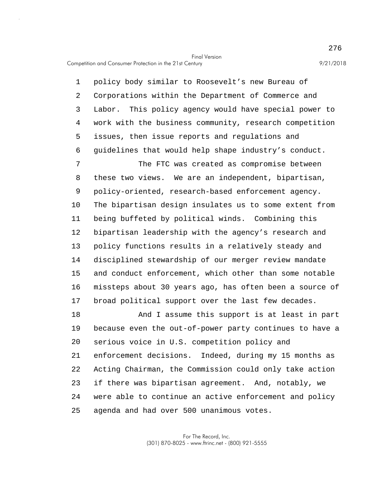5 10 15 1 policy body similar to Roosevelt's new Bureau of 2 Corporations within the Department of Commerce and 3 Labor. This policy agency would have special power to 4 work with the business community, research competition issues, then issue reports and regulations and 6 guidelines that would help shape industry's conduct. 7 The FTC was created as compromise between 8 these two views. We are an independent, bipartisan, 9 policy-oriented, research-based enforcement agency. The bipartisan design insulates us to some extent from 11 being buffeted by political winds. Combining this 12 bipartisan leadership with the agency's research and 13 policy functions results in a relatively steady and 14 disciplined stewardship of our merger review mandate and conduct enforcement, which other than some notable 16 missteps about 30 years ago, has often been a source of

17 broad political support over the last few decades.

20 25 18 And I assume this support is at least in part 19 because even the out-of-power party continues to have a serious voice in U.S. competition policy and 21 enforcement decisions. Indeed, during my 15 months as 22 Acting Chairman, the Commission could only take action 23 if there was bipartisan agreement. And, notably, we 24 were able to continue an active enforcement and policy agenda and had over 500 unanimous votes.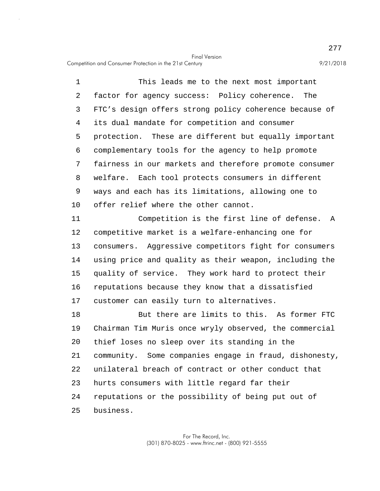5 10 1 This leads me to the next most important 2 factor for agency success: Policy coherence. The 3 FTC's design offers strong policy coherence because of 4 its dual mandate for competition and consumer protection. These are different but equally important 6 complementary tools for the agency to help promote 7 fairness in our markets and therefore promote consumer 8 welfare. Each tool protects consumers in different 9 ways and each has its limitations, allowing one to offer relief where the other cannot.

15 11 Competition is the first line of defense. A 12 competitive market is a welfare-enhancing one for 13 consumers. Aggressive competitors fight for consumers 14 using price and quality as their weapon, including the quality of service. They work hard to protect their 16 reputations because they know that a dissatisfied 17 customer can easily turn to alternatives.

20 25 18 But there are limits to this. As former FTC 19 Chairman Tim Muris once wryly observed, the commercial thief loses no sleep over its standing in the 21 community. Some companies engage in fraud, dishonesty, 22 unilateral breach of contract or other conduct that 23 hurts consumers with little regard far their 24 reputations or the possibility of being put out of business.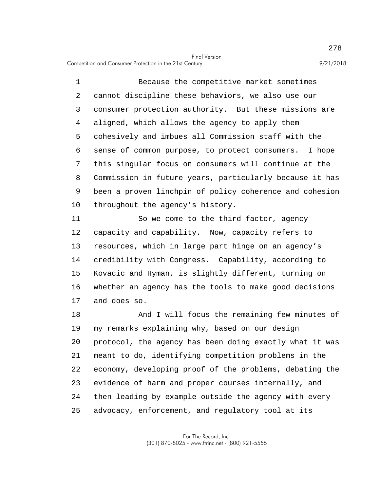5 10 1 Because the competitive market sometimes 2 cannot discipline these behaviors, we also use our 3 consumer protection authority. But these missions are 4 aligned, which allows the agency to apply them cohesively and imbues all Commission staff with the 6 sense of common purpose, to protect consumers. I hope 7 this singular focus on consumers will continue at the 8 Commission in future years, particularly because it has 9 been a proven linchpin of policy coherence and cohesion throughout the agency's history.

15 11 So we come to the third factor, agency 12 capacity and capability. Now, capacity refers to 13 resources, which in large part hinge on an agency's 14 credibility with Congress. Capability, according to Kovacic and Hyman, is slightly different, turning on 16 whether an agency has the tools to make good decisions 17 and does so.

20 25 18 And I will focus the remaining few minutes of 19 my remarks explaining why, based on our design protocol, the agency has been doing exactly what it was 21 meant to do, identifying competition problems in the 22 economy, developing proof of the problems, debating the 23 evidence of harm and proper courses internally, and 24 then leading by example outside the agency with every advocacy, enforcement, and regulatory tool at its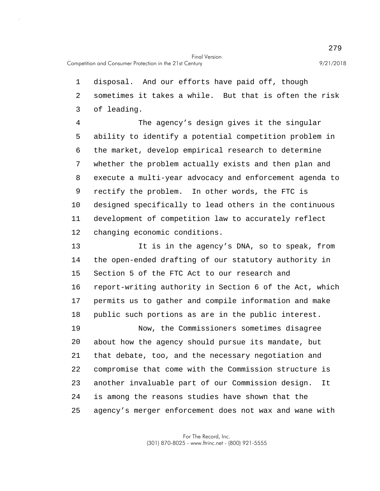1 disposal. And our efforts have paid off, though 2 sometimes it takes a while. But that is often the risk 3 of leading.

5 10 4 The agency's design gives it the singular ability to identify a potential competition problem in 6 the market, develop empirical research to determine 7 whether the problem actually exists and then plan and 8 execute a multi-year advocacy and enforcement agenda to 9 rectify the problem. In other words, the FTC is designed specifically to lead others in the continuous 11 development of competition law to accurately reflect 12 changing economic conditions.

15 20 25 13 It is in the agency's DNA, so to speak, from 14 the open-ended drafting of our statutory authority in Section 5 of the FTC Act to our research and 16 report-writing authority in Section 6 of the Act, which 17 permits us to gather and compile information and make 18 public such portions as are in the public interest. 19 Now, the Commissioners sometimes disagree about how the agency should pursue its mandate, but 21 that debate, too, and the necessary negotiation and 22 compromise that come with the Commission structure is 23 another invaluable part of our Commission design. It 24 is among the reasons studies have shown that the agency's merger enforcement does not wax and wane with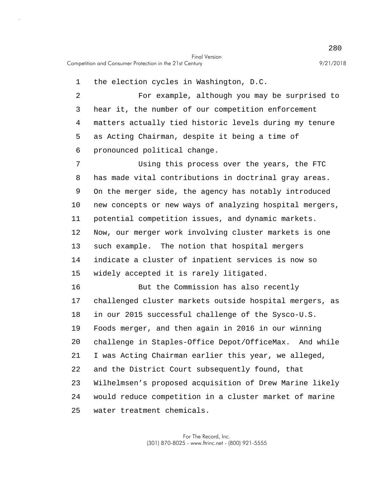1 the election cycles in Washington, D.C.

5 2 For example, although you may be surprised to 3 hear it, the number of our competition enforcement 4 matters actually tied historic levels during my tenure as Acting Chairman, despite it being a time of 6 pronounced political change.

10 15 7 Using this process over the years, the FTC 8 has made vital contributions in doctrinal gray areas. 9 On the merger side, the agency has notably introduced new concepts or new ways of analyzing hospital mergers, 11 potential competition issues, and dynamic markets. 12 Now, our merger work involving cluster markets is one 13 such example. The notion that hospital mergers 14 indicate a cluster of inpatient services is now so widely accepted it is rarely litigated.

20 25 16 But the Commission has also recently 17 challenged cluster markets outside hospital mergers, as 18 in our 2015 successful challenge of the Sysco-U.S. 19 Foods merger, and then again in 2016 in our winning challenge in Staples-Office Depot/OfficeMax. And while 21 I was Acting Chairman earlier this year, we alleged, 22 and the District Court subsequently found, that 23 Wilhelmsen's proposed acquisition of Drew Marine likely 24 would reduce competition in a cluster market of marine water treatment chemicals.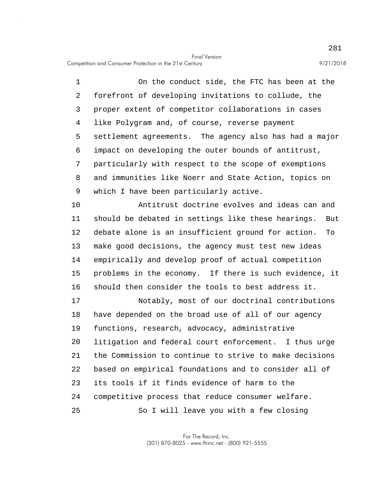5 1 On the conduct side, the FTC has been at the 2 forefront of developing invitations to collude, the 3 proper extent of competitor collaborations in cases 4 like Polygram and, of course, reverse payment settlement agreements. The agency also has had a major 6 impact on developing the outer bounds of antitrust, 7 particularly with respect to the scope of exemptions 8 and immunities like Noerr and State Action, topics on 9 which I have been particularly active.

10 15 Antitrust doctrine evolves and ideas can and 11 should be debated in settings like these hearings. But 12 debate alone is an insufficient ground for action. To 13 make good decisions, the agency must test new ideas 14 empirically and develop proof of actual competition problems in the economy. If there is such evidence, it 16 should then consider the tools to best address it.

20 25 17 Notably, most of our doctrinal contributions 18 have depended on the broad use of all of our agency 19 functions, research, advocacy, administrative litigation and federal court enforcement. I thus urge 21 the Commission to continue to strive to make decisions 22 based on empirical foundations and to consider all of 23 its tools if it finds evidence of harm to the 24 competitive process that reduce consumer welfare. So I will leave you with a few closing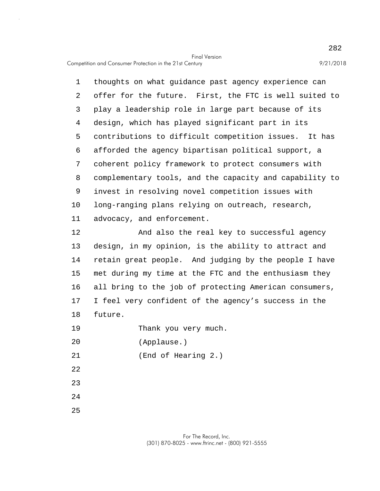5 10 1 thoughts on what guidance past agency experience can 2 offer for the future. First, the FTC is well suited to 3 play a leadership role in large part because of its 4 design, which has played significant part in its contributions to difficult competition issues. It has 6 afforded the agency bipartisan political support, a 7 coherent policy framework to protect consumers with 8 complementary tools, and the capacity and capability to 9 invest in resolving novel competition issues with long-ranging plans relying on outreach, research, 11 advocacy, and enforcement.

15 12 And also the real key to successful agency 13 design, in my opinion, is the ability to attract and 14 retain great people. And judging by the people I have met during my time at the FTC and the enthusiasm they 16 all bring to the job of protecting American consumers, 17 I feel very confident of the agency's success in the 18 future.

19 Thank you very much.

20 (Applause.)

21 (End of Hearing 2.)

22

23

24